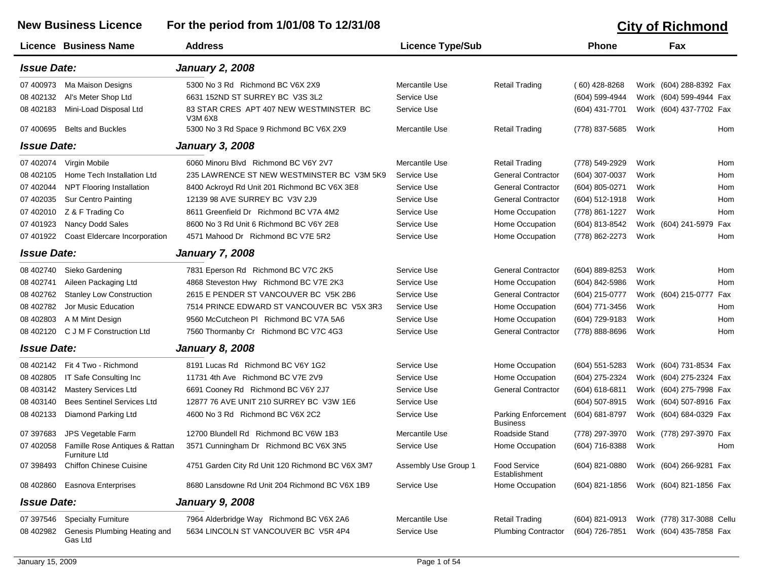## **New Business Licence For the period from 1/01/08 To 12/31/08 City of Richmond Licence Business Name Address Licence Type/Sub Phone Fax** *Issue Date: January 2, 2008* 07 400973 Ma Maison Designs 6300 No 3 Rd Richmond BC V6X 2X9 Mercantile Use Retail Trading (60) 428-8268 Work (604) 288-8392 Fax 08 402132 Al's Meter Shop Ltd 6631 152ND ST SURREY BC V3S 3L2 Service Use (604) 599-4944 Work (604) 599-4944 Fax 08 402183 Mini-Load Disposal Ltd 83 STAR CRES APT 407 NEW WESTMINSTER BC Service Use (604) 431-7701 Work (604) 437-7702 Fax V3M 6X8 07 400695 Belts and Buckles5300 No 3 Rd Space 9 Richmond BC V6X 2X9 Mercantile Use Retail Trading (778) 837-5685 Work Hom *Issue Date: January 3, 2008* 07 402074 Virgin Mobile 6060 Minoru Blvd Richmond BC V6Y 2V7 Mercantile Use Retail Trading (778) 549-2929 Work Hom 08 402105 Home Tech Installation Ltd 235 LAWRENCE ST NEW WESTMINSTER BC V3M 5K9 Service Use General Contractor (604) 307-0037 Work Hom 07 402044 NPT Flooring Installation and 8400 Ackroyd Rd Unit 201 Richmond BC V6X 3E8 Service Use General Contractor (604) 805-0271 Work Hom 07 402035 Sur Centro Painting 12139 98 AVE SURREY BC V3V 2J9 Service Use General Contractor (604) 512-1918 Work Hom 07 402010 Z & F Trading Co 6611 Greenfield Dr Richmond BC V7A 4M2 Service Use Home Occupation (778) 861-1227 Work Hom 07 401923 Nancy Dodd Sales 6600 No 3 Rd Unit 6 Richmond BC V6Y 2E8 Service Use Home Occupation (604) 813-8542 Work (604) 241-5979 Fax 07 401922 Coast Eldercare Incorporation 4571 Mahood Dr Richmond BC V7E 5R2 Service Use Home Occupation (778) 862-2273 Work Hom *Issue Date: January 7, 2008* 08 402740 Sieko Gardening 7831 Eperson Rd Richmond BC V7C 2K5 Service Use General Contractor (604) 889-8253 Work Hom 08 402741 Aileen Packaging Ltd 4868 Steveston Hwy Richmond BC V7E 2K3 Service Use Home Occupation (604) 842-5986 Work Hom 08 402762 Stanley Low Construction 2615 E PENDER ST VANCOUVER BC V5K 2B6 Service Use General Contractor (604) 215-0777 Work (604) 215-0777 Fax 08 402782 Jor Music Education 7514 PRINCE EDWARD ST VANCOUVER BC V5X 3R3 Service Use Home Occupation (604) 771-3456 Work Hom 08 402803 A M Mint Design 19560 McCutcheon Pl Richmond BC V7A 5A6 Service Use Home Occupation (604) 729-9183 Work Home 08 402120 C J M F Construction Ltd7560 Thormanby Cr Richmond BC V7C 4G3 Service Use General Contractor (778) 888-8696 Work Hom *Issue Date: January 8, 2008* 08 402142 Fit 4 Two - Richmond 8191 Lucas Rd Richmond BC V6Y 1G2 Service Use Home Occupation (604) 551-5283 Work (604) 731-8534 Fax 08 402805 IT Safe Consulting Inc 11731 4th Ave Richmond BC V7E 2V9 Service Use Home Occupation (604) 275-2324 Work (604) 275-2324 Fax 08 403142 Mastery Services Ltd 6691 Cooney Rd Richmond BC V6Y 2J7 Service Use General Contractor (604) 618-6811 Work (604) 275-7998 Fax 08 403140 Bees Sentinel Services Ltd 12877 76 AVE UNIT 210 SURREY BC V3W 1E6 Service Use CHO CHO MAGES (604) 507-8915 Work (604) 507-8916 Fax 08 402133 Diamond Parking Ltd 4600 No 3 Rd Richmond BC V6X 2C2 Parking Enforcement BusinessService Use **Example 20 Franch COD** Parking Enforcement (604) 681-8797 Work (604) 684-0329 Fax 07 397683 JPS Vegetable Farm 12700 Blundell Rd Richmond BC V6W 1B3 Mercantile Use Roadside Stand (778) 297-3970 Work (778) 297-3970 Fax 07 402058 Famille Rose Antiques & Rattan Furniture Ltd3571 Cunningham Dr Richmond BC V6X 3N5 Service Use Home Occupation (604) 716-8388 Work Hom 07 398493 Chiffon Chinese Cuisinee 4751 Garden City Rd Unit 120 Richmond BC V6X 3M7 Assembly Use Group 1 Food Service (604) 821-0880 Work (604) 266-9281 Fax **Establishment** 08 402860 Easnova Enterprises 6680 Lansdowne Rd Unit 204 Richmond BC V6X 1B9 Service Use Home Occupation (604) 821-1856 Work (604) 821-1856 Fax *Issue Date: January 9, 2008* 07 397546 Specialty Furniture 2964 Alderbridge Way Richmond BC V6X 2A6 Mercantile Use Retail Trading (604) 821-0913 Work (778) 317-3088 Cellu 08 402982 Genesis Plumbing Heating and Gas Ltd5634 LINCOLN ST VANCOUVER BC V5R 4P4 Service Use Plumbing Contractor (604) 726-7851 Work (604) 435-7858 Fax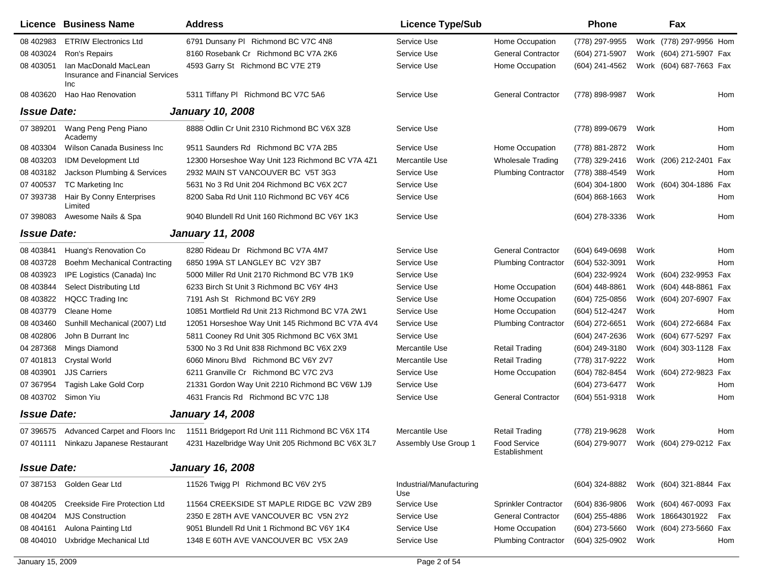|                    | Licence Business Name                                            | <b>Address</b>                                    | <b>Licence Type/Sub</b>         |                               | <b>Phone</b>     |      | Fax                     |            |
|--------------------|------------------------------------------------------------------|---------------------------------------------------|---------------------------------|-------------------------------|------------------|------|-------------------------|------------|
| 08 402983          | <b>ETRIW Electronics Ltd</b>                                     | 6791 Dunsany PI Richmond BC V7C 4N8               | Service Use                     | Home Occupation               | (778) 297-9955   |      | Work (778) 297-9956 Hom |            |
| 08 403024          | Ron's Repairs                                                    | 8160 Rosebank Cr Richmond BC V7A 2K6              | Service Use                     | <b>General Contractor</b>     | (604) 271-5907   |      | Work (604) 271-5907 Fax |            |
| 08 403051          | Ian MacDonald MacLean<br>Insurance and Financial Services<br>Inc | 4593 Garry St Richmond BC V7E 2T9                 | Service Use                     | Home Occupation               | (604) 241-4562   |      | Work (604) 687-7663 Fax |            |
| 08 403620          | Hao Hao Renovation                                               | 5311 Tiffany PI Richmond BC V7C 5A6               | Service Use                     | <b>General Contractor</b>     | (778) 898-9987   | Work |                         | Hom        |
| <b>Issue Date:</b> |                                                                  | <b>January 10, 2008</b>                           |                                 |                               |                  |      |                         |            |
| 07 389201          | Wang Peng Peng Piano<br>Academy                                  | 8888 Odlin Cr Unit 2310 Richmond BC V6X 3Z8       | Service Use                     |                               | (778) 899-0679   | Work |                         | Hom        |
| 08 403304          | Wilson Canada Business Inc                                       | 9511 Saunders Rd Richmond BC V7A 2B5              | Service Use                     | Home Occupation               | (778) 881-2872   | Work |                         | <b>Hom</b> |
| 08 403203          | <b>IDM Development Ltd</b>                                       | 12300 Horseshoe Way Unit 123 Richmond BC V7A 4Z1  | Mercantile Use                  | <b>Wholesale Trading</b>      | (778) 329-2416   |      | Work (206) 212-2401     | Fax        |
| 08 403182          | Jackson Plumbing & Services                                      | 2932 MAIN ST VANCOUVER BC V5T 3G3                 | Service Use                     | <b>Plumbing Contractor</b>    | (778) 388-4549   | Work |                         | Hom        |
| 07 400537          | <b>TC Marketing Inc</b>                                          | 5631 No 3 Rd Unit 204 Richmond BC V6X 2C7         | Service Use                     |                               | $(604)$ 304-1800 |      | Work (604) 304-1886 Fax |            |
| 07 393738          | Hair By Conny Enterprises<br>Limited                             | 8200 Saba Rd Unit 110 Richmond BC V6Y 4C6         | Service Use                     |                               | $(604)$ 868-1663 | Work |                         | Hom        |
| 07 398083          | Awesome Nails & Spa                                              | 9040 Blundell Rd Unit 160 Richmond BC V6Y 1K3     | Service Use                     |                               | (604) 278-3336   | Work |                         | Hom        |
| <b>Issue Date:</b> |                                                                  | <b>January 11, 2008</b>                           |                                 |                               |                  |      |                         |            |
| 08 403841          | Huang's Renovation Co                                            | 8280 Rideau Dr Richmond BC V7A 4M7                | Service Use                     | <b>General Contractor</b>     | (604) 649-0698   | Work |                         | Hom        |
| 08 403728          | Boehm Mechanical Contracting                                     | 6850 199A ST LANGLEY BC V2Y 3B7                   | Service Use                     | <b>Plumbing Contractor</b>    | (604) 532-3091   | Work |                         | Hom        |
| 08 403923          | IPE Logistics (Canada) Inc                                       | 5000 Miller Rd Unit 2170 Richmond BC V7B 1K9      | Service Use                     |                               | (604) 232-9924   |      | Work (604) 232-9953 Fax |            |
| 08 403844          | Select Distributing Ltd                                          | 6233 Birch St Unit 3 Richmond BC V6Y 4H3          | Service Use                     | Home Occupation               | (604) 448-8861   |      | Work (604) 448-8861 Fax |            |
| 08 403822          | <b>HQCC Trading Inc</b>                                          | 7191 Ash St Richmond BC V6Y 2R9                   | Service Use                     | Home Occupation               | (604) 725-0856   |      | Work (604) 207-6907 Fax |            |
| 08 403779          | Cleane Home                                                      | 10851 Mortfield Rd Unit 213 Richmond BC V7A 2W1   | Service Use                     | Home Occupation               | (604) 512-4247   | Work |                         | Hom        |
| 08 403460          | Sunhill Mechanical (2007) Ltd                                    | 12051 Horseshoe Way Unit 145 Richmond BC V7A 4V4  | Service Use                     | <b>Plumbing Contractor</b>    | (604) 272-6651   |      | Work (604) 272-6684 Fax |            |
| 08 402806          | John B Durrant Inc                                               | 5811 Cooney Rd Unit 305 Richmond BC V6X 3M1       | Service Use                     |                               | (604) 247-2636   |      | Work (604) 677-5297 Fax |            |
| 04 287368          | Mings Diamond                                                    | 5300 No 3 Rd Unit 838 Richmond BC V6X 2X9         | Mercantile Use                  | <b>Retail Trading</b>         | (604) 249-3180   |      | Work (604) 303-1128 Fax |            |
| 07 401813          | <b>Crystal World</b>                                             | 6060 Minoru Blvd Richmond BC V6Y 2V7              | Mercantile Use                  | <b>Retail Trading</b>         | (778) 317-9222   | Work |                         | Hom        |
| 08 403901          | <b>JJS Carriers</b>                                              | 6211 Granville Cr Richmond BC V7C 2V3             | Service Use                     | Home Occupation               | (604) 782-8454   |      | Work (604) 272-9823     | Fax        |
| 07 367954          | Tagish Lake Gold Corp                                            | 21331 Gordon Way Unit 2210 Richmond BC V6W 1J9    | Service Use                     |                               | (604) 273-6477   | Work |                         | Hom        |
| 08 403702          | Simon Yiu                                                        | 4631 Francis Rd Richmond BC V7C 1J8               | Service Use                     | <b>General Contractor</b>     | (604) 551-9318   | Work |                         | Hom        |
| <b>Issue Date:</b> |                                                                  | <b>January 14, 2008</b>                           |                                 |                               |                  |      |                         |            |
| 07 39 6575         | Advanced Carpet and Floors Inc                                   | 11511 Bridgeport Rd Unit 111 Richmond BC V6X 1T4  | Mercantile Use                  | <b>Retail Trading</b>         | (778) 219-9628   | Work |                         | Hom        |
|                    | 07 401111 Ninkazu Japanese Restaurant                            | 4231 Hazelbridge Way Unit 205 Richmond BC V6X 3L7 | Assembly Use Group 1            | Food Service<br>Establishment | (604) 279-9077   |      | Work (604) 279-0212 Fax |            |
| <b>Issue Date:</b> |                                                                  | <b>January 16, 2008</b>                           |                                 |                               |                  |      |                         |            |
|                    | 07 387153 Golden Gear Ltd                                        | 11526 Twigg PI Richmond BC V6V 2Y5                | Industrial/Manufacturing<br>Use |                               | (604) 324-8882   |      | Work (604) 321-8844 Fax |            |
| 08 404205          | Creekside Fire Protection Ltd                                    | 11564 CREEKSIDE ST MAPLE RIDGE BC V2W 2B9         | Service Use                     | Sprinkler Contractor          | $(604)$ 836-9806 |      | Work (604) 467-0093 Fax |            |
| 08 404204          | <b>MJS Construction</b>                                          | 2350 E 28TH AVE VANCOUVER BC V5N 2Y2              | Service Use                     | <b>General Contractor</b>     | $(604)$ 255-4886 |      | Work 18664301922        | Fax        |
| 08 404161          | Aulona Painting Ltd                                              | 9051 Blundell Rd Unit 1 Richmond BC V6Y 1K4       | Service Use                     | Home Occupation               | (604) 273-5660   |      | Work (604) 273-5660 Fax |            |
| 08 404010          | Uxbridge Mechanical Ltd                                          | 1348 E 60TH AVE VANCOUVER BC V5X 2A9              | Service Use                     | <b>Plumbing Contractor</b>    | (604) 325-0902   | Work |                         | Hom        |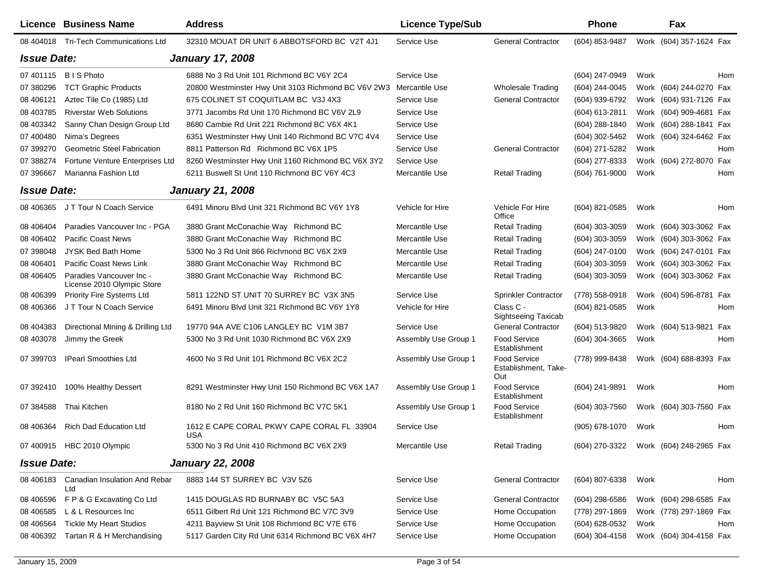|                    | Licence Business Name                                  | <b>Address</b>                                      | <b>Licence Type/Sub</b> |                                             | <b>Phone</b>                           |      | Fax                     |     |
|--------------------|--------------------------------------------------------|-----------------------------------------------------|-------------------------|---------------------------------------------|----------------------------------------|------|-------------------------|-----|
|                    | 08 404018 Tri-Tech Communications Ltd                  | 32310 MOUAT DR UNIT 6 ABBOTSFORD BC V2T 4J1         | Service Use             | <b>General Contractor</b>                   | (604) 853-9487                         |      | Work (604) 357-1624 Fax |     |
| <b>Issue Date:</b> |                                                        | <b>January 17, 2008</b>                             |                         |                                             |                                        |      |                         |     |
| 07 401115          | <b>BIS Photo</b>                                       | 6888 No 3 Rd Unit 101 Richmond BC V6Y 2C4           | Service Use             |                                             | (604) 247-0949                         | Work |                         | Hom |
| 07 380296          | <b>TCT Graphic Products</b>                            | 20800 Westminster Hwy Unit 3103 Richmond BC V6V 2W3 | Mercantile Use          | Wholesale Trading                           | (604) 244-0045                         |      | Work (604) 244-0270 Fax |     |
| 08 40 6121         | Aztec Tile Co (1985) Ltd                               | 675 COLINET ST COQUITLAM BC V3J 4X3                 | Service Use             | <b>General Contractor</b>                   | (604) 939-6792                         |      | Work (604) 931-7126 Fax |     |
| 08 403785          | <b>Riverstar Web Solutions</b>                         | 3771 Jacombs Rd Unit 170 Richmond BC V6V 2L9        | Service Use             |                                             | (604) 613-2811                         |      | Work (604) 909-4681 Fax |     |
| 08 403342          | Sanny Chan Design Group Ltd                            | 8680 Cambie Rd Unit 221 Richmond BC V6X 4K1         | Service Use             |                                             | (604) 288-1840                         |      | Work (604) 288-1841 Fax |     |
| 07 400480          | Nima's Degrees                                         | 6351 Westminster Hwy Unit 140 Richmond BC V7C 4V4   | Service Use             |                                             | (604) 302-5462                         |      | Work (604) 324-6462 Fax |     |
| 07 399270          | <b>Geometric Steel Fabrication</b>                     | 8811 Patterson Rd Richmond BC V6X 1P5               | Service Use             | <b>General Contractor</b>                   | (604) 271-5282                         | Work |                         | Hom |
| 07 388274          | Fortune Venture Enterprises Ltd                        | 8260 Westminster Hwy Unit 1160 Richmond BC V6X 3Y2  | Service Use             |                                             | (604) 277-8333                         |      | Work (604) 272-8070 Fax |     |
| 07 39 6667         | Marianna Fashion Ltd                                   | 6211 Buswell St Unit 110 Richmond BC V6Y 4C3        | Mercantile Use          | Retail Trading                              | (604) 761-9000                         | Work |                         | Hom |
| <b>Issue Date:</b> |                                                        | <b>January 21, 2008</b>                             |                         |                                             |                                        |      |                         |     |
|                    | 08 406365 J T Tour N Coach Service                     | 6491 Minoru Blvd Unit 321 Richmond BC V6Y 1Y8       | Vehicle for Hire        | Vehicle For Hire<br>Office                  | (604) 821-0585                         | Work |                         | Hom |
| 08 40 640 4        | Paradies Vancouver Inc - PGA                           | 3880 Grant McConachie Way Richmond BC               | Mercantile Use          | <b>Retail Trading</b>                       | $(604)$ 303-3059                       |      | Work (604) 303-3062 Fax |     |
| 08 40 640 2        | <b>Pacific Coast News</b>                              | 3880 Grant McConachie Way Richmond BC               | Mercantile Use          | Retail Trading                              | $(604)$ 303-3059                       |      | Work (604) 303-3062 Fax |     |
| 07 398048          | JYSK Bed Bath Home                                     | 5300 No 3 Rd Unit 866 Richmond BC V6X 2X9           | Mercantile Use          | Retail Trading                              | (604) 247-0100                         |      | Work (604) 247-0101 Fax |     |
| 08 40 6401         | Pacific Coast News Link                                | 3880 Grant McConachie Way Richmond BC               | Mercantile Use          | <b>Retail Trading</b>                       | (604) 303-3059                         |      | Work (604) 303-3062 Fax |     |
| 08 40 640 5        | Paradies Vancouver Inc -<br>License 2010 Olympic Store | 3880 Grant McConachie Way Richmond BC               | Mercantile Use          | <b>Retail Trading</b>                       | (604) 303-3059                         |      | Work (604) 303-3062 Fax |     |
| 08 40 6399         | Priority Fire Systems Ltd                              | 5811 122ND ST UNIT 70 SURREY BC V3X 3N5             | Service Use             | <b>Sprinkler Contractor</b>                 | (778) 558-0918                         |      | Work (604) 596-8781 Fax |     |
| 08 40 636 6        | J T Tour N Coach Service                               | 6491 Minoru Blvd Unit 321 Richmond BC V6Y 1Y8       | Vehicle for Hire        | Class C -<br><b>Sightseeing Taxicab</b>     | (604) 821-0585                         | Work |                         | Hom |
| 08 404383          | Directional Mining & Drilling Ltd                      | 19770 94A AVE C106 LANGLEY BC V1M 3B7               | Service Use             | <b>General Contractor</b>                   | (604) 513-9820                         |      | Work (604) 513-9821 Fax |     |
| 08 403078          | Jimmy the Greek                                        | 5300 No 3 Rd Unit 1030 Richmond BC V6X 2X9          | Assembly Use Group 1    | <b>Food Service</b><br>Establishment        | $(604)$ 304-3665                       | Work |                         | Hom |
| 07 399703          | <b>IPearl Smoothies Ltd</b>                            | 4600 No 3 Rd Unit 101 Richmond BC V6X 2C2           | Assembly Use Group 1    | Food Service<br>Establishment, Take-<br>Out | (778) 999-8438                         |      | Work (604) 688-8393 Fax |     |
| 07 392410          | 100% Healthy Dessert                                   | 8291 Westminster Hwy Unit 150 Richmond BC V6X 1A7   | Assembly Use Group 1    | <b>Food Service</b><br>Establishment        | (604) 241-9891                         | Work |                         | Hom |
| 07 384588          | Thai Kitchen                                           | 8180 No 2 Rd Unit 160 Richmond BC V7C 5K1           | Assembly Use Group 1    | <b>Food Service</b><br>Establishment        | (604) 303-7560                         |      | Work (604) 303-7560 Fax |     |
|                    | 08 406364 Rich Dad Education Ltd                       | 1612 E CAPE CORAL PKWY CAPE CORAL FL 33904<br>USA   | Service Use             |                                             | (905) 678-1070                         | Work |                         | Hom |
|                    | 07 400915 HBC 2010 Olympic                             | 5300 No 3 Rd Unit 410 Richmond BC V6X 2X9           | Mercantile Use          | <b>Retail Trading</b>                       | (604) 270-3322 Work (604) 248-2965 Fax |      |                         |     |
| <b>Issue Date:</b> |                                                        | <b>January 22, 2008</b>                             |                         |                                             |                                        |      |                         |     |
| 08 406183          | Canadian Insulation And Rebar<br>Ltd                   | 8883 144 ST SURREY BC V3V 5Z6                       | Service Use             | <b>General Contractor</b>                   | (604) 807-6338                         | Work |                         | Hom |
| 08 40 659 6        | F P & G Excavating Co Ltd                              | 1415 DOUGLAS RD BURNABY BC V5C 5A3                  | Service Use             | <b>General Contractor</b>                   | $(604)$ 298-6586                       |      | Work (604) 298-6585 Fax |     |
| 08 40 6585         | L & L Resources Inc                                    | 6511 Gilbert Rd Unit 121 Richmond BC V7C 3V9        | Service Use             | Home Occupation                             | (778) 297-1869                         |      | Work (778) 297-1869 Fax |     |
| 08 40 6564         | <b>Tickle My Heart Studios</b>                         | 4211 Bayview St Unit 108 Richmond BC V7E 6T6        | Service Use             | Home Occupation                             | (604) 628-0532                         | Work |                         | Hom |
| 08 406392          | Tartan R & H Merchandising                             | 5117 Garden City Rd Unit 6314 Richmond BC V6X 4H7   | Service Use             | Home Occupation                             | (604) 304-4158                         |      | Work (604) 304-4158 Fax |     |
|                    |                                                        |                                                     |                         |                                             |                                        |      |                         |     |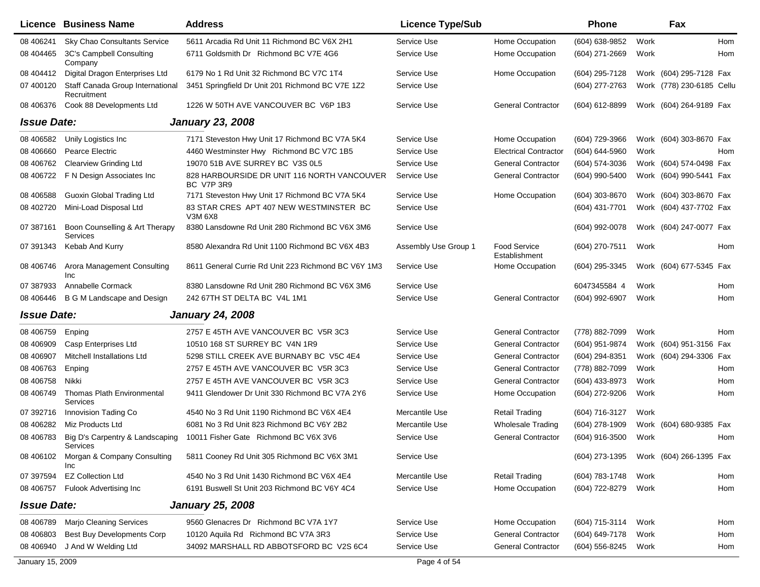|                    | Licence Business Name                           | <b>Address</b>                                            | <b>Licence Type/Sub</b> |                                      | <b>Phone</b>   | Fax                       |            |
|--------------------|-------------------------------------------------|-----------------------------------------------------------|-------------------------|--------------------------------------|----------------|---------------------------|------------|
| 08 40 6241         | <b>Sky Chao Consultants Service</b>             | 5611 Arcadia Rd Unit 11 Richmond BC V6X 2H1               | Service Use             | Home Occupation                      | (604) 638-9852 | Work                      | Hom        |
| 08 404465          | 3C's Campbell Consulting<br>Company             | 6711 Goldsmith Dr Richmond BC V7E 4G6                     | Service Use             | Home Occupation                      | (604) 271-2669 | Work                      | <b>Hom</b> |
| 08 404412          | Digital Dragon Enterprises Ltd                  | 6179 No 1 Rd Unit 32 Richmond BC V7C 1T4                  | Service Use             | Home Occupation                      | (604) 295-7128 | Work (604) 295-7128 Fax   |            |
| 07 400120          | Staff Canada Group International<br>Recruitment | 3451 Springfield Dr Unit 201 Richmond BC V7E 1Z2          | Service Use             |                                      | (604) 277-2763 | Work (778) 230-6185 Cellu |            |
| 08 40 6376         | Cook 88 Developments Ltd                        | 1226 W 50TH AVE VANCOUVER BC V6P 1B3                      | Service Use             | <b>General Contractor</b>            | (604) 612-8899 | Work (604) 264-9189 Fax   |            |
| <b>Issue Date:</b> |                                                 | <b>January 23, 2008</b>                                   |                         |                                      |                |                           |            |
| 08 40 6582         | Unily Logistics Inc                             | 7171 Steveston Hwy Unit 17 Richmond BC V7A 5K4            | Service Use             | Home Occupation                      | (604) 729-3966 | Work (604) 303-8670 Fax   |            |
| 08 40 6660         | Pearce Electric                                 | 4460 Westminster Hwy Richmond BC V7C 1B5                  | Service Use             | <b>Electrical Contractor</b>         | (604) 644-5960 | Work                      | Hom        |
| 08 40 6762         | <b>Clearview Grinding Ltd</b>                   | 19070 51B AVE SURREY BC V3S 0L5                           | Service Use             | <b>General Contractor</b>            | (604) 574-3036 | Work (604) 574-0498 Fax   |            |
| 08 40 6722         | F N Design Associates Inc                       | 828 HARBOURSIDE DR UNIT 116 NORTH VANCOUVER<br>BC V7P 3R9 | Service Use             | <b>General Contractor</b>            | (604) 990-5400 | Work (604) 990-5441 Fax   |            |
| 08 40 6588         | Guoxin Global Trading Ltd                       | 7171 Steveston Hwy Unit 17 Richmond BC V7A 5K4            | Service Use             | Home Occupation                      | (604) 303-8670 | Work (604) 303-8670 Fax   |            |
| 08 402720          | Mini-Load Disposal Ltd                          | 83 STAR CRES APT 407 NEW WESTMINSTER BC<br>V3M 6X8        | Service Use             |                                      | (604) 431-7701 | Work (604) 437-7702 Fax   |            |
| 07 387161          | Boon Counselling & Art Therapy<br>Services      | 8380 Lansdowne Rd Unit 280 Richmond BC V6X 3M6            | Service Use             |                                      | (604) 992-0078 | Work (604) 247-0077 Fax   |            |
| 07 391343          | Kebab And Kurry                                 | 8580 Alexandra Rd Unit 1100 Richmond BC V6X 4B3           | Assembly Use Group 1    | <b>Food Service</b><br>Establishment | (604) 270-7511 | Work                      | Hom        |
| 08 40 6746         | Arora Management Consulting<br><b>Inc</b>       | 8611 General Currie Rd Unit 223 Richmond BC V6Y 1M3       | Service Use             | Home Occupation                      | (604) 295-3345 | Work (604) 677-5345 Fax   |            |
| 07 387933          | Annabelle Cormack                               | 8380 Lansdowne Rd Unit 280 Richmond BC V6X 3M6            | Service Use             |                                      | 6047345584 4   | Work                      | Hom        |
| 08 40 6446         | B G M Landscape and Design                      | 242 67TH ST DELTA BC V4L 1M1                              | Service Use             | <b>General Contractor</b>            | (604) 992-6907 | Work                      | Hom        |
| <b>Issue Date:</b> |                                                 | <b>January 24, 2008</b>                                   |                         |                                      |                |                           |            |
| 08 40 6759         | Enping                                          | 2757 E 45TH AVE VANCOUVER BC V5R 3C3                      | Service Use             | <b>General Contractor</b>            | (778) 882-7099 | Work                      | Hom        |
| 08 406909          | Casp Enterprises Ltd                            | 10510 168 ST SURREY BC V4N 1R9                            | Service Use             | <b>General Contractor</b>            | (604) 951-9874 | Work (604) 951-3156 Fax   |            |
| 08 40 6907         | Mitchell Installations Ltd                      | 5298 STILL CREEK AVE BURNABY BC V5C 4E4                   | Service Use             | <b>General Contractor</b>            | (604) 294-8351 | Work (604) 294-3306 Fax   |            |
| 08 40 6763         | Enping                                          | 2757 E 45TH AVE VANCOUVER BC V5R 3C3                      | Service Use             | <b>General Contractor</b>            | (778) 882-7099 | Work                      | Hom        |
| 08 40 6758         | Nikki                                           | 2757 E 45TH AVE VANCOUVER BC V5R 3C3                      | Service Use             | <b>General Contractor</b>            | (604) 433-8973 | Work                      | Hom        |
| 08 40 6749         | Thomas Plath Environmental<br>Services          | 9411 Glendower Dr Unit 330 Richmond BC V7A 2Y6            | Service Use             | Home Occupation                      | (604) 272-9206 | Work                      | Hom        |
| 07 392716          | Innovision Tading Co                            | 4540 No 3 Rd Unit 1190 Richmond BC V6X 4E4                | Mercantile Use          | Retail Trading                       | (604) 716-3127 | Work                      |            |
| 08 40 6282         | Miz Products Ltd                                | 6081 No 3 Rd Unit 823 Richmond BC V6Y 2B2                 | Mercantile Use          | <b>Wholesale Trading</b>             | (604) 278-1909 | Work (604) 680-9385 Fax   |            |
| 08 40 6783         | Big D's Carpentry & Landscaping<br>Services     | 10011 Fisher Gate Richmond BC V6X 3V6                     | Service Use             | <b>General Contractor</b>            | (604) 916-3500 | Work                      | Hom        |
| 08 406102          | Morgan & Company Consulting<br><b>Inc</b>       | 5811 Cooney Rd Unit 305 Richmond BC V6X 3M1               | Service Use             |                                      | (604) 273-1395 | Work (604) 266-1395 Fax   |            |
| 07 397594          | <b>EZ Collection Ltd</b>                        | 4540 No 3 Rd Unit 1430 Richmond BC V6X 4E4                | Mercantile Use          | <b>Retail Trading</b>                | (604) 783-1748 | Work                      | Hom        |
| 08 406757          | <b>Fulook Advertising Inc.</b>                  | 6191 Buswell St Unit 203 Richmond BC V6Y 4C4              | Service Use             | Home Occupation                      | (604) 722-8279 | Work                      | Hom        |
| <b>Issue Date:</b> |                                                 | <b>January 25, 2008</b>                                   |                         |                                      |                |                           |            |
| 08 406789          | <b>Marjo Cleaning Services</b>                  | 9560 Glenacres Dr Richmond BC V7A 1Y7                     | Service Use             | Home Occupation                      | (604) 715-3114 | Work                      | Hom        |
| 08 40 680 3        | <b>Best Buy Developments Corp</b>               | 10120 Aquila Rd Richmond BC V7A 3R3                       | Service Use             | <b>General Contractor</b>            | (604) 649-7178 | Work                      | Hom        |
| 08 40 6940         | J And W Welding Ltd                             | 34092 MARSHALL RD ABBOTSFORD BC V2S 6C4                   | Service Use             | <b>General Contractor</b>            | (604) 556-8245 | Work                      | Hom        |
| January 15, 2009   |                                                 |                                                           | Page 4 of 54            |                                      |                |                           |            |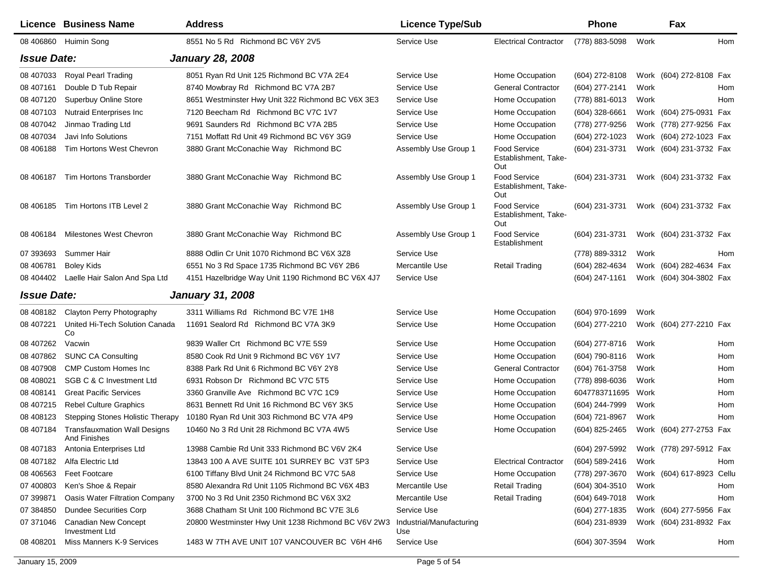|                    | <b>Licence Business Name</b>                               | <b>Address</b>                                      | <b>Licence Type/Sub</b>         |                                             | <b>Phone</b>     |      | Fax                       |     |
|--------------------|------------------------------------------------------------|-----------------------------------------------------|---------------------------------|---------------------------------------------|------------------|------|---------------------------|-----|
| 08 40 6860         | Huimin Song                                                | 8551 No 5 Rd Richmond BC V6Y 2V5                    | Service Use                     | <b>Electrical Contractor</b>                | (778) 883-5098   | Work |                           | Hom |
| <b>Issue Date:</b> |                                                            | <b>January 28, 2008</b>                             |                                 |                                             |                  |      |                           |     |
| 08 407033          | Royal Pearl Trading                                        | 8051 Ryan Rd Unit 125 Richmond BC V7A 2E4           | Service Use                     | Home Occupation                             | (604) 272-8108   |      | Work (604) 272-8108 Fax   |     |
| 08 407161          | Double D Tub Repair                                        | 8740 Mowbray Rd Richmond BC V7A 2B7                 | Service Use                     | <b>General Contractor</b>                   | (604) 277-2141   | Work |                           | Hom |
| 08 407120          | <b>Superbuy Online Store</b>                               | 8651 Westminster Hwy Unit 322 Richmond BC V6X 3E3   | Service Use                     | Home Occupation                             | (778) 881-6013   | Work |                           | Hom |
| 08 407103          | <b>Nutraid Enterprises Inc.</b>                            | 7120 Beecham Rd Richmond BC V7C 1V7                 | Service Use                     | Home Occupation                             | (604) 328-6661   |      | Work (604) 275-0931 Fax   |     |
| 08 407042          | Jinmao Trading Ltd                                         | 9691 Saunders Rd Richmond BC V7A 2B5                | Service Use                     | Home Occupation                             | (778) 277-9256   |      | Work (778) 277-9256 Fax   |     |
| 08 407034          | Javi Info Solutions                                        | 7151 Moffatt Rd Unit 49 Richmond BC V6Y 3G9         | Service Use                     | Home Occupation                             | (604) 272-1023   |      | Work (604) 272-1023 Fax   |     |
| 08 40 6188         | Tim Hortons West Chevron                                   | 3880 Grant McConachie Way Richmond BC               | Assembly Use Group 1            | Food Service<br>Establishment, Take-<br>Out | (604) 231-3731   |      | Work (604) 231-3732 Fax   |     |
| 08 40 6187         | Tim Hortons Transborder                                    | 3880 Grant McConachie Way Richmond BC               | Assembly Use Group 1            | Food Service<br>Establishment, Take-<br>Out | (604) 231-3731   |      | Work (604) 231-3732 Fax   |     |
| 08 40 6185         | Tim Hortons ITB Level 2                                    | 3880 Grant McConachie Way Richmond BC               | Assembly Use Group 1            | Food Service<br>Establishment, Take-<br>Out | (604) 231-3731   |      | Work (604) 231-3732 Fax   |     |
| 08 40 6184         | <b>Milestones West Chevron</b>                             | 3880 Grant McConachie Way Richmond BC               | Assembly Use Group 1            | Food Service<br>Establishment               | (604) 231-3731   |      | Work (604) 231-3732 Fax   |     |
| 07 393693          | Summer Hair                                                | 8888 Odlin Cr Unit 1070 Richmond BC V6X 3Z8         | Service Use                     |                                             | (778) 889-3312   | Work |                           | Hom |
| 08 40 6781         | <b>Boley Kids</b>                                          | 6551 No 3 Rd Space 1735 Richmond BC V6Y 2B6         | Mercantile Use                  | <b>Retail Trading</b>                       | (604) 282-4634   |      | Work (604) 282-4634 Fax   |     |
| 08 404402          | Laelle Hair Salon And Spa Ltd                              | 4151 Hazelbridge Way Unit 1190 Richmond BC V6X 4J7  | Service Use                     |                                             | (604) 247-1161   |      | Work (604) 304-3802 Fax   |     |
| <b>Issue Date:</b> |                                                            | <b>January 31, 2008</b>                             |                                 |                                             |                  |      |                           |     |
| 08 408182          | Clayton Perry Photography                                  | 3311 Williams Rd Richmond BC V7E 1H8                | Service Use                     | Home Occupation                             | (604) 970-1699   | Work |                           |     |
| 08 407221          | United Hi-Tech Solution Canada<br>Co                       | 11691 Sealord Rd Richmond BC V7A 3K9                | Service Use                     | Home Occupation                             | (604) 277-2210   |      | Work (604) 277-2210 Fax   |     |
| 08 407262          | Vacwin                                                     | 9839 Waller Crt Richmond BC V7E 5S9                 | Service Use                     | Home Occupation                             | (604) 277-8716   | Work |                           | Hom |
| 08 407862          | <b>SUNC CA Consulting</b>                                  | 8580 Cook Rd Unit 9 Richmond BC V6Y 1V7             | Service Use                     | Home Occupation                             | (604) 790-8116   | Work |                           | Hom |
| 08 407908          | <b>CMP Custom Homes Inc</b>                                | 8388 Park Rd Unit 6 Richmond BC V6Y 2Y8             | Service Use                     | <b>General Contractor</b>                   | (604) 761-3758   | Work |                           | Hom |
| 08 408021          | <b>SGB C &amp; C Investment Ltd</b>                        | 6931 Robson Dr Richmond BC V7C 5T5                  | Service Use                     | Home Occupation                             | (778) 898-6036   | Work |                           | Hom |
| 08 408141          | <b>Great Pacific Services</b>                              | 3360 Granville Ave Richmond BC V7C 1C9              | Service Use                     | Home Occupation                             | 6047783711695    | Work |                           | Hom |
| 08 407215          | <b>Rebel Culture Graphics</b>                              | 8631 Bennett Rd Unit 16 Richmond BC V6Y 3K5         | Service Use                     | Home Occupation                             | (604) 244-7999   | Work |                           | Hom |
| 08 408123          | <b>Stepping Stones Holistic Therapy</b>                    | 10180 Ryan Rd Unit 303 Richmond BC V7A 4P9          | Service Use                     | Home Occupation                             | (604) 721-8967   | Work |                           | Hom |
| 08 407184          | <b>Transfauxmation Wall Designs</b><br><b>And Finishes</b> | 10460 No 3 Rd Unit 28 Richmond BC V7A 4W5           | Service Use                     | Home Occupation                             | (604) 825-2465   |      | Work (604) 277-2753 Fax   |     |
| 08 407183          | Antonia Enterprises Ltd                                    | 13988 Cambie Rd Unit 333 Richmond BC V6V 2K4        | Service Use                     |                                             | (604) 297-5992   |      | Work (778) 297-5912 Fax   |     |
| 08 407182          | Alfa Electric Ltd                                          | 13843 100 A AVE SUITE 101 SURREY BC V3T 5P3         | Service Use                     | <b>Electrical Contractor</b>                | $(604)$ 589-2416 | Work |                           | Hom |
| 08 40 65 63        | <b>Feet Footcare</b>                                       | 6100 Tiffany Blvd Unit 24 Richmond BC V7C 5A8       | Service Use                     | Home Occupation                             | (778) 297-3670   |      | Work (604) 617-8923 Cellu |     |
| 07 400803          | Ken's Shoe & Repair                                        | 8580 Alexandra Rd Unit 1105 Richmond BC V6X 4B3     | Mercantile Use                  | <b>Retail Trading</b>                       | (604) 304-3510   | Work |                           | Hom |
| 07 399871          | <b>Oasis Water Filtration Company</b>                      | 3700 No 3 Rd Unit 2350 Richmond BC V6X 3X2          | Mercantile Use                  | <b>Retail Trading</b>                       | (604) 649-7018   | Work |                           | Hom |
| 07 384850          | <b>Dundee Securities Corp</b>                              | 3688 Chatham St Unit 100 Richmond BC V7E 3L6        | Service Use                     |                                             | (604) 277-1835   |      | Work (604) 277-5956 Fax   |     |
| 07 371046          | Canadian New Concept<br><b>Investment Ltd</b>              | 20800 Westminster Hwy Unit 1238 Richmond BC V6V 2W3 | Industrial/Manufacturing<br>Use |                                             | (604) 231-8939   |      | Work (604) 231-8932 Fax   |     |
| 08 408201          | Miss Manners K-9 Services                                  | 1483 W 7TH AVE UNIT 107 VANCOUVER BC V6H 4H6        | Service Use                     |                                             | (604) 307-3594   | Work |                           | Hom |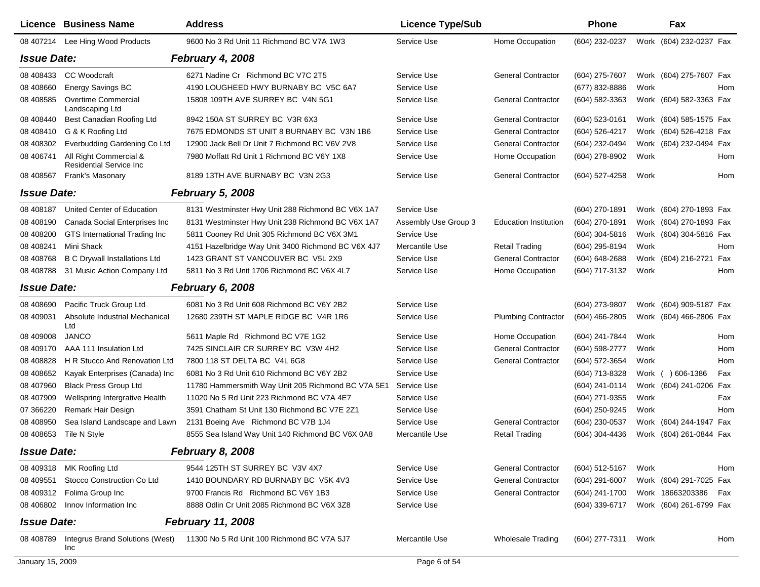|                    | <b>Licence Business Name</b>                              | <b>Address</b>                                     | <b>Licence Type/Sub</b> |                              | Phone            |      | Fax                     |     |
|--------------------|-----------------------------------------------------------|----------------------------------------------------|-------------------------|------------------------------|------------------|------|-------------------------|-----|
|                    | 08 407214 Lee Hing Wood Products                          | 9600 No 3 Rd Unit 11 Richmond BC V7A 1W3           | Service Use             | Home Occupation              | (604) 232-0237   |      | Work (604) 232-0237 Fax |     |
| <b>Issue Date:</b> |                                                           | February 4, 2008                                   |                         |                              |                  |      |                         |     |
| 08 40 84 33        | <b>CC</b> Woodcraft                                       | 6271 Nadine Cr Richmond BC V7C 2T5                 | Service Use             | <b>General Contractor</b>    | (604) 275-7607   |      | Work (604) 275-7607 Fax |     |
| 08 408660          | Energy Savings BC                                         | 4190 LOUGHEED HWY BURNABY BC V5C 6A7               | Service Use             |                              | (677) 832-8886   | Work |                         | Hom |
| 08 408585          | Overtime Commercial<br>Landscaping Ltd                    | 15808 109TH AVE SURREY BC V4N 5G1                  | Service Use             | <b>General Contractor</b>    | (604) 582-3363   |      | Work (604) 582-3363 Fax |     |
| 08 40 8440         | Best Canadian Roofing Ltd                                 | 8942 150A ST SURREY BC V3R 6X3                     | Service Use             | <b>General Contractor</b>    | (604) 523-0161   |      | Work (604) 585-1575 Fax |     |
| 08 40 8410         | G & K Roofing Ltd                                         | 7675 EDMONDS ST UNIT 8 BURNABY BC V3N 1B6          | Service Use             | <b>General Contractor</b>    | (604) 526-4217   |      | Work (604) 526-4218 Fax |     |
| 08 408302          | Everbudding Gardening Co Ltd                              | 12900 Jack Bell Dr Unit 7 Richmond BC V6V 2V8      | Service Use             | <b>General Contractor</b>    | (604) 232-0494   |      | Work (604) 232-0494 Fax |     |
| 08 40 6741         | All Right Commercial &<br><b>Residential Service Inc.</b> | 7980 Moffatt Rd Unit 1 Richmond BC V6Y 1X8         | Service Use             | Home Occupation              | (604) 278-8902   | Work |                         | Hom |
| 08 408567          | <b>Frank's Masonary</b>                                   | 8189 13TH AVE BURNABY BC V3N 2G3                   | Service Use             | <b>General Contractor</b>    | (604) 527-4258   | Work |                         | Hom |
| <b>Issue Date:</b> |                                                           | <b>February 5, 2008</b>                            |                         |                              |                  |      |                         |     |
| 08 408187          | United Center of Education                                | 8131 Westminster Hwy Unit 288 Richmond BC V6X 1A7  | Service Use             |                              | (604) 270-1891   |      | Work (604) 270-1893 Fax |     |
| 08 408190          | Canada Social Enterprises Inc                             | 8131 Westminster Hwy Unit 238 Richmond BC V6X 1A7  | Assembly Use Group 3    | <b>Education Institution</b> | (604) 270-1891   |      | Work (604) 270-1893 Fax |     |
| 08 408200          | GTS International Trading Inc                             | 5811 Cooney Rd Unit 305 Richmond BC V6X 3M1        | Service Use             |                              | $(604)$ 304-5816 |      | Work (604) 304-5816 Fax |     |
| 08 408241          | Mini Shack                                                | 4151 Hazelbridge Way Unit 3400 Richmond BC V6X 4J7 | Mercantile Use          | <b>Retail Trading</b>        | (604) 295-8194   | Work |                         | Hom |
| 08 408768          | <b>B C Drywall Installations Ltd</b>                      | 1423 GRANT ST VANCOUVER BC V5L 2X9                 | Service Use             | <b>General Contractor</b>    | (604) 648-2688   |      | Work (604) 216-2721     | Fax |
| 08 408788          | 31 Music Action Company Ltd                               | 5811 No 3 Rd Unit 1706 Richmond BC V6X 4L7         | Service Use             | Home Occupation              | (604) 717-3132   | Work |                         | Hom |
| <b>Issue Date:</b> |                                                           | February 6, 2008                                   |                         |                              |                  |      |                         |     |
| 08 408690          | Pacific Truck Group Ltd                                   | 6081 No 3 Rd Unit 608 Richmond BC V6Y 2B2          | Service Use             |                              | (604) 273-9807   |      | Work (604) 909-5187 Fax |     |
| 08 409031          | Absolute Industrial Mechanical<br>Ltd                     | 12680 239TH ST MAPLE RIDGE BC V4R 1R6              | Service Use             | <b>Plumbing Contractor</b>   | $(604)$ 466-2805 |      | Work (604) 466-2806 Fax |     |
| 08 409008          | <b>JANCO</b>                                              | 5611 Maple Rd Richmond BC V7E 1G2                  | Service Use             | Home Occupation              | (604) 241-7844   | Work |                         | Hom |
| 08 409170          | AAA 111 Insulation Ltd                                    | 7425 SINCLAIR CR SURREY BC V3W 4H2                 | Service Use             | <b>General Contractor</b>    | (604) 598-2777   | Work |                         | Hom |
| 08 408828          | H R Stucco And Renovation Ltd                             | 7800 118 ST DELTA BC V4L 6G8                       | Service Use             | <b>General Contractor</b>    | (604) 572-3654   | Work |                         | Hom |
| 08 408 652         | Kayak Enterprises (Canada) Inc                            | 6081 No 3 Rd Unit 610 Richmond BC V6Y 2B2          | Service Use             |                              | (604) 713-8328   |      | Work ( ) 606-1386       | Fax |
| 08 407960          | <b>Black Press Group Ltd</b>                              | 11780 Hammersmith Way Unit 205 Richmond BC V7A 5E1 | Service Use             |                              | (604) 241-0114   |      | Work (604) 241-0206 Fax |     |
| 08 407909          | Wellspring Intergrative Health                            | 11020 No 5 Rd Unit 223 Richmond BC V7A 4E7         | Service Use             |                              | (604) 271-9355   | Work |                         | Fax |
| 07 366220          | Remark Hair Design                                        | 3591 Chatham St Unit 130 Richmond BC V7E 2Z1       | Service Use             |                              | (604) 250-9245   | Work |                         | Hom |
| 08 408950          | Sea Island Landscape and Lawn                             | 2131 Boeing Ave Richmond BC V7B 1J4                | Service Use             | <b>General Contractor</b>    | (604) 230-0537   |      | Work (604) 244-1947 Fax |     |
| 08 408653          | Tile N Style                                              | 8555 Sea Island Way Unit 140 Richmond BC V6X 0A8   | Mercantile Use          | <b>Retail Trading</b>        | (604) 304-4436   |      | Work (604) 261-0844 Fax |     |
| <b>Issue Date:</b> |                                                           | <b>February 8, 2008</b>                            |                         |                              |                  |      |                         |     |
|                    | 08 409318 MK Roofing Ltd                                  | 9544 125TH ST SURREY BC V3V 4X7                    | Service Use             | <b>General Contractor</b>    | (604) 512-5167   | Work |                         | Hom |
| 08 409551          | Stocco Construction Co Ltd                                | 1410 BOUNDARY RD BURNABY BC V5K 4V3                | Service Use             | <b>General Contractor</b>    | (604) 291-6007   |      | Work (604) 291-7025 Fax |     |
| 08 409312          | Folima Group Inc                                          | 9700 Francis Rd Richmond BC V6Y 1B3                | Service Use             | <b>General Contractor</b>    | (604) 241-1700   |      | Work 18663203386        | Fax |
| 08 40 680 2        | Innov Information Inc                                     | 8888 Odlin Cr Unit 2085 Richmond BC V6X 3Z8        | Service Use             |                              | (604) 339-6717   |      | Work (604) 261-6799 Fax |     |
| <b>Issue Date:</b> |                                                           | <b>February 11, 2008</b>                           |                         |                              |                  |      |                         |     |
| 08 408789          | Integrus Brand Solutions (West)<br>Inc                    | 11300 No 5 Rd Unit 100 Richmond BC V7A 5J7         | Mercantile Use          | <b>Wholesale Trading</b>     | (604) 277-7311   | Work |                         | Hom |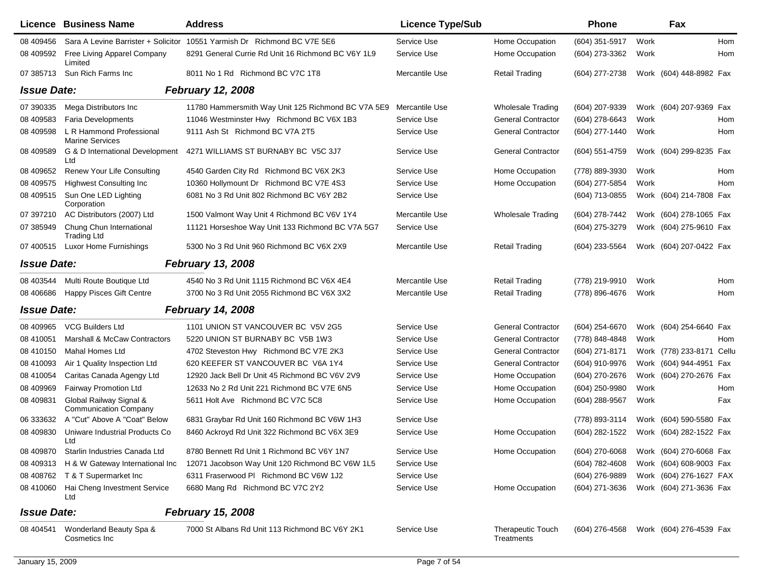|                    | <b>Licence Business Name</b>                            | <b>Address</b>                                                           | <b>Licence Type/Sub</b> |                                        | <b>Phone</b>     |      | Fax                       |     |
|--------------------|---------------------------------------------------------|--------------------------------------------------------------------------|-------------------------|----------------------------------------|------------------|------|---------------------------|-----|
| 08 409456          |                                                         | Sara A Levine Barrister + Solicitor 10551 Yarmish Dr Richmond BC V7E 5E6 | Service Use             | Home Occupation                        | (604) 351-5917   | Work |                           | Hom |
| 08 409592          | Free Living Apparel Company<br>Limited                  | 8291 General Currie Rd Unit 16 Richmond BC V6Y 1L9                       | Service Use             | Home Occupation                        | (604) 273-3362   | Work | Hom                       |     |
| 07 385713          | Sun Rich Farms Inc                                      | 8011 No 1 Rd Richmond BC V7C 1T8                                         | Mercantile Use          | <b>Retail Trading</b>                  | (604) 277-2738   |      | Work (604) 448-8982 Fax   |     |
| <b>Issue Date:</b> |                                                         | <b>February 12, 2008</b>                                                 |                         |                                        |                  |      |                           |     |
| 07 390335          | Mega Distributors Inc                                   | 11780 Hammersmith Way Unit 125 Richmond BC V7A 5E9                       | Mercantile Use          | <b>Wholesale Trading</b>               | (604) 207-9339   |      | Work (604) 207-9369 Fax   |     |
| 08 409583          | <b>Faria Developments</b>                               | 11046 Westminster Hwy Richmond BC V6X 1B3                                | Service Use             | <b>General Contractor</b>              | (604) 278-6643   | Work |                           | Hom |
| 08 409598          | L R Hammond Professional<br><b>Marine Services</b>      | 9111 Ash St Richmond BC V7A 2T5                                          | Service Use             | <b>General Contractor</b>              | (604) 277-1440   | Work | Hom                       |     |
| 08 409589          | G & D International Development<br>Ltd                  | 4271 WILLIAMS ST BURNABY BC V5C 3J7                                      | Service Use             | <b>General Contractor</b>              | (604) 551-4759   |      | Work (604) 299-8235 Fax   |     |
| 08 409 652         | Renew Your Life Consulting                              | 4540 Garden City Rd Richmond BC V6X 2K3                                  | Service Use             | Home Occupation                        | (778) 889-3930   | Work | Hom                       |     |
| 08 409575          | <b>Highwest Consulting Inc.</b>                         | 10360 Hollymount Dr Richmond BC V7E 4S3                                  | Service Use             | Home Occupation                        | (604) 277-5854   | Work | Hom                       |     |
| 08 409515          | Sun One LED Lighting<br>Corporation                     | 6081 No 3 Rd Unit 802 Richmond BC V6Y 2B2                                | Service Use             |                                        | (604) 713-0855   |      | Work (604) 214-7808 Fax   |     |
| 07 397210          | AC Distributors (2007) Ltd                              | 1500 Valmont Way Unit 4 Richmond BC V6V 1Y4                              | Mercantile Use          | <b>Wholesale Trading</b>               | (604) 278-7442   |      | Work (604) 278-1065 Fax   |     |
| 07 385949          | Chung Chun International<br><b>Trading Ltd</b>          | 11121 Horseshoe Way Unit 133 Richmond BC V7A 5G7                         | Service Use             |                                        | (604) 275-3279   |      | Work (604) 275-9610 Fax   |     |
| 07 400515          | Luxor Home Furnishings                                  | 5300 No 3 Rd Unit 960 Richmond BC V6X 2X9                                | Mercantile Use          | <b>Retail Trading</b>                  | (604) 233-5564   |      | Work (604) 207-0422 Fax   |     |
| <b>Issue Date:</b> |                                                         | <b>February 13, 2008</b>                                                 |                         |                                        |                  |      |                           |     |
|                    | 08 403544 Multi Route Boutique Ltd                      | 4540 No 3 Rd Unit 1115 Richmond BC V6X 4E4                               | Mercantile Use          | <b>Retail Trading</b>                  | (778) 219-9910   | Work | Hom                       |     |
| 08 40 6686         | <b>Happy Pisces Gift Centre</b>                         | 3700 No 3 Rd Unit 2055 Richmond BC V6X 3X2                               | Mercantile Use          | <b>Retail Trading</b>                  | (778) 896-4676   | Work |                           | Hom |
| <b>Issue Date:</b> |                                                         | <b>February 14, 2008</b>                                                 |                         |                                        |                  |      |                           |     |
| 08 409965          | <b>VCG Builders Ltd</b>                                 | 1101 UNION ST VANCOUVER BC V5V 2G5                                       | Service Use             | <b>General Contractor</b>              | (604) 254-6670   |      | Work (604) 254-6640 Fax   |     |
| 08 410051          | <b>Marshall &amp; McCaw Contractors</b>                 | 5220 UNION ST BURNABY BC V5B 1W3                                         | Service Use             | <b>General Contractor</b>              | (778) 848-4848   | Work |                           | Hom |
| 08 410150          | Mahal Homes Ltd                                         | 4702 Steveston Hwy Richmond BC V7E 2K3                                   | Service Use             | <b>General Contractor</b>              | (604) 271-8171   |      | Work (778) 233-8171 Cellu |     |
| 08 410093          | Air 1 Quality Inspection Ltd                            | 620 KEEFER ST VANCOUVER BC V6A 1Y4                                       | Service Use             | <b>General Contractor</b>              | (604) 910-9976   |      | Work (604) 944-4951 Fax   |     |
| 08 410054          | Caritas Canada Agengy Ltd                               | 12920 Jack Bell Dr Unit 45 Richmond BC V6V 2V9                           | Service Use             | Home Occupation                        | (604) 270-2676   |      | Work (604) 270-2676 Fax   |     |
| 08 409969          | Fairway Promotion Ltd                                   | 12633 No 2 Rd Unit 221 Richmond BC V7E 6N5                               | Service Use             | Home Occupation                        | (604) 250-9980   | Work |                           | Hom |
| 08 409831          | Global Railway Signal &<br><b>Communication Company</b> | 5611 Holt Ave Richmond BC V7C 5C8                                        | Service Use             | Home Occupation                        | (604) 288-9567   | Work | Fax                       |     |
| 06 333632          | A "Cut" Above A "Coat" Below                            | 6831 Graybar Rd Unit 160 Richmond BC V6W 1H3                             | Service Use             |                                        | (778) 893-3114   |      | Work (604) 590-5580 Fax   |     |
| 08 409830          | Uniware Industrial Products Co<br>Ltd                   | 8460 Ackroyd Rd Unit 322 Richmond BC V6X 3E9                             | Service Use             | Home Occupation                        | (604) 282-1522   |      | Work (604) 282-1522 Fax   |     |
| 08 409870          | Starlin Industries Canada Ltd                           | 8780 Bennett Rd Unit 1 Richmond BC V6Y 1N7                               | Service Use             | Home Occupation                        | $(604)$ 270-6068 |      | Work (604) 270-6068 Fax   |     |
|                    | 08 409313 H & W Gateway International Inc               | 12071 Jacobson Way Unit 120 Richmond BC V6W 1L5                          | Service Use             |                                        | (604) 782-4608   |      | Work (604) 608-9003 Fax   |     |
|                    | 08 408762 T & T Supermarket Inc                         | 6311 Fraserwood PI Richmond BC V6W 1J2                                   | Service Use             |                                        | (604) 276-9889   |      | Work (604) 276-1627 FAX   |     |
| 08 410060          | Hai Cheng Investment Service<br>Ltd                     | 6680 Mang Rd Richmond BC V7C 2Y2                                         | Service Use             | Home Occupation                        | (604) 271-3636   |      | Work (604) 271-3636 Fax   |     |
| <b>Issue Date:</b> |                                                         | <b>February 15, 2008</b>                                                 |                         |                                        |                  |      |                           |     |
| 08 404541          | Wonderland Beauty Spa &<br>Cosmetics Inc.               | 7000 St Albans Rd Unit 113 Richmond BC V6Y 2K1                           | Service Use             | <b>Therapeutic Touch</b><br>Treatments | (604) 276-4568   |      | Work (604) 276-4539 Fax   |     |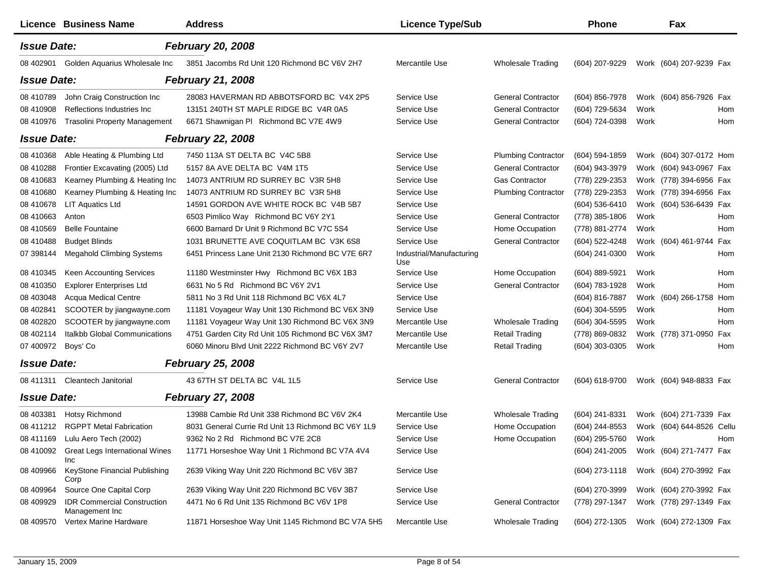|                    | Licence Business Name                                | <b>Address</b>                                     | <b>Licence Type/Sub</b>         |                            | Phone          | Fax                                    |       |
|--------------------|------------------------------------------------------|----------------------------------------------------|---------------------------------|----------------------------|----------------|----------------------------------------|-------|
| <b>Issue Date:</b> |                                                      | <b>February 20, 2008</b>                           |                                 |                            |                |                                        |       |
| 08 402901          | Golden Aquarius Wholesale Inc                        | 3851 Jacombs Rd Unit 120 Richmond BC V6V 2H7       | Mercantile Use                  | Wholesale Trading          | (604) 207-9229 | Work (604) 207-9239 Fax                |       |
| <b>Issue Date:</b> |                                                      | <b>February 21, 2008</b>                           |                                 |                            |                |                                        |       |
| 08 410789          | John Craig Construction Inc                          | 28083 HAVERMAN RD ABBOTSFORD BC V4X 2P5            | Service Use                     | <b>General Contractor</b>  | (604) 856-7978 | Work (604) 856-7926 Fax                |       |
| 08 410908          | Reflections Industries Inc                           | 13151 240TH ST MAPLE RIDGE BC V4R 0A5              | Service Use                     | <b>General Contractor</b>  | (604) 729-5634 | Work                                   | Hom   |
| 08 410976          | <b>Trasolini Property Management</b>                 | 6671 Shawnigan PI Richmond BC V7E 4W9              | Service Use                     | <b>General Contractor</b>  | (604) 724-0398 | Work                                   | Hom   |
| <b>Issue Date:</b> |                                                      | <b>February 22, 2008</b>                           |                                 |                            |                |                                        |       |
| 08 410368          | Able Heating & Plumbing Ltd                          | 7450 113A ST DELTA BC V4C 5B8                      | Service Use                     | <b>Plumbing Contractor</b> | (604) 594-1859 | Work (604) 307-0172 Hom                |       |
| 08 410288          | Frontier Excavating (2005) Ltd                       | 5157 8A AVE DELTA BC V4M 1T5                       | Service Use                     | <b>General Contractor</b>  | (604) 943-3979 | Work (604) 943-0967 Fax                |       |
| 08 410 683         | Kearney Plumbing & Heating Inc                       | 14073 ANTRIUM RD SURREY BC V3R 5H8                 | Service Use                     | <b>Gas Contractor</b>      | (778) 229-2353 | Work (778) 394-6956 Fax                |       |
| 08 410 680         | Kearney Plumbing & Heating Inc                       | 14073 ANTRIUM RD SURREY BC V3R 5H8                 | Service Use                     | <b>Plumbing Contractor</b> | (778) 229-2353 | Work (778) 394-6956 Fax                |       |
| 08 410 678         | <b>LIT Aquatics Ltd</b>                              | 14591 GORDON AVE WHITE ROCK BC V4B 5B7             | Service Use                     |                            | (604) 536-6410 | Work (604) 536-6439 Fax                |       |
| 08 410 663         | Anton                                                | 6503 Pimlico Way Richmond BC V6Y 2Y1               | Service Use                     | <b>General Contractor</b>  | (778) 385-1806 | Work                                   | Hom   |
| 08 410569          | <b>Belle Fountaine</b>                               | 6600 Barnard Dr Unit 9 Richmond BC V7C 5S4         | Service Use                     | Home Occupation            | (778) 881-2774 | Work                                   | Hom   |
| 08 410488          | <b>Budget Blinds</b>                                 | 1031 BRUNETTE AVE COQUITLAM BC V3K 6S8             | Service Use                     | <b>General Contractor</b>  | (604) 522-4248 | Work (604) 461-9744                    | Fax   |
| 07 398144          | <b>Megahold Climbing Systems</b>                     | 6451 Princess Lane Unit 2130 Richmond BC V7E 6R7   | Industrial/Manufacturing<br>Use |                            | (604) 241-0300 | Work                                   | Hom   |
| 08 410345          | Keen Accounting Services                             | 11180 Westminster Hwy Richmond BC V6X 1B3          | Service Use                     | Home Occupation            | (604) 889-5921 | Work                                   | Hom   |
| 08 410350          | <b>Explorer Enterprises Ltd</b>                      | 6631 No 5 Rd Richmond BC V6Y 2V1                   | Service Use                     | <b>General Contractor</b>  | (604) 783-1928 | Work                                   | Hom   |
| 08 403048          | <b>Acqua Medical Centre</b>                          | 5811 No 3 Rd Unit 118 Richmond BC V6X 4L7          | Service Use                     |                            | (604) 816-7887 | Work (604) 266-1758                    | Hom   |
| 08 40 2841         | SCOOTER by jiangwayne.com                            | 11181 Voyageur Way Unit 130 Richmond BC V6X 3N9    | Service Use                     |                            | (604) 304-5595 | Work                                   | Hom   |
| 08 402820          | SCOOTER by jiangwayne.com                            | 11181 Voyageur Way Unit 130 Richmond BC V6X 3N9    | Mercantile Use                  | <b>Wholesale Trading</b>   | (604) 304-5595 | Work                                   | Hom   |
| 08 402114          | Italkbb Global Communications                        | 4751 Garden City Rd Unit 105 Richmond BC V6X 3M7   | Mercantile Use                  | <b>Retail Trading</b>      | (778) 869-0832 | Work (778) 371-0950                    | Fax   |
| 07 400972          | Boys' Co                                             | 6060 Minoru Blvd Unit 2222 Richmond BC V6Y 2V7     | Mercantile Use                  | <b>Retail Trading</b>      | (604) 303-0305 | Work                                   | Hom   |
| <b>Issue Date:</b> |                                                      | <b>February 25, 2008</b>                           |                                 |                            |                |                                        |       |
|                    | 08 411311 Cleantech Janitorial                       | 43 67TH ST DELTA BC V4L 1L5                        | Service Use                     | <b>General Contractor</b>  | (604) 618-9700 | Work (604) 948-8833 Fax                |       |
| <b>Issue Date:</b> |                                                      | <b>February 27, 2008</b>                           |                                 |                            |                |                                        |       |
| 08 403381          | Hotsy Richmond                                       | 13988 Cambie Rd Unit 338 Richmond BC V6V 2K4       | Mercantile Use                  | <b>Wholesale Trading</b>   | (604) 241-8331 | Work (604) 271-7339 Fax                |       |
| 08 411212          | <b>RGPPT Metal Fabrication</b>                       | 8031 General Currie Rd Unit 13 Richmond BC V6Y 1L9 | Service Use                     | Home Occupation            | (604) 244-8553 | Work (604) 644-8526                    | Cellu |
| 08 411169          | Lulu Aero Tech (2002)                                | 9362 No 2 Rd Richmond BC V7E 2C8                   | Service Use                     | Home Occupation            | (604) 295-5760 | Work                                   | Hom   |
|                    | 08 410092 Great Legs International Wines<br>Inc      | 11771 Horseshoe Way Unit 1 Richmond BC V7A 4V4     | Service Use                     |                            |                | (604) 241-2005 Work (604) 271-7477 Fax |       |
| 08 409966          | KeyStone Financial Publishing<br>Corp                | 2639 Viking Way Unit 220 Richmond BC V6V 3B7       | Service Use                     |                            | (604) 273-1118 | Work (604) 270-3992 Fax                |       |
| 08 409964          | Source One Capital Corp                              | 2639 Viking Way Unit 220 Richmond BC V6V 3B7       | Service Use                     |                            | (604) 270-3999 | Work (604) 270-3992 Fax                |       |
| 08 409929          | <b>IDR Commercial Construction</b><br>Management Inc | 4471 No 6 Rd Unit 135 Richmond BC V6V 1P8          | Service Use                     | <b>General Contractor</b>  | (778) 297-1347 | Work (778) 297-1349 Fax                |       |
| 08 409570          | Vertex Marine Hardware                               | 11871 Horseshoe Way Unit 1145 Richmond BC V7A 5H5  | Mercantile Use                  | <b>Wholesale Trading</b>   | (604) 272-1305 | Work (604) 272-1309 Fax                |       |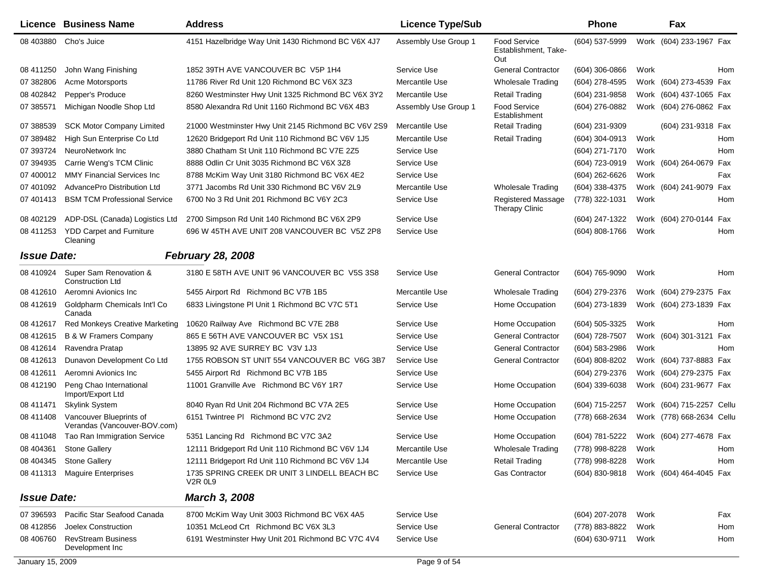|                    | <b>Licence Business Name</b>                            | <b>Address</b>                                                       | <b>Licence Type/Sub</b> |                                                    | <b>Phone</b>     |      | Fax                       |     |
|--------------------|---------------------------------------------------------|----------------------------------------------------------------------|-------------------------|----------------------------------------------------|------------------|------|---------------------------|-----|
| 08 403880          | Cho's Juice                                             | 4151 Hazelbridge Way Unit 1430 Richmond BC V6X 4J7                   | Assembly Use Group 1    | <b>Food Service</b><br>Establishment, Take-<br>Out | $(604)$ 537-5999 |      | Work (604) 233-1967 Fax   |     |
| 08 411250          | John Wang Finishing                                     | 1852 39TH AVE VANCOUVER BC V5P 1H4                                   | Service Use             | <b>General Contractor</b>                          | (604) 306-0866   | Work |                           | Hom |
| 07 382806          | Acme Motorsports                                        | 11786 River Rd Unit 120 Richmond BC V6X 3Z3                          | Mercantile Use          | <b>Wholesale Trading</b>                           | (604) 278-4595   |      | Work (604) 273-4539 Fax   |     |
| 08 402842          | Pepper's Produce                                        | 8260 Westminster Hwy Unit 1325 Richmond BC V6X 3Y2                   | Mercantile Use          | <b>Retail Trading</b>                              | (604) 231-9858   |      | Work (604) 437-1065 Fax   |     |
| 07 385571          | Michigan Noodle Shop Ltd                                | 8580 Alexandra Rd Unit 1160 Richmond BC V6X 4B3                      | Assembly Use Group 1    | <b>Food Service</b><br>Establishment               | (604) 276-0882   |      | Work (604) 276-0862 Fax   |     |
| 07 388539          | <b>SCK Motor Company Limited</b>                        | 21000 Westminster Hwy Unit 2145 Richmond BC V6V 2S9                  | Mercantile Use          | Retail Trading                                     | (604) 231-9309   |      | (604) 231-9318 Fax        |     |
| 07 389482          | High Sun Enterprise Co Ltd                              | 12620 Bridgeport Rd Unit 110 Richmond BC V6V 1J5                     | Mercantile Use          | <b>Retail Trading</b>                              | $(604)$ 304-0913 | Work |                           | Hom |
| 07 393724          | NeuroNetwork Inc                                        | 3880 Chatham St Unit 110 Richmond BC V7E 2Z5                         | Service Use             |                                                    | (604) 271-7170   | Work |                           | Hom |
| 07 394935          | Carrie Weng's TCM Clinic                                | 8888 Odlin Cr Unit 3035 Richmond BC V6X 3Z8                          | Service Use             |                                                    | (604) 723-0919   |      | Work (604) 264-0679       | Fax |
| 07 400012          | <b>MMY Financial Services Inc.</b>                      | 8788 McKim Way Unit 3180 Richmond BC V6X 4E2                         | Service Use             |                                                    | (604) 262-6626   | Work |                           | Fax |
| 07 401092          | AdvancePro Distribution Ltd                             | 3771 Jacombs Rd Unit 330 Richmond BC V6V 2L9                         | Mercantile Use          | Wholesale Trading                                  | (604) 338-4375   |      | Work (604) 241-9079       | Fax |
| 07 401413          | <b>BSM TCM Professional Service</b>                     | 6700 No 3 Rd Unit 201 Richmond BC V6Y 2C3                            | Service Use             | Registered Massage<br><b>Therapy Clinic</b>        | (778) 322-1031   | Work |                           | Hom |
| 08 402129          | ADP-DSL (Canada) Logistics Ltd                          | 2700 Simpson Rd Unit 140 Richmond BC V6X 2P9                         | Service Use             |                                                    | (604) 247-1322   |      | Work (604) 270-0144 Fax   |     |
| 08 411253          | <b>YDD Carpet and Furniture</b><br>Cleaning             | 696 W 45TH AVE UNIT 208 VANCOUVER BC V5Z 2P8                         | Service Use             |                                                    | (604) 808-1766   | Work |                           | Hom |
| <b>Issue Date:</b> |                                                         | <b>February 28, 2008</b>                                             |                         |                                                    |                  |      |                           |     |
| 08 410924          | Super Sam Renovation &<br><b>Construction Ltd</b>       | 3180 E 58TH AVE UNIT 96 VANCOUVER BC V5S 3S8                         | Service Use             | <b>General Contractor</b>                          | (604) 765-9090   | Work |                           | Hom |
| 08 412610          | Aeromni Avionics Inc                                    | 5455 Airport Rd Richmond BC V7B 1B5                                  | Mercantile Use          | <b>Wholesale Trading</b>                           | (604) 279-2376   |      | Work (604) 279-2375 Fax   |     |
| 08 412619          | Goldpharm Chemicals Int'l Co<br>Canada                  | 6833 Livingstone PI Unit 1 Richmond BC V7C 5T1                       | Service Use             | Home Occupation                                    | (604) 273-1839   |      | Work (604) 273-1839 Fax   |     |
| 08 412617          | <b>Red Monkeys Creative Marketing</b>                   | 10620 Railway Ave Richmond BC V7E 2B8                                | Service Use             | Home Occupation                                    | (604) 505-3325   | Work |                           | Hom |
| 08 41 2615         | <b>B &amp; W Framers Company</b>                        | 865 E 56TH AVE VANCOUVER BC V5X 1S1                                  | Service Use             | <b>General Contractor</b>                          | (604) 728-7507   |      | Work (604) 301-3121 Fax   |     |
| 08 412614          | Ravendra Pratap                                         | 13895 92 AVE SURREY BC V3V 1J3                                       | Service Use             | <b>General Contractor</b>                          | (604) 583-2986   | Work |                           | Hom |
| 08 41 2613         | Dunavon Development Co Ltd                              | 1755 ROBSON ST UNIT 554 VANCOUVER BC V6G 3B7                         | Service Use             | <b>General Contractor</b>                          | (604) 808-8202   |      | Work (604) 737-8883 Fax   |     |
| 08 41 2611         | Aeromni Avionics Inc                                    | 5455 Airport Rd Richmond BC V7B 1B5                                  | Service Use             |                                                    | (604) 279-2376   |      | Work (604) 279-2375 Fax   |     |
| 08 412190          | Peng Chao International<br>Import/Export Ltd            | 11001 Granville Ave Richmond BC V6Y 1R7                              | Service Use             | Home Occupation                                    | (604) 339-6038   |      | Work (604) 231-9677 Fax   |     |
| 08 411471          | <b>Skylink System</b>                                   | 8040 Ryan Rd Unit 204 Richmond BC V7A 2E5                            | Service Use             | Home Occupation                                    | (604) 715-2257   |      | Work (604) 715-2257 Cellu |     |
| 08 411408          | Vancouver Blueprints of<br>Verandas (Vancouver-BOV.com) | 6151 Twintree PI Richmond BC V7C 2V2                                 | Service Use             | Home Occupation                                    | (778) 668-2634   |      | Work (778) 668-2634 Cellu |     |
| 08 411048          | Tao Ran Immigration Service                             | 5351 Lancing Rd Richmond BC V7C 3A2                                  | Service Use             | Home Occupation                                    | (604) 781-5222   |      | Work (604) 277-4678 Fax   |     |
|                    | 08 404361 Stone Gallery                                 | 12111 Bridgeport Rd Unit 110 Richmond BC V6V 1J4                     | Mercantile Use          | <b>Wholesale Trading</b>                           | (778) 998-8228   | Work |                           | Hom |
| 08 404345          | <b>Stone Gallery</b>                                    | 12111 Bridgeport Rd Unit 110 Richmond BC V6V 1J4                     | Mercantile Use          | <b>Retail Trading</b>                              | (778) 998-8228   | Work |                           | Hom |
|                    | 08 411313 Maguire Enterprises                           | 1735 SPRING CREEK DR UNIT 3 LINDELL BEACH BC<br>V <sub>2</sub> R 0L9 | Service Use             | <b>Gas Contractor</b>                              | (604) 830-9818   |      | Work (604) 464-4045 Fax   |     |
| <b>Issue Date:</b> |                                                         | March 3, 2008                                                        |                         |                                                    |                  |      |                           |     |
| 07 39 6593         | Pacific Star Seafood Canada                             | 8700 McKim Way Unit 3003 Richmond BC V6X 4A5                         | Service Use             |                                                    | (604) 207-2078   | Work |                           | Fax |
| 08 412856          | Joelex Construction                                     | 10351 McLeod Crt Richmond BC V6X 3L3                                 | Service Use             | <b>General Contractor</b>                          | (778) 883-8822   | Work |                           | Hom |
| 08 40 6760         | <b>RevStream Business</b><br>Development Inc            | 6191 Westminster Hwy Unit 201 Richmond BC V7C 4V4                    | Service Use             |                                                    | (604) 630-9711   | Work |                           | Hom |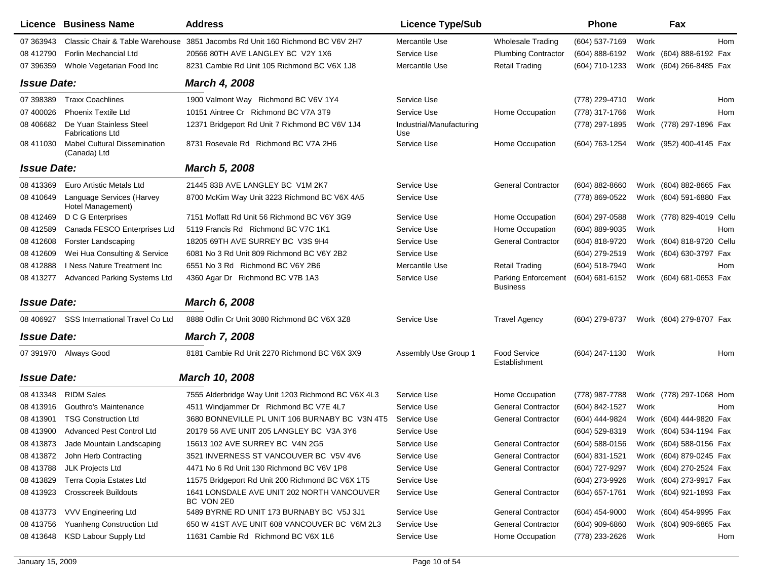|                    | Licence Business Name                               | <b>Address</b>                                           | <b>Licence Type/Sub</b>         |                                        | <b>Phone</b>     |      | Fax                       |
|--------------------|-----------------------------------------------------|----------------------------------------------------------|---------------------------------|----------------------------------------|------------------|------|---------------------------|
| 07 363943          | Classic Chair & Table Warehouse                     | 3851 Jacombs Rd Unit 160 Richmond BC V6V 2H7             | Mercantile Use                  | Wholesale Trading                      | (604) 537-7169   | Work | Hom                       |
| 08 412790          | Forlin Mechancial Ltd                               | 20566 80TH AVE LANGLEY BC V2Y 1X6                        | Service Use                     | <b>Plumbing Contractor</b>             | (604) 888-6192   |      | Work (604) 888-6192 Fax   |
| 07 39 6359         | Whole Vegetarian Food Inc                           | 8231 Cambie Rd Unit 105 Richmond BC V6X 1J8              | Mercantile Use                  | <b>Retail Trading</b>                  | (604) 710-1233   |      | Work (604) 266-8485 Fax   |
| <b>Issue Date:</b> |                                                     | <b>March 4, 2008</b>                                     |                                 |                                        |                  |      |                           |
| 07 398389          | <b>Traxx Coachlines</b>                             | 1900 Valmont Way Richmond BC V6V 1Y4                     | Service Use                     |                                        | (778) 229-4710   | Work | Hom                       |
| 07 400026          | <b>Phoenix Textile Ltd</b>                          | 10151 Aintree Cr Richmond BC V7A 3T9                     | Service Use                     | Home Occupation                        | (778) 317-1766   | Work | Hom                       |
| 08 40 6682         | De Yuan Stainless Steel<br><b>Fabrications Ltd</b>  | 12371 Bridgeport Rd Unit 7 Richmond BC V6V 1J4           | Industrial/Manufacturing<br>Use |                                        | (778) 297-1895   |      | Work (778) 297-1896 Fax   |
| 08 411030          | <b>Mabel Cultural Dissemination</b><br>(Canada) Ltd | 8731 Rosevale Rd Richmond BC V7A 2H6                     | Service Use                     | Home Occupation                        | (604) 763-1254   |      | Work (952) 400-4145 Fax   |
| <b>Issue Date:</b> |                                                     | <b>March 5, 2008</b>                                     |                                 |                                        |                  |      |                           |
| 08 413369          | Euro Artistic Metals Ltd                            | 21445 83B AVE LANGLEY BC V1M 2K7                         | Service Use                     | <b>General Contractor</b>              | $(604)$ 882-8660 |      | Work (604) 882-8665 Fax   |
| 08 410 649         | Language Services (Harvey<br>Hotel Management)      | 8700 McKim Way Unit 3223 Richmond BC V6X 4A5             | Service Use                     |                                        | (778) 869-0522   |      | Work (604) 591-6880 Fax   |
| 08 412469          | D C G Enterprises                                   | 7151 Moffatt Rd Unit 56 Richmond BC V6Y 3G9              | Service Use                     | Home Occupation                        | (604) 297-0588   |      | Work (778) 829-4019 Cellu |
| 08 412589          | Canada FESCO Enterprises Ltd                        | 5119 Francis Rd Richmond BC V7C 1K1                      | Service Use                     | Home Occupation                        | (604) 889-9035   | Work | Hom                       |
| 08 412608          | <b>Forster Landscaping</b>                          | 18205 69TH AVE SURREY BC V3S 9H4                         | Service Use                     | <b>General Contractor</b>              | (604) 818-9720   |      | Work (604) 818-9720 Cellu |
| 08 412609          | Wei Hua Consulting & Service                        | 6081 No 3 Rd Unit 809 Richmond BC V6Y 2B2                | Service Use                     |                                        | (604) 279-2519   |      | Work (604) 630-3797 Fax   |
| 08 412888          | I Ness Nature Treatment Inc.                        | 6551 No 3 Rd Richmond BC V6Y 2B6                         | Mercantile Use                  | <b>Retail Trading</b>                  | (604) 518-7940   | Work | Hom                       |
| 08 413277          | Advanced Parking Systems Ltd                        | 4360 Agar Dr Richmond BC V7B 1A3                         | Service Use                     | Parking Enforcement<br><b>Business</b> | (604) 681-6152   |      | Work (604) 681-0653 Fax   |
| <b>Issue Date:</b> |                                                     | March 6, 2008                                            |                                 |                                        |                  |      |                           |
|                    | 08 406927 SSS International Travel Co Ltd           | 8888 Odlin Cr Unit 3080 Richmond BC V6X 3Z8              | Service Use                     | <b>Travel Agency</b>                   | (604) 279-8737   |      | Work (604) 279-8707 Fax   |
| <b>Issue Date:</b> |                                                     | <b>March 7, 2008</b>                                     |                                 |                                        |                  |      |                           |
|                    | 07 391970 Always Good                               | 8181 Cambie Rd Unit 2270 Richmond BC V6X 3X9             | Assembly Use Group 1            | <b>Food Service</b><br>Establishment   | (604) 247-1130   | Work | Hom                       |
| <b>Issue Date:</b> |                                                     | March 10, 2008                                           |                                 |                                        |                  |      |                           |
| 08 413348          | <b>RIDM Sales</b>                                   | 7555 Alderbridge Way Unit 1203 Richmond BC V6X 4L3       | Service Use                     | Home Occupation                        | (778) 987-7788   |      | Work (778) 297-1068 Hom   |
| 08 413916          | Gouthro's Maintenance                               | 4511 Windjammer Dr Richmond BC V7E 4L7                   | Service Use                     | <b>General Contractor</b>              | (604) 842-1527   | Work | Hom                       |
| 08 413901          | <b>TSG Construction Ltd</b>                         | 3680 BONNEVILLE PL UNIT 106 BURNABY BC V3N 4T5           | Service Use                     | <b>General Contractor</b>              | (604) 444-9824   |      | Work (604) 444-9820 Fax   |
| 08 413900          | <b>Advanced Pest Control Ltd</b>                    | 20179 56 AVE UNIT 205 LANGLEY BC V3A 3Y6                 | Service Use                     |                                        | (604) 529-8319   |      | Work (604) 534-1194 Fax   |
|                    | 08 413873 Jade Mountain Landscaping                 | 15613 102 AVE SURREY BC V4N 2G5                          | Service Use                     | <b>General Contractor</b>              | $(604)$ 588-0156 |      | Work (604) 588-0156 Fax   |
|                    | 08 413872 John Herb Contracting                     | 3521 INVERNESS ST VANCOUVER BC V5V 4V6                   | Service Use                     | General Contractor                     | (604) 831-1521   |      | Work (604) 879-0245 Fax   |
| 08 413788          | JLK Projects Ltd                                    | 4471 No 6 Rd Unit 130 Richmond BC V6V 1P8                | Service Use                     | <b>General Contractor</b>              | (604) 727-9297   |      | Work (604) 270-2524 Fax   |
| 08 413829          | Terra Copia Estates Ltd                             | 11575 Bridgeport Rd Unit 200 Richmond BC V6X 1T5         | Service Use                     |                                        | (604) 273-9926   |      | Work (604) 273-9917 Fax   |
| 08 413923          | <b>Crosscreek Buildouts</b>                         | 1641 LONSDALE AVE UNIT 202 NORTH VANCOUVER<br>BC VON 2E0 | Service Use                     | <b>General Contractor</b>              | (604) 657-1761   |      | Work (604) 921-1893 Fax   |
| 08 413773          | <b>VVV Engineering Ltd</b>                          | 5489 BYRNE RD UNIT 173 BURNABY BC V5J 3J1                | Service Use                     | <b>General Contractor</b>              | $(604)$ 454-9000 |      | Work (604) 454-9995 Fax   |
| 08 413756          | Yuanheng Construction Ltd                           | 650 W 41ST AVE UNIT 608 VANCOUVER BC V6M 2L3             | Service Use                     | <b>General Contractor</b>              | $(604)$ 909-6860 |      | Work (604) 909-6865 Fax   |
| 08 413 648         | <b>KSD Labour Supply Ltd</b>                        | 11631 Cambie Rd Richmond BC V6X 1L6                      | Service Use                     | Home Occupation                        | (778) 233-2626   | Work | Hom                       |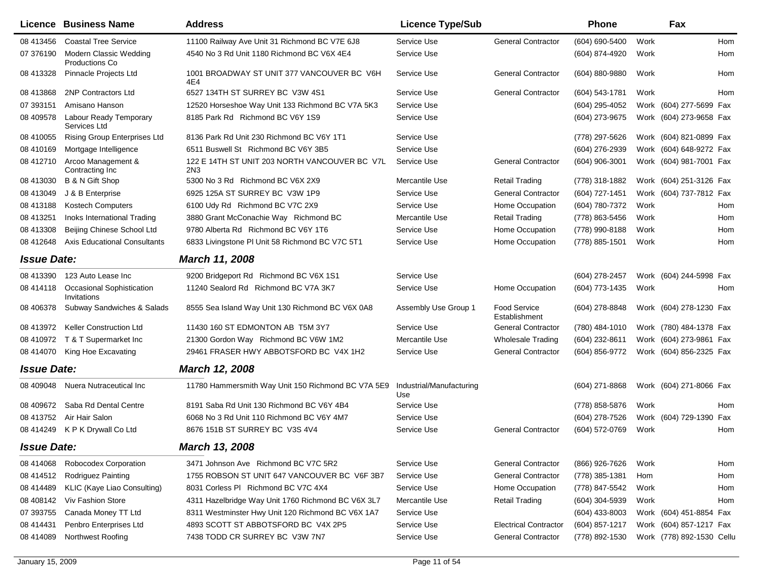|                    | <b>Licence Business Name</b>                    | <b>Address</b>                                                   | <b>Licence Type/Sub</b>         |                                      | <b>Phone</b>     |      | Fax                       |            |
|--------------------|-------------------------------------------------|------------------------------------------------------------------|---------------------------------|--------------------------------------|------------------|------|---------------------------|------------|
| 08 413456          | <b>Coastal Tree Service</b>                     | 11100 Railway Ave Unit 31 Richmond BC V7E 6J8                    | Service Use                     | <b>General Contractor</b>            | (604) 690-5400   | Work |                           | <b>Hom</b> |
| 07 376190          | Modern Classic Wedding<br><b>Productions Co</b> | 4540 No 3 Rd Unit 1180 Richmond BC V6X 4E4                       | Service Use                     |                                      | (604) 874-4920   | Work |                           | Hom        |
| 08 413328          | Pinnacle Projects Ltd                           | 1001 BROADWAY ST UNIT 377 VANCOUVER BC V6H<br>4E4                | Service Use                     | <b>General Contractor</b>            | (604) 880-9880   | Work |                           | Hom        |
| 08 413868          | 2NP Contractors Ltd                             | 6527 134TH ST SURREY BC V3W 4S1                                  | Service Use                     | <b>General Contractor</b>            | (604) 543-1781   | Work |                           | <b>Hom</b> |
| 07 393151          | Amisano Hanson                                  | 12520 Horseshoe Way Unit 133 Richmond BC V7A 5K3                 | Service Use                     |                                      | (604) 295-4052   |      | Work (604) 277-5699 Fax   |            |
| 08 409578          | Labour Ready Temporary<br>Services Ltd          | 8185 Park Rd Richmond BC V6Y 1S9                                 | Service Use                     |                                      | (604) 273-9675   |      | Work (604) 273-9658 Fax   |            |
| 08 410055          | Rising Group Enterprises Ltd                    | 8136 Park Rd Unit 230 Richmond BC V6Y 1T1                        | Service Use                     |                                      | (778) 297-5626   |      | Work (604) 821-0899 Fax   |            |
| 08 410169          | Mortgage Intelligence                           | 6511 Buswell St Richmond BC V6Y 3B5                              | Service Use                     |                                      | (604) 276-2939   |      | Work (604) 648-9272 Fax   |            |
| 08 412710          | Arcoo Management &<br>Contracting Inc           | 122 E 14TH ST UNIT 203 NORTH VANCOUVER BC V7L<br>2N <sub>3</sub> | Service Use                     | <b>General Contractor</b>            | (604) 906-3001   |      | Work (604) 981-7001 Fax   |            |
| 08 413030          | B & N Gift Shop                                 | 5300 No 3 Rd Richmond BC V6X 2X9                                 | Mercantile Use                  | <b>Retail Trading</b>                | (778) 318-1882   |      | Work (604) 251-3126 Fax   |            |
| 08 413049          | J & B Enterprise                                | 6925 125A ST SURREY BC V3W 1P9                                   | Service Use                     | <b>General Contractor</b>            | (604) 727-1451   |      | Work (604) 737-7812 Fax   |            |
| 08 413188          | <b>Kostech Computers</b>                        | 6100 Udy Rd Richmond BC V7C 2X9                                  | Service Use                     | Home Occupation                      | (604) 780-7372   | Work |                           | Hom        |
| 08 413251          | Inoks International Trading                     | 3880 Grant McConachie Way Richmond BC                            | Mercantile Use                  | <b>Retail Trading</b>                | (778) 863-5456   | Work |                           | Hom        |
| 08 413308          | Beijing Chinese School Ltd                      | 9780 Alberta Rd Richmond BC V6Y 1T6                              | Service Use                     | Home Occupation                      | (778) 990-8188   | Work |                           | Hom        |
| 08 412648          | <b>Axis Educational Consultants</b>             | 6833 Livingstone PI Unit 58 Richmond BC V7C 5T1                  | Service Use                     | Home Occupation                      | (778) 885-1501   | Work |                           | Hom        |
| <b>Issue Date:</b> |                                                 | March 11, 2008                                                   |                                 |                                      |                  |      |                           |            |
| 08 413390          | 123 Auto Lease Inc                              | 9200 Bridgeport Rd Richmond BC V6X 1S1                           | Service Use                     |                                      | (604) 278-2457   |      | Work (604) 244-5998 Fax   |            |
| 08 414118          | <b>Occasional Sophistication</b><br>Invitations | 11240 Sealord Rd Richmond BC V7A 3K7                             | Service Use                     | Home Occupation                      | (604) 773-1435   | Work |                           | Hom        |
| 08 40 6378         | Subway Sandwiches & Salads                      | 8555 Sea Island Way Unit 130 Richmond BC V6X 0A8                 | Assembly Use Group 1            | <b>Food Service</b><br>Establishment | (604) 278-8848   |      | Work (604) 278-1230 Fax   |            |
| 08 413972          | <b>Keller Construction Ltd</b>                  | 11430 160 ST EDMONTON AB T5M 3Y7                                 | Service Use                     | <b>General Contractor</b>            | (780) 484-1010   |      | Work (780) 484-1378 Fax   |            |
| 08 410972          | T & T Supermarket Inc                           | 21300 Gordon Way Richmond BC V6W 1M2                             | Mercantile Use                  | <b>Wholesale Trading</b>             | (604) 232-8611   |      | Work (604) 273-9861 Fax   |            |
| 08 414070          | King Hoe Excavating                             | 29461 FRASER HWY ABBOTSFORD BC V4X 1H2                           | Service Use                     | <b>General Contractor</b>            | (604) 856-9772   |      | Work (604) 856-2325 Fax   |            |
| <b>Issue Date:</b> |                                                 | March 12, 2008                                                   |                                 |                                      |                  |      |                           |            |
| 08 409048          | Nuera Nutraceutical Inc                         | 11780 Hammersmith Way Unit 150 Richmond BC V7A 5E9               | Industrial/Manufacturing<br>Use |                                      | (604) 271-8868   |      | Work (604) 271-8066 Fax   |            |
| 08 409 672         | Saba Rd Dental Centre                           | 8191 Saba Rd Unit 130 Richmond BC V6Y 4B4                        | Service Use                     |                                      | (778) 858-5876   | Work |                           | Hom        |
| 08 413752          | Air Hair Salon                                  | 6068 No 3 Rd Unit 110 Richmond BC V6Y 4M7                        | Service Use                     |                                      | (604) 278-7526   |      | Work (604) 729-1390       | Fax        |
| 08 414249          | K P K Drywall Co Ltd                            | 8676 151B ST SURREY BC V3S 4V4                                   | Service Use                     | <b>General Contractor</b>            | (604) 572-0769   | Work |                           | Hom        |
| <b>Issue Date:</b> |                                                 | March 13, 2008                                                   |                                 |                                      |                  |      |                           |            |
| 08 414068          | Robocodex Corporation                           | 3471 Johnson Ave Richmond BC V7C 5R2                             | Service Use                     | <b>General Contractor</b>            | (866) 926-7626   | Work |                           | Hom        |
| 08 414512          | Rodriguez Painting                              | 1755 ROBSON ST UNIT 647 VANCOUVER BC V6F 3B7                     | Service Use                     | <b>General Contractor</b>            | (778) 385-1381   | Hom  |                           | Hom        |
| 08 414489          | KLIC (Kaye Liao Consulting)                     | 8031 Corless PI Richmond BC V7C 4X4                              | Service Use                     | Home Occupation                      | (778) 847-5542   | Work |                           | Hom        |
| 08 408142          | Viv Fashion Store                               | 4311 Hazelbridge Way Unit 1760 Richmond BC V6X 3L7               | Mercantile Use                  | <b>Retail Trading</b>                | $(604)$ 304-5939 | Work |                           | Hom        |
| 07 393755          | Canada Money TT Ltd                             | 8311 Westminster Hwy Unit 120 Richmond BC V6X 1A7                | Service Use                     |                                      | $(604)$ 433-8003 |      | Work (604) 451-8854 Fax   |            |
| 08 414431          | Penbro Enterprises Ltd                          | 4893 SCOTT ST ABBOTSFORD BC V4X 2P5                              | Service Use                     | <b>Electrical Contractor</b>         | (604) 857-1217   |      | Work (604) 857-1217 Fax   |            |
| 08 414089          | Northwest Roofing                               | 7438 TODD CR SURREY BC V3W 7N7                                   | Service Use                     | <b>General Contractor</b>            | (778) 892-1530   |      | Work (778) 892-1530 Cellu |            |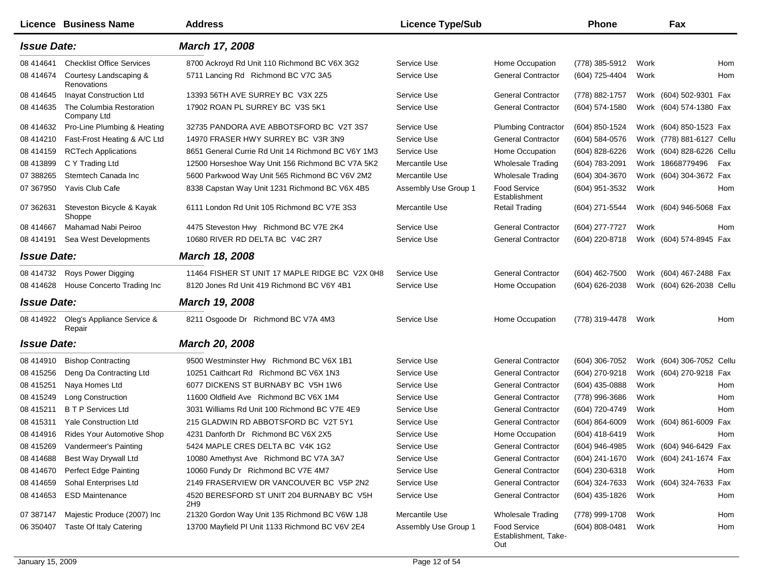|                    | Licence Business Name                   | <b>Address</b>                                     | <b>Licence Type/Sub</b> |                                                    | <b>Phone</b>                           |      | Fax                       |     |
|--------------------|-----------------------------------------|----------------------------------------------------|-------------------------|----------------------------------------------------|----------------------------------------|------|---------------------------|-----|
| <b>Issue Date:</b> |                                         | March 17, 2008                                     |                         |                                                    |                                        |      |                           |     |
| 08 41 4641         | <b>Checklist Office Services</b>        | 8700 Ackroyd Rd Unit 110 Richmond BC V6X 3G2       | Service Use             | Home Occupation                                    | (778) 385-5912                         | Work |                           | Hom |
| 08 414674          | Courtesy Landscaping &<br>Renovations   | 5711 Lancing Rd Richmond BC V7C 3A5                | Service Use             | <b>General Contractor</b>                          | (604) 725-4404                         | Work |                           | Hom |
| 08 414 645         | Inayat Construction Ltd                 | 13393 56TH AVE SURREY BC V3X 2Z5                   | Service Use             | <b>General Contractor</b>                          | (778) 882-1757                         |      | Work (604) 502-9301 Fax   |     |
| 08 414635          | The Columbia Restoration<br>Company Ltd | 17902 ROAN PL SURREY BC V3S 5K1                    | Service Use             | <b>General Contractor</b>                          | (604) 574-1580                         |      | Work (604) 574-1380 Fax   |     |
| 08 414632          | Pro-Line Plumbing & Heating             | 32735 PANDORA AVE ABBOTSFORD BC V2T 3S7            | Service Use             | <b>Plumbing Contractor</b>                         | (604) 850-1524                         |      | Work (604) 850-1523 Fax   |     |
| 08 414210          | Fast-Frost Heating & A/C Ltd            | 14970 FRASER HWY SURREY BC V3R 3N9                 | Service Use             | <b>General Contractor</b>                          | (604) 584-0576                         |      | Work (778) 881-6127 Cellu |     |
| 08 414159          | <b>RCTech Applications</b>              | 8651 General Currie Rd Unit 14 Richmond BC V6Y 1M3 | Service Use             | Home Occupation                                    | (604) 828-6226                         |      | Work (604) 828-6226 Cellu |     |
| 08 413899          | C Y Trading Ltd                         | 12500 Horseshoe Way Unit 156 Richmond BC V7A 5K2   | Mercantile Use          | <b>Wholesale Trading</b>                           | (604) 783-2091                         |      | Work 18668779496          | Fax |
| 07 388265          | Stemtech Canada Inc                     | 5600 Parkwood Way Unit 565 Richmond BC V6V 2M2     | Mercantile Use          | <b>Wholesale Trading</b>                           | (604) 304-3670                         |      | Work (604) 304-3672 Fax   |     |
| 07 367950          | Yavis Club Cafe                         | 8338 Capstan Way Unit 1231 Richmond BC V6X 4B5     | Assembly Use Group 1    | <b>Food Service</b><br>Establishment               | (604) 951-3532                         | Work |                           | Hom |
| 07 362631          | Steveston Bicycle & Kayak<br>Shoppe     | 6111 London Rd Unit 105 Richmond BC V7E 3S3        | Mercantile Use          | <b>Retail Trading</b>                              | (604) 271-5544                         |      | Work (604) 946-5068 Fax   |     |
| 08 414 667         | Mahamad Nabi Peiroo                     | 4475 Steveston Hwy Richmond BC V7E 2K4             | Service Use             | <b>General Contractor</b>                          | (604) 277-7727                         | Work |                           | Hom |
| 08 414191          | Sea West Developments                   | 10680 RIVER RD DELTA BC V4C 2R7                    | Service Use             | <b>General Contractor</b>                          | (604) 220-8718                         |      | Work (604) 574-8945 Fax   |     |
| <b>Issue Date:</b> |                                         | March 18, 2008                                     |                         |                                                    |                                        |      |                           |     |
| 08 414732          | Roys Power Digging                      | 11464 FISHER ST UNIT 17 MAPLE RIDGE BC V2X 0H8     | Service Use             | <b>General Contractor</b>                          | (604) 462-7500                         |      | Work (604) 467-2488 Fax   |     |
| 08 414628          | House Concerto Trading Inc              | 8120 Jones Rd Unit 419 Richmond BC V6Y 4B1         | Service Use             | Home Occupation                                    | (604) 626-2038                         |      | Work (604) 626-2038 Cellu |     |
| <b>Issue Date:</b> |                                         | March 19, 2008                                     |                         |                                                    |                                        |      |                           |     |
| 08 414922          | Oleg's Appliance Service &<br>Repair    | 8211 Osgoode Dr Richmond BC V7A 4M3                | Service Use             | Home Occupation                                    | (778) 319-4478                         | Work |                           | Hom |
| <b>Issue Date:</b> |                                         | <b>March 20, 2008</b>                              |                         |                                                    |                                        |      |                           |     |
| 08 414910          | <b>Bishop Contracting</b>               | 9500 Westminster Hwy Richmond BC V6X 1B1           | Service Use             | <b>General Contractor</b>                          | (604) 306-7052                         |      | Work (604) 306-7052 Cellu |     |
| 08 415256          | Deng Da Contracting Ltd                 | 10251 Caithcart Rd Richmond BC V6X 1N3             | Service Use             | <b>General Contractor</b>                          | (604) 270-9218                         |      | Work (604) 270-9218 Fax   |     |
| 08 415251          | Naya Homes Ltd                          | 6077 DICKENS ST BURNABY BC V5H 1W6                 | Service Use             | <b>General Contractor</b>                          | (604) 435-0888                         | Work |                           | Hom |
| 08 415249          | Long Construction                       | 11600 Oldfield Ave Richmond BC V6X 1M4             | Service Use             | <b>General Contractor</b>                          | (778) 996-3686                         | Work |                           | Hom |
| 08 415211          | <b>BTP</b> Services Ltd                 | 3031 Williams Rd Unit 100 Richmond BC V7E 4E9      | Service Use             | <b>General Contractor</b>                          | (604) 720-4749                         | Work |                           | Hom |
| 08 415311          | <b>Yale Construction Ltd</b>            | 215 GLADWIN RD ABBOTSFORD BC V2T 5Y1               | Service Use             | <b>General Contractor</b>                          | (604) 864-6009                         |      | Work (604) 861-6009 Fax   |     |
| 08 414916          | Rides Your Automotive Shop              | 4231 Danforth Dr Richmond BC V6X 2X5               | Service Use             | Home Occupation                                    | (604) 418-6419                         | Work |                           | Hom |
|                    | 08 415269 Vandermeer's Painting         | 5424 MAPLE CRES DELTA BC V4K 1G2                   | Service Use             | General Contractor                                 | (604) 946-4985 Work (604) 946-6429 Fax |      |                           |     |
| 08 414 688         | Best Way Drywall Ltd                    | 10080 Amethyst Ave Richmond BC V7A 3A7             | Service Use             | <b>General Contractor</b>                          | (604) 241-1670                         |      | Work (604) 241-1674 Fax   |     |
| 08 414670          | Perfect Edge Painting                   | 10060 Fundy Dr Richmond BC V7E 4M7                 | Service Use             | General Contractor                                 | (604) 230-6318                         | Work |                           | Hom |
| 08 414659          | Sohal Enterprises Ltd                   | 2149 FRASERVIEW DR VANCOUVER BC V5P 2N2            | Service Use             | <b>General Contractor</b>                          | (604) 324-7633                         |      | Work (604) 324-7633 Fax   |     |
| 08 414 653         | <b>ESD Maintenance</b>                  | 4520 BERESFORD ST UNIT 204 BURNABY BC V5H<br>2H9   | Service Use             | <b>General Contractor</b>                          | (604) 435-1826                         | Work |                           | Hom |
| 07 387147          | Majestic Produce (2007) Inc             | 21320 Gordon Way Unit 135 Richmond BC V6W 1J8      | Mercantile Use          | Wholesale Trading                                  | (778) 999-1708                         | Work |                           | Hom |
| 06 350407          | Taste Of Italy Catering                 | 13700 Mayfield PI Unit 1133 Richmond BC V6V 2E4    | Assembly Use Group 1    | <b>Food Service</b><br>Establishment, Take-<br>Out | (604) 808-0481                         | Work |                           | Hom |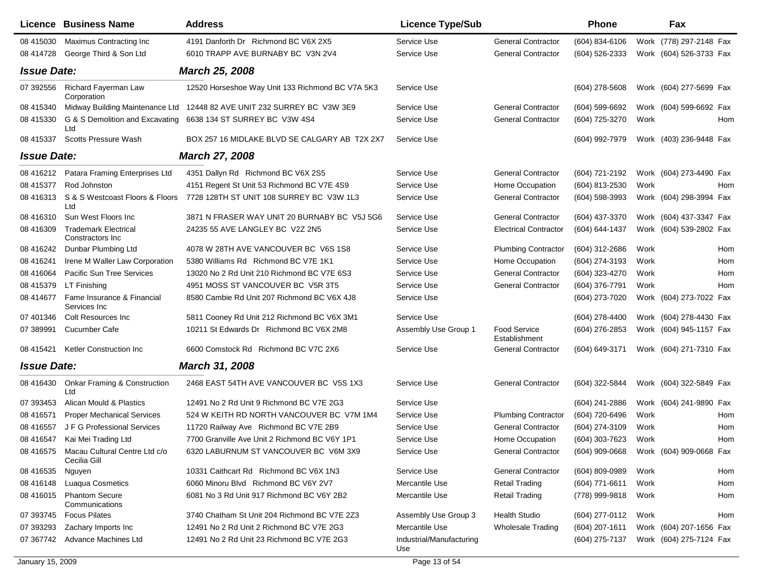|                    | <b>Licence Business Name</b>                            | <b>Address</b>                                   | <b>Licence Type/Sub</b>         |                               | <b>Phone</b>     |      | Fax                                    |     |
|--------------------|---------------------------------------------------------|--------------------------------------------------|---------------------------------|-------------------------------|------------------|------|----------------------------------------|-----|
| 08 415030          | Maximus Contracting Inc                                 | 4191 Danforth Dr Richmond BC V6X 2X5             | Service Use                     | <b>General Contractor</b>     | (604) 834-6106   |      | Work (778) 297-2148 Fax                |     |
| 08 414728          | George Third & Son Ltd                                  | 6010 TRAPP AVE BURNABY BC V3N 2V4                | Service Use                     | <b>General Contractor</b>     | (604) 526-2333   |      | Work (604) 526-3733 Fax                |     |
| <b>Issue Date:</b> |                                                         | <b>March 25, 2008</b>                            |                                 |                               |                  |      |                                        |     |
| 07 392556          | Richard Fayerman Law<br>Corporation                     | 12520 Horseshoe Way Unit 133 Richmond BC V7A 5K3 | Service Use                     |                               | $(604)$ 278-5608 |      | Work (604) 277-5699 Fax                |     |
| 08 415340          | Midway Building Maintenance Ltd                         | 12448 82 AVE UNIT 232 SURREY BC V3W 3E9          | Service Use                     | <b>General Contractor</b>     | (604) 599-6692   |      | Work (604) 599-6692 Fax                |     |
| 08 415330          | G & S Demolition and Excavating<br>Ltd                  | 6638 134 ST SURREY BC V3W 4S4                    | Service Use                     | <b>General Contractor</b>     | (604) 725-3270   | Work |                                        | Hom |
| 08 415337          | <b>Scotts Pressure Wash</b>                             | BOX 257 16 MIDLAKE BLVD SE CALGARY AB T2X 2X7    | Service Use                     |                               | (604) 992-7979   |      | Work (403) 236-9448 Fax                |     |
| <b>Issue Date:</b> |                                                         | <b>March 27, 2008</b>                            |                                 |                               |                  |      |                                        |     |
| 08 416212          | Patara Framing Enterprises Ltd                          | 4351 Dallyn Rd Richmond BC V6X 2S5               | Service Use                     | <b>General Contractor</b>     | (604) 721-2192   |      | Work (604) 273-4490 Fax                |     |
| 08 415377          | Rod Johnston                                            | 4151 Regent St Unit 53 Richmond BC V7E 4S9       | Service Use                     | Home Occupation               | (604) 813-2530   | Work |                                        | Hom |
| 08 416313          | S & S Westcoast Floors & Floors<br>Ltd                  | 7728 128TH ST UNIT 108 SURREY BC V3W 1L3         | Service Use                     | <b>General Contractor</b>     | (604) 598-3993   |      | Work (604) 298-3994 Fax                |     |
| 08 416310          | Sun West Floors Inc                                     | 3871 N FRASER WAY UNIT 20 BURNABY BC V5J 5G6     | Service Use                     | <b>General Contractor</b>     | (604) 437-3370   |      | Work (604) 437-3347 Fax                |     |
| 08 416309          | <b>Trademark Electrical</b><br>Constractors Inc.        | 24235 55 AVE LANGLEY BC V2Z 2N5                  | Service Use                     | <b>Electrical Contractor</b>  | (604) 644-1437   |      | Work (604) 539-2802 Fax                |     |
| 08 416242          | Dunbar Plumbing Ltd                                     | 4078 W 28TH AVE VANCOUVER BC V6S 1S8             | Service Use                     | <b>Plumbing Contractor</b>    | (604) 312-2686   | Work |                                        | Hom |
| 08 416241          | Irene M Waller Law Corporation                          | 5380 Williams Rd Richmond BC V7E 1K1             | Service Use                     | Home Occupation               | (604) 274-3193   | Work |                                        | Hom |
| 08 416064          | Pacific Sun Tree Services                               | 13020 No 2 Rd Unit 210 Richmond BC V7E 6S3       | Service Use                     | <b>General Contractor</b>     | (604) 323-4270   | Work |                                        | Hom |
| 08 415379          | LT Finishing                                            | 4951 MOSS ST VANCOUVER BC V5R 3T5                | Service Use                     | <b>General Contractor</b>     | (604) 376-7791   | Work |                                        | Hom |
| 08 414677          | Fame Insurance & Financial<br>Services Inc              | 8580 Cambie Rd Unit 207 Richmond BC V6X 4J8      | Service Use                     |                               | (604) 273-7020   |      | Work (604) 273-7022 Fax                |     |
| 07 401346          | <b>Colt Resources Inc</b>                               | 5811 Cooney Rd Unit 212 Richmond BC V6X 3M1      | Service Use                     |                               | (604) 278-4400   |      | Work (604) 278-4430 Fax                |     |
| 07 389991          | Cucumber Cafe                                           | 10211 St Edwards Dr Richmond BC V6X 2M8          | Assembly Use Group 1            | Food Service<br>Establishment | (604) 276-2853   |      | Work (604) 945-1157 Fax                |     |
| 08 415421          | Ketler Construction Inc                                 | 6600 Comstock Rd Richmond BC V7C 2X6             | Service Use                     | <b>General Contractor</b>     | (604) 649-3171   |      | Work (604) 271-7310 Fax                |     |
| <b>Issue Date:</b> |                                                         | March 31, 2008                                   |                                 |                               |                  |      |                                        |     |
| 08 41 64 30        | <b>Onkar Framing &amp; Construction</b><br>Ltd          | 2468 EAST 54TH AVE VANCOUVER BC V5S 1X3          | Service Use                     | <b>General Contractor</b>     | (604) 322-5844   |      | Work (604) 322-5849 Fax                |     |
| 07 393453          | Alican Mould & Plastics                                 | 12491 No 2 Rd Unit 9 Richmond BC V7E 2G3         | Service Use                     |                               | (604) 241-2886   |      | Work (604) 241-9890 Fax                |     |
| 08 41 6571         | <b>Proper Mechanical Services</b>                       | 524 W KEITH RD NORTH VANCOUVER BC V7M 1M4        | Service Use                     | <b>Plumbing Contractor</b>    | (604) 720-6496   | Work |                                        | Hom |
| 08 41 6557         | J F G Professional Services                             | 11720 Railway Ave Richmond BC V7E 2B9            | Service Use                     | <b>General Contractor</b>     | (604) 274-3109   | Work |                                        | Hom |
| 08 41 6547         | Kai Mei Trading Ltd                                     | 7700 Granville Ave Unit 2 Richmond BC V6Y 1P1    | Service Use                     | Home Occupation               | (604) 303-7623   | Work |                                        | Hom |
|                    | 08 416575 Macau Cultural Centre Ltd c/o<br>Cecilia Gill | 6320 LABURNUM ST VANCOUVER BC V6M 3X9            | Service Use                     | <b>General Contractor</b>     |                  |      | (604) 909-0668 Work (604) 909-0668 Fax |     |
| 08 41 65 35        | Nguyen                                                  | 10331 Caithcart Rd Richmond BC V6X 1N3           | Service Use                     | <b>General Contractor</b>     | (604) 809-0989   | Work |                                        | Hom |
| 08 41 61 48        | Luaqua Cosmetics                                        | 6060 Minoru Blvd Richmond BC V6Y 2V7             | Mercantile Use                  | <b>Retail Trading</b>         | (604) 771-6611   | Work |                                        | Hom |
| 08 416015          | <b>Phantom Secure</b><br>Communications                 | 6081 No 3 Rd Unit 917 Richmond BC V6Y 2B2        | Mercantile Use                  | <b>Retail Trading</b>         | (778) 999-9818   | Work |                                        | Hom |
| 07 393745          | <b>Focus Pilates</b>                                    | 3740 Chatham St Unit 204 Richmond BC V7E 2Z3     | Assembly Use Group 3            | <b>Health Studio</b>          | (604) 277-0112   | Work |                                        | Hom |
| 07 393293          | Zachary Imports Inc                                     | 12491 No 2 Rd Unit 2 Richmond BC V7E 2G3         | Mercantile Use                  | <b>Wholesale Trading</b>      | $(604)$ 207-1611 |      | Work (604) 207-1656 Fax                |     |
| 07 367742          | Advance Machines Ltd                                    | 12491 No 2 Rd Unit 23 Richmond BC V7E 2G3        | Industrial/Manufacturing<br>Use |                               | (604) 275-7137   |      | Work (604) 275-7124 Fax                |     |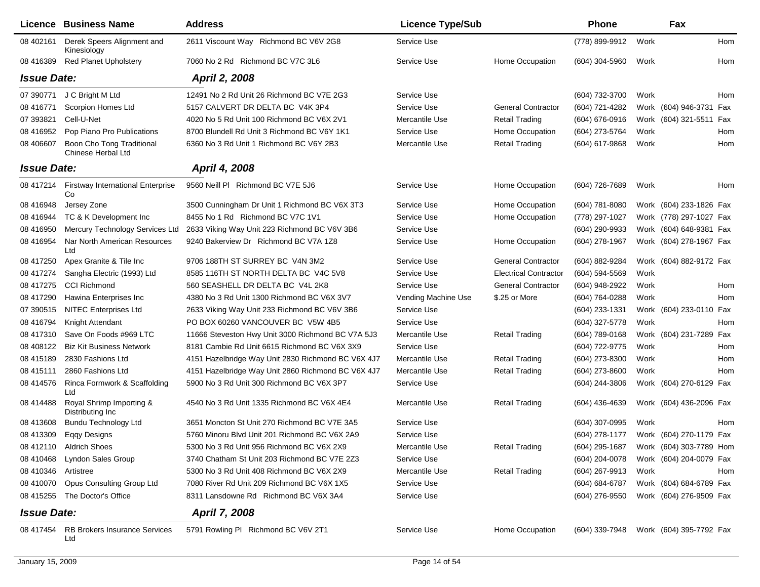|                     | Licence Business Name                             | <b>Address</b>                                     | <b>Licence Type/Sub</b> |                              | Phone                                  |      | Fax                     |     |
|---------------------|---------------------------------------------------|----------------------------------------------------|-------------------------|------------------------------|----------------------------------------|------|-------------------------|-----|
| 08 402161           | Derek Speers Alignment and<br>Kinesiology         | 2611 Viscount Way Richmond BC V6V 2G8              | Service Use             |                              | (778) 899-9912                         | Work |                         | Hom |
| 08 416389           | <b>Red Planet Upholstery</b>                      | 7060 No 2 Rd Richmond BC V7C 3L6                   | Service Use             | Home Occupation              | (604) 304-5960                         | Work |                         | Hom |
| <b>Issue Date:</b>  |                                                   | April 2, 2008                                      |                         |                              |                                        |      |                         |     |
| 07 390771           | J C Bright M Ltd                                  | 12491 No 2 Rd Unit 26 Richmond BC V7E 2G3          | Service Use             |                              | (604) 732-3700                         | Work |                         | Hom |
| 08 416771           | Scorpion Homes Ltd                                | 5157 CALVERT DR DELTA BC V4K 3P4                   | Service Use             | <b>General Contractor</b>    | (604) 721-4282                         |      | Work (604) 946-3731 Fax |     |
| 07 393821           | Cell-U-Net                                        | 4020 No 5 Rd Unit 100 Richmond BC V6X 2V1          | Mercantile Use          | Retail Trading               | (604) 676-0916                         |      | Work (604) 321-5511 Fax |     |
| 08 41 69 52         | Pop Piano Pro Publications                        | 8700 Blundell Rd Unit 3 Richmond BC V6Y 1K1        | Service Use             | Home Occupation              | (604) 273-5764                         | Work |                         | Hom |
| 08 40 660 7         | Boon Cho Tong Traditional<br>Chinese Herbal Ltd   | 6360 No 3 Rd Unit 1 Richmond BC V6Y 2B3            | Mercantile Use          | <b>Retail Trading</b>        | (604) 617-9868                         | Work |                         | Hom |
| <b>Issue Date:</b>  |                                                   | April 4, 2008                                      |                         |                              |                                        |      |                         |     |
|                     | 08 417214 Firstway International Enterprise<br>Co | 9560 Neill PI Richmond BC V7E 5J6                  | Service Use             | Home Occupation              | (604) 726-7689                         | Work |                         | Hom |
| 08 41 6948          | Jersey Zone                                       | 3500 Cunningham Dr Unit 1 Richmond BC V6X 3T3      | Service Use             | Home Occupation              | (604) 781-8080                         |      | Work (604) 233-1826 Fax |     |
| 08 41 6944          | TC & K Development Inc                            | 8455 No 1 Rd Richmond BC V7C 1V1                   | Service Use             | Home Occupation              | (778) 297-1027                         |      | Work (778) 297-1027 Fax |     |
| 08 41 6950          | Mercury Technology Services Ltd                   | 2633 Viking Way Unit 223 Richmond BC V6V 3B6       | Service Use             |                              | (604) 290-9933                         |      | Work (604) 648-9381 Fax |     |
| 08 41 69 54         | Nar North American Resources<br>Ltd               | 9240 Bakerview Dr Richmond BC V7A 1Z8              | Service Use             | Home Occupation              | (604) 278-1967                         |      | Work (604) 278-1967 Fax |     |
| 08 417250           | Apex Granite & Tile Inc                           | 9706 188TH ST SURREY BC V4N 3M2                    | Service Use             | <b>General Contractor</b>    | (604) 882-9284                         |      | Work (604) 882-9172 Fax |     |
| 08 417274           | Sangha Electric (1993) Ltd                        | 8585 116TH ST NORTH DELTA BC V4C 5V8               | Service Use             | <b>Electrical Contractor</b> | (604) 594-5569                         | Work |                         |     |
| 08 417275           | <b>CCI Richmond</b>                               | 560 SEASHELL DR DELTA BC V4L 2K8                   | Service Use             | <b>General Contractor</b>    | (604) 948-2922                         | Work |                         | Hom |
| 08 417290           | Hawina Enterprises Inc                            | 4380 No 3 Rd Unit 1300 Richmond BC V6X 3V7         | Vending Machine Use     | \$.25 or More                | (604) 764-0288                         | Work |                         | Hom |
| 07 390515           | <b>NITEC Enterprises Ltd</b>                      | 2633 Viking Way Unit 233 Richmond BC V6V 3B6       | Service Use             |                              | (604) 233-1331                         |      | Work (604) 233-0110 Fax |     |
| 08 41 6794          | Knight Attendant                                  | PO BOX 60260 VANCOUVER BC V5W 4B5                  | Service Use             |                              | (604) 327-5778                         | Work |                         | Hom |
| 08 417310           | Save On Foods #969 LTC                            | 11666 Steveston Hwy Unit 3000 Richmond BC V7A 5J3  | Mercantile Use          | <b>Retail Trading</b>        | (604) 789-0168                         |      | Work (604) 231-7289 Fax |     |
| 08 408122           | <b>Biz Kit Business Network</b>                   | 8181 Cambie Rd Unit 6615 Richmond BC V6X 3X9       | Service Use             |                              | (604) 722-9775                         | Work |                         | Hom |
| 08 415189           | 2830 Fashions Ltd                                 | 4151 Hazelbridge Way Unit 2830 Richmond BC V6X 4J7 | Mercantile Use          | <b>Retail Trading</b>        | (604) 273-8300                         | Work |                         | Hom |
| 08 415111           | 2860 Fashions Ltd                                 | 4151 Hazelbridge Way Unit 2860 Richmond BC V6X 4J7 | Mercantile Use          | <b>Retail Trading</b>        | (604) 273-8600                         | Work |                         | Hom |
| 08 414576           | Rinca Formwork & Scaffolding<br>Ltd               | 5900 No 3 Rd Unit 300 Richmond BC V6X 3P7          | Service Use             |                              | (604) 244-3806                         |      | Work (604) 270-6129 Fax |     |
| 08 414488           | Royal Shrimp Importing &<br>Distributing Inc      | 4540 No 3 Rd Unit 1335 Richmond BC V6X 4E4         | Mercantile Use          | Retail Trading               | (604) 436-4639                         |      | Work (604) 436-2096 Fax |     |
| 08 413608           | <b>Bundu Technology Ltd</b>                       | 3651 Moncton St Unit 270 Richmond BC V7E 3A5       | Service Use             |                              | (604) 307-0995                         | Work |                         | Hom |
| 08 413309           | Eqqy Designs                                      | 5760 Minoru Blvd Unit 201 Richmond BC V6X 2A9      | Service Use             |                              | (604) 278-1177                         |      | Work (604) 270-1179 Fax |     |
|                     | 08 412110 Aldrich Shoes                           | 5300 No 3 Rd Unit 956 Richmond BC V6X 2X9          | Mercantile Use          | <b>Retail Trading</b>        | (604) 295-1687                         |      | Work (604) 303-7789 Hom |     |
|                     | 08 410468 Lyndon Sales Group                      | 3740 Chatham St Unit 203 Richmond BC V7E 2Z3       | Service Use             |                              | (604) 204-0078 Work (604) 204-0079 Fax |      |                         |     |
| 08 410346 Artistree |                                                   | 5300 No 3 Rd Unit 408 Richmond BC V6X 2X9          | Mercantile Use          | <b>Retail Trading</b>        | (604) 267-9913                         | Work |                         | Hom |
|                     | 08 410070 Opus Consulting Group Ltd               | 7080 River Rd Unit 209 Richmond BC V6X 1X5         | Service Use             |                              | (604) 684-6787                         |      | Work (604) 684-6789 Fax |     |
|                     | 08 415255 The Doctor's Office                     | 8311 Lansdowne Rd Richmond BC V6X 3A4              | Service Use             |                              | (604) 276-9550                         |      | Work (604) 276-9509 Fax |     |
| <b>Issue Date:</b>  |                                                   | <b>April 7, 2008</b>                               |                         |                              |                                        |      |                         |     |
|                     | 08 417454 RB Brokers Insurance Services<br>Ltd    | 5791 Rowling PI Richmond BC V6V 2T1                | Service Use             | Home Occupation              | (604) 339-7948 Work (604) 395-7792 Fax |      |                         |     |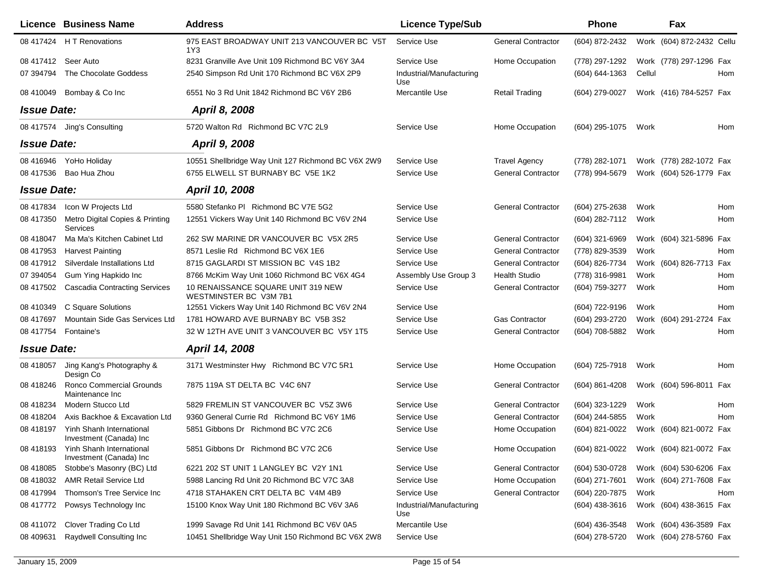|                    | Licence Business Name                               | <b>Address</b>                                               | <b>Licence Type/Sub</b>         |                           | <b>Phone</b>                           |        | Fax                       |     |
|--------------------|-----------------------------------------------------|--------------------------------------------------------------|---------------------------------|---------------------------|----------------------------------------|--------|---------------------------|-----|
|                    | 08 417424 H T Renovations                           | 975 EAST BROADWAY UNIT 213 VANCOUVER BC V5T<br>1Y3           | Service Use                     | <b>General Contractor</b> | (604) 872-2432                         |        | Work (604) 872-2432 Cellu |     |
|                    | 08 417412 Seer Auto                                 | 8231 Granville Ave Unit 109 Richmond BC V6Y 3A4              | Service Use                     | Home Occupation           | (778) 297-1292                         |        | Work (778) 297-1296 Fax   |     |
| 07 394794          | The Chocolate Goddess                               | 2540 Simpson Rd Unit 170 Richmond BC V6X 2P9                 | Industrial/Manufacturing<br>Use |                           | $(604) 644 - 1363$                     | Cellul |                           | Hom |
| 08 410049          | Bombay & Co Inc                                     | 6551 No 3 Rd Unit 1842 Richmond BC V6Y 2B6                   | Mercantile Use                  | Retail Trading            | (604) 279-0027                         |        | Work (416) 784-5257 Fax   |     |
| <b>Issue Date:</b> |                                                     | April 8, 2008                                                |                                 |                           |                                        |        |                           |     |
|                    | 08 417574 Jing's Consulting                         | 5720 Walton Rd Richmond BC V7C 2L9                           | Service Use                     | Home Occupation           | (604) 295-1075                         | Work   |                           | Hom |
| <b>Issue Date:</b> |                                                     | April 9, 2008                                                |                                 |                           |                                        |        |                           |     |
|                    | 08 416946 YoHo Holiday                              | 10551 Shellbridge Way Unit 127 Richmond BC V6X 2W9           | Service Use                     | <b>Travel Agency</b>      | (778) 282-1071                         |        | Work (778) 282-1072 Fax   |     |
| 08 417536          | Bao Hua Zhou                                        | 6755 ELWELL ST BURNABY BC V5E 1K2                            | Service Use                     | <b>General Contractor</b> | (778) 994-5679                         |        | Work (604) 526-1779 Fax   |     |
| <b>Issue Date:</b> |                                                     | April 10, 2008                                               |                                 |                           |                                        |        |                           |     |
| 08 417834          | Icon W Projects Ltd                                 | 5580 Stefanko PI Richmond BC V7E 5G2                         | Service Use                     | <b>General Contractor</b> | (604) 275-2638                         | Work   |                           | Hom |
| 08 417350          | Metro Digital Copies & Printing<br>Services         | 12551 Vickers Way Unit 140 Richmond BC V6V 2N4               | Service Use                     |                           | (604) 282-7112                         | Work   |                           | Hom |
| 08 418047          | Ma Ma's Kitchen Cabinet Ltd                         | 262 SW MARINE DR VANCOUVER BC V5X 2R5                        | Service Use                     | <b>General Contractor</b> | (604) 321-6969                         |        | Work (604) 321-5896 Fax   |     |
| 08 417953          | <b>Harvest Painting</b>                             | 8571 Leslie Rd Richmond BC V6X 1E6                           | Service Use                     | <b>General Contractor</b> | (778) 829-3539                         | Work   |                           | Hom |
| 08 417912          | Silverdale Installations Ltd                        | 8715 GAGLARDI ST MISSION BC V4S 1B2                          | Service Use                     | <b>General Contractor</b> | (604) 826-7734                         |        | Work (604) 826-7713 Fax   |     |
| 07 394054          | Gum Ying Hapkido Inc                                | 8766 McKim Way Unit 1060 Richmond BC V6X 4G4                 | Assembly Use Group 3            | <b>Health Studio</b>      | (778) 316-9981                         | Work   |                           | Hom |
| 08 417502          | <b>Cascadia Contracting Services</b>                | 10 RENAISSANCE SQUARE UNIT 319 NEW<br>WESTMINSTER BC V3M 7B1 | Service Use                     | <b>General Contractor</b> | (604) 759-3277                         | Work   |                           | Hom |
| 08 410349          | C Square Solutions                                  | 12551 Vickers Way Unit 140 Richmond BC V6V 2N4               | Service Use                     |                           | (604) 722-9196                         | Work   |                           | Hom |
| 08 417697          | Mountain Side Gas Services Ltd                      | 1781 HOWARD AVE BURNABY BC V5B 3S2                           | Service Use                     | Gas Contractor            | (604) 293-2720                         |        | Work (604) 291-2724 Fax   |     |
| 08 417754          | Fontaine's                                          | 32 W 12TH AVE UNIT 3 VANCOUVER BC V5Y 1T5                    | Service Use                     | <b>General Contractor</b> | (604) 708-5882                         | Work   |                           | Hom |
| <b>Issue Date:</b> |                                                     | April 14, 2008                                               |                                 |                           |                                        |        |                           |     |
| 08 418057          | Jing Kang's Photography &<br>Design Co              | 3171 Westminster Hwy Richmond BC V7C 5R1                     | Service Use                     | Home Occupation           | (604) 725-7918                         | Work   |                           | Hom |
| 08 418246          | Ronco Commercial Grounds<br>Maintenance Inc         | 7875 119A ST DELTA BC V4C 6N7                                | Service Use                     | <b>General Contractor</b> | (604) 861-4208                         |        | Work (604) 596-8011 Fax   |     |
| 08 418234          | Modern Stucco Ltd                                   | 5829 FREMLIN ST VANCOUVER BC V5Z 3W6                         | Service Use                     | <b>General Contractor</b> | (604) 323-1229                         | Work   |                           | Hom |
| 08 418204          | Axis Backhoe & Excavation Ltd                       | 9360 General Currie Rd Richmond BC V6Y 1M6                   | Service Use                     | <b>General Contractor</b> | (604) 244-5855                         | Work   |                           | Hom |
| 08 418197          | Yinh Shanh International<br>Investment (Canada) Inc | 5851 Gibbons Dr Richmond BC V7C 2C6                          | Service Use                     | Home Occupation           | (604) 821-0022                         |        | Work (604) 821-0072 Fax   |     |
| 08 418193          | Yinh Shanh International<br>Investment (Canada) Inc | 5851 Gibbons Dr Richmond BC V7C 2C6                          | Service Use                     | Home Occupation           | (604) 821-0022 Work (604) 821-0072 Fax |        |                           |     |
| 08 418085          | Stobbe's Masonry (BC) Ltd                           | 6221 202 ST UNIT 1 LANGLEY BC V2Y 1N1                        | Service Use                     | <b>General Contractor</b> | (604) 530-0728                         |        | Work (604) 530-6206 Fax   |     |
| 08 418032          | <b>AMR Retail Service Ltd</b>                       | 5988 Lancing Rd Unit 20 Richmond BC V7C 3A8                  | Service Use                     | Home Occupation           | (604) 271-7601                         |        | Work (604) 271-7608 Fax   |     |
| 08 417994          | Thomson's Tree Service Inc                          | 4718 STAHAKEN CRT DELTA BC V4M 4B9                           | Service Use                     | <b>General Contractor</b> | (604) 220-7875                         | Work   |                           | Hom |
| 08 417772          | Powsys Technology Inc                               | 15100 Knox Way Unit 180 Richmond BC V6V 3A6                  | Industrial/Manufacturing<br>Use |                           | $(604)$ 438-3616                       |        | Work (604) 438-3615 Fax   |     |
| 08 411072          | Clover Trading Co Ltd                               | 1999 Savage Rd Unit 141 Richmond BC V6V 0A5                  | Mercantile Use                  |                           | (604) 436-3548                         |        | Work (604) 436-3589 Fax   |     |
| 08 409 631         | Raydwell Consulting Inc                             | 10451 Shellbridge Way Unit 150 Richmond BC V6X 2W8           | Service Use                     |                           | (604) 278-5720                         |        | Work (604) 278-5760 Fax   |     |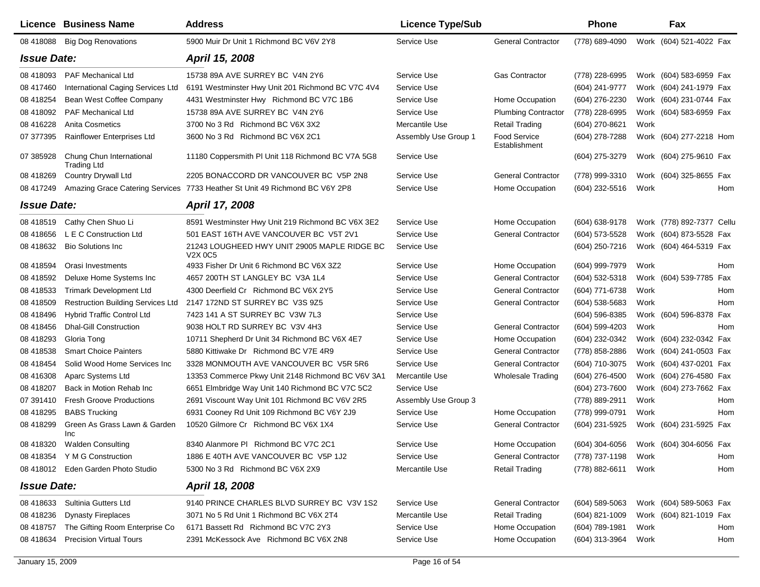|                    | <b>Licence Business Name</b>                   | <b>Address</b>                                                                   | <b>Licence Type/Sub</b> |                               | Phone            |      | Fax                        |
|--------------------|------------------------------------------------|----------------------------------------------------------------------------------|-------------------------|-------------------------------|------------------|------|----------------------------|
|                    | 08 418088 Big Dog Renovations                  | 5900 Muir Dr Unit 1 Richmond BC V6V 2Y8                                          | Service Use             | <b>General Contractor</b>     | (778) 689-4090   |      | Work (604) 521-4022 Fax    |
| <b>Issue Date:</b> |                                                | April 15, 2008                                                                   |                         |                               |                  |      |                            |
| 08 418093          | <b>PAF Mechanical Ltd</b>                      | 15738 89A AVE SURREY BC V4N 2Y6                                                  | Service Use             | <b>Gas Contractor</b>         | (778) 228-6995   |      | Work (604) 583-6959 Fax    |
| 08 417460          | International Caging Services Ltd              | 6191 Westminster Hwy Unit 201 Richmond BC V7C 4V4                                | Service Use             |                               | (604) 241-9777   |      | Work (604) 241-1979 Fax    |
| 08 418254          | Bean West Coffee Company                       | 4431 Westminster Hwy Richmond BC V7C 1B6                                         | Service Use             | Home Occupation               | (604) 276-2230   |      | Work (604) 231-0744 Fax    |
| 08 418092          | <b>PAF Mechanical Ltd</b>                      | 15738 89A AVE SURREY BC V4N 2Y6                                                  | Service Use             | <b>Plumbing Contractor</b>    | (778) 228-6995   |      | Work (604) 583-6959 Fax    |
| 08 416228          | <b>Anita Cosmetics</b>                         | 3700 No 3 Rd Richmond BC V6X 3X2                                                 | Mercantile Use          | <b>Retail Trading</b>         | (604) 270-8621   | Work |                            |
| 07 377395          | Rainflower Enterprises Ltd                     | 3600 No 3 Rd Richmond BC V6X 2C1                                                 | Assembly Use Group 1    | Food Service<br>Establishment | (604) 278-7288   |      | Work (604) 277-2218 Hom    |
| 07 385928          | Chung Chun International<br><b>Trading Ltd</b> | 11180 Coppersmith PI Unit 118 Richmond BC V7A 5G8                                | Service Use             |                               | (604) 275-3279   |      | Work (604) 275-9610 Fax    |
| 08 418269          | <b>Country Drywall Ltd</b>                     | 2205 BONACCORD DR VANCOUVER BC V5P 2N8                                           | Service Use             | <b>General Contractor</b>     | (778) 999-3310   |      | Work (604) 325-8655 Fax    |
| 08 417249          |                                                | Amazing Grace Catering Services 7733 Heather St Unit 49 Richmond BC V6Y 2P8      | Service Use             | Home Occupation               | (604) 232-5516   | Work | Hom                        |
| <b>Issue Date:</b> |                                                | April 17, 2008                                                                   |                         |                               |                  |      |                            |
| 08 418519          | Cathy Chen Shuo Li                             | 8591 Westminster Hwy Unit 219 Richmond BC V6X 3E2                                | Service Use             | Home Occupation               | (604) 638-9178   |      | Work (778) 892-7377 Cellu  |
| 08 418 656         | L E C Construction Ltd                         | 501 EAST 16TH AVE VANCOUVER BC V5T 2V1                                           | Service Use             | <b>General Contractor</b>     | (604) 573-5528   |      | Work (604) 873-5528 Fax    |
| 08 418632          | <b>Bio Solutions Inc.</b>                      | 21243 LOUGHEED HWY UNIT 29005 MAPLE RIDGE BC<br>V <sub>2</sub> X 0C <sub>5</sub> | Service Use             |                               | (604) 250-7216   |      | Work (604) 464-5319 Fax    |
| 08 418594          | Orasi Investments                              | 4933 Fisher Dr Unit 6 Richmond BC V6X 3Z2                                        | Service Use             | Home Occupation               | (604) 999-7979   | Work | Hom                        |
| 08 418592          | Deluxe Home Systems Inc                        | 4657 200TH ST LANGLEY BC V3A 1L4                                                 | Service Use             | <b>General Contractor</b>     | (604) 532-5318   |      | Work (604) 539-7785<br>Fax |
| 08 418533          | <b>Trimark Development Ltd</b>                 | 4300 Deerfield Cr Richmond BC V6X 2Y5                                            | Service Use             | <b>General Contractor</b>     | (604) 771-6738   | Work | Hom                        |
| 08 418509          | <b>Restruction Building Services Ltd</b>       | 2147 172ND ST SURREY BC V3S 9Z5                                                  | Service Use             | <b>General Contractor</b>     | (604) 538-5683   | Work | Hom                        |
| 08 418496          | <b>Hybrid Traffic Control Ltd</b>              | 7423 141 A ST SURREY BC V3W 7L3                                                  | Service Use             |                               | (604) 596-8385   |      | Work (604) 596-8378<br>Fax |
| 08 418456          | <b>Dhal-Gill Construction</b>                  | 9038 HOLT RD SURREY BC V3V 4H3                                                   | Service Use             | <b>General Contractor</b>     | (604) 599-4203   | Work | Hom                        |
| 08 418293          | Gloria Tong                                    | 10711 Shepherd Dr Unit 34 Richmond BC V6X 4E7                                    | Service Use             | Home Occupation               | (604) 232-0342   |      | Work (604) 232-0342 Fax    |
| 08 418538          | <b>Smart Choice Painters</b>                   | 5880 Kittiwake Dr Richmond BC V7E 4R9                                            | Service Use             | <b>General Contractor</b>     | (778) 858-2886   |      | Work (604) 241-0503 Fax    |
| 08 418454          | Solid Wood Home Services Inc                   | 3328 MONMOUTH AVE VANCOUVER BC V5R 5R6                                           | Service Use             | <b>General Contractor</b>     | (604) 710-3075   |      | Work (604) 437-0201 Fax    |
| 08 416308          | Aparc Systems Ltd                              | 13353 Commerce Pkwy Unit 2148 Richmond BC V6V 3A1                                | Mercantile Use          | <b>Wholesale Trading</b>      | (604) 276-4500   |      | Work (604) 276-4580 Fax    |
| 08 418207          | Back in Motion Rehab Inc.                      | 6651 Elmbridge Way Unit 140 Richmond BC V7C 5C2                                  | Service Use             |                               | (604) 273-7600   |      | Work (604) 273-7662 Fax    |
| 07 391410          | <b>Fresh Groove Productions</b>                | 2691 Viscount Way Unit 101 Richmond BC V6V 2R5                                   | Assembly Use Group 3    |                               | (778) 889-2911   | Work | Hom                        |
| 08 418295          | <b>BABS Trucking</b>                           | 6931 Cooney Rd Unit 109 Richmond BC V6Y 2J9                                      | Service Use             | Home Occupation               | (778) 999-0791   | Work | Hom                        |
| 08 418299          | Green As Grass Lawn & Garden<br><b>Inc</b>     | 10520 Gilmore Cr Richmond BC V6X 1X4                                             | Service Use             | <b>General Contractor</b>     | (604) 231-5925   |      | Work (604) 231-5925 Fax    |
|                    | 08 418320 Walden Consulting                    | 8340 Alanmore PI Richmond BC V7C 2C1                                             | Service Use             | Home Occupation               | (604) 304-6056   |      | Work (604) 304-6056 Fax    |
|                    | 08 418354 Y M G Construction                   | 1886 E 40TH AVE VANCOUVER BC V5P 1J2                                             | Service Use             | <b>General Contractor</b>     | (778) 737-1198   | Work | Hom                        |
|                    | 08 418012 Eden Garden Photo Studio             | 5300 No 3 Rd Richmond BC V6X 2X9                                                 | Mercantile Use          | <b>Retail Trading</b>         | (778) 882-6611   | Work | Hom                        |
| <b>Issue Date:</b> |                                                | April 18, 2008                                                                   |                         |                               |                  |      |                            |
| 08 418633          | Sultinia Gutters Ltd                           | 9140 PRINCE CHARLES BLVD SURREY BC V3V 1S2                                       | Service Use             | <b>General Contractor</b>     | $(604)$ 589-5063 |      | Work (604) 589-5063 Fax    |
| 08 418236          | <b>Dynasty Fireplaces</b>                      | 3071 No 5 Rd Unit 1 Richmond BC V6X 2T4                                          | Mercantile Use          | <b>Retail Trading</b>         | $(604)$ 821-1009 |      | Work (604) 821-1019 Fax    |
| 08 418757          | The Gifting Room Enterprise Co                 | 6171 Bassett Rd Richmond BC V7C 2Y3                                              | Service Use             | Home Occupation               | $(604)$ 789-1981 | Work | Hom                        |
| 08 418634          | <b>Precision Virtual Tours</b>                 | 2391 McKessock Ave Richmond BC V6X 2N8                                           | Service Use             | Home Occupation               | (604) 313-3964   | Work | Hom                        |
|                    |                                                |                                                                                  |                         |                               |                  |      |                            |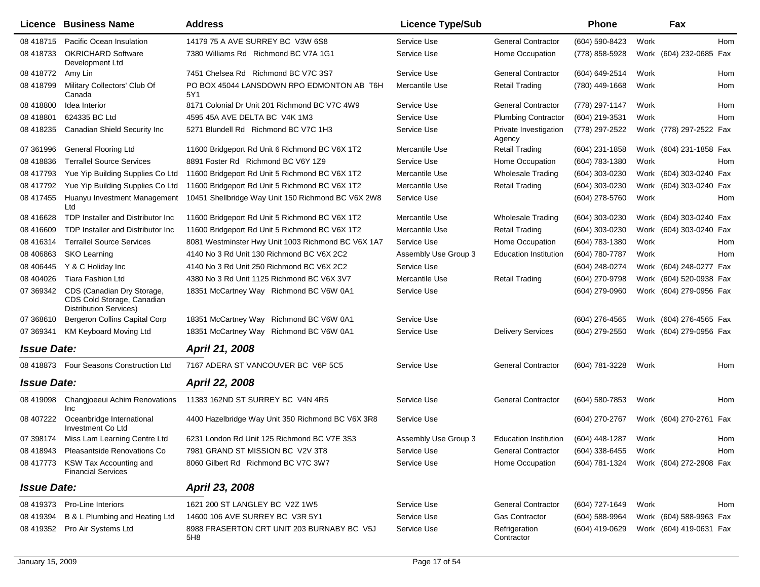|                    | <b>Licence Business Name</b>                                                              | <b>Address</b>                                     | <b>Licence Type/Sub</b> |                                 | <b>Phone</b>     |      | Fax                        |
|--------------------|-------------------------------------------------------------------------------------------|----------------------------------------------------|-------------------------|---------------------------------|------------------|------|----------------------------|
| 08 418715          | Pacific Ocean Insulation                                                                  | 14179 75 A AVE SURREY BC V3W 6S8                   | Service Use             | <b>General Contractor</b>       | (604) 590-8423   | Work | Hom                        |
| 08 418733          | <b>OKRICHARD Software</b><br>Development Ltd                                              | 7380 Williams Rd Richmond BC V7A 1G1               | Service Use             | Home Occupation                 | (778) 858-5928   |      | Work (604) 232-0685 Fax    |
| 08 418772          | Amy Lin                                                                                   | 7451 Chelsea Rd Richmond BC V7C 3S7                | Service Use             | <b>General Contractor</b>       | (604) 649-2514   | Work | Hom                        |
| 08 418799          | Military Collectors' Club Of<br>Canada                                                    | PO BOX 45044 LANSDOWN RPO EDMONTON AB T6H<br>5Y1   | Mercantile Use          | <b>Retail Trading</b>           | (780) 449-1668   | Work | Hom                        |
| 08 418800          | Idea Interior                                                                             | 8171 Colonial Dr Unit 201 Richmond BC V7C 4W9      | Service Use             | <b>General Contractor</b>       | (778) 297-1147   | Work | Hom                        |
| 08 418801          | 624335 BC Ltd                                                                             | 4595 45A AVE DELTA BC V4K 1M3                      | Service Use             | <b>Plumbing Contractor</b>      | (604) 219-3531   | Work | Hom                        |
| 08 418235          | Canadian Shield Security Inc                                                              | 5271 Blundell Rd Richmond BC V7C 1H3               | Service Use             | Private Investigation<br>Agency | (778) 297-2522   |      | Work (778) 297-2522 Fax    |
| 07 361996          | <b>General Flooring Ltd</b>                                                               | 11600 Bridgeport Rd Unit 6 Richmond BC V6X 1T2     | Mercantile Use          | <b>Retail Trading</b>           | (604) 231-1858   |      | Work (604) 231-1858 Fax    |
| 08 418836          | <b>Terrallel Source Services</b>                                                          | 8891 Foster Rd Richmond BC V6Y 1Z9                 | Service Use             | Home Occupation                 | (604) 783-1380   | Work | Hom                        |
| 08 417793          | Yue Yip Building Supplies Co Ltd                                                          | 11600 Bridgeport Rd Unit 5 Richmond BC V6X 1T2     | Mercantile Use          | <b>Wholesale Trading</b>        | (604) 303-0230   |      | Work (604) 303-0240 Fax    |
| 08 417792          | Yue Yip Building Supplies Co Ltd                                                          | 11600 Bridgeport Rd Unit 5 Richmond BC V6X 1T2     | Mercantile Use          | <b>Retail Trading</b>           | (604) 303-0230   |      | Work (604) 303-0240<br>Fax |
| 08 417455          | Huanyu Investment Management<br>Ltd                                                       | 10451 Shellbridge Way Unit 150 Richmond BC V6X 2W8 | Service Use             |                                 | (604) 278-5760   | Work | Hom                        |
| 08 41 66 28        | TDP Installer and Distributor Inc                                                         | 11600 Bridgeport Rd Unit 5 Richmond BC V6X 1T2     | Mercantile Use          | <b>Wholesale Trading</b>        | (604) 303-0230   |      | Work (604) 303-0240 Fax    |
| 08 41 6609         | TDP Installer and Distributor Inc.                                                        | 11600 Bridgeport Rd Unit 5 Richmond BC V6X 1T2     | Mercantile Use          | <b>Retail Trading</b>           | (604) 303-0230   |      | Work (604) 303-0240 Fax    |
| 08 416314          | <b>Terrallel Source Services</b>                                                          | 8081 Westminster Hwy Unit 1003 Richmond BC V6X 1A7 | Service Use             | Home Occupation                 | (604) 783-1380   | Work | Hom                        |
| 08 40 6863         | <b>SKO Learning</b>                                                                       | 4140 No 3 Rd Unit 130 Richmond BC V6X 2C2          | Assembly Use Group 3    | <b>Education Institution</b>    | (604) 780-7787   | Work | Hom                        |
| 08 40 6445         | Y & C Holiday Inc                                                                         | 4140 No 3 Rd Unit 250 Richmond BC V6X 2C2          | Service Use             |                                 | (604) 248-0274   |      | Work (604) 248-0277 Fax    |
| 08 404026          | <b>Tiara Fashion Ltd</b>                                                                  | 4380 No 3 Rd Unit 1125 Richmond BC V6X 3V7         | Mercantile Use          | <b>Retail Trading</b>           | (604) 270-9798   |      | Work (604) 520-0938 Fax    |
| 07 369342          | CDS (Canadian Dry Storage,<br>CDS Cold Storage, Canadian<br><b>Distribution Services)</b> | 18351 McCartney Way Richmond BC V6W 0A1            | Service Use             |                                 | (604) 279-0960   |      | Work (604) 279-0956 Fax    |
| 07 368610          | Bergeron Collins Capital Corp                                                             | 18351 McCartney Way Richmond BC V6W 0A1            | Service Use             |                                 | (604) 276-4565   |      | Work (604) 276-4565 Fax    |
| 07 369341          | <b>KM Keyboard Moving Ltd</b>                                                             | 18351 McCartney Way Richmond BC V6W 0A1            | Service Use             | <b>Delivery Services</b>        | (604) 279-2550   |      | Work (604) 279-0956 Fax    |
| <b>Issue Date:</b> |                                                                                           | April 21, 2008                                     |                         |                                 |                  |      |                            |
| 08 418873          | Four Seasons Construction Ltd                                                             | 7167 ADERA ST VANCOUVER BC V6P 5C5                 | Service Use             | <b>General Contractor</b>       | (604) 781-3228   | Work | Hom                        |
| <b>Issue Date:</b> |                                                                                           | April 22, 2008                                     |                         |                                 |                  |      |                            |
| 08 419098          | Changjoeeui Achim Renovations<br>Inc                                                      | 11383 162ND ST SURREY BC V4N 4R5                   | Service Use             | <b>General Contractor</b>       | (604) 580-7853   | Work | Hom                        |
| 08 407222          | Oceanbridge International<br>Investment Co Ltd                                            | 4400 Hazelbridge Way Unit 350 Richmond BC V6X 3R8  | Service Use             |                                 | $(604)$ 270-2767 |      | Work (604) 270-2761 Fax    |
| 07 398174          | Miss Lam Learning Centre Ltd                                                              | 6231 London Rd Unit 125 Richmond BC V7E 3S3        | Assembly Use Group 3    | <b>Education Institution</b>    | (604) 448-1287   | Work | Hom                        |
| 08 418943          | Pleasantside Renovations Co                                                               | 7981 GRAND ST MISSION BC V2V 3T8                   | Service Use             | <b>General Contractor</b>       | $(604)$ 338-6455 | Work | Hom                        |
| 08 417773          | KSW Tax Accounting and<br><b>Financial Services</b>                                       | 8060 Gilbert Rd Richmond BC V7C 3W7                | Service Use             | Home Occupation                 | (604) 781-1324   |      | Work (604) 272-2908 Fax    |
| <b>Issue Date:</b> |                                                                                           | April 23, 2008                                     |                         |                                 |                  |      |                            |
| 08 419373          | <b>Pro-Line Interiors</b>                                                                 | 1621 200 ST LANGLEY BC V2Z 1W5                     | Service Use             | <b>General Contractor</b>       | (604) 727-1649   | Work | Hom                        |
| 08 419394          | B & L Plumbing and Heating Ltd                                                            | 14600 106 AVE SURREY BC V3R 5Y1                    | Service Use             | <b>Gas Contractor</b>           | $(604)$ 588-9964 |      | Work (604) 588-9963 Fax    |
| 08 419352          | Pro Air Systems Ltd                                                                       | 8988 FRASERTON CRT UNIT 203 BURNABY BC V5J<br>5H8  | Service Use             | Refrigeration<br>Contractor     | (604) 419-0629   |      | Work (604) 419-0631 Fax    |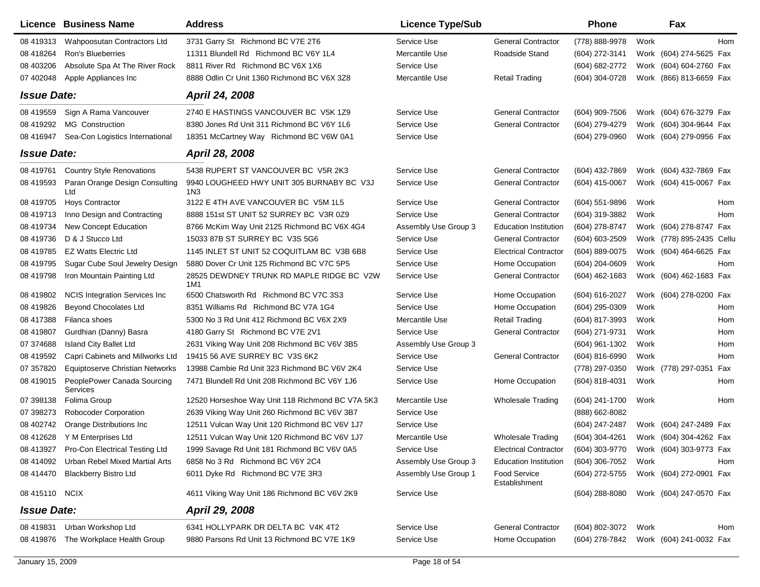|                    | Licence Business Name                   | <b>Address</b>                                               | <b>Licence Type/Sub</b> |                               | Phone            |      | Fax                        |
|--------------------|-----------------------------------------|--------------------------------------------------------------|-------------------------|-------------------------------|------------------|------|----------------------------|
| 08 419313          | Wahpoosutan Contractors Ltd             | 3731 Garry St Richmond BC V7E 2T6                            | Service Use             | <b>General Contractor</b>     | (778) 888-9978   | Work | <b>Hom</b>                 |
| 08 418264          | <b>Ron's Blueberries</b>                | 11311 Blundell Rd Richmond BC V6Y 1L4                        | Mercantile Use          | Roadside Stand                | (604) 272-3141   |      | Work (604) 274-5625 Fax    |
| 08 403206          | Absolute Spa At The River Rock          | 8811 River Rd Richmond BC V6X 1X6                            | Service Use             |                               | (604) 682-2772   |      | Work (604) 604-2760 Fax    |
| 07 402048          | Apple Appliances Inc                    | 8888 Odlin Cr Unit 1360 Richmond BC V6X 3Z8                  | Mercantile Use          | <b>Retail Trading</b>         | (604) 304-0728   |      | Work (866) 813-6659 Fax    |
| <b>Issue Date:</b> |                                         | April 24, 2008                                               |                         |                               |                  |      |                            |
| 08 419559          | Sign A Rama Vancouver                   | 2740 E HASTINGS VANCOUVER BC V5K 1Z9                         | Service Use             | <b>General Contractor</b>     | (604) 909-7506   |      | Work (604) 676-3279 Fax    |
| 08 419292          | <b>MG</b> Construction                  | 8380 Jones Rd Unit 311 Richmond BC V6Y 1L6                   | Service Use             | <b>General Contractor</b>     | (604) 279-4279   |      | Work (604) 304-9644 Fax    |
| 08 416947          | Sea-Con Logistics International         | 18351 McCartney Way Richmond BC V6W 0A1                      | Service Use             |                               | (604) 279-0960   |      | Work (604) 279-0956 Fax    |
| <b>Issue Date:</b> |                                         | April 28, 2008                                               |                         |                               |                  |      |                            |
| 08 419761          | <b>Country Style Renovations</b>        | 5438 RUPERT ST VANCOUVER BC V5R 2K3                          | Service Use             | <b>General Contractor</b>     | (604) 432-7869   |      | Work (604) 432-7869 Fax    |
| 08 419593          | Paran Orange Design Consulting<br>Ltd   | 9940 LOUGHEED HWY UNIT 305 BURNABY BC V3J<br>1N <sub>3</sub> | Service Use             | <b>General Contractor</b>     | (604) 415-0067   |      | Work (604) 415-0067 Fax    |
| 08 419705          | <b>Hoys Contractor</b>                  | 3122 E 4TH AVE VANCOUVER BC V5M 1L5                          | Service Use             | <b>General Contractor</b>     | (604) 551-9896   | Work | Hom                        |
| 08 419713          | Inno Design and Contracting             | 8888 151st ST UNIT 52 SURREY BC V3R 0Z9                      | Service Use             | <b>General Contractor</b>     | (604) 319-3882   | Work | Hom                        |
| 08 419734          | New Concept Education                   | 8766 McKim Way Unit 2125 Richmond BC V6X 4G4                 | Assembly Use Group 3    | <b>Education Institution</b>  | (604) 278-8747   |      | Work (604) 278-8747 Fax    |
| 08 419736          | D & J Stucco Ltd                        | 15033 87B ST SURREY BC V3S 5G6                               | Service Use             | <b>General Contractor</b>     | (604) 603-2509   |      | Work (778) 895-2435 Cellu  |
| 08 419785          | <b>EZ Watts Electric Ltd</b>            | 1145 INLET ST UNIT 52 COQUITLAM BC V3B 6B8                   | Service Use             | <b>Electrical Contractor</b>  | (604) 889-0075   |      | Work (604) 464-6625 Fax    |
| 08 419795          | Sugar Cube Soul Jewelry Design          | 5880 Dover Cr Unit 125 Richmond BC V7C 5P5                   | Service Use             | Home Occupation               | (604) 204-0609   | Work | Hom                        |
| 08 419798          | Iron Mountain Painting Ltd              | 28525 DEWDNEY TRUNK RD MAPLE RIDGE BC V2W<br>1M1             | Service Use             | <b>General Contractor</b>     | $(604)$ 462-1683 |      | Work (604) 462-1683 Fax    |
| 08 419802          | <b>NCIS Integration Services Inc.</b>   | 6500 Chatsworth Rd Richmond BC V7C 3S3                       | Service Use             | Home Occupation               | (604) 616-2027   |      | Work (604) 278-0200 Fax    |
| 08 419826          | <b>Beyond Chocolates Ltd</b>            | 8351 Williams Rd Richmond BC V7A 1G4                         | Service Use             | Home Occupation               | (604) 295-0309   | Work | Hom                        |
| 08 417388          | Filanca shoes                           | 5300 No 3 Rd Unit 412 Richmond BC V6X 2X9                    | Mercantile Use          | <b>Retail Trading</b>         | (604) 817-3993   | Work | Hom                        |
| 08 419807          | Gurdhian (Danny) Basra                  | 4180 Garry St Richmond BC V7E 2V1                            | Service Use             | <b>General Contractor</b>     | (604) 271-9731   | Work | Hom                        |
| 07 374688          | <b>Island City Ballet Ltd</b>           | 2631 Viking Way Unit 208 Richmond BC V6V 3B5                 | Assembly Use Group 3    |                               | (604) 961-1302   | Work | Hom                        |
| 08 419592          | Capri Cabinets and Millworks Ltd        | 19415 56 AVE SURREY BC V3S 6K2                               | Service Use             | <b>General Contractor</b>     | (604) 816-6990   | Work | Hom                        |
| 07 357820          | <b>Equiptoserve Christian Networks</b>  | 13988 Cambie Rd Unit 323 Richmond BC V6V 2K4                 | Service Use             |                               | (778) 297-0350   |      | Work (778) 297-0351<br>Fax |
| 08 419015          | PeoplePower Canada Sourcing<br>Services | 7471 Blundell Rd Unit 208 Richmond BC V6Y 1J6                | Service Use             | Home Occupation               | (604) 818-4031   | Work | Hom                        |
| 07 398138          | Folima Group                            | 12520 Horseshoe Way Unit 118 Richmond BC V7A 5K3             | Mercantile Use          | <b>Wholesale Trading</b>      | (604) 241-1700   | Work | Hom                        |
| 07 398273          | <b>Robocoder Corporation</b>            | 2639 Viking Way Unit 260 Richmond BC V6V 3B7                 | Service Use             |                               | (888) 662-8082   |      |                            |
| 08 402742          | Orange Distributions Inc                | 12511 Vulcan Way Unit 120 Richmond BC V6V 1J7                | Service Use             |                               | $(604)$ 247-2487 |      | Work (604) 247-2489 Fax    |
| 08 412628          | Y M Enterprises Ltd                     | 12511 Vulcan Way Unit 120 Richmond BC V6V 1J7                | Mercantile Use          | <b>Wholesale Trading</b>      | (604) 304-4261   |      | Work (604) 304-4262 Fax    |
| 08 413927          | Pro-Con Electrical Testing Ltd          | 1999 Savage Rd Unit 181 Richmond BC V6V 0A5                  | Service Use             | <b>Electrical Contractor</b>  | (604) 303-9770   |      | Work (604) 303-9773 Fax    |
| 08 414092          | Urban Rebel Mixed Martial Arts          | 6858 No 3 Rd Richmond BC V6Y 2C4                             | Assembly Use Group 3    | <b>Education Institution</b>  | (604) 306-7052   | Work | Hom                        |
| 08 414470          | <b>Blackberry Bistro Ltd</b>            | 6011 Dyke Rd Richmond BC V7E 3R3                             | Assembly Use Group 1    | Food Service<br>Establishment | (604) 272-5755   |      | Work (604) 272-0901 Fax    |
| 08 415110 NCIX     |                                         | 4611 Viking Way Unit 186 Richmond BC V6V 2K9                 | Service Use             |                               | $(604)$ 288-8080 |      | Work (604) 247-0570 Fax    |
| <b>Issue Date:</b> |                                         | April 29, 2008                                               |                         |                               |                  |      |                            |
| 08 419831          | Urban Workshop Ltd                      | 6341 HOLLYPARK DR DELTA BC V4K 4T2                           | Service Use             | <b>General Contractor</b>     | (604) 802-3072   | Work | Hom                        |
| 08 419876          | The Workplace Health Group              | 9880 Parsons Rd Unit 13 Richmond BC V7E 1K9                  | Service Use             | Home Occupation               | (604) 278-7842   |      | Work (604) 241-0032 Fax    |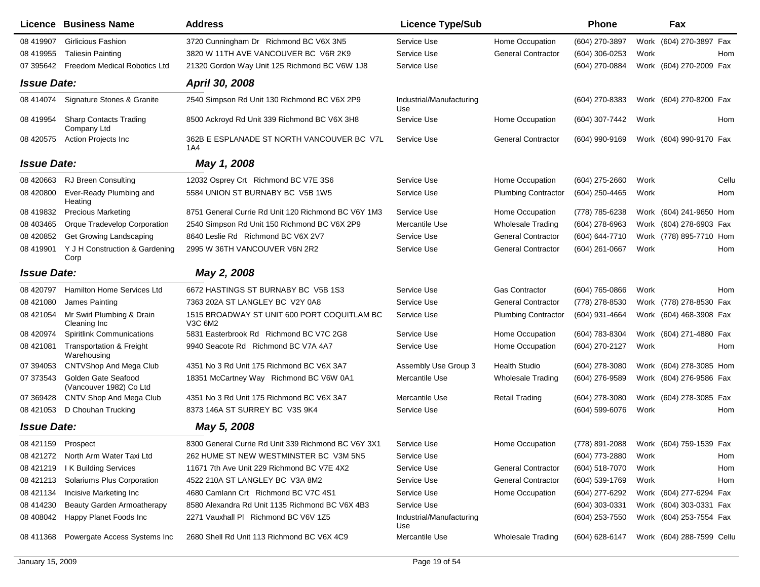|                    | <b>Licence Business Name</b>                       | <b>Address</b>                                         | <b>Licence Type/Sub</b>         |                            | Phone            |      | Fax                       |  |
|--------------------|----------------------------------------------------|--------------------------------------------------------|---------------------------------|----------------------------|------------------|------|---------------------------|--|
| 08 419907          | <b>Girlicious Fashion</b>                          | 3720 Cunningham Dr Richmond BC V6X 3N5                 | Service Use                     | Home Occupation            | (604) 270-3897   |      | Work (604) 270-3897 Fax   |  |
| 08 419955          | <b>Taliesin Painting</b>                           | 3820 W 11TH AVE VANCOUVER BC V6R 2K9                   | Service Use                     | <b>General Contractor</b>  | (604) 306-0253   | Work | Hom                       |  |
| 07 395642          | Freedom Medical Robotics Ltd                       | 21320 Gordon Way Unit 125 Richmond BC V6W 1J8          | Service Use                     |                            | (604) 270-0884   |      | Work (604) 270-2009 Fax   |  |
| <b>Issue Date:</b> |                                                    | April 30, 2008                                         |                                 |                            |                  |      |                           |  |
| 08 414074          | Signature Stones & Granite                         | 2540 Simpson Rd Unit 130 Richmond BC V6X 2P9           | Industrial/Manufacturing<br>Use |                            | (604) 270-8383   |      | Work (604) 270-8200 Fax   |  |
| 08 419954          | <b>Sharp Contacts Trading</b><br>Company Ltd       | 8500 Ackroyd Rd Unit 339 Richmond BC V6X 3H8           | Service Use                     | Home Occupation            | (604) 307-7442   | Work | Hom                       |  |
| 08 420575          | <b>Action Projects Inc</b>                         | 362B E ESPLANADE ST NORTH VANCOUVER BC V7L<br>1A4      | Service Use                     | <b>General Contractor</b>  | (604) 990-9169   |      | Work (604) 990-9170 Fax   |  |
| <b>Issue Date:</b> |                                                    | May 1, 2008                                            |                                 |                            |                  |      |                           |  |
| 08 420663          | RJ Breen Consulting                                | 12032 Osprey Crt Richmond BC V7E 3S6                   | Service Use                     | Home Occupation            | (604) 275-2660   | Work | Cellu                     |  |
| 08 420800          | Ever-Ready Plumbing and<br>Heating                 | 5584 UNION ST BURNABY BC V5B 1W5                       | Service Use                     | <b>Plumbing Contractor</b> | (604) 250-4465   | Work | Hom                       |  |
| 08 419832          | <b>Precious Marketing</b>                          | 8751 General Currie Rd Unit 120 Richmond BC V6Y 1M3    | Service Use                     | Home Occupation            | (778) 785-6238   |      | Work (604) 241-9650 Hom   |  |
| 08 403465          | Orque Tradevelop Corporation                       | 2540 Simpson Rd Unit 150 Richmond BC V6X 2P9           | Mercantile Use                  | <b>Wholesale Trading</b>   | (604) 278-6963   |      | Work (604) 278-6903 Fax   |  |
| 08 420852          | Get Growing Landscaping                            | 8640 Leslie Rd Richmond BC V6X 2V7                     | Service Use                     | <b>General Contractor</b>  | (604) 644-7710   |      | Work (778) 895-7710 Hom   |  |
| 08 419901          | Y J H Construction & Gardening<br>Corp             | 2995 W 36TH VANCOUVER V6N 2R2                          | Service Use                     | <b>General Contractor</b>  | (604) 261-0667   | Work | Hom                       |  |
| <b>Issue Date:</b> |                                                    | May 2, 2008                                            |                                 |                            |                  |      |                           |  |
| 08 420797          | <b>Hamilton Home Services Ltd</b>                  | 6672 HASTINGS ST BURNABY BC V5B 1S3                    | Service Use                     | <b>Gas Contractor</b>      | (604) 765-0866   | Work | Hom                       |  |
| 08 421080          | James Painting                                     | 7363 202A ST LANGLEY BC V2Y 0A8                        | Service Use                     | <b>General Contractor</b>  | (778) 278-8530   |      | Work (778) 278-8530 Fax   |  |
| 08 421054          | Mr Swirl Plumbing & Drain<br>Cleaning Inc          | 1515 BROADWAY ST UNIT 600 PORT COQUITLAM BC<br>V3C 6M2 | Service Use                     | <b>Plumbing Contractor</b> | (604) 931-4664   |      | Work (604) 468-3908 Fax   |  |
| 08 420974          | <b>Spiritlink Communications</b>                   | 5831 Easterbrook Rd Richmond BC V7C 2G8                | Service Use                     | Home Occupation            | (604) 783-8304   |      | Work (604) 271-4880 Fax   |  |
| 08 421081          | <b>Transportation &amp; Freight</b><br>Warehousing | 9940 Seacote Rd Richmond BC V7A 4A7                    | Service Use                     | Home Occupation            | (604) 270-2127   | Work | Hom                       |  |
| 07 394053          | <b>CNTVShop And Mega Club</b>                      | 4351 No 3 Rd Unit 175 Richmond BC V6X 3A7              | Assembly Use Group 3            | <b>Health Studio</b>       | (604) 278-3080   |      | Work (604) 278-3085 Hom   |  |
| 07 373543          | Golden Gate Seafood<br>(Vancouver 1982) Co Ltd     | 18351 McCartney Way Richmond BC V6W 0A1                | Mercantile Use                  | Wholesale Trading          | (604) 276-9589   |      | Work (604) 276-9586 Fax   |  |
| 07 369428          | CNTV Shop And Mega Club                            | 4351 No 3 Rd Unit 175 Richmond BC V6X 3A7              | Mercantile Use                  | <b>Retail Trading</b>      | (604) 278-3080   |      | Work (604) 278-3085 Fax   |  |
| 08 421053          | D Chouhan Trucking                                 | 8373 146A ST SURREY BC V3S 9K4                         | Service Use                     |                            | (604) 599-6076   | Work | Hom                       |  |
| <b>Issue Date:</b> |                                                    | May 5, 2008                                            |                                 |                            |                  |      |                           |  |
| 08 421159 Prospect |                                                    | 8300 General Currie Rd Unit 339 Richmond BC V6Y 3X1    | Service Use                     | Home Occupation            | (778) 891-2088   |      | Work (604) 759-1539 Fax   |  |
|                    | 08 421272 North Arm Water Taxi Ltd                 | 262 HUME ST NEW WESTMINSTER BC V3M 5N5                 | Service Use                     |                            | (604) 773-2880   | Work | Hom                       |  |
| 08 421219          | I K Building Services                              | 11671 7th Ave Unit 229 Richmond BC V7E 4X2             | Service Use                     | <b>General Contractor</b>  | (604) 518-7070   | Work | Hom                       |  |
| 08 421213          | Solariums Plus Corporation                         | 4522 210A ST LANGLEY BC V3A 8M2                        | Service Use                     | <b>General Contractor</b>  | $(604)$ 539-1769 | Work | Hom                       |  |
| 08 421134          | Incisive Marketing Inc                             | 4680 Camlann Crt Richmond BC V7C 4S1                   | Service Use                     | Home Occupation            | (604) 277-6292   |      | Work (604) 277-6294 Fax   |  |
| 08 414230          | <b>Beauty Garden Armoatherapy</b>                  | 8580 Alexandra Rd Unit 1135 Richmond BC V6X 4B3        | Service Use                     |                            | $(604)$ 303-0331 |      | Work (604) 303-0331 Fax   |  |
| 08 408042          | Happy Planet Foods Inc                             | 2271 Vauxhall PI Richmond BC V6V 1Z5                   | Industrial/Manufacturing<br>Use |                            | $(604)$ 253-7550 |      | Work (604) 253-7554 Fax   |  |
| 08 411368          | Powergate Access Systems Inc                       | 2680 Shell Rd Unit 113 Richmond BC V6X 4C9             | Mercantile Use                  | <b>Wholesale Trading</b>   | (604) 628-6147   |      | Work (604) 288-7599 Cellu |  |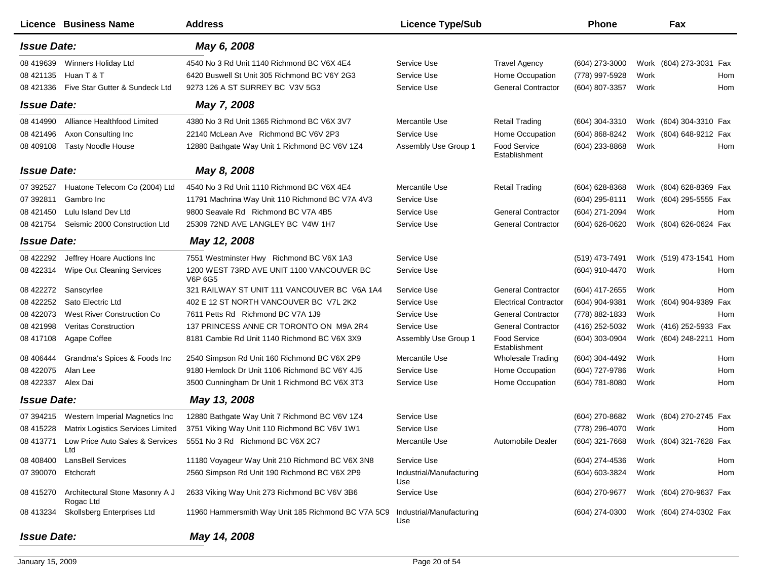|                    | <b>Licence Business Name</b>                 | <b>Address</b>                                       | <b>Licence Type/Sub</b>         |                                      | Phone            |      | Fax                     |     |
|--------------------|----------------------------------------------|------------------------------------------------------|---------------------------------|--------------------------------------|------------------|------|-------------------------|-----|
| <b>Issue Date:</b> |                                              | May 6, 2008                                          |                                 |                                      |                  |      |                         |     |
| 08 419639          | Winners Holiday Ltd                          | 4540 No 3 Rd Unit 1140 Richmond BC V6X 4E4           | Service Use                     | <b>Travel Agency</b>                 | $(604)$ 273-3000 |      | Work (604) 273-3031 Fax |     |
| 08 421135          | Huan T & T                                   | 6420 Buswell St Unit 305 Richmond BC V6Y 2G3         | Service Use                     | Home Occupation                      | (778) 997-5928   | Work |                         | Hom |
| 08 421336          | Five Star Gutter & Sundeck Ltd               | 9273 126 A ST SURREY BC V3V 5G3                      | Service Use                     | <b>General Contractor</b>            | (604) 807-3357   | Work |                         | Hom |
| <b>Issue Date:</b> |                                              | May 7, 2008                                          |                                 |                                      |                  |      |                         |     |
| 08 414990          | Alliance Healthfood Limited                  | 4380 No 3 Rd Unit 1365 Richmond BC V6X 3V7           | Mercantile Use                  | <b>Retail Trading</b>                | (604) 304-3310   |      | Work (604) 304-3310 Fax |     |
| 08 421496          | Axon Consulting Inc                          | 22140 McLean Ave Richmond BC V6V 2P3                 | Service Use                     | Home Occupation                      | (604) 868-8242   |      | Work (604) 648-9212 Fax |     |
| 08 409108          | <b>Tasty Noodle House</b>                    | 12880 Bathgate Way Unit 1 Richmond BC V6V 1Z4        | Assembly Use Group 1            | <b>Food Service</b><br>Establishment | (604) 233-8868   | Work |                         | Hom |
| <b>Issue Date:</b> |                                              | May 8, 2008                                          |                                 |                                      |                  |      |                         |     |
| 07 392527          | Huatone Telecom Co (2004) Ltd                | 4540 No 3 Rd Unit 1110 Richmond BC V6X 4E4           | Mercantile Use                  | <b>Retail Trading</b>                | (604) 628-8368   |      | Work (604) 628-8369 Fax |     |
| 07 392811          | Gambro Inc                                   | 11791 Machrina Way Unit 110 Richmond BC V7A 4V3      | Service Use                     |                                      | (604) 295-8111   |      | Work (604) 295-5555 Fax |     |
| 08 421450          | Lulu Island Dev Ltd                          | 9800 Seavale Rd Richmond BC V7A 4B5                  | Service Use                     | <b>General Contractor</b>            | (604) 271-2094   | Work |                         | Hom |
| 08 421754          | Seismic 2000 Construction Ltd                | 25309 72ND AVE LANGLEY BC V4W 1H7                    | Service Use                     | <b>General Contractor</b>            | (604) 626-0620   |      | Work (604) 626-0624 Fax |     |
| <b>Issue Date:</b> |                                              | May 12, 2008                                         |                                 |                                      |                  |      |                         |     |
| 08 422292          | Jeffrey Hoare Auctions Inc                   | 7551 Westminster Hwy Richmond BC V6X 1A3             | Service Use                     |                                      | (519) 473-7491   |      | Work (519) 473-1541 Hom |     |
| 08 422314          | Wipe Out Cleaning Services                   | 1200 WEST 73RD AVE UNIT 1100 VANCOUVER BC<br>V6P 6G5 | Service Use                     |                                      | (604) 910-4470   | Work |                         | Hom |
| 08 422272          | Sanscyrlee                                   | 321 RAILWAY ST UNIT 111 VANCOUVER BC V6A 1A4         | Service Use                     | <b>General Contractor</b>            | (604) 417-2655   | Work |                         | Hom |
| 08 422252          | Sato Electric Ltd                            | 402 E 12 ST NORTH VANCOUVER BC V7L 2K2               | Service Use                     | <b>Electrical Contractor</b>         | (604) 904-9381   |      | Work (604) 904-9389 Fax |     |
| 08 422073          | West River Construction Co                   | 7611 Petts Rd Richmond BC V7A 1J9                    | Service Use                     | <b>General Contractor</b>            | (778) 882-1833   | Work |                         | Hom |
| 08 421998          | <b>Veritas Construction</b>                  | 137 PRINCESS ANNE CR TORONTO ON M9A 2R4              | Service Use                     | <b>General Contractor</b>            | (416) 252-5032   |      | Work (416) 252-5933 Fax |     |
| 08 417108          | Agape Coffee                                 | 8181 Cambie Rd Unit 1140 Richmond BC V6X 3X9         | Assembly Use Group 1            | Food Service<br>Establishment        | (604) 303-0904   |      | Work (604) 248-2211 Hom |     |
| 08 40 6444         | Grandma's Spices & Foods Inc                 | 2540 Simpson Rd Unit 160 Richmond BC V6X 2P9         | Mercantile Use                  | <b>Wholesale Trading</b>             | (604) 304-4492   | Work |                         | Hom |
| 08 422075          | Alan Lee                                     | 9180 Hemlock Dr Unit 1106 Richmond BC V6Y 4J5        | Service Use                     | Home Occupation                      | (604) 727-9786   | Work |                         | Hom |
| 08 422337          | Alex Dai                                     | 3500 Cunningham Dr Unit 1 Richmond BC V6X 3T3        | Service Use                     | Home Occupation                      | (604) 781-8080   | Work |                         | Hom |
| <b>Issue Date:</b> |                                              | May 13, 2008                                         |                                 |                                      |                  |      |                         |     |
| 07 394215          | Western Imperial Magnetics Inc               | 12880 Bathgate Way Unit 7 Richmond BC V6V 1Z4        | Service Use                     |                                      | (604) 270-8682   |      | Work (604) 270-2745 Fax |     |
| 08 415228          | Matrix Logistics Services Limited            | 3751 Viking Way Unit 110 Richmond BC V6V 1W1         | Service Use                     |                                      | (778) 296-4070   | Work |                         | Hom |
| 08 413771          | Low Price Auto Sales & Services<br>Ltd       | 5551 No 3 Rd Richmond BC V6X 2C7                     | Mercantile Use                  | Automobile Dealer                    | (604) 321-7668   |      | Work (604) 321-7628 Fax |     |
| 08 408400          | <b>LansBell Services</b>                     | 11180 Voyageur Way Unit 210 Richmond BC V6X 3N8      | Service Use                     |                                      | (604) 274-4536   | Work |                         | Hom |
| 07 390070          | Etchcraft                                    | 2560 Simpson Rd Unit 190 Richmond BC V6X 2P9         | Industrial/Manufacturing<br>Use |                                      | (604) 603-3824   | Work |                         | Hom |
| 08 415270          | Architectural Stone Masonry A J<br>Rogac Ltd | 2633 Viking Way Unit 273 Richmond BC V6V 3B6         | Service Use                     |                                      | (604) 270-9677   |      | Work (604) 270-9637 Fax |     |
| 08 413234          | Skollsberg Enterprises Ltd                   | 11960 Hammersmith Way Unit 185 Richmond BC V7A 5C9   | Industrial/Manufacturing<br>Use |                                      | (604) 274-0300   |      | Work (604) 274-0302 Fax |     |
| <b>Issue Date:</b> |                                              | May 14, 2008                                         |                                 |                                      |                  |      |                         |     |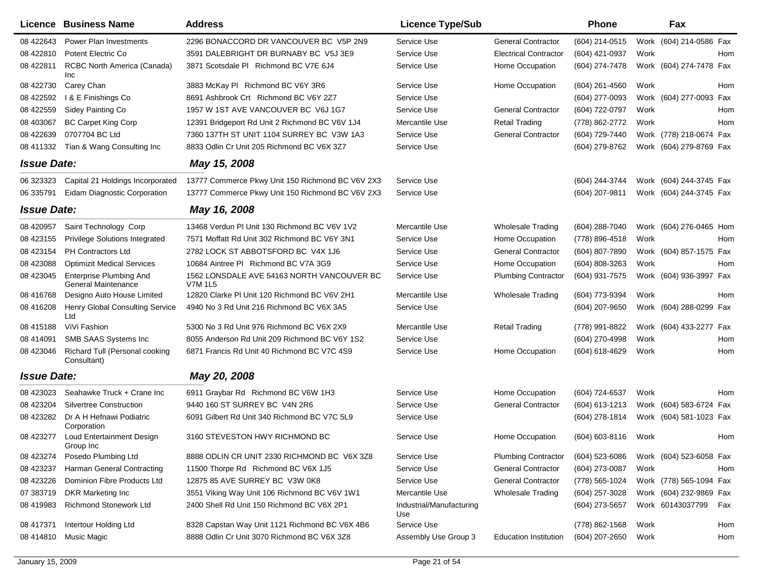|                    | Licence Business Name                                        | <b>Address</b>                                               | <b>Licence Type/Sub</b>         |                              | <b>Phone</b>     |      | Fax                        |
|--------------------|--------------------------------------------------------------|--------------------------------------------------------------|---------------------------------|------------------------------|------------------|------|----------------------------|
| 08 422643          | Power Plan Investments                                       | 2296 BONACCORD DR VANCOUVER BC V5P 2N9                       | Service Use                     | <b>General Contractor</b>    | (604) 214-0515   |      | Work (604) 214-0586 Fax    |
| 08 422810          | Potent Electric Co                                           | 3591 DALEBRIGHT DR BURNABY BC V5J 3E9                        | Service Use                     | <b>Electrical Contractor</b> | (604) 421-0937   | Work | Hom                        |
| 08 422811          | RCBC North America (Canada)<br>Inc                           | 3871 Scotsdale PI Richmond BC V7E 6J4                        | Service Use                     | Home Occupation              | (604) 274-7478   |      | Work (604) 274-7478 Fax    |
| 08 422730          | Carey Chan                                                   | 3883 McKay PI Richmond BC V6Y 3R6                            | Service Use                     | Home Occupation              | (604) 261-4560   | Work | Hom                        |
| 08 422592          | I & E Finishings Co                                          | 8691 Ashbrook Crt Richmond BC V6Y 2Z7                        | Service Use                     |                              | (604) 277-0093   |      | Work (604) 277-0093<br>Fax |
| 08 422559          | Sidey Painting Co                                            | 1957 W 1ST AVE VANCOUVER BC V6J 1G7                          | Service Use                     | <b>General Contractor</b>    | (604) 722-0797   | Work | Hom                        |
| 08 403067          | <b>BC Carpet King Corp</b>                                   | 12391 Bridgeport Rd Unit 2 Richmond BC V6V 1J4               | Mercantile Use                  | <b>Retail Trading</b>        | (778) 862-2772   | Work | Hom                        |
| 08 422639          | 0707704 BC Ltd                                               | 7360 137TH ST UNIT 1104 SURREY BC V3W 1A3                    | Service Use                     | <b>General Contractor</b>    | (604) 729-7440   |      | Work (778) 218-0674 Fax    |
| 08 411332          | Tian & Wang Consulting Inc                                   | 8833 Odlin Cr Unit 205 Richmond BC V6X 3Z7                   | Service Use                     |                              | (604) 279-8762   |      | Work (604) 279-8769 Fax    |
| <b>Issue Date:</b> |                                                              | May 15, 2008                                                 |                                 |                              |                  |      |                            |
| 06 323323          | Capital 21 Holdings Incorporated                             | 13777 Commerce Pkwy Unit 150 Richmond BC V6V 2X3             | Service Use                     |                              | (604) 244-3744   |      | Work (604) 244-3745 Fax    |
| 06 335791          | Eidam Diagnostic Corporation                                 | 13777 Commerce Pkwy Unit 150 Richmond BC V6V 2X3             | Service Use                     |                              | (604) 207-9811   |      | Work (604) 244-3745 Fax    |
| <b>Issue Date:</b> |                                                              | May 16, 2008                                                 |                                 |                              |                  |      |                            |
| 08 420957          | Saint Technology Corp                                        | 13468 Verdun PI Unit 130 Richmond BC V6V 1V2                 | Mercantile Use                  | Wholesale Trading            | (604) 288-7040   |      | Work (604) 276-0465 Hom    |
| 08 423155          | <b>Privilege Solutions Integrated</b>                        | 7571 Moffatt Rd Unit 302 Richmond BC V6Y 3N1                 | Service Use                     | Home Occupation              | (778) 896-4518   | Work | Hom                        |
| 08 423154          | <b>PH Contractors Ltd</b>                                    | 2782 LOCK ST ABBOTSFORD BC V4X 1J6                           | Service Use                     | <b>General Contractor</b>    | (604) 807-7890   |      | Work (604) 857-1575 Fax    |
| 08 423088          | <b>Optimizit Medical Services</b>                            | 10684 Aintree PI Richmond BC V7A 3G9                         | Service Use                     | Home Occupation              | (604) 808-3263   | Work | Hom                        |
| 08 423045          | <b>Enterprise Plumbing And</b><br><b>General Maintenance</b> | 1562 LONSDALE AVE 54163 NORTH VANCOUVER BC<br><b>V7M 1L5</b> | Service Use                     | <b>Plumbing Contractor</b>   | (604) 931-7575   |      | Work (604) 936-3997 Fax    |
| 08 416768          | Designo Auto House Limited                                   | 12820 Clarke PI Unit 120 Richmond BC V6V 2H1                 | Mercantile Use                  | <b>Wholesale Trading</b>     | (604) 773-9394   | Work | Hom                        |
| 08 416208          | Henry Global Consulting Service<br>Ltd                       | 4940 No 3 Rd Unit 216 Richmond BC V6X 3A5                    | Service Use                     |                              | $(604)$ 207-9650 |      | Work (604) 288-0299 Fax    |
| 08 415188          | ViVi Fashion                                                 | 5300 No 3 Rd Unit 976 Richmond BC V6X 2X9                    | Mercantile Use                  | <b>Retail Trading</b>        | (778) 991-8822   |      | Work (604) 433-2277 Fax    |
| 08 414091          | SMB SAAS Systems Inc                                         | 8055 Anderson Rd Unit 209 Richmond BC V6Y 1S2                | Service Use                     |                              | (604) 270-4998   | Work | Hom                        |
| 08 423046          | Richard Tull (Personal cooking<br>Consultant)                | 6871 Francis Rd Unit 40 Richmond BC V7C 4S9                  | Service Use                     | Home Occupation              | (604) 618-4629   | Work | Hom                        |
| <b>Issue Date:</b> |                                                              | May 20, 2008                                                 |                                 |                              |                  |      |                            |
| 08 423023          | Seahawke Truck + Crane Inc                                   | 6911 Graybar Rd Richmond BC V6W 1H3                          | Service Use                     | Home Occupation              | (604) 724-6537   | Work | Hom                        |
| 08 423204          | <b>Silvertree Construction</b>                               | 9440 160 ST SURREY BC V4N 2R6                                | Service Use                     | <b>General Contractor</b>    | (604) 613-1213   |      | Work (604) 583-6724 Fax    |
| 08 423282          | Dr A H Hefnawi Podiatric<br>Corporation                      | 6091 Gilbert Rd Unit 340 Richmond BC V7C 5L9                 | Service Use                     |                              | (604) 278-1814   |      | Work (604) 581-1023 Fax    |
| 08 423277          | Loud Entertainment Design<br>Group Inc                       | 3160 STEVESTON HWY RICHMOND BC                               | Service Use                     | Home Occupation              | (604) 603-8116   | Work | Hom                        |
| 08 423274          | Posedo Plumbing Ltd                                          | 8888 ODLIN CR UNIT 2330 RICHMOND BC V6X 3Z8                  | Service Use                     | <b>Plumbing Contractor</b>   | $(604)$ 523-6086 |      | Work (604) 523-6058 Fax    |
| 08 423237          | Harman General Contracting                                   | 11500 Thorpe Rd Richmond BC V6X 1J5                          | Service Use                     | <b>General Contractor</b>    | (604) 273-0087   | Work | Hom                        |
| 08 423226          | Dominion Fibre Products Ltd                                  | 12875 85 AVE SURREY BC V3W 0K8                               | Service Use                     | <b>General Contractor</b>    | (778) 565-1024   |      | Work (778) 565-1094 Fax    |
| 07 383719          | DKR Marketing Inc                                            | 3551 Viking Way Unit 106 Richmond BC V6V 1W1                 | Mercantile Use                  | Wholesale Trading            | (604) 257-3028   |      | Work (604) 232-9869 Fax    |
| 08 419983          | <b>Richmond Stonework Ltd</b>                                | 2400 Shell Rd Unit 150 Richmond BC V6X 2P1                   | Industrial/Manufacturing<br>Use |                              | (604) 273-5657   |      | Work 60143037799<br>Fax    |
| 08 417371          | Intertour Holding Ltd                                        | 8328 Capstan Way Unit 1121 Richmond BC V6X 4B6               | Service Use                     |                              | (778) 862-1568   | Work | Hom                        |
| 08 414810          | Music Magic                                                  | 8888 Odlin Cr Unit 3070 Richmond BC V6X 3Z8                  | Assembly Use Group 3            | <b>Education Institution</b> | (604) 207-2650   | Work | Hom                        |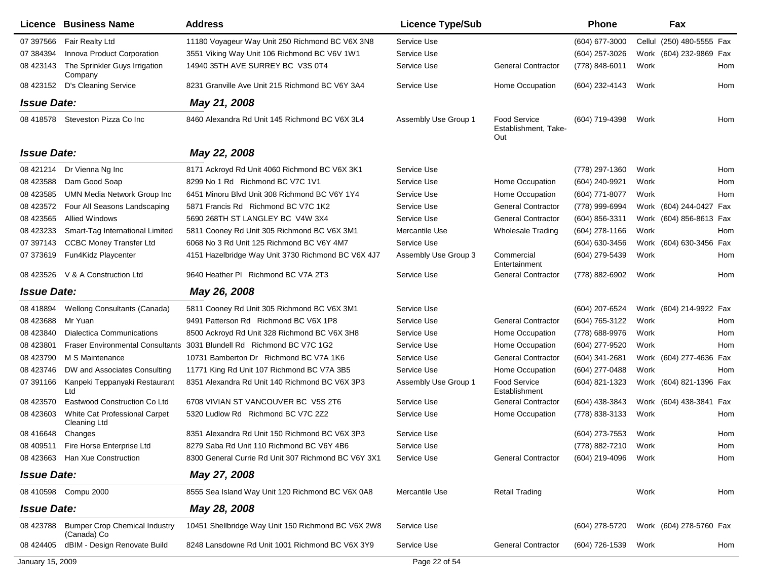|                    | Licence Business Name                               | <b>Address</b>                                      | <b>Licence Type/Sub</b> |                                                    | <b>Phone</b>        |        | Fax                     |     |
|--------------------|-----------------------------------------------------|-----------------------------------------------------|-------------------------|----------------------------------------------------|---------------------|--------|-------------------------|-----|
| 07 397566          | <b>Fair Realty Ltd</b>                              | 11180 Voyageur Way Unit 250 Richmond BC V6X 3N8     | Service Use             |                                                    | (604) 677-3000      | Cellul | (250) 480-5555 Fax      |     |
| 07 384394          | Innova Product Corporation                          | 3551 Viking Way Unit 106 Richmond BC V6V 1W1        | Service Use             |                                                    | (604) 257-3026      |        | Work (604) 232-9869 Fax |     |
| 08 423143          | The Sprinkler Guys Irrigation<br>Company            | 14940 35TH AVE SURREY BC V3S 0T4                    | Service Use             | <b>General Contractor</b>                          | (778) 848-6011      | Work   |                         | Hom |
| 08 423152          | D's Cleaning Service                                | 8231 Granville Ave Unit 215 Richmond BC V6Y 3A4     | Service Use             | Home Occupation                                    | (604) 232-4143      | Work   |                         | Hom |
| <b>Issue Date:</b> |                                                     | May 21, 2008                                        |                         |                                                    |                     |        |                         |     |
| 08 418578          | Steveston Pizza Co Inc                              | 8460 Alexandra Rd Unit 145 Richmond BC V6X 3L4      | Assembly Use Group 1    | <b>Food Service</b><br>Establishment, Take-<br>Out | (604) 719-4398      | Work   |                         | Hom |
| <b>Issue Date:</b> |                                                     | May 22, 2008                                        |                         |                                                    |                     |        |                         |     |
| 08 421214          | Dr Vienna Ng Inc                                    | 8171 Ackroyd Rd Unit 4060 Richmond BC V6X 3K1       | Service Use             |                                                    | (778) 297-1360      | Work   |                         | Hom |
| 08 423588          | Dam Good Soap                                       | 8299 No 1 Rd Richmond BC V7C 1V1                    | Service Use             | Home Occupation                                    | (604) 240-9921      | Work   |                         | Hom |
| 08 423585          | UMN Media Network Group Inc                         | 6451 Minoru Blvd Unit 308 Richmond BC V6Y 1Y4       | Service Use             | Home Occupation                                    | (604) 771-8077      | Work   |                         | Hom |
| 08 423572          | Four All Seasons Landscaping                        | 5871 Francis Rd Richmond BC V7C 1K2                 | Service Use             | <b>General Contractor</b>                          | (778) 999-6994      |        | Work (604) 244-0427 Fax |     |
| 08 423565          | <b>Allied Windows</b>                               | 5690 268TH ST LANGLEY BC V4W 3X4                    | Service Use             | <b>General Contractor</b>                          | (604) 856-3311      |        | Work (604) 856-8613 Fax |     |
| 08 423233          | Smart-Tag International Limited                     | 5811 Cooney Rd Unit 305 Richmond BC V6X 3M1         | Mercantile Use          | <b>Wholesale Trading</b>                           | (604) 278-1166      | Work   |                         | Hom |
| 07 397143          | <b>CCBC Money Transfer Ltd</b>                      | 6068 No 3 Rd Unit 125 Richmond BC V6Y 4M7           | Service Use             |                                                    | (604) 630-3456      | Work   | (604) 630-3456 Fax      |     |
| 07 373619          | Fun4Kidz Playcenter                                 | 4151 Hazelbridge Way Unit 3730 Richmond BC V6X 4J7  | Assembly Use Group 3    | Commercial<br>Entertainment                        | (604) 279-5439      | Work   |                         | Hom |
| 08 423526          | V & A Construction Ltd                              | 9640 Heather PI Richmond BC V7A 2T3                 | Service Use             | <b>General Contractor</b>                          | (778) 882-6902      | Work   |                         | Hom |
| <b>Issue Date:</b> |                                                     | May 26, 2008                                        |                         |                                                    |                     |        |                         |     |
| 08 418894          | <b>Wellong Consultants (Canada)</b>                 | 5811 Cooney Rd Unit 305 Richmond BC V6X 3M1         | Service Use             |                                                    | (604) 207-6524      |        | Work (604) 214-9922 Fax |     |
| 08 423688          | Mr Yuan                                             | 9491 Patterson Rd Richmond BC V6X 1P8               | Service Use             | <b>General Contractor</b>                          | (604) 765-3122      | Work   |                         | Hom |
| 08 423840          | <b>Dialectica Communications</b>                    | 8500 Ackroyd Rd Unit 328 Richmond BC V6X 3H8        | Service Use             | Home Occupation                                    | (778) 688-9976      | Work   |                         | Hom |
| 08 423801          | <b>Fraser Environmental Consultants</b>             | 3031 Blundell Rd Richmond BC V7C 1G2                | Service Use             | Home Occupation                                    | (604) 277-9520      | Work   |                         | Hom |
| 08 423790          | M S Maintenance                                     | 10731 Bamberton Dr Richmond BC V7A 1K6              | Service Use             | <b>General Contractor</b>                          | (604) 341-2681      |        | Work (604) 277-4636 Fax |     |
| 08 423746          | DW and Associates Consulting                        | 11771 King Rd Unit 107 Richmond BC V7A 3B5          | Service Use             | Home Occupation                                    | (604) 277-0488      | Work   |                         | Hom |
| 07 391166          | Kanpeki Teppanyaki Restaurant<br>Ltd                | 8351 Alexandra Rd Unit 140 Richmond BC V6X 3P3      | Assembly Use Group 1    | <b>Food Service</b><br>Establishment               | (604) 821-1323      |        | Work (604) 821-1396 Fax |     |
| 08 423570          | Eastwood Construction Co Ltd                        | 6708 VIVIAN ST VANCOUVER BC V5S 2T6                 | Service Use             | <b>General Contractor</b>                          | (604) 438-3843      |        | Work (604) 438-3841 Fax |     |
| 08 423603          | White Cat Professional Carpet<br>Cleaning Ltd       | 5320 Ludlow Rd Richmond BC V7C 2Z2                  | Service Use             | Home Occupation                                    | (778) 838-3133      | Work   |                         | Hom |
| 08 41 6648         | Changes                                             | 8351 Alexandra Rd Unit 150 Richmond BC V6X 3P3      | Service Use             |                                                    | (604) 273-7553      | Work   |                         | Hom |
|                    | 08 409511 Fire Horse Enterprise Ltd                 | 8279 Saba Rd Unit 110 Richmond BC V6Y 4B6           | Service Use             |                                                    | (778) 882-7210 Work |        |                         | Hom |
|                    | 08 423663 Han Xue Construction                      | 8300 General Currie Rd Unit 307 Richmond BC V6Y 3X1 | Service Use             | <b>General Contractor</b>                          | (604) 219-4096 Work |        |                         | Hom |
| <b>Issue Date:</b> |                                                     | May 27, 2008                                        |                         |                                                    |                     |        |                         |     |
|                    | 08 410598 Compu 2000                                | 8555 Sea Island Way Unit 120 Richmond BC V6X 0A8    | Mercantile Use          | <b>Retail Trading</b>                              |                     | Work   |                         | Hom |
| <b>Issue Date:</b> |                                                     | May 28, 2008                                        |                         |                                                    |                     |        |                         |     |
| 08 423788          | <b>Bumper Crop Chemical Industry</b><br>(Canada) Co | 10451 Shellbridge Way Unit 150 Richmond BC V6X 2W8  | Service Use             |                                                    | (604) 278-5720      |        | Work (604) 278-5760 Fax |     |
| 08 424405          | dBIM - Design Renovate Build                        | 8248 Lansdowne Rd Unit 1001 Richmond BC V6X 3Y9     | Service Use             | <b>General Contractor</b>                          | (604) 726-1539      | Work   |                         | Hom |
| January 15, 2009   |                                                     |                                                     | Page 22 of 54           |                                                    |                     |        |                         |     |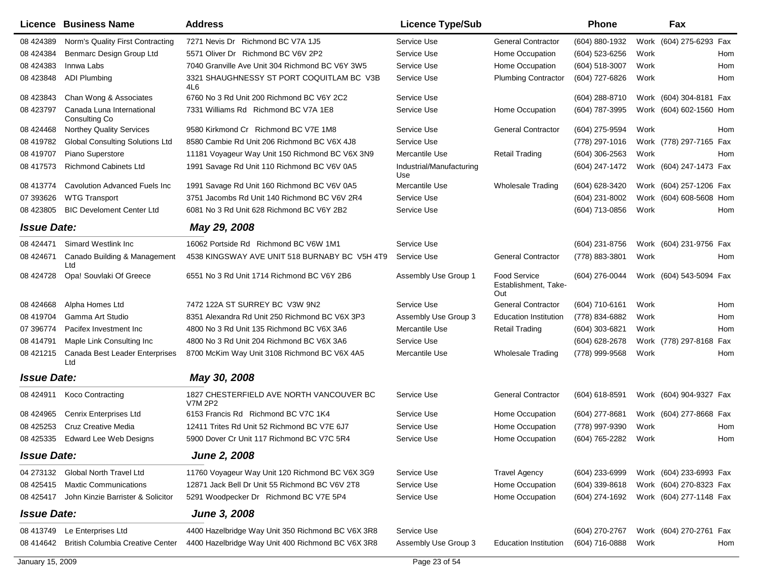|                    | Licence Business Name                      | <b>Address</b>                                             | <b>Licence Type/Sub</b>         |                                             | <b>Phone</b>     |      | Fax                     |     |
|--------------------|--------------------------------------------|------------------------------------------------------------|---------------------------------|---------------------------------------------|------------------|------|-------------------------|-----|
| 08 424389          | Norm's Quality First Contracting           | 7271 Nevis Dr Richmond BC V7A 1J5                          | Service Use                     | <b>General Contractor</b>                   | (604) 880-1932   |      | Work (604) 275-6293 Fax |     |
| 08 424384          | Benmarc Design Group Ltd                   | 5571 Oliver Dr Richmond BC V6V 2P2                         | Service Use                     | Home Occupation                             | (604) 523-6256   | Work |                         | Hom |
| 08 424383          | Innwa Labs                                 | 7040 Granville Ave Unit 304 Richmond BC V6Y 3W5            | Service Use                     | Home Occupation                             | (604) 518-3007   | Work |                         | Hom |
| 08 423848          | <b>ADI Plumbing</b>                        | 3321 SHAUGHNESSY ST PORT COQUITLAM BC V3B<br>4L6           | Service Use                     | <b>Plumbing Contractor</b>                  | (604) 727-6826   | Work |                         | Hom |
| 08 423843          | Chan Wong & Associates                     | 6760 No 3 Rd Unit 200 Richmond BC V6Y 2C2                  | Service Use                     |                                             | (604) 288-8710   |      | Work (604) 304-8181 Fax |     |
| 08 423797          | Canada Luna International<br>Consulting Co | 7331 Williams Rd Richmond BC V7A 1E8                       | Service Use                     | Home Occupation                             | (604) 787-3995   |      | Work (604) 602-1560 Hom |     |
| 08 424468          | Northey Quality Services                   | 9580 Kirkmond Cr Richmond BC V7E 1M8                       | Service Use                     | <b>General Contractor</b>                   | (604) 275-9594   | Work |                         | Hom |
| 08 419782          | <b>Global Consulting Solutions Ltd</b>     | 8580 Cambie Rd Unit 206 Richmond BC V6X 4J8                | Service Use                     |                                             | (778) 297-1016   |      | Work (778) 297-7165 Fax |     |
| 08 419707          | Piano Superstore                           | 11181 Voyageur Way Unit 150 Richmond BC V6X 3N9            | Mercantile Use                  | <b>Retail Trading</b>                       | $(604)$ 306-2563 | Work |                         | Hom |
| 08 417573          | <b>Richmond Cabinets Ltd</b>               | 1991 Savage Rd Unit 110 Richmond BC V6V 0A5                | Industrial/Manufacturing<br>Use |                                             | (604) 247-1472   |      | Work (604) 247-1473 Fax |     |
| 08 413774          | Cavolution Advanced Fuels Inc              | 1991 Savage Rd Unit 160 Richmond BC V6V 0A5                | Mercantile Use                  | <b>Wholesale Trading</b>                    | (604) 628-3420   |      | Work (604) 257-1206 Fax |     |
| 07 393626          | <b>WTG Transport</b>                       | 3751 Jacombs Rd Unit 140 Richmond BC V6V 2R4               | Service Use                     |                                             | (604) 231-8002   |      | Work (604) 608-5608 Hom |     |
| 08 423805          | <b>BIC Develoment Center Ltd</b>           | 6081 No 3 Rd Unit 628 Richmond BC V6Y 2B2                  | Service Use                     |                                             | (604) 713-0856   | Work |                         | Hom |
| <b>Issue Date:</b> |                                            | May 29, 2008                                               |                                 |                                             |                  |      |                         |     |
| 08 424471          | Simard Westlink Inc.                       | 16062 Portside Rd Richmond BC V6W 1M1                      | Service Use                     |                                             | (604) 231-8756   |      | Work (604) 231-9756 Fax |     |
| 08 424671          | Canado Building & Management<br>Ltd        | 4538 KINGSWAY AVE UNIT 518 BURNABY BC V5H 4T9              | Service Use                     | <b>General Contractor</b>                   | (778) 883-3801   | Work |                         | Hom |
| 08 424728          | Opa! Souvlaki Of Greece                    | 6551 No 3 Rd Unit 1714 Richmond BC V6Y 2B6                 | Assembly Use Group 1            | Food Service<br>Establishment, Take-<br>Out | (604) 276-0044   |      | Work (604) 543-5094 Fax |     |
| 08 424668          | Alpha Homes Ltd                            | 7472 122A ST SURREY BC V3W 9N2                             | Service Use                     | <b>General Contractor</b>                   | (604) 710-6161   | Work |                         | Hom |
| 08 419704          | Gamma Art Studio                           | 8351 Alexandra Rd Unit 250 Richmond BC V6X 3P3             | Assembly Use Group 3            | <b>Education Institution</b>                | (778) 834-6882   | Work |                         | Hom |
| 07 39 6774         | Pacifex Investment Inc                     | 4800 No 3 Rd Unit 135 Richmond BC V6X 3A6                  | Mercantile Use                  | <b>Retail Trading</b>                       | (604) 303-6821   | Work |                         | Hom |
| 08 414791          | Maple Link Consulting Inc                  | 4800 No 3 Rd Unit 204 Richmond BC V6X 3A6                  | Service Use                     |                                             | (604) 628-2678   |      | Work (778) 297-8168     | Fax |
| 08 421215          | Canada Best Leader Enterprises<br>Ltd      | 8700 McKim Way Unit 3108 Richmond BC V6X 4A5               | Mercantile Use                  | Wholesale Trading                           | (778) 999-9568   | Work |                         | Hom |
| <b>Issue Date:</b> |                                            | May 30, 2008                                               |                                 |                                             |                  |      |                         |     |
| 08 424911          | <b>Koco Contracting</b>                    | 1827 CHESTERFIELD AVE NORTH VANCOUVER BC<br><b>V7M 2P2</b> | Service Use                     | <b>General Contractor</b>                   | (604) 618-8591   |      | Work (604) 904-9327 Fax |     |
| 08 424965          | Cenrix Enterprises Ltd                     | 6153 Francis Rd Richmond BC V7C 1K4                        | Service Use                     | Home Occupation                             | (604) 277-8681   |      | Work (604) 277-8668 Fax |     |
| 08 425253          | Cruz Creative Media                        | 12411 Trites Rd Unit 52 Richmond BC V7E 6J7                | Service Use                     | Home Occupation                             | (778) 997-9390   | Work |                         | Hom |
| 08 425335          | <b>Edward Lee Web Designs</b>              | 5900 Dover Cr Unit 117 Richmond BC V7C 5R4                 | Service Use                     | Home Occupation                             | (604) 765-2282   | Work |                         | Hom |
| <b>Issue Date:</b> |                                            | <b>June 2, 2008</b>                                        |                                 |                                             |                  |      |                         |     |
|                    | 04 273132 Global North Travel Ltd          | 11760 Voyageur Way Unit 120 Richmond BC V6X 3G9            | Service Use                     | <b>Travel Agency</b>                        | (604) 233-6999   |      | Work (604) 233-6993 Fax |     |
| 08 425415          | <b>Maxtic Communications</b>               | 12871 Jack Bell Dr Unit 55 Richmond BC V6V 2T8             | Service Use                     | Home Occupation                             | (604) 339-8618   |      | Work (604) 270-8323 Fax |     |
| 08 425417          | John Kinzie Barrister & Solicitor          | 5291 Woodpecker Dr Richmond BC V7E 5P4                     | Service Use                     | Home Occupation                             | (604) 274-1692   |      | Work (604) 277-1148 Fax |     |
| <b>Issue Date:</b> |                                            | June 3, 2008                                               |                                 |                                             |                  |      |                         |     |
| 08 413749          | Le Enterprises Ltd                         | 4400 Hazelbridge Way Unit 350 Richmond BC V6X 3R8          | Service Use                     |                                             | (604) 270-2767   |      | Work (604) 270-2761 Fax |     |
| 08 414642          | <b>British Columbia Creative Center</b>    | 4400 Hazelbridge Way Unit 400 Richmond BC V6X 3R8          | Assembly Use Group 3            | <b>Education Institution</b>                | (604) 716-0888   | Work |                         | Hom |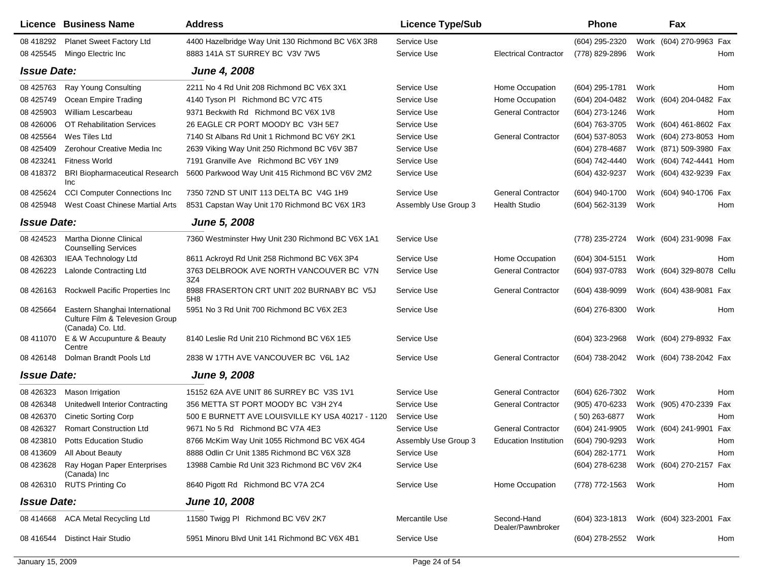|                    | Licence Business Name                                                                  | <b>Address</b>                                    | <b>Licence Type/Sub</b> |                                  | <b>Phone</b>    |      | Fax                       |     |
|--------------------|----------------------------------------------------------------------------------------|---------------------------------------------------|-------------------------|----------------------------------|-----------------|------|---------------------------|-----|
| 08 418292          | Planet Sweet Factory Ltd                                                               | 4400 Hazelbridge Way Unit 130 Richmond BC V6X 3R8 | Service Use             |                                  | (604) 295-2320  |      | Work (604) 270-9963 Fax   |     |
| 08 425545          | Mingo Electric Inc                                                                     | 8883 141A ST SURREY BC V3V 7W5                    | Service Use             | <b>Electrical Contractor</b>     | (778) 829-2896  | Work |                           | Hom |
| <b>Issue Date:</b> |                                                                                        | June 4, 2008                                      |                         |                                  |                 |      |                           |     |
| 08 425763          | Ray Young Consulting                                                                   | 2211 No 4 Rd Unit 208 Richmond BC V6X 3X1         | Service Use             | Home Occupation                  | (604) 295-1781  | Work |                           | Hom |
| 08 425749          | Ocean Empire Trading                                                                   | 4140 Tyson PI Richmond BC V7C 4T5                 | Service Use             | Home Occupation                  | (604) 204-0482  |      | Work (604) 204-0482 Fax   |     |
| 08 425903          | William Lescarbeau                                                                     | 9371 Beckwith Rd Richmond BC V6X 1V8              | Service Use             | <b>General Contractor</b>        | (604) 273-1246  | Work |                           | Hom |
| 08 426006          | <b>OT Rehabilitation Services</b>                                                      | 26 EAGLE CR PORT MOODY BC V3H 5E7                 | Service Use             |                                  | (604) 763-3705  |      | Work (604) 461-8602 Fax   |     |
| 08 425564          | Wes Tiles Ltd                                                                          | 7140 St Albans Rd Unit 1 Richmond BC V6Y 2K1      | Service Use             | <b>General Contractor</b>        | (604) 537-8053  |      | Work (604) 273-8053 Hom   |     |
| 08 425409          | Zerohour Creative Media Inc                                                            | 2639 Viking Way Unit 250 Richmond BC V6V 3B7      | Service Use             |                                  | (604) 278-4687  |      | Work (871) 509-3980 Fax   |     |
| 08 423241          | <b>Fitness World</b>                                                                   | 7191 Granville Ave Richmond BC V6Y 1N9            | Service Use             |                                  | (604) 742-4440  |      | Work (604) 742-4441 Hom   |     |
| 08 418372          | <b>BRI Biopharmaceutical Research</b><br>Inc                                           | 5600 Parkwood Way Unit 415 Richmond BC V6V 2M2    | Service Use             |                                  | (604) 432-9237  |      | Work (604) 432-9239 Fax   |     |
| 08 425624          | <b>CCI Computer Connections Inc</b>                                                    | 7350 72ND ST UNIT 113 DELTA BC V4G 1H9            | Service Use             | <b>General Contractor</b>        | (604) 940-1700  |      | Work (604) 940-1706 Fax   |     |
| 08 425948          | West Coast Chinese Martial Arts                                                        | 8531 Capstan Way Unit 170 Richmond BC V6X 1R3     | Assembly Use Group 3    | <b>Health Studio</b>             | (604) 562-3139  | Work |                           | Hom |
| <b>Issue Date:</b> |                                                                                        | <b>June 5, 2008</b>                               |                         |                                  |                 |      |                           |     |
| 08 424523          | Martha Dionne Clinical<br><b>Counselling Services</b>                                  | 7360 Westminster Hwy Unit 230 Richmond BC V6X 1A1 | Service Use             |                                  | (778) 235-2724  |      | Work (604) 231-9098 Fax   |     |
| 08 426303          | <b>IEAA Technology Ltd</b>                                                             | 8611 Ackroyd Rd Unit 258 Richmond BC V6X 3P4      | Service Use             | Home Occupation                  | (604) 304-5151  | Work |                           | Hom |
| 08 426223          | Lalonde Contracting Ltd                                                                | 3763 DELBROOK AVE NORTH VANCOUVER BC V7N<br>3Z4   | Service Use             | <b>General Contractor</b>        | (604) 937-0783  |      | Work (604) 329-8078 Cellu |     |
| 08 426163          | Rockwell Pacific Properties Inc                                                        | 8988 FRASERTON CRT UNIT 202 BURNABY BC V5J<br>5H8 | Service Use             | <b>General Contractor</b>        | (604) 438-9099  |      | Work (604) 438-9081 Fax   |     |
| 08 425664          | Eastern Shanghai International<br>Culture Film & Televesion Group<br>(Canada) Co. Ltd. | 5951 No 3 Rd Unit 700 Richmond BC V6X 2E3         | Service Use             |                                  | (604) 276-8300  | Work |                           | Hom |
| 08 411070          | E & W Accupunture & Beauty<br>Centre                                                   | 8140 Leslie Rd Unit 210 Richmond BC V6X 1E5       | Service Use             |                                  | (604) 323-2968  |      | Work (604) 279-8932 Fax   |     |
| 08 426148          | Dolman Brandt Pools Ltd                                                                | 2838 W 17TH AVE VANCOUVER BC V6L 1A2              | Service Use             | <b>General Contractor</b>        | (604) 738-2042  |      | Work (604) 738-2042 Fax   |     |
| <b>Issue Date:</b> |                                                                                        | <b>June 9, 2008</b>                               |                         |                                  |                 |      |                           |     |
| 08 426323          | Mason Irrigation                                                                       | 15152 62A AVE UNIT 86 SURREY BC V3S 1V1           | Service Use             | <b>General Contractor</b>        | (604) 626-7302  | Work |                           | Hom |
| 08 426348          | Unitedwell Interior Contracting                                                        | 356 METTA ST PORT MOODY BC V3H 2Y4                | Service Use             | <b>General Contractor</b>        | (905) 470-6233  |      | Work (905) 470-2339 Fax   |     |
| 08 426370          | <b>Cinetic Sorting Corp</b>                                                            | 500 E BURNETT AVE LOUISVILLE KY USA 40217 - 1120  | Service Use             |                                  | $(50)$ 263-6877 | Work |                           | Hom |
| 08 426327          | <b>Romart Construction Ltd</b>                                                         | 9671 No 5 Rd Richmond BC V7A 4E3                  | Service Use             | <b>General Contractor</b>        | (604) 241-9905  |      | Work (604) 241-9901 Fax   |     |
| 08 423810          | <b>Potts Education Studio</b>                                                          | 8766 McKim Way Unit 1055 Richmond BC V6X 4G4      | Assembly Use Group 3    | <b>Education Institution</b>     | (604) 790-9293  | Work |                           | Hom |
| 08 413609          | All About Beauty                                                                       | 8888 Odlin Cr Unit 1385 Richmond BC V6X 3Z8       | Service Use             |                                  | (604) 282-1771  | Work |                           | Hom |
| 08 423628          | Ray Hogan Paper Enterprises<br>(Canada) Inc                                            | 13988 Cambie Rd Unit 323 Richmond BC V6V 2K4      | Service Use             |                                  | (604) 278-6238  |      | Work (604) 270-2157 Fax   |     |
| 08 426310          | <b>RUTS Printing Co</b>                                                                | 8640 Pigott Rd Richmond BC V7A 2C4                | Service Use             | Home Occupation                  | (778) 772-1563  | Work |                           | Hom |
| <b>Issue Date:</b> |                                                                                        | <b>June 10, 2008</b>                              |                         |                                  |                 |      |                           |     |
| 08 414 668         | ACA Metal Recycling Ltd                                                                | 11580 Twigg PI Richmond BC V6V 2K7                | Mercantile Use          | Second-Hand<br>Dealer/Pawnbroker | (604) 323-1813  |      | Work (604) 323-2001 Fax   |     |
| 08 41 6544         | <b>Distinct Hair Studio</b>                                                            | 5951 Minoru Blvd Unit 141 Richmond BC V6X 4B1     | Service Use             |                                  | (604) 278-2552  | Work |                           | Hom |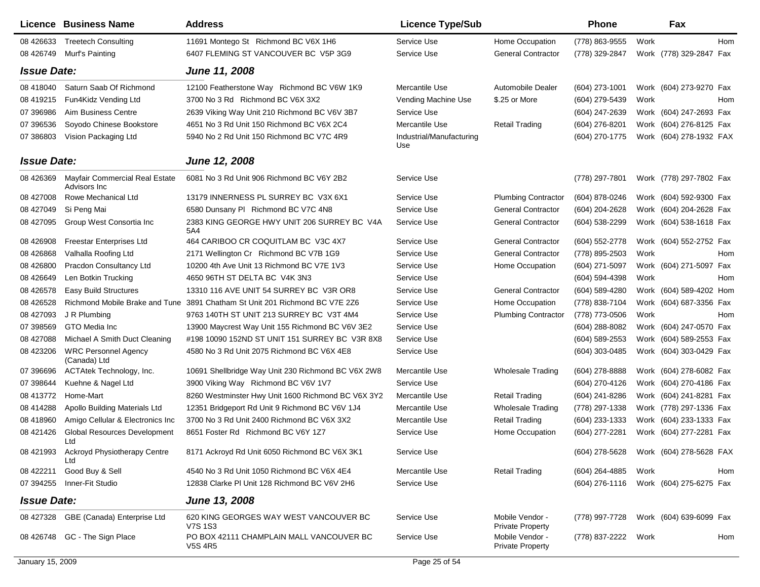|                    | Licence Business Name                          | <b>Address</b>                                                              | <b>Licence Type/Sub</b>         |                                            | <b>Phone</b>     |      | Fax                     |     |
|--------------------|------------------------------------------------|-----------------------------------------------------------------------------|---------------------------------|--------------------------------------------|------------------|------|-------------------------|-----|
| 08 426633          | <b>Treetech Consulting</b>                     | 11691 Montego St Richmond BC V6X 1H6                                        | Service Use                     | Home Occupation                            | (778) 863-9555   | Work |                         | Hom |
| 08 426749          | Murf's Painting                                | 6407 FLEMING ST VANCOUVER BC V5P 3G9                                        | Service Use                     | <b>General Contractor</b>                  | (778) 329-2847   |      | Work (778) 329-2847 Fax |     |
| <b>Issue Date:</b> |                                                | June 11, 2008                                                               |                                 |                                            |                  |      |                         |     |
| 08 418040          | Saturn Saab Of Richmond                        | 12100 Featherstone Way Richmond BC V6W 1K9                                  | Mercantile Use                  | Automobile Dealer                          | (604) 273-1001   |      | Work (604) 273-9270 Fax |     |
| 08 419215          | Fun4Kidz Vending Ltd                           | 3700 No 3 Rd Richmond BC V6X 3X2                                            | Vending Machine Use             | \$.25 or More                              | (604) 279-5439   | Work |                         | Hom |
| 07 39 6986         | Aim Business Centre                            | 2639 Viking Way Unit 210 Richmond BC V6V 3B7                                | Service Use                     |                                            | (604) 247-2639   |      | Work (604) 247-2693 Fax |     |
| 07 39 6536         | Soyodo Chinese Bookstore                       | 4651 No 3 Rd Unit 150 Richmond BC V6X 2C4                                   | Mercantile Use                  | <b>Retail Trading</b>                      | (604) 276-8201   |      | Work (604) 276-8125 Fax |     |
| 07 386803          | Vision Packaging Ltd                           | 5940 No 2 Rd Unit 150 Richmond BC V7C 4R9                                   | Industrial/Manufacturing<br>Use |                                            | (604) 270-1775   |      | Work (604) 278-1932 FAX |     |
| <b>Issue Date:</b> |                                                | June 12, 2008                                                               |                                 |                                            |                  |      |                         |     |
| 08 426369          | Mayfair Commercial Real Estate<br>Advisors Inc | 6081 No 3 Rd Unit 906 Richmond BC V6Y 2B2                                   | Service Use                     |                                            | (778) 297-7801   |      | Work (778) 297-7802 Fax |     |
| 08 427008          | Rowe Mechanical Ltd                            | 13179 INNERNESS PL SURREY BC V3X 6X1                                        | Service Use                     | <b>Plumbing Contractor</b>                 | (604) 878-0246   |      | Work (604) 592-9300 Fax |     |
| 08 427049          | Si Peng Mai                                    | 6580 Dunsany PI Richmond BC V7C 4N8                                         | Service Use                     | <b>General Contractor</b>                  | (604) 204-2628   |      | Work (604) 204-2628 Fax |     |
| 08 427095          | Group West Consortia Inc                       | 2383 KING GEORGE HWY UNIT 206 SURREY BC V4A<br>5A4                          | Service Use                     | <b>General Contractor</b>                  | (604) 538-2299   |      | Work (604) 538-1618 Fax |     |
| 08 426908          | <b>Freestar Enterprises Ltd</b>                | 464 CARIBOO CR COQUITLAM BC V3C 4X7                                         | Service Use                     | <b>General Contractor</b>                  | (604) 552-2778   |      | Work (604) 552-2752 Fax |     |
| 08 42 6868         | Valhalla Roofing Ltd                           | 2171 Wellington Cr Richmond BC V7B 1G9                                      | Service Use                     | <b>General Contractor</b>                  | (778) 895-2503   | Work |                         | Hom |
| 08 426800          | Pracdon Consultancy Ltd                        | 10200 4th Ave Unit 13 Richmond BC V7E 1V3                                   | Service Use                     | Home Occupation                            | (604) 271-5097   |      | Work (604) 271-5097 Fax |     |
| 08 42 6649         | Len Botkin Trucking                            | 4650 96TH ST DELTA BC V4K 3N3                                               | Service Use                     |                                            | (604) 594-4398   | Work |                         | Hom |
| 08 42 6578         | <b>Easy Build Structures</b>                   | 13310 116 AVE UNIT 54 SURREY BC V3R OR8                                     | Service Use                     | <b>General Contractor</b>                  | (604) 589-4280   |      | Work (604) 589-4202 Hom |     |
| 08 426528          |                                                | Richmond Mobile Brake and Tune 3891 Chatham St Unit 201 Richmond BC V7E 2Z6 | Service Use                     | Home Occupation                            | (778) 838-7104   |      | Work (604) 687-3356 Fax |     |
| 08 427093          | J R Plumbing                                   | 9763 140TH ST UNIT 213 SURREY BC V3T 4M4                                    | Service Use                     | <b>Plumbing Contractor</b>                 | (778) 773-0506   | Work |                         | Hom |
| 07 398569          | GTO Media Inc                                  | 13900 Maycrest Way Unit 155 Richmond BC V6V 3E2                             | Service Use                     |                                            | $(604)$ 288-8082 |      | Work (604) 247-0570 Fax |     |
| 08 427088          | Michael A Smith Duct Cleaning                  | #198 10090 152ND ST UNIT 151 SURREY BC V3R 8X8                              | Service Use                     |                                            | (604) 589-2553   |      | Work (604) 589-2553 Fax |     |
| 08 423206          | <b>WRC Personnel Agency</b><br>(Canada) Ltd    | 4580 No 3 Rd Unit 2075 Richmond BC V6X 4E8                                  | Service Use                     |                                            | (604) 303-0485   |      | Work (604) 303-0429 Fax |     |
| 07 396696          | ACTAtek Technology, Inc.                       | 10691 Shellbridge Way Unit 230 Richmond BC V6X 2W8                          | Mercantile Use                  | <b>Wholesale Trading</b>                   | (604) 278-8888   |      | Work (604) 278-6082 Fax |     |
| 07 398644          | Kuehne & Nagel Ltd                             | 3900 Viking Way Richmond BC V6V 1V7                                         | Service Use                     |                                            | (604) 270-4126   |      | Work (604) 270-4186 Fax |     |
| 08 413772          | Home-Mart                                      | 8260 Westminster Hwy Unit 1600 Richmond BC V6X 3Y2                          | Mercantile Use                  | <b>Retail Trading</b>                      | (604) 241-8286   |      | Work (604) 241-8281 Fax |     |
| 08 414288          | Apollo Building Materials Ltd                  | 12351 Bridgeport Rd Unit 9 Richmond BC V6V 1J4                              | Mercantile Use                  | <b>Wholesale Trading</b>                   | (778) 297-1338   |      | Work (778) 297-1336 Fax |     |
| 08 418960          | Amigo Cellular & Electronics Inc               | 3700 No 3 Rd Unit 2400 Richmond BC V6X 3X2                                  | Mercantile Use                  | <b>Retail Trading</b>                      | (604) 233-1333   |      | Work (604) 233-1333 Fax |     |
| 08 421426          | <b>Global Resources Development</b><br>Ltd     | 8651 Foster Rd Richmond BC V6Y 127                                          | Service Use                     | Home Occupation                            | (604) 277-2281   |      | Work (604) 277-2281 Fax |     |
| 08 421993          | <b>Ackroyd Physiotherapy Centre</b><br>Ltd     | 8171 Ackroyd Rd Unit 6050 Richmond BC V6X 3K1                               | Service Use                     |                                            | (604) 278-5628   |      | Work (604) 278-5628 FAX |     |
| 08 422211          | Good Buy & Sell                                | 4540 No 3 Rd Unit 1050 Richmond BC V6X 4E4                                  | Mercantile Use                  | <b>Retail Trading</b>                      | (604) 264-4885   | Work |                         | Hom |
| 07 394255          | Inner-Fit Studio                               | 12838 Clarke PI Unit 128 Richmond BC V6V 2H6                                | Service Use                     |                                            | (604) 276-1116   |      | Work (604) 275-6275 Fax |     |
| <b>Issue Date:</b> |                                                | June 13, 2008                                                               |                                 |                                            |                  |      |                         |     |
| 08 427328          | GBE (Canada) Enterprise Ltd                    | 620 KING GEORGES WAY WEST VANCOUVER BC<br>V7S 1S3                           | Service Use                     | Mobile Vendor -<br><b>Private Property</b> | (778) 997-7728   |      | Work (604) 639-6099 Fax |     |
| 08 426748          | GC - The Sign Place                            | PO BOX 42111 CHAMPLAIN MALL VANCOUVER BC<br><b>V5S 4R5</b>                  | Service Use                     | Mobile Vendor -<br><b>Private Property</b> | (778) 837-2222   | Work |                         | Hom |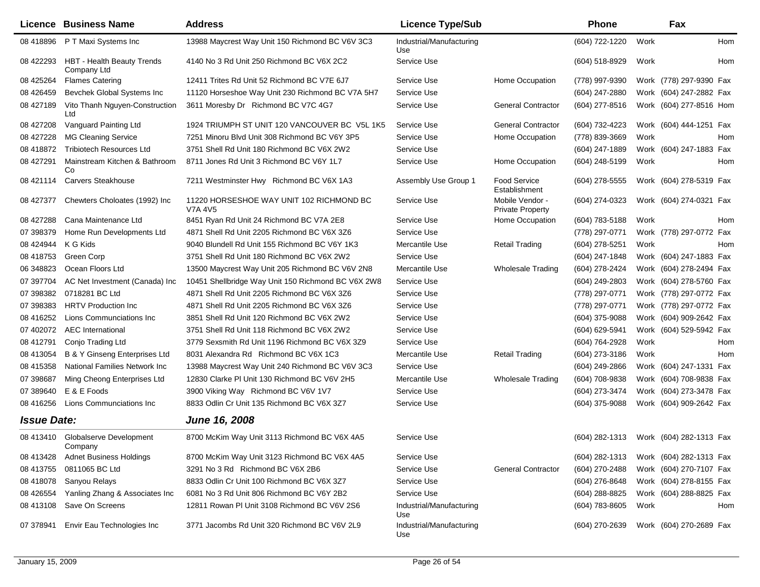|                    | Licence Business Name                        | <b>Address</b>                                             | <b>Licence Type/Sub</b>         |                                            | <b>Phone</b>   |      | Fax                     |
|--------------------|----------------------------------------------|------------------------------------------------------------|---------------------------------|--------------------------------------------|----------------|------|-------------------------|
| 08 418896          | P T Maxi Systems Inc                         | 13988 Maycrest Way Unit 150 Richmond BC V6V 3C3            | Industrial/Manufacturing<br>Use |                                            | (604) 722-1220 | Work | Hom                     |
| 08 422293          | HBT - Health Beauty Trends<br>Company Ltd    | 4140 No 3 Rd Unit 250 Richmond BC V6X 2C2                  | Service Use                     |                                            | (604) 518-8929 | Work | Hom                     |
| 08 425264          | <b>Flames Catering</b>                       | 12411 Trites Rd Unit 52 Richmond BC V7E 6J7                | Service Use                     | Home Occupation                            | (778) 997-9390 |      | Work (778) 297-9390 Fax |
| 08 42 6459         | Bevchek Global Systems Inc                   | 11120 Horseshoe Way Unit 230 Richmond BC V7A 5H7           | Service Use                     |                                            | (604) 247-2880 |      | Work (604) 247-2882 Fax |
| 08 427189          | Vito Thanh Nguyen-Construction<br>Ltd        | 3611 Moresby Dr Richmond BC V7C 4G7                        | Service Use                     | <b>General Contractor</b>                  | (604) 277-8516 |      | Work (604) 277-8516 Hom |
| 08 427208          | Vanguard Painting Ltd                        | 1924 TRIUMPH ST UNIT 120 VANCOUVER BC V5L 1K5              | Service Use                     | <b>General Contractor</b>                  | (604) 732-4223 |      | Work (604) 444-1251 Fax |
| 08 427228          | <b>MG Cleaning Service</b>                   | 7251 Minoru Blvd Unit 308 Richmond BC V6Y 3P5              | Service Use                     | Home Occupation                            | (778) 839-3669 | Work | Hom                     |
| 08 418872          | <b>Tribiotech Resources Ltd</b>              | 3751 Shell Rd Unit 180 Richmond BC V6X 2W2                 | Service Use                     |                                            | (604) 247-1889 |      | Work (604) 247-1883 Fax |
| 08 427291          | Mainstream Kitchen & Bathroom<br>Co          | 8711 Jones Rd Unit 3 Richmond BC V6Y 1L7                   | Service Use                     | Home Occupation                            | (604) 248-5199 | Work | Hom                     |
| 08 421114          | <b>Carvers Steakhouse</b>                    | 7211 Westminster Hwy Richmond BC V6X 1A3                   | Assembly Use Group 1            | <b>Food Service</b><br>Establishment       | (604) 278-5555 |      | Work (604) 278-5319 Fax |
| 08 427377          | Chewters Choloates (1992) Inc.               | 11220 HORSESHOE WAY UNIT 102 RICHMOND BC<br><b>V7A 4V5</b> | Service Use                     | Mobile Vendor -<br><b>Private Property</b> | (604) 274-0323 |      | Work (604) 274-0321 Fax |
| 08 427288          | Cana Maintenance Ltd                         | 8451 Ryan Rd Unit 24 Richmond BC V7A 2E8                   | Service Use                     | Home Occupation                            | (604) 783-5188 | Work | Hom                     |
| 07 398379          | Home Run Developments Ltd                    | 4871 Shell Rd Unit 2205 Richmond BC V6X 3Z6                | Service Use                     |                                            | (778) 297-0771 |      | Work (778) 297-0772 Fax |
| 08 424944          | K G Kids                                     | 9040 Blundell Rd Unit 155 Richmond BC V6Y 1K3              | Mercantile Use                  | <b>Retail Trading</b>                      | (604) 278-5251 | Work | Hom                     |
| 08 418753          | Green Corp                                   | 3751 Shell Rd Unit 180 Richmond BC V6X 2W2                 | Service Use                     |                                            | (604) 247-1848 |      | Work (604) 247-1883 Fax |
| 06 348823          | Ocean Floors Ltd                             | 13500 Maycrest Way Unit 205 Richmond BC V6V 2N8            | Mercantile Use                  | <b>Wholesale Trading</b>                   | (604) 278-2424 |      | Work (604) 278-2494 Fax |
| 07 397704          | AC Net Investment (Canada) Inc               | 10451 Shellbridge Way Unit 150 Richmond BC V6X 2W8         | Service Use                     |                                            | (604) 249-2803 |      | Work (604) 278-5760 Fax |
| 07 398382          | 0718281 BC Ltd                               | 4871 Shell Rd Unit 2205 Richmond BC V6X 3Z6                | Service Use                     |                                            | (778) 297-0771 |      | Work (778) 297-0772 Fax |
| 07 398383          | <b>HRTV Production Inc.</b>                  | 4871 Shell Rd Unit 2205 Richmond BC V6X 3Z6                | Service Use                     |                                            | (778) 297-0771 |      | Work (778) 297-0772 Fax |
| 08 416252          | Lions Communciations Inc                     | 3851 Shell Rd Unit 120 Richmond BC V6X 2W2                 | Service Use                     |                                            | (604) 375-9088 |      | Work (604) 909-2642 Fax |
| 07 402072          | <b>AEC</b> International                     | 3751 Shell Rd Unit 118 Richmond BC V6X 2W2                 | Service Use                     |                                            | (604) 629-5941 |      | Work (604) 529-5942 Fax |
| 08 412791          | Conjo Trading Ltd                            | 3779 Sexsmith Rd Unit 1196 Richmond BC V6X 3Z9             | Service Use                     |                                            | (604) 764-2928 | Work | Hom                     |
| 08 413054          | <b>B &amp; Y Ginseng Enterprises Ltd</b>     | 8031 Alexandra Rd Richmond BC V6X 1C3                      | Mercantile Use                  | <b>Retail Trading</b>                      | (604) 273-3186 | Work | Hom                     |
| 08 415358          | National Families Network Inc                | 13988 Maycrest Way Unit 240 Richmond BC V6V 3C3            | Service Use                     |                                            | (604) 249-2866 |      | Work (604) 247-1331 Fax |
| 07 398687          | Ming Cheong Enterprises Ltd                  | 12830 Clarke PI Unit 130 Richmond BC V6V 2H5               | Mercantile Use                  | <b>Wholesale Trading</b>                   | (604) 708-9838 |      | Work (604) 708-9838 Fax |
| 07 389640          | E & E Foods                                  | 3900 Viking Way Richmond BC V6V 1V7                        | Service Use                     |                                            | (604) 273-3474 |      | Work (604) 273-3478 Fax |
| 08 416256          | Lions Communciations Inc                     | 8833 Odlin Cr Unit 135 Richmond BC V6X 3Z7                 | Service Use                     |                                            | (604) 375-9088 |      | Work (604) 909-2642 Fax |
| <b>Issue Date:</b> |                                              | <b>June 16, 2008</b>                                       |                                 |                                            |                |      |                         |
|                    | 08 413410 Globalserve Development<br>Company | 8700 McKim Way Unit 3113 Richmond BC V6X 4A5               | Service Use                     |                                            | (604) 282-1313 |      | Work (604) 282-1313 Fax |
| 08 413428          | <b>Adnet Business Holdings</b>               | 8700 McKim Way Unit 3123 Richmond BC V6X 4A5               | Service Use                     |                                            | (604) 282-1313 |      | Work (604) 282-1313 Fax |
| 08 413755          | 0811065 BC Ltd                               | 3291 No 3 Rd Richmond BC V6X 2B6                           | Service Use                     | <b>General Contractor</b>                  | (604) 270-2488 |      | Work (604) 270-7107 Fax |
| 08 418078          | Sanyou Relays                                | 8833 Odlin Cr Unit 100 Richmond BC V6X 3Z7                 | Service Use                     |                                            | (604) 276-8648 |      | Work (604) 278-8155 Fax |
| 08 42 6554         | Yanling Zhang & Associates Inc               | 6081 No 3 Rd Unit 806 Richmond BC V6Y 2B2                  | Service Use                     |                                            | (604) 288-8825 |      | Work (604) 288-8825 Fax |
| 08 413108          | Save On Screens                              | 12811 Rowan PI Unit 3108 Richmond BC V6V 2S6               | Industrial/Manufacturing<br>Use |                                            | (604) 783-8605 | Work | Hom                     |
| 07 378941          | Envir Eau Technologies Inc                   | 3771 Jacombs Rd Unit 320 Richmond BC V6V 2L9               | Industrial/Manufacturing<br>Use |                                            | (604) 270-2639 |      | Work (604) 270-2689 Fax |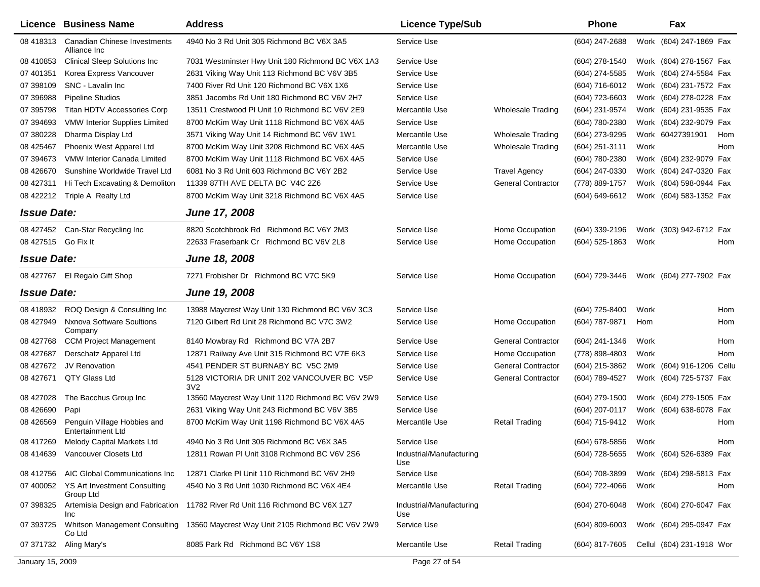|                     | Licence Business Name                                   | <b>Address</b>                                                                 | <b>Licence Type/Sub</b>         |                           | <b>Phone</b>       |      | Fax                       |     |
|---------------------|---------------------------------------------------------|--------------------------------------------------------------------------------|---------------------------------|---------------------------|--------------------|------|---------------------------|-----|
| 08 418313           | Canadian Chinese Investments<br>Alliance Inc            | 4940 No 3 Rd Unit 305 Richmond BC V6X 3A5                                      | Service Use                     |                           | $(604)$ 247-2688   |      | Work (604) 247-1869 Fax   |     |
| 08 410 853          | <b>Clinical Sleep Solutions Inc</b>                     | 7031 Westminster Hwy Unit 180 Richmond BC V6X 1A3                              | Service Use                     |                           | (604) 278-1540     |      | Work (604) 278-1567 Fax   |     |
| 07 401351           | Korea Express Vancouver                                 | 2631 Viking Way Unit 113 Richmond BC V6V 3B5                                   | Service Use                     |                           | $(604)$ 274-5585   |      | Work (604) 274-5584 Fax   |     |
| 07 398109           | SNC - Lavalin Inc                                       | 7400 River Rd Unit 120 Richmond BC V6X 1X6                                     | Service Use                     |                           | $(604)$ 716-6012   |      | Work (604) 231-7572 Fax   |     |
| 07 39 6988          | <b>Pipeline Studios</b>                                 | 3851 Jacombs Rd Unit 180 Richmond BC V6V 2H7                                   | Service Use                     |                           | (604) 723-6603     |      | Work (604) 278-0228 Fax   |     |
| 07 395798           | Titan HDTV Accessories Corp                             | 13511 Crestwood PI Unit 10 Richmond BC V6V 2E9                                 | Mercantile Use                  | <b>Wholesale Trading</b>  | (604) 231-9574     |      | Work (604) 231-9535 Fax   |     |
| 07 394693           | VMW Interior Supplies Limited                           | 8700 McKim Way Unit 1118 Richmond BC V6X 4A5                                   | Service Use                     |                           | (604) 780-2380     |      | Work (604) 232-9079 Fax   |     |
| 07 380228           | Dharma Display Ltd                                      | 3571 Viking Way Unit 14 Richmond BC V6V 1W1                                    | Mercantile Use                  | Wholesale Trading         | (604) 273-9295     |      | Work 60427391901          | Hom |
| 08 425467           | Phoenix West Apparel Ltd                                | 8700 McKim Way Unit 3208 Richmond BC V6X 4A5                                   | Mercantile Use                  | Wholesale Trading         | $(604)$ 251-3111   | Work |                           | Hom |
| 07 394673           | VMW Interior Canada Limited                             | 8700 McKim Way Unit 1118 Richmond BC V6X 4A5                                   | Service Use                     |                           | (604) 780-2380     |      | Work (604) 232-9079 Fax   |     |
| 08 426670           | Sunshine Worldwide Travel Ltd                           | 6081 No 3 Rd Unit 603 Richmond BC V6Y 2B2                                      | Service Use                     | <b>Travel Agency</b>      | (604) 247-0330     |      | Work (604) 247-0320 Fax   |     |
| 08 427311           | Hi Tech Excavating & Demoliton                          | 11339 87TH AVE DELTA BC V4C 2Z6                                                | Service Use                     | <b>General Contractor</b> | (778) 889-1757     |      | Work (604) 598-0944 Fax   |     |
| 08 422212           | Triple A Realty Ltd                                     | 8700 McKim Way Unit 3218 Richmond BC V6X 4A5                                   | Service Use                     |                           | (604) 649-6612     |      | Work (604) 583-1352 Fax   |     |
| <b>Issue Date:</b>  |                                                         | <b>June 17, 2008</b>                                                           |                                 |                           |                    |      |                           |     |
|                     | 08 427452 Can-Star Recycling Inc                        | 8820 Scotchbrook Rd Richmond BC V6Y 2M3                                        | Service Use                     | Home Occupation           | (604) 339-2196     |      | Work (303) 942-6712 Fax   |     |
| 08 427515 Go Fix It |                                                         | 22633 Fraserbank Cr Richmond BC V6V 2L8                                        | Service Use                     | Home Occupation           | $(604)$ 525-1863   | Work |                           | Hom |
| <b>Issue Date:</b>  |                                                         | June 18, 2008                                                                  |                                 |                           |                    |      |                           |     |
|                     | 08 427767 El Regalo Gift Shop                           | 7271 Frobisher Dr Richmond BC V7C 5K9                                          | Service Use                     | Home Occupation           | (604) 729-3446     |      | Work (604) 277-7902 Fax   |     |
| <b>Issue Date:</b>  |                                                         | <b>June 19, 2008</b>                                                           |                                 |                           |                    |      |                           |     |
| 08 418932           | ROQ Design & Consulting Inc                             | 13988 Maycrest Way Unit 130 Richmond BC V6V 3C3                                | Service Use                     |                           | (604) 725-8400     | Work |                           | Hom |
| 08 427949           | <b>Nxnova Software Soultions</b><br>Company             | 7120 Gilbert Rd Unit 28 Richmond BC V7C 3W2                                    | Service Use                     | Home Occupation           | (604) 787-9871     | Hom  |                           | Hom |
| 08 427768           | <b>CCM Project Management</b>                           | 8140 Mowbray Rd Richmond BC V7A 2B7                                            | Service Use                     | <b>General Contractor</b> | (604) 241-1346     | Work |                           | Hom |
| 08 427687           | Derschatz Apparel Ltd                                   | 12871 Railway Ave Unit 315 Richmond BC V7E 6K3                                 | Service Use                     | Home Occupation           | (778) 898-4803     | Work |                           | Hom |
| 08 427672           | JV Renovation                                           | 4541 PENDER ST BURNABY BC V5C 2M9                                              | Service Use                     | <b>General Contractor</b> | (604) 215-3862     |      | Work (604) 916-1206 Cellu |     |
| 08 427671           | QTY Glass Ltd                                           | 5128 VICTORIA DR UNIT 202 VANCOUVER BC V5P<br>3V <sub>2</sub>                  | Service Use                     | <b>General Contractor</b> | (604) 789-4527     |      | Work (604) 725-5737 Fax   |     |
| 08 427028           | The Bacchus Group Inc                                   | 13560 Maycrest Way Unit 1120 Richmond BC V6V 2W9                               | Service Use                     |                           | (604) 279-1500     |      | Work (604) 279-1505 Fax   |     |
| 08 42 6690          | Papi                                                    | 2631 Viking Way Unit 243 Richmond BC V6V 3B5                                   | Service Use                     |                           | (604) 207-0117     |      | Work (604) 638-6078 Fax   |     |
| 08 42 65 69         | Penguin Village Hobbies and<br><b>Entertainment Ltd</b> | 8700 McKim Way Unit 1198 Richmond BC V6X 4A5                                   | Mercantile Use                  | <b>Retail Trading</b>     | (604) 715-9412     | Work |                           | Hom |
| 08 417269           | Melody Capital Markets Ltd                              | 4940 No 3 Rd Unit 305 Richmond BC V6X 3A5                                      | Service Use                     |                           | (604) 678-5856     | Work |                           | Hom |
| 08 414639           | Vancouver Closets Ltd                                   | 12811 Rowan PI Unit 3108 Richmond BC V6V 2S6                                   | Industrial/Manufacturing<br>Use |                           | (604) 728-5655     |      | Work (604) 526-6389 Fax   |     |
| 08 412756           | AIC Global Communications Inc                           | 12871 Clarke PI Unit 110 Richmond BC V6V 2H9                                   | Service Use                     |                           | (604) 708-3899     |      | Work (604) 298-5813 Fax   |     |
| 07 400052           | YS Art Investment Consulting<br>Group Ltd               | 4540 No 3 Rd Unit 1030 Richmond BC V6X 4E4                                     | Mercantile Use                  | <b>Retail Trading</b>     | (604) 722-4066     | Work |                           | Hom |
| 07 398325           | Inc.                                                    | Artemisia Design and Fabrication 11782 River Rd Unit 116 Richmond BC V6X 1Z7   | Industrial/Manufacturing<br>Use |                           | $(604)$ 270-6048   |      | Work (604) 270-6047 Fax   |     |
| 07 393725           | Co Ltd                                                  | Whitson Management Consulting 13560 Maycrest Way Unit 2105 Richmond BC V6V 2W9 | Service Use                     |                           | $(604) 809 - 6003$ |      | Work (604) 295-0947 Fax   |     |
| 07 371732           | Aling Mary's                                            | 8085 Park Rd Richmond BC V6Y 1S8                                               | Mercantile Use                  | <b>Retail Trading</b>     | (604) 817-7605     |      | Cellul (604) 231-1918 Wor |     |
| January 15, 2009    |                                                         |                                                                                | Page 27 of 54                   |                           |                    |      |                           |     |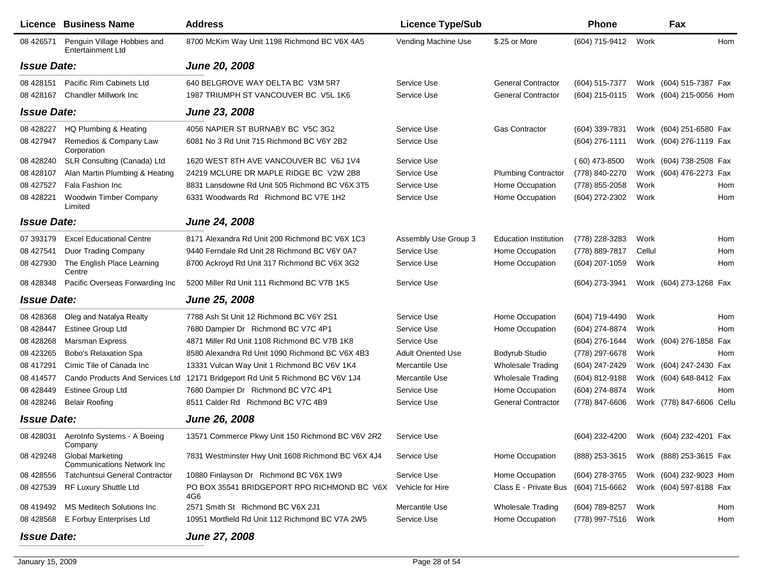|                    | Licence Business Name                                         | <b>Address</b>                                     | <b>Licence Type/Sub</b>   |                              | Phone           |        | Fax                       |     |
|--------------------|---------------------------------------------------------------|----------------------------------------------------|---------------------------|------------------------------|-----------------|--------|---------------------------|-----|
| 08 42 6571         | Penguin Village Hobbies and<br><b>Entertainment Ltd</b>       | 8700 McKim Way Unit 1198 Richmond BC V6X 4A5       | Vending Machine Use       | \$.25 or More                | (604) 715-9412  | Work   |                           | Hom |
| <b>Issue Date:</b> |                                                               | <b>June 20, 2008</b>                               |                           |                              |                 |        |                           |     |
| 08 428151          | Pacific Rim Cabinets Ltd                                      | 640 BELGROVE WAY DELTA BC V3M 5R7                  | Service Use               | <b>General Contractor</b>    | (604) 515-7377  |        | Work (604) 515-7387 Fax   |     |
| 08 428167          | <b>Chandler Millwork Inc</b>                                  | 1987 TRIUMPH ST VANCOUVER BC V5L 1K6               | Service Use               | <b>General Contractor</b>    | (604) 215-0115  |        | Work (604) 215-0056 Hom   |     |
| <b>Issue Date:</b> |                                                               | June 23, 2008                                      |                           |                              |                 |        |                           |     |
| 08 428227          | HQ Plumbing & Heating                                         | 4056 NAPIER ST BURNABY BC V5C 3G2                  | Service Use               | <b>Gas Contractor</b>        | (604) 339-7831  |        | Work (604) 251-6580 Fax   |     |
| 08 427947          | Remedios & Company Law<br>Corporation                         | 6081 No 3 Rd Unit 715 Richmond BC V6Y 2B2          | Service Use               |                              | (604) 276-1111  |        | Work (604) 276-1119 Fax   |     |
| 08 428240          | SLR Consulting (Canada) Ltd                                   | 1620 WEST 8TH AVE VANCOUVER BC V6J 1V4             | Service Use               |                              | $(60)$ 473-8500 |        | Work (604) 738-2508 Fax   |     |
| 08 428107          | Alan Martin Plumbing & Heating                                | 24219 MCLURE DR MAPLE RIDGE BC V2W 2B8             | Service Use               | <b>Plumbing Contractor</b>   | (778) 840-2270  |        | Work (604) 476-2273 Fax   |     |
| 08 427527          | Fala Fashion Inc                                              | 8831 Lansdowne Rd Unit 505 Richmond BC V6X 3T5     | Service Use               | Home Occupation              | (778) 855-2058  | Work   |                           | Hom |
| 08 428221          | <b>Woodwin Timber Company</b><br>Limited                      | 6331 Woodwards Rd Richmond BC V7E 1H2              | Service Use               | Home Occupation              | (604) 272-2302  | Work   |                           | Hom |
| <b>Issue Date:</b> |                                                               | <b>June 24, 2008</b>                               |                           |                              |                 |        |                           |     |
| 07 393179          | <b>Excel Educational Centre</b>                               | 8171 Alexandra Rd Unit 200 Richmond BC V6X 1C3     | Assembly Use Group 3      | <b>Education Institution</b> | (778) 228-3283  | Work   |                           | Hom |
| 08 427541          | Duor Trading Company                                          | 9440 Ferndale Rd Unit 28 Richmond BC V6Y 0A7       | Service Use               | Home Occupation              | (778) 889-7817  | Cellul |                           | Hom |
| 08 427930          | The English Place Learning<br>Centre                          | 8700 Ackroyd Rd Unit 317 Richmond BC V6X 3G2       | Service Use               | Home Occupation              | (604) 207-1059  | Work   |                           | Hom |
| 08 428348          | Pacific Overseas Forwarding Inc                               | 5200 Miller Rd Unit 111 Richmond BC V7B 1K5        | Service Use               |                              | (604) 273-3941  |        | Work (604) 273-1268 Fax   |     |
| <b>Issue Date:</b> |                                                               | <b>June 25, 2008</b>                               |                           |                              |                 |        |                           |     |
| 08 428368          | Oleg and Natalya Realty                                       | 7788 Ash St Unit 12 Richmond BC V6Y 2S1            | Service Use               | Home Occupation              | (604) 719-4490  | Work   |                           | Hom |
| 08 428447          | <b>Estinee Group Ltd</b>                                      | 7680 Dampier Dr Richmond BC V7C 4P1                | Service Use               | Home Occupation              | (604) 274-8874  | Work   |                           | Hom |
| 08 428268          | <b>Marsman Express</b>                                        | 4871 Miller Rd Unit 1108 Richmond BC V7B 1K8       | Service Use               |                              | (604) 276-1644  |        | Work (604) 276-1858 Fax   |     |
| 08 423265          | Bobo's Relaxation Spa                                         | 8580 Alexandra Rd Unit 1090 Richmond BC V6X 4B3    | <b>Adult Oriented Use</b> | Bodyrub Studio               | (778) 297-6678  | Work   |                           | Hom |
| 08 417291          | Cimic Tile of Canada Inc                                      | 13331 Vulcan Way Unit 1 Richmond BC V6V 1K4        | Mercantile Use            | <b>Wholesale Trading</b>     | (604) 247-2429  |        | Work (604) 247-2430 Fax   |     |
| 08 414577          | Cando Products And Services Ltd                               | 12171 Bridgeport Rd Unit 5 Richmond BC V6V 1J4     | Mercantile Use            | <b>Wholesale Trading</b>     | (604) 812-9188  |        | Work (604) 648-8412 Fax   |     |
| 08 428449          | <b>Estinee Group Ltd</b>                                      | 7680 Dampier Dr Richmond BC V7C 4P1                | Service Use               | Home Occupation              | (604) 274-8874  | Work   |                           | Hom |
| 08 428246          | <b>Belair Roofing</b>                                         | 8511 Calder Rd Richmond BC V7C 4B9                 | Service Use               | <b>General Contractor</b>    | (778) 847-6606  |        | Work (778) 847-6606 Cellu |     |
| <b>Issue Date:</b> |                                                               | <b>June 26, 2008</b>                               |                           |                              |                 |        |                           |     |
| 08 428031          | AeroInfo Systems - A Boeing<br>Company                        | 13571 Commerce Pkwy Unit 150 Richmond BC V6V 2R2   | Service Use               |                              | (604) 232-4200  |        | Work (604) 232-4201 Fax   |     |
| 08 429248          | <b>Global Marketing</b><br><b>Communications Network Inc.</b> | 7831 Westminster Hwy Unit 1608 Richmond BC V6X 4J4 | Service Use               | Home Occupation              | (888) 253-3615  |        | Work (888) 253-3615 Fax   |     |
| 08 428556          | <b>Tatchuntsui General Contractor</b>                         | 10880 Finlayson Dr Richmond BC V6X 1W9             | Service Use               | Home Occupation              | (604) 278-3765  |        | Work (604) 232-9023 Hom   |     |
|                    | 08 427539 RF Luxury Shuttle Ltd                               | PO BOX 35541 BRIDGEPORT RPO RICHMOND BC V6X<br>4G6 | Vehicle for Hire          | Class E - Private Bus        | (604) 715-6662  |        | Work (604) 597-8188 Fax   |     |
| 08 419492          | <b>MS Meditech Solutions Inc</b>                              | 2571 Smith St Richmond BC V6X 2J1                  | Mercantile Use            | Wholesale Trading            | (604) 789-8257  | Work   |                           | Hom |
| 08 428568          | E Forbuy Enterprises Ltd                                      | 10951 Mortfield Rd Unit 112 Richmond BC V7A 2W5    | Service Use               | Home Occupation              | (778) 997-7516  | Work   |                           | Hom |
| <b>Issue Date:</b> |                                                               | June 27, 2008                                      |                           |                              |                 |        |                           |     |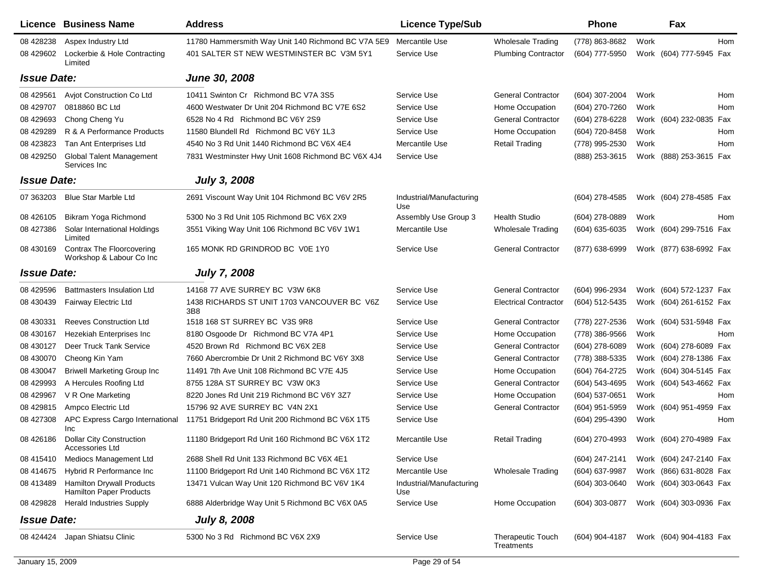|                    | Licence Business Name                                              | <b>Address</b>                                     | <b>Licence Type/Sub</b>         |                                        | <b>Phone</b>   |      | Fax                     |            |
|--------------------|--------------------------------------------------------------------|----------------------------------------------------|---------------------------------|----------------------------------------|----------------|------|-------------------------|------------|
| 08 428238          | Aspex Industry Ltd                                                 | 11780 Hammersmith Way Unit 140 Richmond BC V7A 5E9 | Mercantile Use                  | Wholesale Trading                      | (778) 863-8682 | Work |                         | <b>Hom</b> |
| 08 429602          | Lockerbie & Hole Contracting<br>Limited                            | 401 SALTER ST NEW WESTMINSTER BC V3M 5Y1           | Service Use                     | <b>Plumbing Contractor</b>             | (604) 777-5950 |      | Work (604) 777-5945 Fax |            |
| <b>Issue Date:</b> |                                                                    | <b>June 30, 2008</b>                               |                                 |                                        |                |      |                         |            |
| 08 429561          | Avjot Construction Co Ltd                                          | 10411 Swinton Cr Richmond BC V7A 3S5               | Service Use                     | <b>General Contractor</b>              | (604) 307-2004 | Work |                         | Hom        |
| 08 429707          | 0818860 BC Ltd                                                     | 4600 Westwater Dr Unit 204 Richmond BC V7E 6S2     | Service Use                     | Home Occupation                        | (604) 270-7260 | Work |                         | Hom        |
| 08 429693          | Chong Cheng Yu                                                     | 6528 No 4 Rd Richmond BC V6Y 2S9                   | Service Use                     | <b>General Contractor</b>              | (604) 278-6228 |      | Work (604) 232-0835     | Fax        |
| 08 429289          | R & A Performance Products                                         | 11580 Blundell Rd Richmond BC V6Y 1L3              | Service Use                     | Home Occupation                        | (604) 720-8458 | Work |                         | Hom        |
| 08 423823          | Tan Ant Enterprises Ltd                                            | 4540 No 3 Rd Unit 1440 Richmond BC V6X 4E4         | Mercantile Use                  | <b>Retail Trading</b>                  | (778) 995-2530 | Work |                         | Hom        |
| 08 429250          | <b>Global Talent Management</b><br>Services Inc                    | 7831 Westminster Hwy Unit 1608 Richmond BC V6X 4J4 | Service Use                     |                                        | (888) 253-3615 |      | Work (888) 253-3615 Fax |            |
| <b>Issue Date:</b> |                                                                    | <b>July 3, 2008</b>                                |                                 |                                        |                |      |                         |            |
| 07 363203          | <b>Blue Star Marble Ltd</b>                                        | 2691 Viscount Way Unit 104 Richmond BC V6V 2R5     | Industrial/Manufacturing<br>Use |                                        | (604) 278-4585 |      | Work (604) 278-4585 Fax |            |
| 08 426105          | Bikram Yoga Richmond                                               | 5300 No 3 Rd Unit 105 Richmond BC V6X 2X9          | Assembly Use Group 3            | <b>Health Studio</b>                   | (604) 278-0889 | Work |                         | Hom        |
| 08 427386          | Solar International Holdings<br>Limited                            | 3551 Viking Way Unit 106 Richmond BC V6V 1W1       | Mercantile Use                  | <b>Wholesale Trading</b>               | (604) 635-6035 |      | Work (604) 299-7516 Fax |            |
| 08 430169          | <b>Contrax The Floorcovering</b><br>Workshop & Labour Co Inc       | 165 MONK RD GRINDROD BC V0E 1Y0                    | Service Use                     | <b>General Contractor</b>              | (877) 638-6999 |      | Work (877) 638-6992 Fax |            |
| <b>Issue Date:</b> |                                                                    | <b>July 7, 2008</b>                                |                                 |                                        |                |      |                         |            |
| 08 429596          | <b>Battmasters Insulation Ltd</b>                                  | 14168 77 AVE SURREY BC V3W 6K8                     | Service Use                     | <b>General Contractor</b>              | (604) 996-2934 |      | Work (604) 572-1237 Fax |            |
| 08 430439          | Fairway Electric Ltd                                               | 1438 RICHARDS ST UNIT 1703 VANCOUVER BC V6Z<br>3B8 | Service Use                     | <b>Electrical Contractor</b>           | (604) 512-5435 |      | Work (604) 261-6152 Fax |            |
| 08 430331          | <b>Reeves Construction Ltd</b>                                     | 1518 168 ST SURREY BC V3S 9R8                      | Service Use                     | <b>General Contractor</b>              | (778) 227-2536 |      | Work (604) 531-5948 Fax |            |
| 08 430167          | Hezekiah Enterprises Inc                                           | 8180 Osgoode Dr Richmond BC V7A 4P1                | Service Use                     | Home Occupation                        | (778) 386-9566 | Work |                         | Hom        |
| 08 430127          | Deer Truck Tank Service                                            | 4520 Brown Rd Richmond BC V6X 2E8                  | Service Use                     | <b>General Contractor</b>              | (604) 278-6089 |      | Work (604) 278-6089 Fax |            |
| 08 430070          | Cheong Kin Yam                                                     | 7660 Abercrombie Dr Unit 2 Richmond BC V6Y 3X8     | Service Use                     | <b>General Contractor</b>              | (778) 388-5335 |      | Work (604) 278-1386 Fax |            |
| 08 430047          | <b>Briwell Marketing Group Inc</b>                                 | 11491 7th Ave Unit 108 Richmond BC V7E 4J5         | Service Use                     | Home Occupation                        | (604) 764-2725 |      | Work (604) 304-5145 Fax |            |
| 08 429993          | A Hercules Roofing Ltd                                             | 8755 128A ST SURREY BC V3W 0K3                     | Service Use                     | <b>General Contractor</b>              | (604) 543-4695 |      | Work (604) 543-4662 Fax |            |
| 08 429967          | V R One Marketing                                                  | 8220 Jones Rd Unit 219 Richmond BC V6Y 3Z7         | Service Use                     | Home Occupation                        | (604) 537-0651 | Work |                         | Hom        |
| 08 429815          | Ampco Electric Ltd                                                 | 15796 92 AVE SURREY BC V4N 2X1                     | Service Use                     | <b>General Contractor</b>              | (604) 951-5959 |      | Work (604) 951-4959 Fax |            |
| 08 427308          | APC Express Cargo International<br>Inc                             | 11751 Bridgeport Rd Unit 200 Richmond BC V6X 1T5   | Service Use                     |                                        | (604) 295-4390 | Work |                         | Hom        |
| 08 426186          | <b>Dollar City Construction</b><br>Accessories Ltd                 | 11180 Bridgeport Rd Unit 160 Richmond BC V6X 1T2   | Mercantile Use                  | <b>Retail Trading</b>                  | (604) 270-4993 |      | Work (604) 270-4989 Fax |            |
| 08 415410          | Mediocs Management Ltd                                             | 2688 Shell Rd Unit 133 Richmond BC V6X 4E1         | Service Use                     |                                        | (604) 247-2141 |      | Work (604) 247-2140 Fax |            |
| 08 414 675         | Hybrid R Performance Inc                                           | 11100 Bridgeport Rd Unit 140 Richmond BC V6X 1T2   | Mercantile Use                  | <b>Wholesale Trading</b>               | (604) 637-9987 |      | Work (866) 631-8028 Fax |            |
| 08 413489          | <b>Hamilton Drywall Products</b><br><b>Hamilton Paper Products</b> | 13471 Vulcan Way Unit 120 Richmond BC V6V 1K4      | Industrial/Manufacturing<br>Use |                                        | (604) 303-0640 |      | Work (604) 303-0643 Fax |            |
| 08 429828          | <b>Herald Industries Supply</b>                                    | 6888 Alderbridge Way Unit 5 Richmond BC V6X 0A5    | Service Use                     | Home Occupation                        | (604) 303-0877 |      | Work (604) 303-0936 Fax |            |
| <b>Issue Date:</b> |                                                                    | <b>July 8, 2008</b>                                |                                 |                                        |                |      |                         |            |
| 08 424424          | Japan Shiatsu Clinic                                               | 5300 No 3 Rd Richmond BC V6X 2X9                   | Service Use                     | <b>Therapeutic Touch</b><br>Treatments | (604) 904-4187 |      | Work (604) 904-4183 Fax |            |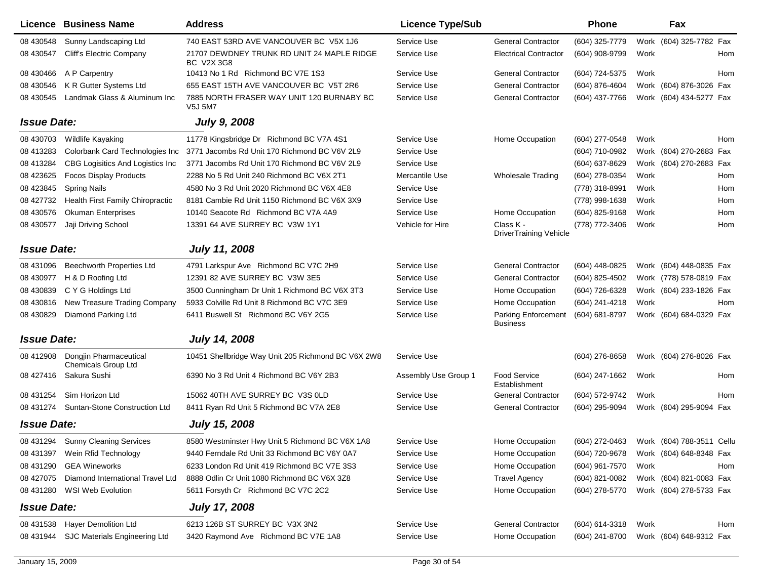|                    | Licence Business Name                         | <b>Address</b>                                              | <b>Licence Type/Sub</b> |                                        | Phone          |      | Fax                       |     |
|--------------------|-----------------------------------------------|-------------------------------------------------------------|-------------------------|----------------------------------------|----------------|------|---------------------------|-----|
| 08 430548          | Sunny Landscaping Ltd                         | 740 EAST 53RD AVE VANCOUVER BC V5X 1J6                      | Service Use             | <b>General Contractor</b>              | (604) 325-7779 |      | Work (604) 325-7782 Fax   |     |
| 08 430547          | Cliff's Electric Company                      | 21707 DEWDNEY TRUNK RD UNIT 24 MAPLE RIDGE<br>BC V2X 3G8    | Service Use             | <b>Electrical Contractor</b>           | (604) 908-9799 | Work |                           | Hom |
| 08 430466          | A P Carpentry                                 | 10413 No 1 Rd Richmond BC V7E 1S3                           | Service Use             | <b>General Contractor</b>              | (604) 724-5375 | Work |                           | Hom |
| 08 430546          | K R Gutter Systems Ltd                        | 655 EAST 15TH AVE VANCOUVER BC V5T 2R6                      | Service Use             | <b>General Contractor</b>              | (604) 876-4604 |      | Work (604) 876-3026 Fax   |     |
| 08 430545          | Landmak Glass & Aluminum Inc                  | 7885 NORTH FRASER WAY UNIT 120 BURNABY BC<br><b>V5J 5M7</b> | Service Use             | <b>General Contractor</b>              | (604) 437-7766 |      | Work (604) 434-5277 Fax   |     |
| <b>Issue Date:</b> |                                               | <b>July 9, 2008</b>                                         |                         |                                        |                |      |                           |     |
| 08 430703          | Wildlife Kayaking                             | 11778 Kingsbridge Dr Richmond BC V7A 4S1                    | Service Use             | Home Occupation                        | (604) 277-0548 | Work |                           | Hom |
| 08 413283          | Colorbank Card Technologies Inc               | 3771 Jacombs Rd Unit 170 Richmond BC V6V 2L9                | Service Use             |                                        | (604) 710-0982 |      | Work (604) 270-2683 Fax   |     |
| 08 413284          | CBG Logisitics And Logistics Inc              | 3771 Jacombs Rd Unit 170 Richmond BC V6V 2L9                | Service Use             |                                        | (604) 637-8629 |      | Work (604) 270-2683 Fax   |     |
| 08 423625          | <b>Focos Display Products</b>                 | 2288 No 5 Rd Unit 240 Richmond BC V6X 2T1                   | Mercantile Use          | <b>Wholesale Trading</b>               | (604) 278-0354 | Work |                           | Hom |
| 08 423845          | <b>Spring Nails</b>                           | 4580 No 3 Rd Unit 2020 Richmond BC V6X 4E8                  | Service Use             |                                        | (778) 318-8991 | Work |                           | Hom |
| 08 427732          | Health First Family Chiropractic              | 8181 Cambie Rd Unit 1150 Richmond BC V6X 3X9                | Service Use             |                                        | (778) 998-1638 | Work |                           | Hom |
| 08 430576          | <b>Okuman Enterprises</b>                     | 10140 Seacote Rd Richmond BC V7A 4A9                        | Service Use             | Home Occupation                        | (604) 825-9168 | Work |                           | Hom |
| 08 430577          | Jaji Driving School                           | 13391 64 AVE SURREY BC V3W 1Y1                              | Vehicle for Hire        | Class K -<br>DriverTraining Vehicle    | (778) 772-3406 | Work |                           | Hom |
| <b>Issue Date:</b> |                                               | <b>July 11, 2008</b>                                        |                         |                                        |                |      |                           |     |
| 08 431096          | <b>Beechworth Properties Ltd</b>              | 4791 Larkspur Ave Richmond BC V7C 2H9                       | Service Use             | <b>General Contractor</b>              | (604) 448-0825 |      | Work (604) 448-0835 Fax   |     |
| 08 430977          | H & D Roofing Ltd                             | 12391 82 AVE SURREY BC V3W 3E5                              | Service Use             | <b>General Contractor</b>              | (604) 825-4502 |      | Work (778) 578-0819 Fax   |     |
| 08 430839          | C Y G Holdings Ltd                            | 3500 Cunningham Dr Unit 1 Richmond BC V6X 3T3               | Service Use             | Home Occupation                        | (604) 726-6328 |      | Work (604) 233-1826 Fax   |     |
| 08 430816          | New Treasure Trading Company                  | 5933 Colville Rd Unit 8 Richmond BC V7C 3E9                 | Service Use             | Home Occupation                        | (604) 241-4218 | Work |                           | Hom |
| 08 430829          | Diamond Parking Ltd                           | 6411 Buswell St Richmond BC V6Y 2G5                         | Service Use             | Parking Enforcement<br><b>Business</b> | (604) 681-8797 |      | Work (604) 684-0329 Fax   |     |
| <b>Issue Date:</b> |                                               | <b>July 14, 2008</b>                                        |                         |                                        |                |      |                           |     |
| 08 412908          | Dongjin Pharmaceutical<br>Chemicals Group Ltd | 10451 Shellbridge Way Unit 205 Richmond BC V6X 2W8          | Service Use             |                                        | (604) 276-8658 |      | Work (604) 276-8026 Fax   |     |
| 08 427416          | Sakura Sushi                                  | 6390 No 3 Rd Unit 4 Richmond BC V6Y 2B3                     | Assembly Use Group 1    | <b>Food Service</b><br>Establishment   | (604) 247-1662 | Work |                           | Hom |
| 08 431254          | Sim Horizon Ltd                               | 15062 40TH AVE SURREY BC V3S OLD                            | Service Use             | <b>General Contractor</b>              | (604) 572-9742 | Work |                           | Hom |
| 08 431274          | Suntan-Stone Construction Ltd                 | 8411 Ryan Rd Unit 5 Richmond BC V7A 2E8                     | Service Use             | <b>General Contractor</b>              | (604) 295-9094 |      | Work (604) 295-9094 Fax   |     |
| <b>Issue Date:</b> |                                               | <b>July 15, 2008</b>                                        |                         |                                        |                |      |                           |     |
|                    | 08 431294 Sunny Cleaning Services             | 8580 Westminster Hwy Unit 5 Richmond BC V6X 1A8             | Service Use             | Home Occupation                        | (604) 272-0463 |      | Work (604) 788-3511 Cellu |     |
| 08 431397          | Wein Rfid Technology                          | 9440 Ferndale Rd Unit 33 Richmond BC V6Y 0A7                | Service Use             | Home Occupation                        | (604) 720-9678 |      | Work (604) 648-8348 Fax   |     |
| 08 431290          | <b>GEA Wineworks</b>                          | 6233 London Rd Unit 419 Richmond BC V7E 3S3                 | Service Use             | Home Occupation                        | (604) 961-7570 | Work |                           | Hom |
| 08 427075          | Diamond International Travel Ltd              | 8888 Odlin Cr Unit 1080 Richmond BC V6X 3Z8                 | Service Use             | <b>Travel Agency</b>                   | (604) 821-0082 |      | Work (604) 821-0083 Fax   |     |
| 08 431280          | <b>WSI Web Evolution</b>                      | 5611 Forsyth Cr Richmond BC V7C 2C2                         | Service Use             | Home Occupation                        | (604) 278-5770 |      | Work (604) 278-5733 Fax   |     |
| <b>Issue Date:</b> |                                               | <b>July 17, 2008</b>                                        |                         |                                        |                |      |                           |     |
| 08 431538          | <b>Hayer Demolition Ltd</b>                   | 6213 126B ST SURREY BC V3X 3N2                              | Service Use             | <b>General Contractor</b>              | (604) 614-3318 | Work |                           | Hom |
| 08 431944          | SJC Materials Engineering Ltd                 | 3420 Raymond Ave Richmond BC V7E 1A8                        | Service Use             | Home Occupation                        | (604) 241-8700 |      | Work (604) 648-9312 Fax   |     |
|                    |                                               |                                                             |                         |                                        |                |      |                           |     |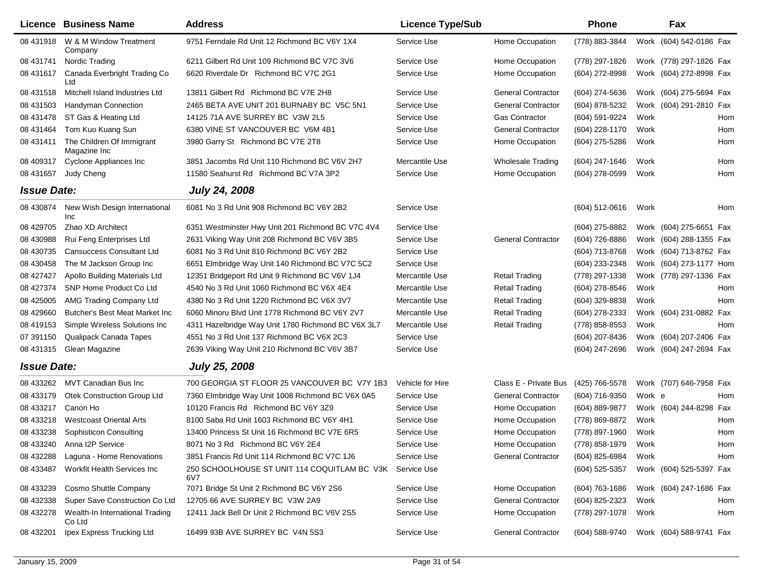|                    | Licence Business Name                     | <b>Address</b>                                      | <b>Licence Type/Sub</b> |                           | <b>Phone</b>   |        | Fax                     |     |
|--------------------|-------------------------------------------|-----------------------------------------------------|-------------------------|---------------------------|----------------|--------|-------------------------|-----|
| 08 431918          | W & M Window Treatment<br>Company         | 9751 Ferndale Rd Unit 12 Richmond BC V6Y 1X4        | Service Use             | Home Occupation           | (778) 883-3844 |        | Work (604) 542-0186 Fax |     |
| 08 431741          | Nordic Trading                            | 6211 Gilbert Rd Unit 109 Richmond BC V7C 3V6        | Service Use             | Home Occupation           | (778) 297-1826 |        | Work (778) 297-1826 Fax |     |
| 08 431617          | Canada Everbright Trading Co<br>Ltd       | 6620 Riverdale Dr Richmond BC V7C 2G1               | Service Use             | Home Occupation           | (604) 272-8998 |        | Work (604) 272-8998 Fax |     |
| 08 431518          | Mitchell Island Industries Ltd            | 13811 Gilbert Rd Richmond BC V7E 2H8                | Service Use             | <b>General Contractor</b> | (604) 274-5636 |        | Work (604) 275-5694 Fax |     |
| 08 431503          | Handyman Connection                       | 2465 BETA AVE UNIT 201 BURNABY BC V5C 5N1           | Service Use             | <b>General Contractor</b> | (604) 878-5232 |        | Work (604) 291-2810 Fax |     |
| 08 431478          | ST Gas & Heating Ltd                      | 14125 71A AVE SURREY BC V3W 2L5                     | Service Use             | <b>Gas Contractor</b>     | (604) 591-9224 | Work   |                         | Hom |
| 08 431464          | Tom Kuo Kuang Sun                         | 6380 VINE ST VANCOUVER BC V6M 4B1                   | Service Use             | <b>General Contractor</b> | (604) 228-1170 | Work   |                         | Hom |
| 08 431411          | The Children Of Immigrant<br>Magazine Inc | 3980 Garry St Richmond BC V7E 2T8                   | Service Use             | Home Occupation           | (604) 275-5286 | Work   |                         | Hom |
| 08 409317          | Cyclone Appliances Inc                    | 3851 Jacombs Rd Unit 110 Richmond BC V6V 2H7        | Mercantile Use          | <b>Wholesale Trading</b>  | (604) 247-1646 | Work   |                         | Hom |
| 08 431657          | Judy Cheng                                | 11580 Seahurst Rd Richmond BC V7A 3P2               | Service Use             | Home Occupation           | (604) 278-0599 | Work   |                         | Hom |
| <b>Issue Date:</b> |                                           | <b>July 24, 2008</b>                                |                         |                           |                |        |                         |     |
| 08 430874          | New Wish Design International<br>Inc      | 6081 No 3 Rd Unit 908 Richmond BC V6Y 2B2           | Service Use             |                           | (604) 512-0616 | Work   |                         | Hom |
| 08 429705          | Zhao XD Architect                         | 6351 Westminster Hwy Unit 201 Richmond BC V7C 4V4   | Service Use             |                           | (604) 275-8882 |        | Work (604) 275-6651 Fax |     |
| 08 430988          | Rui Feng Enterprises Ltd                  | 2631 Viking Way Unit 208 Richmond BC V6V 3B5        | Service Use             | <b>General Contractor</b> | (604) 726-8886 |        | Work (604) 288-1355 Fax |     |
| 08 430735          | <b>Cansuccess Consultant Ltd</b>          | 6081 No 3 Rd Unit 810 Richmond BC V6Y 2B2           | Service Use             |                           | (604) 713-8768 |        | Work (604) 713-8762 Fax |     |
| 08 430458          | The M Jackson Group Inc                   | 6651 Elmbridge Way Unit 140 Richmond BC V7C 5C2     | Service Use             |                           | (604) 233-2348 |        | Work (604) 273-1177 Hom |     |
| 08 427427          | Apollo Building Materials Ltd             | 12351 Bridgeport Rd Unit 9 Richmond BC V6V 1J4      | Mercantile Use          | <b>Retail Trading</b>     | (778) 297-1338 |        | Work (778) 297-1336 Fax |     |
| 08 427374          | SNP Home Product Co Ltd                   | 4540 No 3 Rd Unit 1060 Richmond BC V6X 4E4          | Mercantile Use          | <b>Retail Trading</b>     | (604) 278-8546 | Work   |                         | Hom |
| 08 425005          | AMG Trading Company Ltd                   | 4380 No 3 Rd Unit 1220 Richmond BC V6X 3V7          | Mercantile Use          | <b>Retail Trading</b>     | (604) 329-8838 | Work   |                         | Hom |
| 08 429660          | Butcher's Best Meat Market Inc            | 6060 Minoru Blvd Unit 1778 Richmond BC V6Y 2V7      | Mercantile Use          | Retail Trading            | (604) 278-2333 |        | Work (604) 231-0882 Fax |     |
| 08 419153          | Simple Wireless Solutions Inc             | 4311 Hazelbridge Way Unit 1780 Richmond BC V6X 3L7  | Mercantile Use          | <b>Retail Trading</b>     | (778) 858-8553 | Work   |                         | Hom |
| 07 391150          | Qualipack Canada Tapes                    | 4551 No 3 Rd Unit 137 Richmond BC V6X 2C3           | Service Use             |                           | (604) 207-8436 |        | Work (604) 207-2406 Fax |     |
| 08 431315          | Glean Magazine                            | 2639 Viking Way Unit 210 Richmond BC V6V 3B7        | Service Use             |                           | (604) 247-2696 |        | Work (604) 247-2694 Fax |     |
| <b>Issue Date:</b> |                                           | <b>July 25, 2008</b>                                |                         |                           |                |        |                         |     |
| 08 433262          | <b>MVT Canadian Bus Inc</b>               | 700 GEORGIA ST FLOOR 25 VANCOUVER BC V7Y 1B3        | Vehicle for Hire        | Class E - Private Bus     | (425) 766-5578 |        | Work (707) 646-7958 Fax |     |
| 08 433179          | Otek Construction Group Ltd               | 7360 Elmbridge Way Unit 1008 Richmond BC V6X 0A5    | Service Use             | <b>General Contractor</b> | (604) 716-9350 | Work e |                         | Hom |
| 08 433217          | Canon Ho                                  | 10120 Francis Rd Richmond BC V6Y 3Z9                | Service Use             | Home Occupation           | (604) 889-9877 |        | Work (604) 244-8298     | Fax |
| 08 433218          | <b>Westcoast Oriental Arts</b>            | 8100 Saba Rd Unit 1603 Richmond BC V6Y 4H1          | Service Use             | Home Occupation           | (778) 869-8872 | Work   |                         | Hom |
| 08 433238          | Sophisticon Consulting                    | 13400 Princess St Unit 16 Richmond BC V7E 6R5       | Service Use             | Home Occupation           | (778) 897-1960 | Work   |                         | Hom |
| 08 433240          | Anna I2P Service                          | 8071 No 3 Rd Richmond BC V6Y 2E4                    | Service Use             | Home Occupation           | (778) 858-1979 | Work   |                         | Hom |
| 08 432288          | Laguna - Home Renovations                 | 3851 Francis Rd Unit 114 Richmond BC V7C 1J6        | Service Use             | <b>General Contractor</b> | (604) 825-6984 | Work   |                         | Hom |
| 08 433487          | Workfit Health Services Inc               | 250 SCHOOLHOUSE ST UNIT 114 COQUITLAM BC V3K<br>6V7 | Service Use             |                           | (604) 525-5357 |        | Work (604) 525-5397 Fax |     |
| 08 433239          | Cosmo Shuttle Company                     | 7071 Bridge St Unit 2 Richmond BC V6Y 2S6           | Service Use             | Home Occupation           | (604) 763-1686 |        | Work (604) 247-1686 Fax |     |
| 08 432338          | Super Save Construction Co Ltd            | 12705 66 AVE SURREY BC V3W 2A9                      | Service Use             | <b>General Contractor</b> | (604) 825-2323 | Work   |                         | Hom |
| 08 432278          | Wealth-In International Trading<br>Co Ltd | 12411 Jack Bell Dr Unit 2 Richmond BC V6V 2S5       | Service Use             | Home Occupation           | (778) 297-1078 | Work   |                         | Hom |
| 08 432201          | Ipex Express Trucking Ltd                 | 16499 93B AVE SURREY BC V4N 5S3                     | Service Use             | <b>General Contractor</b> | (604) 588-9740 |        | Work (604) 588-9741 Fax |     |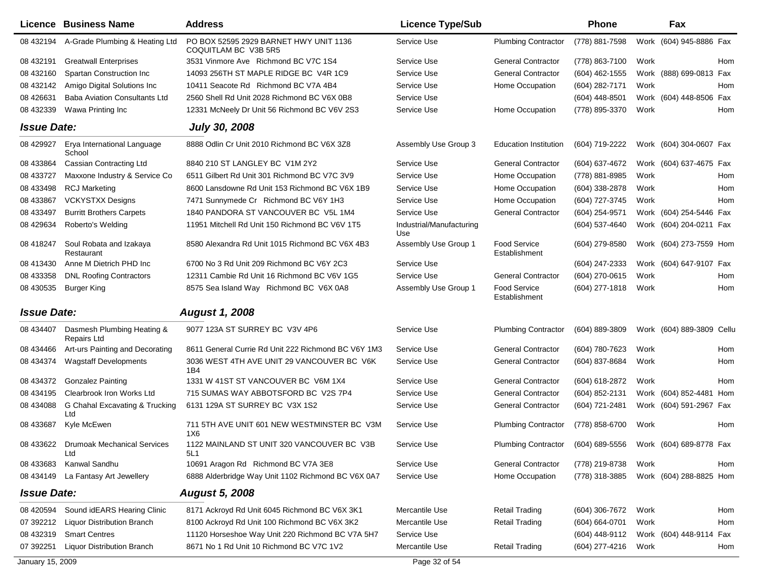|                    | Licence Business Name                        | <b>Address</b>                                                 | <b>Licence Type/Sub</b>         |                                                            | <b>Phone</b>       |      | Fax                       |     |
|--------------------|----------------------------------------------|----------------------------------------------------------------|---------------------------------|------------------------------------------------------------|--------------------|------|---------------------------|-----|
| 08 432194          | A-Grade Plumbing & Heating Ltd               | PO BOX 52595 2929 BARNET HWY UNIT 1136<br>COQUITLAM BC V3B 5R5 | Service Use                     | <b>Plumbing Contractor</b>                                 | (778) 881-7598     |      | Work (604) 945-8886 Fax   |     |
| 08 432191          | <b>Greatwall Enterprises</b>                 | 3531 Vinmore Ave Richmond BC V7C 1S4                           | Service Use                     | <b>General Contractor</b>                                  | (778) 863-7100     | Work |                           | Hom |
| 08 432160          | Spartan Construction Inc                     | 14093 256TH ST MAPLE RIDGE BC V4R 1C9                          | Service Use                     | <b>General Contractor</b>                                  | (604) 462-1555     |      | Work (888) 699-0813 Fax   |     |
| 08 432142          | Amigo Digital Solutions Inc                  | 10411 Seacote Rd Richmond BC V7A 4B4                           | Service Use                     | Home Occupation                                            | (604) 282-7171     | Work |                           | Hom |
| 08 42 6631         | <b>Baba Aviation Consultants Ltd</b>         | 2560 Shell Rd Unit 2028 Richmond BC V6X 0B8                    | Service Use                     |                                                            | (604) 448-8501     |      | Work (604) 448-8506 Fax   |     |
| 08 432339          | Wawa Printing Inc                            | 12331 McNeely Dr Unit 56 Richmond BC V6V 2S3                   | Service Use                     | Home Occupation                                            | (778) 895-3370     | Work |                           | Hom |
| <b>Issue Date:</b> |                                              | <b>July 30, 2008</b>                                           |                                 |                                                            |                    |      |                           |     |
| 08 429927          | Erya International Language<br>School        | 8888 Odlin Cr Unit 2010 Richmond BC V6X 3Z8                    | Assembly Use Group 3            | <b>Education Institution</b>                               | (604) 719-2222     |      | Work (604) 304-0607 Fax   |     |
| 08 433864          | <b>Cassian Contracting Ltd</b>               | 8840 210 ST LANGLEY BC V1M 2Y2                                 | Service Use                     | <b>General Contractor</b>                                  | (604) 637-4672     |      | Work (604) 637-4675 Fax   |     |
| 08 433727          | Maxxone Industry & Service Co                | 6511 Gilbert Rd Unit 301 Richmond BC V7C 3V9                   | Service Use                     | Home Occupation                                            | (778) 881-8985     | Work |                           | Hom |
| 08 433498          | <b>RCJ Marketing</b>                         | 8600 Lansdowne Rd Unit 153 Richmond BC V6X 1B9                 | Service Use                     | Home Occupation                                            | $(604)$ 338-2878   | Work |                           | Hom |
| 08 433867          | <b>VCKYSTXX Designs</b>                      | 7471 Sunnymede Cr Richmond BC V6Y 1H3                          | Service Use                     | Home Occupation                                            | (604) 727-3745     | Work |                           | Hom |
| 08 433497          | <b>Burritt Brothers Carpets</b>              | 1840 PANDORA ST VANCOUVER BC V5L 1M4                           | Service Use                     | <b>General Contractor</b>                                  | (604) 254-9571     |      | Work (604) 254-5446 Fax   |     |
| 08 429634          | Roberto's Welding                            | 11951 Mitchell Rd Unit 150 Richmond BC V6V 1T5                 | Industrial/Manufacturing<br>Use |                                                            | (604) 537-4640     |      | Work (604) 204-0211 Fax   |     |
| 08 418247          | Soul Robata and Izakaya<br>Restaurant        | 8580 Alexandra Rd Unit 1015 Richmond BC V6X 4B3                | Assembly Use Group 1            | <b>Food Service</b><br>Establishment                       | (604) 279-8580     |      | Work (604) 273-7559 Hom   |     |
| 08 413430          | Anne M Dietrich PHD Inc                      | 6700 No 3 Rd Unit 209 Richmond BC V6Y 2C3                      | Service Use                     |                                                            | $(604)$ 247-2333   |      | Work (604) 647-9107 Fax   |     |
| 08 433358          | <b>DNL Roofing Contractors</b>               | 12311 Cambie Rd Unit 16 Richmond BC V6V 1G5                    | Service Use                     | <b>General Contractor</b>                                  | (604) 270-0615     | Work |                           | Hom |
| 08 430535          | Burger King                                  | 8575 Sea Island Way Richmond BC V6X 0A8                        | Assembly Use Group 1            | <b>Food Service</b><br>Establishment                       | (604) 277-1818     | Work |                           | Hom |
| <b>Issue Date:</b> |                                              | <b>August 1, 2008</b>                                          |                                 |                                                            |                    |      |                           |     |
| 08 434407          | Dasmesh Plumbing Heating &<br>Repairs Ltd    | 9077 123A ST SURREY BC V3V 4P6                                 | Service Use                     | <b>Plumbing Contractor</b>                                 | (604) 889-3809     |      | Work (604) 889-3809 Cellu |     |
| 08 434466          | Art-urs Painting and Decorating              | 8611 General Currie Rd Unit 222 Richmond BC V6Y 1M3            | Service Use                     | <b>General Contractor</b>                                  | (604) 780-7623     | Work |                           | Hom |
| 08 434374          | <b>Wagstaff Developments</b>                 | 3036 WEST 4TH AVE UNIT 29 VANCOUVER BC V6K<br>1B4              | Service Use                     | <b>General Contractor</b>                                  | (604) 837-8684     | Work |                           | Hom |
| 08 434372          | <b>Gonzalez Painting</b>                     | 1331 W 41ST ST VANCOUVER BC V6M 1X4                            | Service Use                     | <b>General Contractor</b>                                  | (604) 618-2872     | Work |                           | Hom |
| 08 434195          | Clearbrook Iron Works Ltd                    | 715 SUMAS WAY ABBOTSFORD BC V2S 7P4                            | Service Use                     | <b>General Contractor</b>                                  | (604) 852-2131     |      | Work (604) 852-4481 Hom   |     |
| 08 434088          | G Chahal Excavating & Trucking<br>Ltd        | 6131 129A ST SURREY BC V3X 1S2                                 | Service Use                     | <b>General Contractor</b>                                  | (604) 721-2481     |      | Work (604) 591-2967 Fax   |     |
| 08 433687          | Kyle McEwen                                  | 711 5TH AVE UNIT 601 NEW WESTMINSTER BC V3M<br>1X6             | Service Use                     | <b>Plumbing Contractor</b>                                 | (778) 858-6700     | Work |                           | Hom |
|                    | 08 433622 Drumoak Mechanical Services<br>Ltd | 1122 MAINLAND ST UNIT 320 VANCOUVER BC V3B<br>5L1              | Service Use                     | Plumbing Contractor (604) 689-5556 Work (604) 689-8778 Fax |                    |      |                           |     |
| 08 433683          | Kanwal Sandhu                                | 10691 Aragon Rd Richmond BC V7A 3E8                            | Service Use                     | <b>General Contractor</b>                                  | (778) 219-8738     | Work |                           | Hom |
| 08 434149          | La Fantasy Art Jewellery                     | 6888 Alderbridge Way Unit 1102 Richmond BC V6X 0A7             | Service Use                     | Home Occupation                                            | (778) 318-3885     |      | Work (604) 288-8825 Hom   |     |
| <b>Issue Date:</b> |                                              | <b>August 5, 2008</b>                                          |                                 |                                                            |                    |      |                           |     |
| 08 420594          | Sound idEARS Hearing Clinic                  | 8171 Ackroyd Rd Unit 6045 Richmond BC V6X 3K1                  | Mercantile Use                  | <b>Retail Trading</b>                                      | (604) 306-7672     | Work |                           | Hom |
| 07 392212          | <b>Liquor Distribution Branch</b>            | 8100 Ackroyd Rd Unit 100 Richmond BC V6X 3K2                   | Mercantile Use                  | <b>Retail Trading</b>                                      | $(604) 664 - 0701$ | Work |                           | Hom |
| 08 432319          | <b>Smart Centres</b>                         | 11120 Horseshoe Way Unit 220 Richmond BC V7A 5H7               | Service Use                     |                                                            | (604) 448-9112     |      | Work (604) 448-9114 Fax   |     |
| 07 392251          | <b>Liquor Distribution Branch</b>            | 8671 No 1 Rd Unit 10 Richmond BC V7C 1V2                       | Mercantile Use                  | <b>Retail Trading</b>                                      | (604) 277-4216     | Work |                           | Hom |
| January 15, 2009   |                                              |                                                                | Page 32 of 54                   |                                                            |                    |      |                           |     |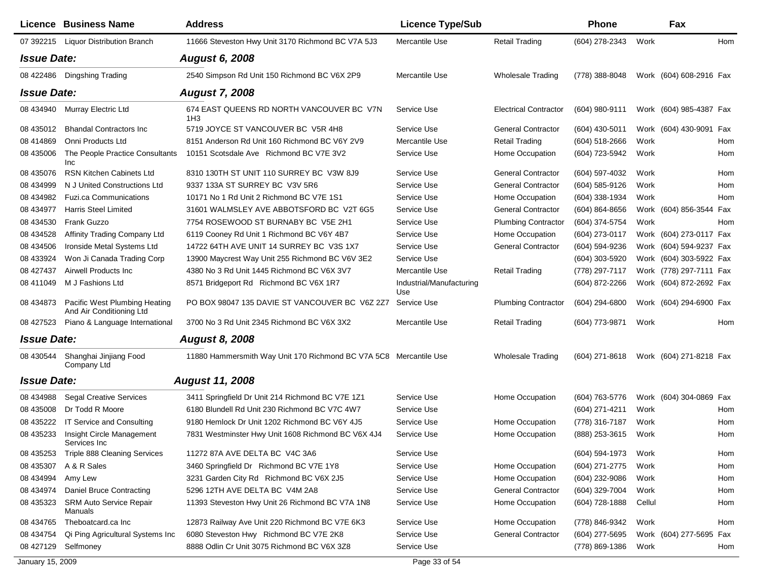|                    | <b>Licence Business Name</b>                              | <b>Address</b>                                                    | <b>Licence Type/Sub</b>         |                              | <b>Phone</b>     |        | Fax                     |     |
|--------------------|-----------------------------------------------------------|-------------------------------------------------------------------|---------------------------------|------------------------------|------------------|--------|-------------------------|-----|
|                    | 07 392215 Liquor Distribution Branch                      | 11666 Steveston Hwy Unit 3170 Richmond BC V7A 5J3                 | Mercantile Use                  | <b>Retail Trading</b>        | (604) 278-2343   | Work   |                         | Hom |
| <b>Issue Date:</b> |                                                           | <b>August 6, 2008</b>                                             |                                 |                              |                  |        |                         |     |
| 08 422486          | Dingshing Trading                                         | 2540 Simpson Rd Unit 150 Richmond BC V6X 2P9                      | Mercantile Use                  | <b>Wholesale Trading</b>     | (778) 388-8048   |        | Work (604) 608-2916 Fax |     |
| <b>Issue Date:</b> |                                                           | <b>August 7, 2008</b>                                             |                                 |                              |                  |        |                         |     |
| 08 434940          | Murray Electric Ltd                                       | 674 EAST QUEENS RD NORTH VANCOUVER BC V7N<br>1H <sub>3</sub>      | Service Use                     | <b>Electrical Contractor</b> | (604) 980-9111   |        | Work (604) 985-4387 Fax |     |
| 08 435012          | <b>Bhandal Contractors Inc.</b>                           | 5719 JOYCE ST VANCOUVER BC V5R 4H8                                | Service Use                     | <b>General Contractor</b>    | (604) 430-5011   |        | Work (604) 430-9091 Fax |     |
| 08 414869          | Onni Products Ltd                                         | 8151 Anderson Rd Unit 160 Richmond BC V6Y 2V9                     | Mercantile Use                  | <b>Retail Trading</b>        | (604) 518-2666   | Work   |                         | Hom |
| 08 435006          | The People Practice Consultants<br>Inc                    | 10151 Scotsdale Ave Richmond BC V7E 3V2                           | Service Use                     | Home Occupation              | (604) 723-5942   | Work   |                         | Hom |
| 08 435076          | <b>RSN Kitchen Cabinets Ltd</b>                           | 8310 130TH ST UNIT 110 SURREY BC V3W 8J9                          | Service Use                     | <b>General Contractor</b>    | (604) 597-4032   | Work   |                         | Hom |
| 08 434999          | N J United Constructions Ltd                              | 9337 133A ST SURREY BC V3V 5R6                                    | Service Use                     | <b>General Contractor</b>    | (604) 585-9126   | Work   |                         | Hom |
| 08 434982          | <b>Fuzi.ca Communications</b>                             | 10171 No 1 Rd Unit 2 Richmond BC V7E 1S1                          | Service Use                     | Home Occupation              | (604) 338-1934   | Work   |                         | Hom |
| 08 434977          | <b>Harris Steel Limited</b>                               | 31601 WALMSLEY AVE ABBOTSFORD BC V2T 6G5                          | Service Use                     | <b>General Contractor</b>    | $(604)$ 864-8656 |        | Work (604) 856-3544 Fax |     |
| 08 434530          | Frank Guzzo                                               | 7754 ROSEWOOD ST BURNABY BC V5E 2H1                               | Service Use                     | <b>Plumbing Contractor</b>   | (604) 374-5754   | Work   |                         | Hom |
| 08 434528          | Affinity Trading Company Ltd                              | 6119 Cooney Rd Unit 1 Richmond BC V6Y 4B7                         | Service Use                     | Home Occupation              | (604) 273-0117   |        | Work (604) 273-0117 Fax |     |
| 08 434506          | Ironside Metal Systems Ltd                                | 14722 64TH AVE UNIT 14 SURREY BC V3S 1X7                          | Service Use                     | <b>General Contractor</b>    | (604) 594-9236   |        | Work (604) 594-9237 Fax |     |
| 08 433924          | Won Ji Canada Trading Corp                                | 13900 Maycrest Way Unit 255 Richmond BC V6V 3E2                   | Service Use                     |                              | (604) 303-5920   |        | Work (604) 303-5922 Fax |     |
| 08 427437          | Airwell Products Inc                                      | 4380 No 3 Rd Unit 1445 Richmond BC V6X 3V7                        | Mercantile Use                  | <b>Retail Trading</b>        | (778) 297-7117   |        | Work (778) 297-7111 Fax |     |
| 08 411049          | M J Fashions Ltd                                          | 8571 Bridgeport Rd Richmond BC V6X 1R7                            | Industrial/Manufacturing<br>Use |                              | (604) 872-2266   |        | Work (604) 872-2692 Fax |     |
| 08 434873          | Pacific West Plumbing Heating<br>And Air Conditioning Ltd | PO BOX 98047 135 DAVIE ST VANCOUVER BC V6Z 2Z7                    | Service Use                     | <b>Plumbing Contractor</b>   | (604) 294-6800   |        | Work (604) 294-6900 Fax |     |
| 08 427523          | Piano & Language International                            | 3700 No 3 Rd Unit 2345 Richmond BC V6X 3X2                        | Mercantile Use                  | <b>Retail Trading</b>        | (604) 773-9871   | Work   |                         | Hom |
| <b>Issue Date:</b> |                                                           | <b>August 8, 2008</b>                                             |                                 |                              |                  |        |                         |     |
| 08 430544          | Shanghai Jinjiang Food<br>Company Ltd                     | 11880 Hammersmith Way Unit 170 Richmond BC V7A 5C8 Mercantile Use |                                 | <b>Wholesale Trading</b>     | $(604)$ 271-8618 |        | Work (604) 271-8218 Fax |     |
| <b>Issue Date:</b> |                                                           | <b>August 11, 2008</b>                                            |                                 |                              |                  |        |                         |     |
| 08 434988          | <b>Segal Creative Services</b>                            | 3411 Springfield Dr Unit 214 Richmond BC V7E 1Z1                  | Service Use                     | Home Occupation              | (604) 763-5776   |        | Work (604) 304-0869 Fax |     |
| 08 435008          | Dr Todd R Moore                                           | 6180 Blundell Rd Unit 230 Richmond BC V7C 4W7                     | Service Use                     |                              | (604) 271-4211   | Work   |                         | Hom |
| 08 435222          | IT Service and Consulting                                 | 9180 Hemlock Dr Unit 1202 Richmond BC V6Y 4J5                     | Service Use                     | Home Occupation              | (778) 316-7187   | Work   |                         | Hom |
| 08 435233          | Insight Circle Management<br>Services Inc                 | 7831 Westminster Hwy Unit 1608 Richmond BC V6X 4J4                | Service Use                     | Home Occupation              | (888) 253-3615   | Work   |                         | Hom |
|                    | 08 435253 Triple 888 Cleaning Services                    | 11272 87A AVE DELTA BC V4C 3A6                                    | Service Use                     |                              | (604) 594-1973   | Work   |                         | Hom |
| 08 435307          | A & R Sales                                               | 3460 Springfield Dr Richmond BC V7E 1Y8                           | Service Use                     | Home Occupation              | (604) 271-2775   | Work   |                         | Hom |
| 08 434994          | Amy Lew                                                   | 3231 Garden City Rd Richmond BC V6X 2J5                           | Service Use                     | Home Occupation              | (604) 232-9086   | Work   |                         | Hom |
| 08 434974          | Daniel Bruce Contracting                                  | 5296 12TH AVE DELTA BC V4M 2A8                                    | Service Use                     | <b>General Contractor</b>    | (604) 329-7004   | Work   |                         | Hom |
| 08 435323          | SRM Auto Service Repair<br>Manuals                        | 11393 Steveston Hwy Unit 26 Richmond BC V7A 1N8                   | Service Use                     | Home Occupation              | (604) 728-1888   | Cellul |                         | Hom |
| 08 434765          | Theboatcard.ca Inc                                        | 12873 Railway Ave Unit 220 Richmond BC V7E 6K3                    | Service Use                     | Home Occupation              | (778) 846-9342   | Work   |                         | Hom |
|                    | 08 434754 Qi Ping Agricultural Systems Inc                | 6080 Steveston Hwy Richmond BC V7E 2K8                            | Service Use                     | <b>General Contractor</b>    | (604) 277-5695   |        | Work (604) 277-5695 Fax |     |
|                    | 08 427129 Selfmoney                                       | 8888 Odlin Cr Unit 3075 Richmond BC V6X 3Z8                       | Service Use                     |                              | (778) 869-1386   | Work   |                         | Hom |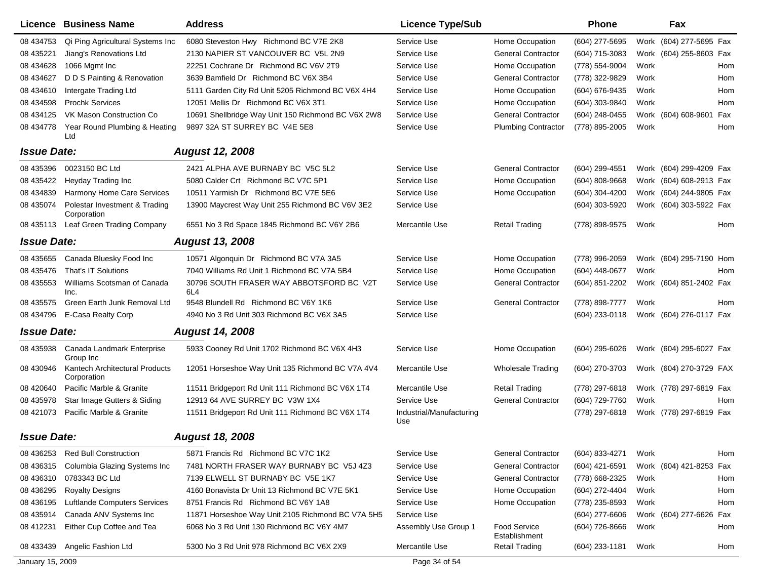|                    | <b>Licence Business Name</b>                  | <b>Address</b>                                     | <b>Licence Type/Sub</b>         |                               | <b>Phone</b>     | Fax                     |     |
|--------------------|-----------------------------------------------|----------------------------------------------------|---------------------------------|-------------------------------|------------------|-------------------------|-----|
| 08 434753          | Qi Ping Agricultural Systems Inc              | 6080 Steveston Hwy Richmond BC V7E 2K8             | Service Use                     | Home Occupation               | (604) 277-5695   | Work (604) 277-5695 Fax |     |
| 08 435221          | Jiang's Renovations Ltd                       | 2130 NAPIER ST VANCOUVER BC V5L 2N9                | Service Use                     | <b>General Contractor</b>     | (604) 715-3083   | Work (604) 255-8603 Fax |     |
| 08 434628          | 1066 Mgmt Inc                                 | 22251 Cochrane Dr Richmond BC V6V 2T9              | Service Use                     | Home Occupation               | (778) 554-9004   | Work                    | Hom |
| 08 434627          | D D S Painting & Renovation                   | 3639 Bamfield Dr Richmond BC V6X 3B4               | Service Use                     | <b>General Contractor</b>     | (778) 322-9829   | Work                    | Hom |
| 08 434610          | Intergate Trading Ltd                         | 5111 Garden City Rd Unit 5205 Richmond BC V6X 4H4  | Service Use                     | Home Occupation               | (604) 676-9435   | Work                    | Hom |
| 08 434598          | <b>Prochk Services</b>                        | 12051 Mellis Dr Richmond BC V6X 3T1                | Service Use                     | Home Occupation               | (604) 303-9840   | Work                    | Hom |
| 08 434125          | VK Mason Construction Co                      | 10691 Shellbridge Way Unit 150 Richmond BC V6X 2W8 | Service Use                     | <b>General Contractor</b>     | (604) 248-0455   | Work (604) 608-9601     | Fax |
| 08 434778          | Year Round Plumbing & Heating<br>Ltd          | 9897 32A ST SURREY BC V4E 5E8                      | Service Use                     | <b>Plumbing Contractor</b>    | (778) 895-2005   | Work                    | Hom |
| <b>Issue Date:</b> |                                               | <b>August 12, 2008</b>                             |                                 |                               |                  |                         |     |
| 08 435396          | 0023150 BC Ltd                                | 2421 ALPHA AVE BURNABY BC V5C 5L2                  | Service Use                     | <b>General Contractor</b>     | (604) 299-4551   | Work (604) 299-4209 Fax |     |
| 08 435422          | Heyday Trading Inc                            | 5080 Calder Crt Richmond BC V7C 5P1                | Service Use                     | Home Occupation               | (604) 808-9668   | Work (604) 608-2913 Fax |     |
| 08 434839          | Harmony Home Care Services                    | 10511 Yarmish Dr Richmond BC V7E 5E6               | Service Use                     | Home Occupation               | (604) 304-4200   | Work (604) 244-9805 Fax |     |
| 08 435074          | Polestar Investment & Trading<br>Corporation  | 13900 Maycrest Way Unit 255 Richmond BC V6V 3E2    | Service Use                     |                               | (604) 303-5920   | Work (604) 303-5922 Fax |     |
| 08 435113          | Leaf Green Trading Company                    | 6551 No 3 Rd Space 1845 Richmond BC V6Y 2B6        | Mercantile Use                  | <b>Retail Trading</b>         | (778) 898-9575   | Work                    | Hom |
| <b>Issue Date:</b> |                                               | <b>August 13, 2008</b>                             |                                 |                               |                  |                         |     |
| 08 435655          | Canada Bluesky Food Inc                       | 10571 Algonquin Dr Richmond BC V7A 3A5             | Service Use                     | Home Occupation               | (778) 996-2059   | Work (604) 295-7190 Hom |     |
| 08 435476          | That's IT Solutions                           | 7040 Williams Rd Unit 1 Richmond BC V7A 5B4        | Service Use                     | Home Occupation               | (604) 448-0677   | Work                    | Hom |
| 08 435553          | Williams Scotsman of Canada<br>Inc.           | 30796 SOUTH FRASER WAY ABBOTSFORD BC V2T<br>6L4    | Service Use                     | <b>General Contractor</b>     | (604) 851-2202   | Work (604) 851-2402 Fax |     |
| 08 435575          | Green Earth Junk Removal Ltd                  | 9548 Blundell Rd Richmond BC V6Y 1K6               | Service Use                     | <b>General Contractor</b>     | (778) 898-7777   | Work                    | Hom |
| 08 434796          | E-Casa Realty Corp                            | 4940 No 3 Rd Unit 303 Richmond BC V6X 3A5          | Service Use                     |                               | (604) 233-0118   | Work (604) 276-0117 Fax |     |
| <b>Issue Date:</b> |                                               | <b>August 14, 2008</b>                             |                                 |                               |                  |                         |     |
| 08 435938          | Canada Landmark Enterprise<br>Group Inc       | 5933 Cooney Rd Unit 1702 Richmond BC V6X 4H3       | Service Use                     | Home Occupation               | (604) 295-6026   | Work (604) 295-6027 Fax |     |
| 08 430946          | Kantech Architectural Products<br>Corporation | 12051 Horseshoe Way Unit 135 Richmond BC V7A 4V4   | Mercantile Use                  | <b>Wholesale Trading</b>      | (604) 270-3703   | Work (604) 270-3729 FAX |     |
| 08 420640          | Pacific Marble & Granite                      | 11511 Bridgeport Rd Unit 111 Richmond BC V6X 1T4   | Mercantile Use                  | <b>Retail Trading</b>         | (778) 297-6818   | Work (778) 297-6819 Fax |     |
| 08 435978          | Star Image Gutters & Siding                   | 12913 64 AVE SURREY BC V3W 1X4                     | Service Use                     | <b>General Contractor</b>     | (604) 729-7760   | Work                    | Hom |
| 08 421073          | Pacific Marble & Granite                      | 11511 Bridgeport Rd Unit 111 Richmond BC V6X 1T4   | Industrial/Manufacturing<br>Use |                               | (778) 297-6818   | Work (778) 297-6819 Fax |     |
| <b>Issue Date:</b> |                                               | <b>August 18, 2008</b>                             |                                 |                               |                  |                         |     |
| 08 436253          | <b>Red Bull Construction</b>                  | 5871 Francis Rd Richmond BC V7C 1K2                | Service Use                     | <b>General Contractor</b>     | (604) 833-4271   | Work                    | Hom |
| 08 43 6315         | Columbia Glazing Systems Inc                  | 7481 NORTH FRASER WAY BURNABY BC V5J 4Z3           | Service Use                     | <b>General Contractor</b>     | $(604)$ 421-6591 | Work (604) 421-8253 Fax |     |
| 08 436310          | 0783343 BC Ltd                                | 7139 ELWELL ST BURNABY BC V5E 1K7                  | Service Use                     | <b>General Contractor</b>     | (778) 668-2325   | Work                    | Hom |
| 08 43 6295         | <b>Royalty Designs</b>                        | 4160 Bonavista Dr Unit 13 Richmond BC V7E 5K1      | Service Use                     | Home Occupation               | (604) 272-4404   | Work                    | Hom |
| 08 43 6195         | Luftlande Computers Services                  | 8751 Francis Rd Richmond BC V6Y 1A8                | Service Use                     | Home Occupation               | (778) 235-8593   | Work                    | Hom |
| 08 435914          | Canada ANV Systems Inc                        | 11871 Horseshoe Way Unit 2105 Richmond BC V7A 5H5  | Service Use                     |                               | (604) 277-6606   | Work (604) 277-6626     | Fax |
| 08 412231          | Either Cup Coffee and Tea                     | 6068 No 3 Rd Unit 130 Richmond BC V6Y 4M7          | Assembly Use Group 1            | Food Service<br>Establishment | (604) 726-8666   | Work                    | Hom |
| 08 433439          | Angelic Fashion Ltd                           | 5300 No 3 Rd Unit 978 Richmond BC V6X 2X9          | Mercantile Use                  | <b>Retail Trading</b>         | (604) 233-1181   | Work                    | Hom |
| January 15, 2009   |                                               |                                                    | Page 34 of 54                   |                               |                  |                         |     |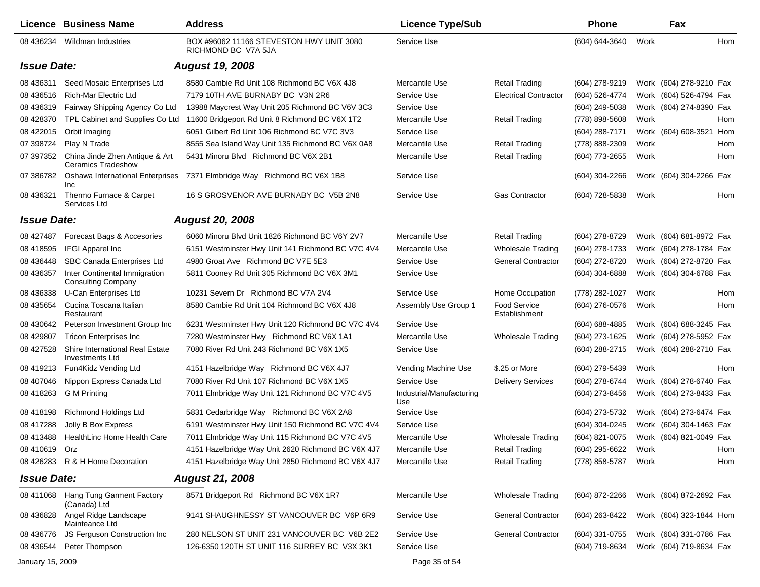|                    | Licence Business Name                                       | <b>Address</b>                                                  | <b>Licence Type/Sub</b>         |                                      | <b>Phone</b>     |      | Fax                     |     |
|--------------------|-------------------------------------------------------------|-----------------------------------------------------------------|---------------------------------|--------------------------------------|------------------|------|-------------------------|-----|
| 08 436234          | Wildman Industries                                          | BOX #96062 11166 STEVESTON HWY UNIT 3080<br>RICHMOND BC V7A 5JA | Service Use                     |                                      | (604) 644-3640   | Work |                         | Hom |
| <b>Issue Date:</b> |                                                             | <b>August 19, 2008</b>                                          |                                 |                                      |                  |      |                         |     |
| 08 43 6311         | Seed Mosaic Enterprises Ltd                                 | 8580 Cambie Rd Unit 108 Richmond BC V6X 4J8                     | Mercantile Use                  | <b>Retail Trading</b>                | (604) 278-9219   |      | Work (604) 278-9210 Fax |     |
| 08 43 6516         | <b>Rich-Mar Electric Ltd</b>                                | 7179 10TH AVE BURNABY BC V3N 2R6                                | Service Use                     | <b>Electrical Contractor</b>         | (604) 526-4774   |      | Work (604) 526-4794 Fax |     |
| 08 436319          | Fairway Shipping Agency Co Ltd                              | 13988 Maycrest Way Unit 205 Richmond BC V6V 3C3                 | Service Use                     |                                      | (604) 249-5038   |      | Work (604) 274-8390 Fax |     |
| 08 428370          | TPL Cabinet and Supplies Co Ltd                             | 11600 Bridgeport Rd Unit 8 Richmond BC V6X 1T2                  | Mercantile Use                  | <b>Retail Trading</b>                | (778) 898-5608   | Work |                         | Hom |
| 08 422015          | Orbit Imaging                                               | 6051 Gilbert Rd Unit 106 Richmond BC V7C 3V3                    | Service Use                     |                                      | (604) 288-7171   |      | Work (604) 608-3521 Hom |     |
| 07 398724          | Play N Trade                                                | 8555 Sea Island Way Unit 135 Richmond BC V6X 0A8                | Mercantile Use                  | <b>Retail Trading</b>                | (778) 888-2309   | Work |                         | Hom |
| 07 397352          | China Jinde Zhen Antique & Art<br><b>Ceramics Tradeshow</b> | 5431 Minoru Blvd Richmond BC V6X 2B1                            | Mercantile Use                  | <b>Retail Trading</b>                | (604) 773-2655   | Work |                         | Hom |
| 07 386782          | <b>Oshawa International Enterprises</b><br><b>Inc</b>       | 7371 Elmbridge Way Richmond BC V6X 1B8                          | Service Use                     |                                      | $(604)$ 304-2266 |      | Work (604) 304-2266 Fax |     |
| 08 436321          | Thermo Furnace & Carpet<br>Services Ltd                     | 16 S GROSVENOR AVE BURNABY BC V5B 2N8                           | Service Use                     | <b>Gas Contractor</b>                | (604) 728-5838   | Work |                         | Hom |
| <b>Issue Date:</b> |                                                             | <b>August 20, 2008</b>                                          |                                 |                                      |                  |      |                         |     |
| 08 427487          | Forecast Bags & Accesories                                  | 6060 Minoru Blvd Unit 1826 Richmond BC V6Y 2V7                  | Mercantile Use                  | <b>Retail Trading</b>                | (604) 278-8729   |      | Work (604) 681-8972 Fax |     |
| 08 418595          | <b>IFGI Apparel Inc</b>                                     | 6151 Westminster Hwy Unit 141 Richmond BC V7C 4V4               | Mercantile Use                  | <b>Wholesale Trading</b>             | (604) 278-1733   |      | Work (604) 278-1784 Fax |     |
| 08 43 6448         | SBC Canada Enterprises Ltd                                  | 4980 Groat Ave Richmond BC V7E 5E3                              | Service Use                     | <b>General Contractor</b>            | (604) 272-8720   |      | Work (604) 272-8720 Fax |     |
| 08 43 6357         | Inter Continental Immigration<br><b>Consulting Company</b>  | 5811 Cooney Rd Unit 305 Richmond BC V6X 3M1                     | Service Use                     |                                      | $(604)$ 304-6888 |      | Work (604) 304-6788 Fax |     |
| 08 436338          | U-Can Enterprises Ltd                                       | 10231 Severn Dr Richmond BC V7A 2V4                             | Service Use                     | Home Occupation                      | (778) 282-1027   | Work |                         | Hom |
| 08 435654          | Cucina Toscana Italian<br>Restaurant                        | 8580 Cambie Rd Unit 104 Richmond BC V6X 4J8                     | Assembly Use Group 1            | <b>Food Service</b><br>Establishment | (604) 276-0576   | Work |                         | Hom |
| 08 430 642         | Peterson Investment Group Inc                               | 6231 Westminster Hwy Unit 120 Richmond BC V7C 4V4               | Service Use                     |                                      | (604) 688-4885   |      | Work (604) 688-3245 Fax |     |
| 08 429807          | <b>Tricon Enterprises Inc</b>                               | 7280 Westminster Hwy Richmond BC V6X 1A1                        | Mercantile Use                  | Wholesale Trading                    | (604) 273-1625   |      | Work (604) 278-5952 Fax |     |
| 08 427528          | Shire International Real Estate<br>Investments Ltd          | 7080 River Rd Unit 243 Richmond BC V6X 1X5                      | Service Use                     |                                      | (604) 288-2715   |      | Work (604) 288-2710 Fax |     |
| 08 419213          | Fun4Kidz Vending Ltd                                        | 4151 Hazelbridge Way Richmond BC V6X 4J7                        | Vending Machine Use             | \$.25 or More                        | (604) 279-5439   | Work |                         | Hom |
| 08 407046          | Nippon Express Canada Ltd                                   | 7080 River Rd Unit 107 Richmond BC V6X 1X5                      | Service Use                     | <b>Delivery Services</b>             | (604) 278-6744   |      | Work (604) 278-6740 Fax |     |
| 08 418263          | G M Printing                                                | 7011 Elmbridge Way Unit 121 Richmond BC V7C 4V5                 | Industrial/Manufacturing<br>Use |                                      | (604) 273-8456   |      | Work (604) 273-8433 Fax |     |
| 08 418198          | <b>Richmond Holdings Ltd</b>                                | 5831 Cedarbridge Way Richmond BC V6X 2A8                        | Service Use                     |                                      | (604) 273-5732   |      | Work (604) 273-6474 Fax |     |
| 08 417288          | Jolly B Box Express                                         | 6191 Westminster Hwy Unit 150 Richmond BC V7C 4V4               | Service Use                     |                                      | (604) 304-0245   |      | Work (604) 304-1463 Fax |     |
| 08 413488          | HealthLinc Home Health Care                                 | 7011 Elmbridge Way Unit 115 Richmond BC V7C 4V5                 | Mercantile Use                  | <b>Wholesale Trading</b>             | (604) 821-0075   |      | Work (604) 821-0049 Fax |     |
| 08 410619 Orz      |                                                             | 4151 Hazelbridge Way Unit 2620 Richmond BC V6X 4J7              | Mercantile Use                  | <b>Retail Trading</b>                | (604) 295-6622   | Work |                         | Hom |
|                    | 08 426283 R & H Home Decoration                             | 4151 Hazelbridge Way Unit 2850 Richmond BC V6X 4J7              | Mercantile Use                  | <b>Retail Trading</b>                | (778) 858-5787   | Work |                         | Hom |
| <b>Issue Date:</b> |                                                             | <b>August 21, 2008</b>                                          |                                 |                                      |                  |      |                         |     |
|                    | 08 411068 Hang Tung Garment Factory<br>(Canada) Ltd         | 8571 Bridgeport Rd Richmond BC V6X 1R7                          | Mercantile Use                  | Wholesale Trading                    | (604) 872-2266   |      | Work (604) 872-2692 Fax |     |
| 08 43 68 28        | Angel Ridge Landscape<br>Mainteance Ltd                     | 9141 SHAUGHNESSY ST VANCOUVER BC V6P 6R9                        | Service Use                     | <b>General Contractor</b>            | (604) 263-8422   |      | Work (604) 323-1844 Hom |     |
| 08 436776          | JS Ferguson Construction Inc                                | 280 NELSON ST UNIT 231 VANCOUVER BC V6B 2E2                     | Service Use                     | <b>General Contractor</b>            | (604) 331-0755   |      | Work (604) 331-0786 Fax |     |
| 08 436544          | Peter Thompson                                              | 126-6350 120TH ST UNIT 116 SURREY BC V3X 3K1                    | Service Use                     |                                      | (604) 719-8634   |      | Work (604) 719-8634 Fax |     |
| January 15, 2009   |                                                             |                                                                 | Page 35 of 54                   |                                      |                  |      |                         |     |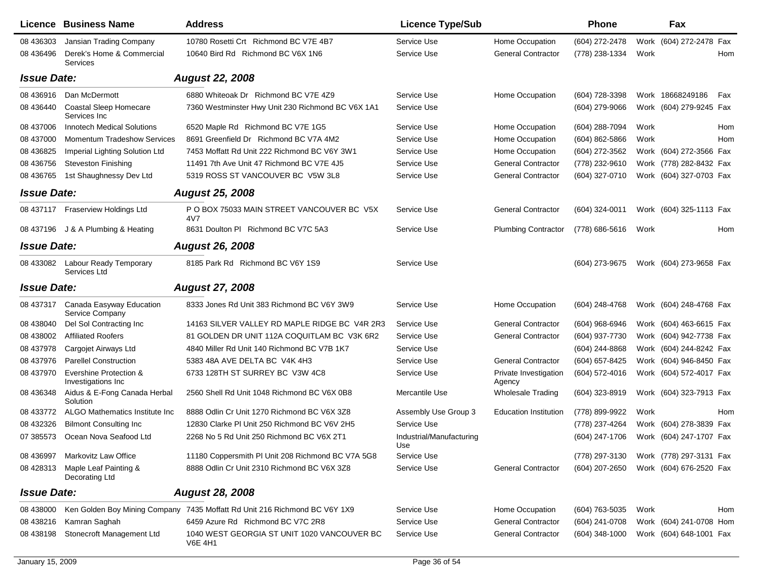| 10780 Rosetti Crt Richmond BC V7E 4B7<br>Service Use<br>Work (604) 272-2478 Fax<br>08 436303<br>Jansian Trading Company<br>Home Occupation<br>(604) 272-2478<br>Derek's Home & Commercial<br>10640 Bird Rd Richmond BC V6X 1N6<br>Service Use<br>08 43 64 96<br><b>General Contractor</b><br>(778) 238-1334<br>Work<br>Hom<br>Services<br><b>Issue Date:</b><br><b>August 22, 2008</b><br>08 436916<br>Dan McDermott<br>6880 Whiteoak Dr Richmond BC V7E 4Z9<br>Service Use<br>Home Occupation<br>(604) 728-3398<br>Work 18668249186<br>Fax<br>Work (604) 279-9245 Fax<br>08 43 6440<br><b>Coastal Sleep Homecare</b><br>7360 Westminster Hwy Unit 230 Richmond BC V6X 1A1<br>Service Use<br>(604) 279-9066<br>Services Inc<br>08 437006<br><b>Innotech Medical Solutions</b><br>6520 Maple Rd Richmond BC V7E 1G5<br>Service Use<br>Home Occupation<br>(604) 288-7094<br>Work<br>Hom<br>8691 Greenfield Dr Richmond BC V7A 4M2<br><b>Momentum Tradeshow Services</b><br>Service Use<br>Home Occupation<br>$(604)$ 862-5866<br>Work<br>Hom<br>08 437000<br>Service Use<br>08 43 68 25<br>Imperial Lighting Solution Ltd<br>7453 Moffatt Rd Unit 222 Richmond BC V6Y 3W1<br>Home Occupation<br>(604) 272-3562<br>Work (604) 272-3566 Fax<br><b>General Contractor</b><br>08 436756<br><b>Steveston Finishing</b><br>11491 7th Ave Unit 47 Richmond BC V7E 4J5<br>Service Use<br>(778) 232-9610<br>Work (778) 282-8432 Fax<br>1st Shaughnessy Dev Ltd<br>Service Use<br><b>General Contractor</b><br>(604) 327-0710<br>08 43 6765<br>5319 ROSS ST VANCOUVER BC V5W 3L8<br>Work (604) 327-0703 Fax<br><b>Issue Date:</b><br><b>August 25, 2008</b><br>P O BOX 75033 MAIN STREET VANCOUVER BC V5X<br>08 437117 Fraserview Holdings Ltd<br>Service Use<br><b>General Contractor</b><br>(604) 324-0011<br>Work (604) 325-1113 Fax<br>4V7<br>08 437196 J & A Plumbing & Heating<br>8631 Doulton PI Richmond BC V7C 5A3<br>Service Use<br><b>Plumbing Contractor</b><br>(778) 686-5616<br>Work<br>Hom<br><b>Issue Date:</b><br><b>August 26, 2008</b><br>Labour Ready Temporary<br>8185 Park Rd Richmond BC V6Y 1S9<br>Service Use<br>(604) 273-9675<br>Work (604) 273-9658 Fax<br>08 433082<br>Services Ltd<br><b>Issue Date:</b><br><b>August 27, 2008</b><br>Canada Easyway Education<br>8333 Jones Rd Unit 383 Richmond BC V6Y 3W9<br>Service Use<br>Home Occupation<br>Work (604) 248-4768 Fax<br>08 437317<br>(604) 248-4768<br>Service Company<br>Del Sol Contracting Inc<br><b>General Contractor</b><br>08 438040<br>14163 SILVER VALLEY RD MAPLE RIDGE BC V4R 2R3<br>Service Use<br>$(604)$ 968-6946<br>Work (604) 463-6615 Fax<br><b>Affiliated Roofers</b><br><b>General Contractor</b><br>(604) 937-7730<br>81 GOLDEN DR UNIT 112A COQUITLAM BC V3K 6R2<br>Service Use<br>Work (604) 942-7738 Fax<br>08 438002<br>Service Use<br>08 437978<br>Cargojet Airways Ltd<br>4840 Miller Rd Unit 140 Richmond BC V7B 1K7<br>(604) 244-8868<br>Work (604) 244-8242 Fax<br>5383 48A AVE DELTA BC V4K 4H3<br>(604) 657-8425<br>08 437976<br><b>Parellel Construction</b><br>Service Use<br><b>General Contractor</b><br>Work (604) 946-8450 Fax<br>Evershine Protection &<br>6733 128TH ST SURREY BC V3W 4C8<br>Work (604) 572-4017 Fax<br>08 437970<br>Service Use<br>(604) 572-4016<br>Private Investigation<br>Investigations Inc.<br>Agency<br>Aidus & E-Fong Canada Herbal<br>2560 Shell Rd Unit 1048 Richmond BC V6X 0B8<br>Mercantile Use<br><b>Wholesale Trading</b><br>(604) 323-8919<br>Work (604) 323-7913 Fax<br>08 436348<br>Solution<br>08 433772<br>ALGO Mathematics Institute Inc<br>8888 Odlin Cr Unit 1270 Richmond BC V6X 3Z8<br>(778) 899-9922<br>Assembly Use Group 3<br><b>Education Institution</b><br>Work<br>Hom<br>Service Use<br>08 432326<br><b>Bilmont Consulting Inc</b><br>12830 Clarke PI Unit 250 Richmond BC V6V 2H5<br>(778) 237-4264<br>Work (604) 278-3839 Fax<br>2268 No 5 Rd Unit 250 Richmond BC V6X 2T1<br>07 385573<br>Ocean Nova Seafood Ltd<br>Industrial/Manufacturing<br>(604) 247-1706<br>Work (604) 247-1707 Fax<br>Use<br>Markovitz Law Office<br>11180 Coppersmith PI Unit 208 Richmond BC V7A 5G8<br>Work (778) 297-3131 Fax<br>08 436997<br>Service Use<br>(778) 297-3130<br>Maple Leaf Painting &<br>8888 Odlin Cr Unit 2310 Richmond BC V6X 3Z8<br>Service Use<br><b>General Contractor</b><br>(604) 207-2650<br>Work (604) 676-2520 Fax<br>08 428313<br>Decorating Ltd<br><b>August 28, 2008</b><br><b>Issue Date:</b><br>7435 Moffatt Rd Unit 216 Richmond BC V6Y 1X9<br>Service Use<br>Home Occupation<br>(604) 763-5035<br>08 438000<br>Ken Golden Boy Mining Company<br>Work<br>Hom<br>08 438216<br>Kamran Saghah<br>6459 Azure Rd Richmond BC V7C 2R8<br>Service Use<br><b>General Contractor</b><br>(604) 241-0708<br>Work (604) 241-0708 Hom<br>1040 WEST GEORGIA ST UNIT 1020 VANCOUVER BC<br>Stonecroft Management Ltd<br><b>General Contractor</b><br>(604) 348-1000<br>Work (604) 648-1001 Fax<br>08 438198<br>Service Use<br><b>V6E 4H1</b> | <b>Licence Business Name</b> | <b>Address</b> | <b>Licence Type/Sub</b> | Phone | Fax |  |
|-----------------------------------------------------------------------------------------------------------------------------------------------------------------------------------------------------------------------------------------------------------------------------------------------------------------------------------------------------------------------------------------------------------------------------------------------------------------------------------------------------------------------------------------------------------------------------------------------------------------------------------------------------------------------------------------------------------------------------------------------------------------------------------------------------------------------------------------------------------------------------------------------------------------------------------------------------------------------------------------------------------------------------------------------------------------------------------------------------------------------------------------------------------------------------------------------------------------------------------------------------------------------------------------------------------------------------------------------------------------------------------------------------------------------------------------------------------------------------------------------------------------------------------------------------------------------------------------------------------------------------------------------------------------------------------------------------------------------------------------------------------------------------------------------------------------------------------------------------------------------------------------------------------------------------------------------------------------------------------------------------------------------------------------------------------------------------------------------------------------------------------------------------------------------------------------------------------------------------------------------------------------------------------------------------------------------------------------------------------------------------------------------------------------------------------------------------------------------------------------------------------------------------------------------------------------------------------------------------------------------------------------------------------------------------------------------------------------------------------------------------------------------------------------------------------------------------------------------------------------------------------------------------------------------------------------------------------------------------------------------------------------------------------------------------------------------------------------------------------------------------------------------------------------------------------------------------------------------------------------------------------------------------------------------------------------------------------------------------------------------------------------------------------------------------------------------------------------------------------------------------------------------------------------------------------------------------------------------------------------------------------------------------------------------------------------------------------------------------------------------------------------------------------------------------------------------------------------------------------------------------------------------------------------------------------------------------------------------------------------------------------------------------------------------------------------------------------------------------------------------------------------------------------------------------------------------------------------------------------------------------------------------------------------------------------------------------------------------------------------------------------------------------------------------------------------------------------------------------------------------------------------------------------------------------------------------------------------------------------------------------------------------------------------------------------------------------------------------------------------------------------------------------------------------------------------------------------------------------------------------------------------------------------------------------------------------------------------------------------------------------------|------------------------------|----------------|-------------------------|-------|-----|--|
|                                                                                                                                                                                                                                                                                                                                                                                                                                                                                                                                                                                                                                                                                                                                                                                                                                                                                                                                                                                                                                                                                                                                                                                                                                                                                                                                                                                                                                                                                                                                                                                                                                                                                                                                                                                                                                                                                                                                                                                                                                                                                                                                                                                                                                                                                                                                                                                                                                                                                                                                                                                                                                                                                                                                                                                                                                                                                                                                                                                                                                                                                                                                                                                                                                                                                                                                                                                                                                                                                                                                                                                                                                                                                                                                                                                                                                                                                                                                                                                                                                                                                                                                                                                                                                                                                                                                                                                                                                                                                                                                                                                                                                                                                                                                                                                                                                                                                                                                                                                                           |                              |                |                         |       |     |  |
|                                                                                                                                                                                                                                                                                                                                                                                                                                                                                                                                                                                                                                                                                                                                                                                                                                                                                                                                                                                                                                                                                                                                                                                                                                                                                                                                                                                                                                                                                                                                                                                                                                                                                                                                                                                                                                                                                                                                                                                                                                                                                                                                                                                                                                                                                                                                                                                                                                                                                                                                                                                                                                                                                                                                                                                                                                                                                                                                                                                                                                                                                                                                                                                                                                                                                                                                                                                                                                                                                                                                                                                                                                                                                                                                                                                                                                                                                                                                                                                                                                                                                                                                                                                                                                                                                                                                                                                                                                                                                                                                                                                                                                                                                                                                                                                                                                                                                                                                                                                                           |                              |                |                         |       |     |  |
|                                                                                                                                                                                                                                                                                                                                                                                                                                                                                                                                                                                                                                                                                                                                                                                                                                                                                                                                                                                                                                                                                                                                                                                                                                                                                                                                                                                                                                                                                                                                                                                                                                                                                                                                                                                                                                                                                                                                                                                                                                                                                                                                                                                                                                                                                                                                                                                                                                                                                                                                                                                                                                                                                                                                                                                                                                                                                                                                                                                                                                                                                                                                                                                                                                                                                                                                                                                                                                                                                                                                                                                                                                                                                                                                                                                                                                                                                                                                                                                                                                                                                                                                                                                                                                                                                                                                                                                                                                                                                                                                                                                                                                                                                                                                                                                                                                                                                                                                                                                                           |                              |                |                         |       |     |  |
|                                                                                                                                                                                                                                                                                                                                                                                                                                                                                                                                                                                                                                                                                                                                                                                                                                                                                                                                                                                                                                                                                                                                                                                                                                                                                                                                                                                                                                                                                                                                                                                                                                                                                                                                                                                                                                                                                                                                                                                                                                                                                                                                                                                                                                                                                                                                                                                                                                                                                                                                                                                                                                                                                                                                                                                                                                                                                                                                                                                                                                                                                                                                                                                                                                                                                                                                                                                                                                                                                                                                                                                                                                                                                                                                                                                                                                                                                                                                                                                                                                                                                                                                                                                                                                                                                                                                                                                                                                                                                                                                                                                                                                                                                                                                                                                                                                                                                                                                                                                                           |                              |                |                         |       |     |  |
|                                                                                                                                                                                                                                                                                                                                                                                                                                                                                                                                                                                                                                                                                                                                                                                                                                                                                                                                                                                                                                                                                                                                                                                                                                                                                                                                                                                                                                                                                                                                                                                                                                                                                                                                                                                                                                                                                                                                                                                                                                                                                                                                                                                                                                                                                                                                                                                                                                                                                                                                                                                                                                                                                                                                                                                                                                                                                                                                                                                                                                                                                                                                                                                                                                                                                                                                                                                                                                                                                                                                                                                                                                                                                                                                                                                                                                                                                                                                                                                                                                                                                                                                                                                                                                                                                                                                                                                                                                                                                                                                                                                                                                                                                                                                                                                                                                                                                                                                                                                                           |                              |                |                         |       |     |  |
|                                                                                                                                                                                                                                                                                                                                                                                                                                                                                                                                                                                                                                                                                                                                                                                                                                                                                                                                                                                                                                                                                                                                                                                                                                                                                                                                                                                                                                                                                                                                                                                                                                                                                                                                                                                                                                                                                                                                                                                                                                                                                                                                                                                                                                                                                                                                                                                                                                                                                                                                                                                                                                                                                                                                                                                                                                                                                                                                                                                                                                                                                                                                                                                                                                                                                                                                                                                                                                                                                                                                                                                                                                                                                                                                                                                                                                                                                                                                                                                                                                                                                                                                                                                                                                                                                                                                                                                                                                                                                                                                                                                                                                                                                                                                                                                                                                                                                                                                                                                                           |                              |                |                         |       |     |  |
|                                                                                                                                                                                                                                                                                                                                                                                                                                                                                                                                                                                                                                                                                                                                                                                                                                                                                                                                                                                                                                                                                                                                                                                                                                                                                                                                                                                                                                                                                                                                                                                                                                                                                                                                                                                                                                                                                                                                                                                                                                                                                                                                                                                                                                                                                                                                                                                                                                                                                                                                                                                                                                                                                                                                                                                                                                                                                                                                                                                                                                                                                                                                                                                                                                                                                                                                                                                                                                                                                                                                                                                                                                                                                                                                                                                                                                                                                                                                                                                                                                                                                                                                                                                                                                                                                                                                                                                                                                                                                                                                                                                                                                                                                                                                                                                                                                                                                                                                                                                                           |                              |                |                         |       |     |  |
|                                                                                                                                                                                                                                                                                                                                                                                                                                                                                                                                                                                                                                                                                                                                                                                                                                                                                                                                                                                                                                                                                                                                                                                                                                                                                                                                                                                                                                                                                                                                                                                                                                                                                                                                                                                                                                                                                                                                                                                                                                                                                                                                                                                                                                                                                                                                                                                                                                                                                                                                                                                                                                                                                                                                                                                                                                                                                                                                                                                                                                                                                                                                                                                                                                                                                                                                                                                                                                                                                                                                                                                                                                                                                                                                                                                                                                                                                                                                                                                                                                                                                                                                                                                                                                                                                                                                                                                                                                                                                                                                                                                                                                                                                                                                                                                                                                                                                                                                                                                                           |                              |                |                         |       |     |  |
|                                                                                                                                                                                                                                                                                                                                                                                                                                                                                                                                                                                                                                                                                                                                                                                                                                                                                                                                                                                                                                                                                                                                                                                                                                                                                                                                                                                                                                                                                                                                                                                                                                                                                                                                                                                                                                                                                                                                                                                                                                                                                                                                                                                                                                                                                                                                                                                                                                                                                                                                                                                                                                                                                                                                                                                                                                                                                                                                                                                                                                                                                                                                                                                                                                                                                                                                                                                                                                                                                                                                                                                                                                                                                                                                                                                                                                                                                                                                                                                                                                                                                                                                                                                                                                                                                                                                                                                                                                                                                                                                                                                                                                                                                                                                                                                                                                                                                                                                                                                                           |                              |                |                         |       |     |  |
|                                                                                                                                                                                                                                                                                                                                                                                                                                                                                                                                                                                                                                                                                                                                                                                                                                                                                                                                                                                                                                                                                                                                                                                                                                                                                                                                                                                                                                                                                                                                                                                                                                                                                                                                                                                                                                                                                                                                                                                                                                                                                                                                                                                                                                                                                                                                                                                                                                                                                                                                                                                                                                                                                                                                                                                                                                                                                                                                                                                                                                                                                                                                                                                                                                                                                                                                                                                                                                                                                                                                                                                                                                                                                                                                                                                                                                                                                                                                                                                                                                                                                                                                                                                                                                                                                                                                                                                                                                                                                                                                                                                                                                                                                                                                                                                                                                                                                                                                                                                                           |                              |                |                         |       |     |  |
|                                                                                                                                                                                                                                                                                                                                                                                                                                                                                                                                                                                                                                                                                                                                                                                                                                                                                                                                                                                                                                                                                                                                                                                                                                                                                                                                                                                                                                                                                                                                                                                                                                                                                                                                                                                                                                                                                                                                                                                                                                                                                                                                                                                                                                                                                                                                                                                                                                                                                                                                                                                                                                                                                                                                                                                                                                                                                                                                                                                                                                                                                                                                                                                                                                                                                                                                                                                                                                                                                                                                                                                                                                                                                                                                                                                                                                                                                                                                                                                                                                                                                                                                                                                                                                                                                                                                                                                                                                                                                                                                                                                                                                                                                                                                                                                                                                                                                                                                                                                                           |                              |                |                         |       |     |  |
|                                                                                                                                                                                                                                                                                                                                                                                                                                                                                                                                                                                                                                                                                                                                                                                                                                                                                                                                                                                                                                                                                                                                                                                                                                                                                                                                                                                                                                                                                                                                                                                                                                                                                                                                                                                                                                                                                                                                                                                                                                                                                                                                                                                                                                                                                                                                                                                                                                                                                                                                                                                                                                                                                                                                                                                                                                                                                                                                                                                                                                                                                                                                                                                                                                                                                                                                                                                                                                                                                                                                                                                                                                                                                                                                                                                                                                                                                                                                                                                                                                                                                                                                                                                                                                                                                                                                                                                                                                                                                                                                                                                                                                                                                                                                                                                                                                                                                                                                                                                                           |                              |                |                         |       |     |  |
|                                                                                                                                                                                                                                                                                                                                                                                                                                                                                                                                                                                                                                                                                                                                                                                                                                                                                                                                                                                                                                                                                                                                                                                                                                                                                                                                                                                                                                                                                                                                                                                                                                                                                                                                                                                                                                                                                                                                                                                                                                                                                                                                                                                                                                                                                                                                                                                                                                                                                                                                                                                                                                                                                                                                                                                                                                                                                                                                                                                                                                                                                                                                                                                                                                                                                                                                                                                                                                                                                                                                                                                                                                                                                                                                                                                                                                                                                                                                                                                                                                                                                                                                                                                                                                                                                                                                                                                                                                                                                                                                                                                                                                                                                                                                                                                                                                                                                                                                                                                                           |                              |                |                         |       |     |  |
|                                                                                                                                                                                                                                                                                                                                                                                                                                                                                                                                                                                                                                                                                                                                                                                                                                                                                                                                                                                                                                                                                                                                                                                                                                                                                                                                                                                                                                                                                                                                                                                                                                                                                                                                                                                                                                                                                                                                                                                                                                                                                                                                                                                                                                                                                                                                                                                                                                                                                                                                                                                                                                                                                                                                                                                                                                                                                                                                                                                                                                                                                                                                                                                                                                                                                                                                                                                                                                                                                                                                                                                                                                                                                                                                                                                                                                                                                                                                                                                                                                                                                                                                                                                                                                                                                                                                                                                                                                                                                                                                                                                                                                                                                                                                                                                                                                                                                                                                                                                                           |                              |                |                         |       |     |  |
|                                                                                                                                                                                                                                                                                                                                                                                                                                                                                                                                                                                                                                                                                                                                                                                                                                                                                                                                                                                                                                                                                                                                                                                                                                                                                                                                                                                                                                                                                                                                                                                                                                                                                                                                                                                                                                                                                                                                                                                                                                                                                                                                                                                                                                                                                                                                                                                                                                                                                                                                                                                                                                                                                                                                                                                                                                                                                                                                                                                                                                                                                                                                                                                                                                                                                                                                                                                                                                                                                                                                                                                                                                                                                                                                                                                                                                                                                                                                                                                                                                                                                                                                                                                                                                                                                                                                                                                                                                                                                                                                                                                                                                                                                                                                                                                                                                                                                                                                                                                                           |                              |                |                         |       |     |  |
|                                                                                                                                                                                                                                                                                                                                                                                                                                                                                                                                                                                                                                                                                                                                                                                                                                                                                                                                                                                                                                                                                                                                                                                                                                                                                                                                                                                                                                                                                                                                                                                                                                                                                                                                                                                                                                                                                                                                                                                                                                                                                                                                                                                                                                                                                                                                                                                                                                                                                                                                                                                                                                                                                                                                                                                                                                                                                                                                                                                                                                                                                                                                                                                                                                                                                                                                                                                                                                                                                                                                                                                                                                                                                                                                                                                                                                                                                                                                                                                                                                                                                                                                                                                                                                                                                                                                                                                                                                                                                                                                                                                                                                                                                                                                                                                                                                                                                                                                                                                                           |                              |                |                         |       |     |  |
|                                                                                                                                                                                                                                                                                                                                                                                                                                                                                                                                                                                                                                                                                                                                                                                                                                                                                                                                                                                                                                                                                                                                                                                                                                                                                                                                                                                                                                                                                                                                                                                                                                                                                                                                                                                                                                                                                                                                                                                                                                                                                                                                                                                                                                                                                                                                                                                                                                                                                                                                                                                                                                                                                                                                                                                                                                                                                                                                                                                                                                                                                                                                                                                                                                                                                                                                                                                                                                                                                                                                                                                                                                                                                                                                                                                                                                                                                                                                                                                                                                                                                                                                                                                                                                                                                                                                                                                                                                                                                                                                                                                                                                                                                                                                                                                                                                                                                                                                                                                                           |                              |                |                         |       |     |  |
|                                                                                                                                                                                                                                                                                                                                                                                                                                                                                                                                                                                                                                                                                                                                                                                                                                                                                                                                                                                                                                                                                                                                                                                                                                                                                                                                                                                                                                                                                                                                                                                                                                                                                                                                                                                                                                                                                                                                                                                                                                                                                                                                                                                                                                                                                                                                                                                                                                                                                                                                                                                                                                                                                                                                                                                                                                                                                                                                                                                                                                                                                                                                                                                                                                                                                                                                                                                                                                                                                                                                                                                                                                                                                                                                                                                                                                                                                                                                                                                                                                                                                                                                                                                                                                                                                                                                                                                                                                                                                                                                                                                                                                                                                                                                                                                                                                                                                                                                                                                                           |                              |                |                         |       |     |  |
|                                                                                                                                                                                                                                                                                                                                                                                                                                                                                                                                                                                                                                                                                                                                                                                                                                                                                                                                                                                                                                                                                                                                                                                                                                                                                                                                                                                                                                                                                                                                                                                                                                                                                                                                                                                                                                                                                                                                                                                                                                                                                                                                                                                                                                                                                                                                                                                                                                                                                                                                                                                                                                                                                                                                                                                                                                                                                                                                                                                                                                                                                                                                                                                                                                                                                                                                                                                                                                                                                                                                                                                                                                                                                                                                                                                                                                                                                                                                                                                                                                                                                                                                                                                                                                                                                                                                                                                                                                                                                                                                                                                                                                                                                                                                                                                                                                                                                                                                                                                                           |                              |                |                         |       |     |  |
|                                                                                                                                                                                                                                                                                                                                                                                                                                                                                                                                                                                                                                                                                                                                                                                                                                                                                                                                                                                                                                                                                                                                                                                                                                                                                                                                                                                                                                                                                                                                                                                                                                                                                                                                                                                                                                                                                                                                                                                                                                                                                                                                                                                                                                                                                                                                                                                                                                                                                                                                                                                                                                                                                                                                                                                                                                                                                                                                                                                                                                                                                                                                                                                                                                                                                                                                                                                                                                                                                                                                                                                                                                                                                                                                                                                                                                                                                                                                                                                                                                                                                                                                                                                                                                                                                                                                                                                                                                                                                                                                                                                                                                                                                                                                                                                                                                                                                                                                                                                                           |                              |                |                         |       |     |  |
|                                                                                                                                                                                                                                                                                                                                                                                                                                                                                                                                                                                                                                                                                                                                                                                                                                                                                                                                                                                                                                                                                                                                                                                                                                                                                                                                                                                                                                                                                                                                                                                                                                                                                                                                                                                                                                                                                                                                                                                                                                                                                                                                                                                                                                                                                                                                                                                                                                                                                                                                                                                                                                                                                                                                                                                                                                                                                                                                                                                                                                                                                                                                                                                                                                                                                                                                                                                                                                                                                                                                                                                                                                                                                                                                                                                                                                                                                                                                                                                                                                                                                                                                                                                                                                                                                                                                                                                                                                                                                                                                                                                                                                                                                                                                                                                                                                                                                                                                                                                                           |                              |                |                         |       |     |  |
|                                                                                                                                                                                                                                                                                                                                                                                                                                                                                                                                                                                                                                                                                                                                                                                                                                                                                                                                                                                                                                                                                                                                                                                                                                                                                                                                                                                                                                                                                                                                                                                                                                                                                                                                                                                                                                                                                                                                                                                                                                                                                                                                                                                                                                                                                                                                                                                                                                                                                                                                                                                                                                                                                                                                                                                                                                                                                                                                                                                                                                                                                                                                                                                                                                                                                                                                                                                                                                                                                                                                                                                                                                                                                                                                                                                                                                                                                                                                                                                                                                                                                                                                                                                                                                                                                                                                                                                                                                                                                                                                                                                                                                                                                                                                                                                                                                                                                                                                                                                                           |                              |                |                         |       |     |  |
|                                                                                                                                                                                                                                                                                                                                                                                                                                                                                                                                                                                                                                                                                                                                                                                                                                                                                                                                                                                                                                                                                                                                                                                                                                                                                                                                                                                                                                                                                                                                                                                                                                                                                                                                                                                                                                                                                                                                                                                                                                                                                                                                                                                                                                                                                                                                                                                                                                                                                                                                                                                                                                                                                                                                                                                                                                                                                                                                                                                                                                                                                                                                                                                                                                                                                                                                                                                                                                                                                                                                                                                                                                                                                                                                                                                                                                                                                                                                                                                                                                                                                                                                                                                                                                                                                                                                                                                                                                                                                                                                                                                                                                                                                                                                                                                                                                                                                                                                                                                                           |                              |                |                         |       |     |  |
|                                                                                                                                                                                                                                                                                                                                                                                                                                                                                                                                                                                                                                                                                                                                                                                                                                                                                                                                                                                                                                                                                                                                                                                                                                                                                                                                                                                                                                                                                                                                                                                                                                                                                                                                                                                                                                                                                                                                                                                                                                                                                                                                                                                                                                                                                                                                                                                                                                                                                                                                                                                                                                                                                                                                                                                                                                                                                                                                                                                                                                                                                                                                                                                                                                                                                                                                                                                                                                                                                                                                                                                                                                                                                                                                                                                                                                                                                                                                                                                                                                                                                                                                                                                                                                                                                                                                                                                                                                                                                                                                                                                                                                                                                                                                                                                                                                                                                                                                                                                                           |                              |                |                         |       |     |  |
|                                                                                                                                                                                                                                                                                                                                                                                                                                                                                                                                                                                                                                                                                                                                                                                                                                                                                                                                                                                                                                                                                                                                                                                                                                                                                                                                                                                                                                                                                                                                                                                                                                                                                                                                                                                                                                                                                                                                                                                                                                                                                                                                                                                                                                                                                                                                                                                                                                                                                                                                                                                                                                                                                                                                                                                                                                                                                                                                                                                                                                                                                                                                                                                                                                                                                                                                                                                                                                                                                                                                                                                                                                                                                                                                                                                                                                                                                                                                                                                                                                                                                                                                                                                                                                                                                                                                                                                                                                                                                                                                                                                                                                                                                                                                                                                                                                                                                                                                                                                                           |                              |                |                         |       |     |  |
|                                                                                                                                                                                                                                                                                                                                                                                                                                                                                                                                                                                                                                                                                                                                                                                                                                                                                                                                                                                                                                                                                                                                                                                                                                                                                                                                                                                                                                                                                                                                                                                                                                                                                                                                                                                                                                                                                                                                                                                                                                                                                                                                                                                                                                                                                                                                                                                                                                                                                                                                                                                                                                                                                                                                                                                                                                                                                                                                                                                                                                                                                                                                                                                                                                                                                                                                                                                                                                                                                                                                                                                                                                                                                                                                                                                                                                                                                                                                                                                                                                                                                                                                                                                                                                                                                                                                                                                                                                                                                                                                                                                                                                                                                                                                                                                                                                                                                                                                                                                                           |                              |                |                         |       |     |  |
|                                                                                                                                                                                                                                                                                                                                                                                                                                                                                                                                                                                                                                                                                                                                                                                                                                                                                                                                                                                                                                                                                                                                                                                                                                                                                                                                                                                                                                                                                                                                                                                                                                                                                                                                                                                                                                                                                                                                                                                                                                                                                                                                                                                                                                                                                                                                                                                                                                                                                                                                                                                                                                                                                                                                                                                                                                                                                                                                                                                                                                                                                                                                                                                                                                                                                                                                                                                                                                                                                                                                                                                                                                                                                                                                                                                                                                                                                                                                                                                                                                                                                                                                                                                                                                                                                                                                                                                                                                                                                                                                                                                                                                                                                                                                                                                                                                                                                                                                                                                                           |                              |                |                         |       |     |  |
|                                                                                                                                                                                                                                                                                                                                                                                                                                                                                                                                                                                                                                                                                                                                                                                                                                                                                                                                                                                                                                                                                                                                                                                                                                                                                                                                                                                                                                                                                                                                                                                                                                                                                                                                                                                                                                                                                                                                                                                                                                                                                                                                                                                                                                                                                                                                                                                                                                                                                                                                                                                                                                                                                                                                                                                                                                                                                                                                                                                                                                                                                                                                                                                                                                                                                                                                                                                                                                                                                                                                                                                                                                                                                                                                                                                                                                                                                                                                                                                                                                                                                                                                                                                                                                                                                                                                                                                                                                                                                                                                                                                                                                                                                                                                                                                                                                                                                                                                                                                                           |                              |                |                         |       |     |  |
|                                                                                                                                                                                                                                                                                                                                                                                                                                                                                                                                                                                                                                                                                                                                                                                                                                                                                                                                                                                                                                                                                                                                                                                                                                                                                                                                                                                                                                                                                                                                                                                                                                                                                                                                                                                                                                                                                                                                                                                                                                                                                                                                                                                                                                                                                                                                                                                                                                                                                                                                                                                                                                                                                                                                                                                                                                                                                                                                                                                                                                                                                                                                                                                                                                                                                                                                                                                                                                                                                                                                                                                                                                                                                                                                                                                                                                                                                                                                                                                                                                                                                                                                                                                                                                                                                                                                                                                                                                                                                                                                                                                                                                                                                                                                                                                                                                                                                                                                                                                                           |                              |                |                         |       |     |  |
|                                                                                                                                                                                                                                                                                                                                                                                                                                                                                                                                                                                                                                                                                                                                                                                                                                                                                                                                                                                                                                                                                                                                                                                                                                                                                                                                                                                                                                                                                                                                                                                                                                                                                                                                                                                                                                                                                                                                                                                                                                                                                                                                                                                                                                                                                                                                                                                                                                                                                                                                                                                                                                                                                                                                                                                                                                                                                                                                                                                                                                                                                                                                                                                                                                                                                                                                                                                                                                                                                                                                                                                                                                                                                                                                                                                                                                                                                                                                                                                                                                                                                                                                                                                                                                                                                                                                                                                                                                                                                                                                                                                                                                                                                                                                                                                                                                                                                                                                                                                                           |                              |                |                         |       |     |  |
|                                                                                                                                                                                                                                                                                                                                                                                                                                                                                                                                                                                                                                                                                                                                                                                                                                                                                                                                                                                                                                                                                                                                                                                                                                                                                                                                                                                                                                                                                                                                                                                                                                                                                                                                                                                                                                                                                                                                                                                                                                                                                                                                                                                                                                                                                                                                                                                                                                                                                                                                                                                                                                                                                                                                                                                                                                                                                                                                                                                                                                                                                                                                                                                                                                                                                                                                                                                                                                                                                                                                                                                                                                                                                                                                                                                                                                                                                                                                                                                                                                                                                                                                                                                                                                                                                                                                                                                                                                                                                                                                                                                                                                                                                                                                                                                                                                                                                                                                                                                                           |                              |                |                         |       |     |  |
|                                                                                                                                                                                                                                                                                                                                                                                                                                                                                                                                                                                                                                                                                                                                                                                                                                                                                                                                                                                                                                                                                                                                                                                                                                                                                                                                                                                                                                                                                                                                                                                                                                                                                                                                                                                                                                                                                                                                                                                                                                                                                                                                                                                                                                                                                                                                                                                                                                                                                                                                                                                                                                                                                                                                                                                                                                                                                                                                                                                                                                                                                                                                                                                                                                                                                                                                                                                                                                                                                                                                                                                                                                                                                                                                                                                                                                                                                                                                                                                                                                                                                                                                                                                                                                                                                                                                                                                                                                                                                                                                                                                                                                                                                                                                                                                                                                                                                                                                                                                                           |                              |                |                         |       |     |  |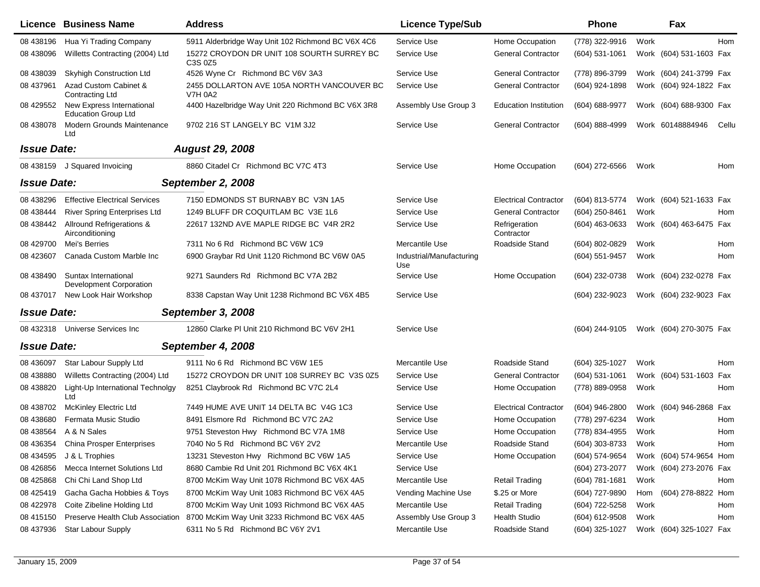|                    | Licence Business Name                                   | <b>Address</b>                                               | <b>Licence Type/Sub</b>         |                              | <b>Phone</b>       |      | Fax                     |       |
|--------------------|---------------------------------------------------------|--------------------------------------------------------------|---------------------------------|------------------------------|--------------------|------|-------------------------|-------|
| 08 438196          | Hua Yi Trading Company                                  | 5911 Alderbridge Way Unit 102 Richmond BC V6X 4C6            | Service Use                     | Home Occupation              | (778) 322-9916     | Work |                         | Hom   |
| 08 438096          | Willetts Contracting (2004) Ltd                         | 15272 CROYDON DR UNIT 108 SOURTH SURREY BC<br>C3S 0Z5        | Service Use                     | <b>General Contractor</b>    | $(604)$ 531-1061   |      | Work (604) 531-1603 Fax |       |
| 08 438039          | <b>Skyhigh Construction Ltd</b>                         | 4526 Wyne Cr Richmond BC V6V 3A3                             | Service Use                     | <b>General Contractor</b>    | (778) 896-3799     |      | Work (604) 241-3799 Fax |       |
| 08 437961          | Azad Custom Cabinet &<br>Contracting Ltd                | 2455 DOLLARTON AVE 105A NORTH VANCOUVER BC<br><b>V7H 0A2</b> | Service Use                     | <b>General Contractor</b>    | (604) 924-1898     |      | Work (604) 924-1822 Fax |       |
| 08 429552          | New Express International<br><b>Education Group Ltd</b> | 4400 Hazelbridge Way Unit 220 Richmond BC V6X 3R8            | Assembly Use Group 3            | <b>Education Institution</b> | (604) 688-9977     |      | Work (604) 688-9300 Fax |       |
| 08 438078          | Modern Grounds Maintenance<br>Ltd                       | 9702 216 ST LANGELY BC V1M 3J2                               | Service Use                     | <b>General Contractor</b>    | $(604) 888 - 4999$ |      | Work 60148884946        | Cellu |
| <b>Issue Date:</b> |                                                         | <b>August 29, 2008</b>                                       |                                 |                              |                    |      |                         |       |
| 08 438159          | J Squared Invoicing                                     | 8860 Citadel Cr Richmond BC V7C 4T3                          | Service Use                     | Home Occupation              | (604) 272-6566     | Work |                         | Hom   |
| <b>Issue Date:</b> |                                                         | September 2, 2008                                            |                                 |                              |                    |      |                         |       |
| 08 438296          | <b>Effective Electrical Services</b>                    | 7150 EDMONDS ST BURNABY BC V3N 1A5                           | Service Use                     | <b>Electrical Contractor</b> | (604) 813-5774     |      | Work (604) 521-1633 Fax |       |
| 08 438444          | <b>River Spring Enterprises Ltd</b>                     | 1249 BLUFF DR COQUITLAM BC V3E 1L6                           | Service Use                     | <b>General Contractor</b>    | (604) 250-8461     | Work |                         | Hom   |
| 08 438442          | Allround Refrigerations &<br>Airconditioning            | 22617 132ND AVE MAPLE RIDGE BC V4R 2R2                       | Service Use                     | Refrigeration<br>Contractor  | $(604)$ 463-0633   |      | Work (604) 463-6475 Fax |       |
| 08 429700          | Mei's Berries                                           | 7311 No 6 Rd Richmond BC V6W 1C9                             | Mercantile Use                  | Roadside Stand               | (604) 802-0829     | Work |                         | Hom   |
| 08 423607          | Canada Custom Marble Inc                                | 6900 Graybar Rd Unit 1120 Richmond BC V6W 0A5                | Industrial/Manufacturing<br>Use |                              | (604) 551-9457     | Work |                         | Hom   |
| 08 438490          | Suntax International<br>Development Corporation         | 9271 Saunders Rd Richmond BC V7A 2B2                         | Service Use                     | Home Occupation              | (604) 232-0738     |      | Work (604) 232-0278 Fax |       |
| 08 437017          | New Look Hair Workshop                                  | 8338 Capstan Way Unit 1238 Richmond BC V6X 4B5               | Service Use                     |                              | (604) 232-9023     |      | Work (604) 232-9023 Fax |       |
| <b>Issue Date:</b> |                                                         | September 3, 2008                                            |                                 |                              |                    |      |                         |       |
| 08 432318          | Universe Services Inc                                   | 12860 Clarke PI Unit 210 Richmond BC V6V 2H1                 | Service Use                     |                              | (604) 244-9105     |      | Work (604) 270-3075 Fax |       |
| <b>Issue Date:</b> |                                                         | September 4, 2008                                            |                                 |                              |                    |      |                         |       |
| 08 436097          | Star Labour Supply Ltd                                  | 9111 No 6 Rd Richmond BC V6W 1E5                             | Mercantile Use                  | Roadside Stand               | (604) 325-1027     | Work |                         | Hom   |
| 08 438880          | Willetts Contracting (2004) Ltd                         | 15272 CROYDON DR UNIT 108 SURREY BC V3S 0Z5                  | Service Use                     | <b>General Contractor</b>    | (604) 531-1061     |      | Work (604) 531-1603     | Fax   |
| 08 438820          | Light-Up International Technolgy<br>Ltd                 | 8251 Claybrook Rd Richmond BC V7C 2L4                        | Service Use                     | Home Occupation              | (778) 889-0958     | Work |                         | Hom   |
| 08 438702          | <b>McKinley Electric Ltd</b>                            | 7449 HUME AVE UNIT 14 DELTA BC V4G 1C3                       | Service Use                     | <b>Electrical Contractor</b> | $(604)$ 946-2800   |      | Work (604) 946-2868 Fax |       |
| 08 438680          | Fermata Music Studio                                    | 8491 Elsmore Rd Richmond BC V7C 2A2                          | Service Use                     | Home Occupation              | (778) 297-6234     | Work |                         | Hom   |
| 08 438564          | A & N Sales                                             | 9751 Steveston Hwy Richmond BC V7A 1M8                       | Service Use                     | Home Occupation              | (778) 834-4955     | Work |                         | Hom   |
|                    | 08 436354 China Prosper Enterprises                     | 7040 No 5 Rd Richmond BC V6Y 2V2                             | Mercantile Use                  | Roadside Stand               | (604) 303-8733     | Work |                         | Hom   |
|                    | 08 434595 J & L Trophies                                | 13231 Steveston Hwy Richmond BC V6W 1A5                      | Service Use                     | Home Occupation              | (604) 574-9654     |      | Work (604) 574-9654 Hom |       |
| 08 426856          | Mecca Internet Solutions Ltd                            | 8680 Cambie Rd Unit 201 Richmond BC V6X 4K1                  | Service Use                     |                              | (604) 273-2077     |      | Work (604) 273-2076 Fax |       |
| 08 425868          | Chi Chi Land Shop Ltd                                   | 8700 McKim Way Unit 1078 Richmond BC V6X 4A5                 | Mercantile Use                  | <b>Retail Trading</b>        | $(604)$ 781-1681   | Work |                         | Hom   |
| 08 425419          | Gacha Gacha Hobbies & Toys                              | 8700 McKim Way Unit 1083 Richmond BC V6X 4A5                 | Vending Machine Use             | \$.25 or More                | (604) 727-9890     |      | Hom (604) 278-8822 Hom  |       |
| 08 422978          | Coite Zibeline Holding Ltd                              | 8700 McKim Way Unit 1093 Richmond BC V6X 4A5                 | Mercantile Use                  | <b>Retail Trading</b>        | (604) 722-5258     | Work |                         | Hom   |
| 08 415150          | Preserve Health Club Association                        | 8700 McKim Way Unit 3233 Richmond BC V6X 4A5                 | Assembly Use Group 3            | <b>Health Studio</b>         | (604) 612-9508     | Work |                         | Hom   |
| 08 437936          | Star Labour Supply                                      | 6311 No 5 Rd Richmond BC V6Y 2V1                             | Mercantile Use                  | Roadside Stand               | (604) 325-1027     |      | Work (604) 325-1027 Fax |       |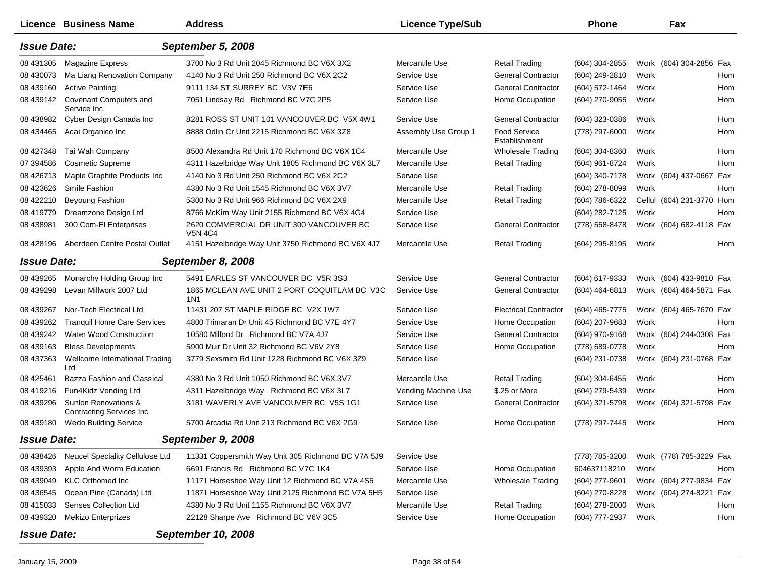|                    | Licence Business Name                                    | <b>Address</b>                                             | <b>Licence Type/Sub</b> |                               | <b>Phone</b>     |      | Fax                       |     |
|--------------------|----------------------------------------------------------|------------------------------------------------------------|-------------------------|-------------------------------|------------------|------|---------------------------|-----|
| <b>Issue Date:</b> |                                                          | September 5, 2008                                          |                         |                               |                  |      |                           |     |
| 08 431305          | <b>Magazine Express</b>                                  | 3700 No 3 Rd Unit 2045 Richmond BC V6X 3X2                 | Mercantile Use          | <b>Retail Trading</b>         | (604) 304-2855   |      | Work (604) 304-2856 Fax   |     |
| 08 430073          | Ma Liang Renovation Company                              | 4140 No 3 Rd Unit 250 Richmond BC V6X 2C2                  | Service Use             | <b>General Contractor</b>     | (604) 249-2810   | Work |                           | Hom |
| 08 439160          | <b>Active Painting</b>                                   | 9111 134 ST SURREY BC V3V 7E6                              | Service Use             | <b>General Contractor</b>     | (604) 572-1464   | Work |                           | Hom |
| 08 439142          | Covenant Computers and<br>Service Inc                    | 7051 Lindsay Rd Richmond BC V7C 2P5                        | Service Use             | Home Occupation               | (604) 270-9055   | Work |                           | Hom |
| 08 438982          | Cyber Design Canada Inc                                  | 8281 ROSS ST UNIT 101 VANCOUVER BC V5X 4W1                 | Service Use             | <b>General Contractor</b>     | (604) 323-0386   | Work |                           | Hom |
| 08 434465          | Acai Organico Inc                                        | 8888 Odlin Cr Unit 2215 Richmond BC V6X 3Z8                | Assembly Use Group 1    | Food Service<br>Establishment | (778) 297-6000   | Work |                           | Hom |
| 08 427348          | Tai Wah Company                                          | 8500 Alexandra Rd Unit 170 Richmond BC V6X 1C4             | Mercantile Use          | <b>Wholesale Trading</b>      | $(604)$ 304-8360 | Work |                           | Hom |
| 07 394586          | <b>Cosmetic Supreme</b>                                  | 4311 Hazelbridge Way Unit 1805 Richmond BC V6X 3L7         | Mercantile Use          | <b>Retail Trading</b>         | (604) 961-8724   | Work |                           | Hom |
| 08 426713          | Maple Graphite Products Inc                              | 4140 No 3 Rd Unit 250 Richmond BC V6X 2C2                  | Service Use             |                               | (604) 340-7178   |      | Work (604) 437-0667 Fax   |     |
| 08 423626          | Smile Fashion                                            | 4380 No 3 Rd Unit 1545 Richmond BC V6X 3V7                 | Mercantile Use          | <b>Retail Trading</b>         | (604) 278-8099   | Work |                           | Hom |
| 08 422210          | Beyoung Fashion                                          | 5300 No 3 Rd Unit 966 Richmond BC V6X 2X9                  | Mercantile Use          | <b>Retail Trading</b>         | (604) 786-6322   |      | Cellul (604) 231-3770 Hom |     |
| 08 419779          | Dreamzone Design Ltd                                     | 8766 McKim Way Unit 2155 Richmond BC V6X 4G4               | Service Use             |                               | (604) 282-7125   | Work |                           | Hom |
| 08 438981          | 300 Com-El Enterprises                                   | 2620 COMMERCIAL DR UNIT 300 VANCOUVER BC<br><b>V5N 4C4</b> | Service Use             | <b>General Contractor</b>     | (778) 558-8478   |      | Work (604) 682-4118 Fax   |     |
| 08 428196          | Aberdeen Centre Postal Outlet                            | 4151 Hazelbridge Way Unit 3750 Richmond BC V6X 4J7         | Mercantile Use          | <b>Retail Trading</b>         | (604) 295-8195   | Work |                           | Hom |
| <b>Issue Date:</b> |                                                          | September 8, 2008                                          |                         |                               |                  |      |                           |     |
| 08 439265          | Monarchy Holding Group Inc                               | 5491 EARLES ST VANCOUVER BC V5R 3S3                        | Service Use             | <b>General Contractor</b>     | (604) 617-9333   |      | Work (604) 433-9810 Fax   |     |
| 08 439298          | Levan Millwork 2007 Ltd                                  | 1865 MCLEAN AVE UNIT 2 PORT COQUITLAM BC V3C<br>1N1        | Service Use             | <b>General Contractor</b>     | (604) 464-6813   |      | Work (604) 464-5871 Fax   |     |
| 08 439267          | Nor-Tech Electrical Ltd                                  | 11431 207 ST MAPLE RIDGE BC V2X 1W7                        | Service Use             | <b>Electrical Contractor</b>  | (604) 465-7775   |      | Work (604) 465-7670 Fax   |     |
| 08 439262          | <b>Tranquil Home Care Services</b>                       | 4800 Trimaran Dr Unit 45 Richmond BC V7E 4Y7               | Service Use             | Home Occupation               | (604) 207-9683   | Work |                           | Hom |
| 08 439242          | <b>Water Wood Construction</b>                           | 10580 Milford Dr Richmond BC V7A 4J7                       | Service Use             | <b>General Contractor</b>     | (604) 970-9168   |      | Work (604) 244-0308 Fax   |     |
| 08 439163          | <b>Bless Developments</b>                                | 5900 Muir Dr Unit 32 Richmond BC V6V 2Y8                   | Service Use             | Home Occupation               | (778) 689-0778   | Work |                           | Hom |
| 08 437363          | Wellcome International Trading<br>Ltd                    | 3779 Sexsmith Rd Unit 1228 Richmond BC V6X 3Z9             | Service Use             |                               | (604) 231-0738   |      | Work (604) 231-0768 Fax   |     |
| 08 425461          | Bazza Fashion and Classical                              | 4380 No 3 Rd Unit 1050 Richmond BC V6X 3V7                 | Mercantile Use          | <b>Retail Trading</b>         | (604) 304-6455   | Work |                           | Hom |
| 08 419216          | Fun4Kidz Vending Ltd                                     | 4311 Hazelbridge Way Richmond BC V6X 3L7                   | Vending Machine Use     | \$.25 or More                 | (604) 279-5439   | Work |                           | Hom |
| 08 439296          | Sunlon Renovations &<br><b>Contracting Services Inc.</b> | 3181 WAVERLY AVE VANCOUVER BC V5S 1G1                      | Service Use             | <b>General Contractor</b>     | (604) 321-5798   |      | Work (604) 321-5798 Fax   |     |
| 08 439180          | <b>Wedo Building Service</b>                             | 5700 Arcadia Rd Unit 213 Richmond BC V6X 2G9               | Service Use             | Home Occupation               | (778) 297-7445   | Work |                           | Hom |
| <b>Issue Date:</b> |                                                          | September 9, 2008                                          |                         |                               |                  |      |                           |     |
| 08 438426          | Neucel Speciality Cellulose Ltd                          | 11331 Coppersmith Way Unit 305 Richmond BC V7A 5J9         | Service Use             |                               | (778) 785-3200   |      | Work (778) 785-3229 Fax   |     |
| 08 439393          | Apple And Worm Education                                 | 6691 Francis Rd Richmond BC V7C 1K4                        | Service Use             | Home Occupation               | 604637118210     | Work |                           | Hom |
| 08 439049          | <b>KLC Orthomed Inc</b>                                  | 11171 Horseshoe Way Unit 12 Richmond BC V7A 4S5            | Mercantile Use          | <b>Wholesale Trading</b>      | (604) 277-9601   |      | Work (604) 277-9834 Fax   |     |
| 08 43 6545         | Ocean Pine (Canada) Ltd                                  | 11871 Horseshoe Way Unit 2125 Richmond BC V7A 5H5          | Service Use             |                               | (604) 270-8228   |      | Work (604) 274-8221 Fax   |     |
| 08 415033          | Senses Collection Ltd                                    | 4380 No 3 Rd Unit 1155 Richmond BC V6X 3V7                 | Mercantile Use          | <b>Retail Trading</b>         | (604) 278-2000   | Work |                           | Hom |
| 08 439320          | <b>Mekizo Enterprizes</b>                                | 22128 Sharpe Ave Richmond BC V6V 3C5                       | Service Use             | Home Occupation               | (604) 777-2937   | Work |                           | Hom |
| <b>Issue Date:</b> |                                                          | <b>September 10, 2008</b>                                  |                         |                               |                  |      |                           |     |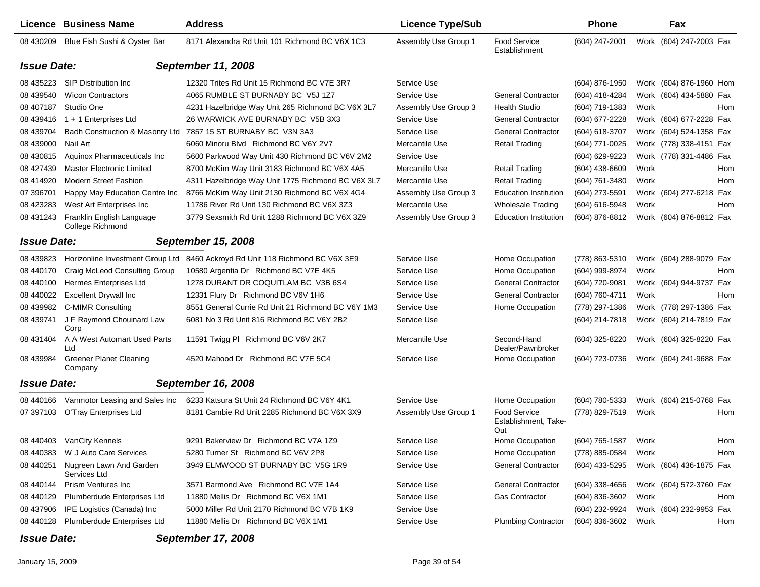|                    | Licence Business Name                         | <b>Address</b>                                     | <b>Licence Type/Sub</b> |                                             | <b>Phone</b>     |      | Fax                     |     |
|--------------------|-----------------------------------------------|----------------------------------------------------|-------------------------|---------------------------------------------|------------------|------|-------------------------|-----|
| 08 430209          | Blue Fish Sushi & Oyster Bar                  | 8171 Alexandra Rd Unit 101 Richmond BC V6X 1C3     | Assembly Use Group 1    | <b>Food Service</b><br>Establishment        | (604) 247-2001   |      | Work (604) 247-2003 Fax |     |
| <b>Issue Date:</b> |                                               | September 11, 2008                                 |                         |                                             |                  |      |                         |     |
| 08 435223          | <b>SIP Distribution Inc.</b>                  | 12320 Trites Rd Unit 15 Richmond BC V7E 3R7        | Service Use             |                                             | (604) 876-1950   |      | Work (604) 876-1960 Hom |     |
| 08 439540          | <b>Wicon Contractors</b>                      | 4065 RUMBLE ST BURNABY BC V5J 1Z7                  | Service Use             | <b>General Contractor</b>                   | (604) 418-4284   |      | Work (604) 434-5880 Fax |     |
| 08 407187          | Studio One                                    | 4231 Hazelbridge Way Unit 265 Richmond BC V6X 3L7  | Assembly Use Group 3    | <b>Health Studio</b>                        | (604) 719-1383   | Work |                         | Hom |
| 08 439416          | $1 + 1$ Enterprises Ltd                       | 26 WARWICK AVE BURNABY BC V5B 3X3                  | Service Use             | <b>General Contractor</b>                   | (604) 677-2228   |      | Work (604) 677-2228 Fax |     |
| 08 439704          | Badh Construction & Masonry Ltd               | 7857 15 ST BURNABY BC V3N 3A3                      | Service Use             | <b>General Contractor</b>                   | (604) 618-3707   |      | Work (604) 524-1358 Fax |     |
| 08 439000          | Nail Art                                      | 6060 Minoru Blvd Richmond BC V6Y 2V7               | Mercantile Use          | <b>Retail Trading</b>                       | (604) 771-0025   |      | Work (778) 338-4151 Fax |     |
| 08 430815          | Aquinox Pharmaceuticals Inc                   | 5600 Parkwood Way Unit 430 Richmond BC V6V 2M2     | Service Use             |                                             | (604) 629-9223   |      | Work (778) 331-4486 Fax |     |
| 08 427439          | <b>Master Electronic Limited</b>              | 8700 McKim Way Unit 3183 Richmond BC V6X 4A5       | Mercantile Use          | <b>Retail Trading</b>                       | $(604)$ 438-6609 | Work |                         | Hom |
| 08 414920          | <b>Modern Street Fashion</b>                  | 4311 Hazelbridge Way Unit 1775 Richmond BC V6X 3L7 | Mercantile Use          | <b>Retail Trading</b>                       | (604) 761-3480   | Work |                         | Hom |
| 07 39 6701         | Happy May Education Centre Inc                | 8766 McKim Way Unit 2130 Richmond BC V6X 4G4       | Assembly Use Group 3    | <b>Education Institution</b>                | (604) 273-5591   |      | Work (604) 277-6218 Fax |     |
| 08 423283          | West Art Enterprises Inc                      | 11786 River Rd Unit 130 Richmond BC V6X 3Z3        | Mercantile Use          | Wholesale Trading                           | (604) 616-5948   | Work |                         | Hom |
| 08 431243          | Franklin English Language<br>College Richmond | 3779 Sexsmith Rd Unit 1288 Richmond BC V6X 3Z9     | Assembly Use Group 3    | <b>Education Institution</b>                | (604) 876-8812   |      | Work (604) 876-8812 Fax |     |
| <b>Issue Date:</b> |                                               | <b>September 15, 2008</b>                          |                         |                                             |                  |      |                         |     |
| 08 439823          | Horizonline Investment Group Ltd              | 8460 Ackroyd Rd Unit 118 Richmond BC V6X 3E9       | Service Use             | Home Occupation                             | (778) 863-5310   |      | Work (604) 288-9079 Fax |     |
| 08 440170          | Craig McLeod Consulting Group                 | 10580 Argentia Dr Richmond BC V7E 4K5              | Service Use             | Home Occupation                             | (604) 999-8974   | Work |                         | Hom |
| 08 440100          | Hermes Enterprises Ltd                        | 1278 DURANT DR COQUITLAM BC V3B 6S4                | Service Use             | <b>General Contractor</b>                   | (604) 720-9081   |      | Work (604) 944-9737     | Fax |
| 08 440022          | <b>Excellent Drywall Inc</b>                  | 12331 Flury Dr Richmond BC V6V 1H6                 | Service Use             | <b>General Contractor</b>                   | (604) 760-4711   | Work |                         | Hom |
| 08 439982          | C-MIMR Consulting                             | 8551 General Currie Rd Unit 21 Richmond BC V6Y 1M3 | Service Use             | Home Occupation                             | (778) 297-1386   |      | Work (778) 297-1386 Fax |     |
| 08 439741          | J F Raymond Chouinard Law<br>Corp             | 6081 No 3 Rd Unit 816 Richmond BC V6Y 2B2          | Service Use             |                                             | (604) 214-7818   |      | Work (604) 214-7819 Fax |     |
| 08 431404          | A A West Automart Used Parts<br>Ltd           | 11591 Twigg PI Richmond BC V6V 2K7                 | Mercantile Use          | Second-Hand<br>Dealer/Pawnbroker            | (604) 325-8220   |      | Work (604) 325-8220 Fax |     |
| 08 439984          | <b>Greener Planet Cleaning</b><br>Company     | 4520 Mahood Dr Richmond BC V7E 5C4                 | Service Use             | Home Occupation                             | (604) 723-0736   |      | Work (604) 241-9688 Fax |     |
| <b>Issue Date:</b> |                                               | September 16, 2008                                 |                         |                                             |                  |      |                         |     |
| 08 440166          | Vanmotor Leasing and Sales Inc                | 6233 Katsura St Unit 24 Richmond BC V6Y 4K1        | Service Use             | Home Occupation                             | (604) 780-5333   |      | Work (604) 215-0768 Fax |     |
| 07 397103          | O'Tray Enterprises Ltd                        | 8181 Cambie Rd Unit 2285 Richmond BC V6X 3X9       | Assembly Use Group 1    | Food Service<br>Establishment, Take-<br>Out | (778) 829-7519   | Work |                         | Hom |
| 08 440403          | VanCity Kennels                               | 9291 Bakerview Dr Richmond BC V7A 1Z9              | Service Use             | Home Occupation                             | (604) 765-1587   | Work |                         | Hom |
| 08 440383          | W J Auto Care Services                        | 5280 Turner St Richmond BC V6V 2P8                 | Service Use             | Home Occupation                             | (778) 885-0584   | Work |                         | Hom |
| 08 440251          | Nugreen Lawn And Garden<br>Services Ltd       | 3949 ELMWOOD ST BURNABY BC V5G 1R9                 | Service Use             | <b>General Contractor</b>                   | (604) 433-5295   |      | Work (604) 436-1875 Fax |     |
| 08 440144          | <b>Prism Ventures Inc.</b>                    | 3571 Barmond Ave Richmond BC V7E 1A4               | Service Use             | <b>General Contractor</b>                   | (604) 338-4656   |      | Work (604) 572-3760 Fax |     |
| 08 440129          | Plumberdude Enterprises Ltd                   | 11880 Mellis Dr Richmond BC V6X 1M1                | Service Use             | <b>Gas Contractor</b>                       | (604) 836-3602   | Work |                         | Hom |
| 08 437906          | IPE Logistics (Canada) Inc                    | 5000 Miller Rd Unit 2170 Richmond BC V7B 1K9       | Service Use             |                                             | (604) 232-9924   |      | Work (604) 232-9953 Fax |     |
| 08 440128          | Plumberdude Enterprises Ltd                   | 11880 Mellis Dr Richmond BC V6X 1M1                | Service Use             | <b>Plumbing Contractor</b>                  | (604) 836-3602   | Work |                         | Hom |
| <b>Issue Date:</b> |                                               | <b>September 17, 2008</b>                          |                         |                                             |                  |      |                         |     |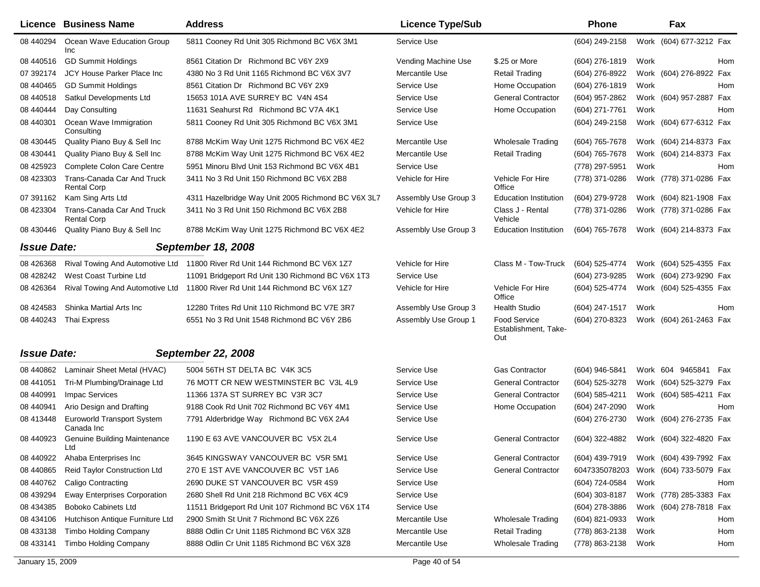|                    | Licence Business Name                            | <b>Address</b>                                                              | <b>Licence Type/Sub</b> |                                                    | <b>Phone</b>   |      | Fax                     |
|--------------------|--------------------------------------------------|-----------------------------------------------------------------------------|-------------------------|----------------------------------------------------|----------------|------|-------------------------|
| 08 440294          | Ocean Wave Education Group<br>Inc                | 5811 Cooney Rd Unit 305 Richmond BC V6X 3M1                                 | Service Use             |                                                    | (604) 249-2158 |      | Work (604) 677-3212 Fax |
| 08 44 0516         | <b>GD Summit Holdings</b>                        | 8561 Citation Dr Richmond BC V6Y 2X9                                        | Vending Machine Use     | \$.25 or More                                      | (604) 276-1819 | Work | Hom                     |
| 07 392174          | <b>JCY House Parker Place Inc.</b>               | 4380 No 3 Rd Unit 1165 Richmond BC V6X 3V7                                  | Mercantile Use          | Retail Trading                                     | (604) 276-8922 |      | Work (604) 276-8922 Fax |
| 08 440 465         | <b>GD Summit Holdings</b>                        | 8561 Citation Dr Richmond BC V6Y 2X9                                        | Service Use             | Home Occupation                                    | (604) 276-1819 | Work | Hom                     |
| 08 44 05 18        | Satkul Developments Ltd                          | 15653 101A AVE SURREY BC V4N 4S4                                            | Service Use             | <b>General Contractor</b>                          | (604) 957-2862 |      | Work (604) 957-2887 Fax |
| 08 440 444         | Day Consulting                                   | 11631 Seahurst Rd Richmond BC V7A 4K1                                       | Service Use             | Home Occupation                                    | (604) 271-7761 | Work | <b>Hom</b>              |
| 08 440301          | Ocean Wave Immigration<br>Consulting             | 5811 Cooney Rd Unit 305 Richmond BC V6X 3M1                                 | Service Use             |                                                    | (604) 249-2158 |      | Work (604) 677-6312 Fax |
| 08 430 445         | Quality Piano Buy & Sell Inc                     | 8788 McKim Way Unit 1275 Richmond BC V6X 4E2                                | Mercantile Use          | <b>Wholesale Trading</b>                           | (604) 765-7678 |      | Work (604) 214-8373 Fax |
| 08 430441          | Quality Piano Buy & Sell Inc                     | 8788 McKim Way Unit 1275 Richmond BC V6X 4E2                                | Mercantile Use          | <b>Retail Trading</b>                              | (604) 765-7678 |      | Work (604) 214-8373 Fax |
| 08 425923          | Complete Colon Care Centre                       | 5951 Minoru Blvd Unit 153 Richmond BC V6X 4B1                               | Service Use             |                                                    | (778) 297-5951 | Work | Hom                     |
| 08 423303          | Trans-Canada Car And Truck<br><b>Rental Corp</b> | 3411 No 3 Rd Unit 150 Richmond BC V6X 2B8                                   | Vehicle for Hire        | Vehicle For Hire<br>Office                         | (778) 371-0286 |      | Work (778) 371-0286 Fax |
| 07 391162          | Kam Sing Arts Ltd                                | 4311 Hazelbridge Way Unit 2005 Richmond BC V6X 3L7                          | Assembly Use Group 3    | <b>Education Institution</b>                       | (604) 279-9728 |      | Work (604) 821-1908 Fax |
| 08 423304          | Trans-Canada Car And Truck<br><b>Rental Corp</b> | 3411 No 3 Rd Unit 150 Richmond BC V6X 2B8                                   | Vehicle for Hire        | Class J - Rental<br>Vehicle                        | (778) 371-0286 |      | Work (778) 371-0286 Fax |
| 08 430446          | Quality Piano Buy & Sell Inc                     | 8788 McKim Way Unit 1275 Richmond BC V6X 4E2                                | Assembly Use Group 3    | <b>Education Institution</b>                       | (604) 765-7678 |      | Work (604) 214-8373 Fax |
| <b>Issue Date:</b> |                                                  | <b>September 18, 2008</b>                                                   |                         |                                                    |                |      |                         |
| 08 426368          |                                                  | Rival Towing And Automotive Ltd 11800 River Rd Unit 144 Richmond BC V6X 1Z7 | Vehicle for Hire        | Class M - Tow-Truck                                | (604) 525-4774 |      | Work (604) 525-4355 Fax |
| 08 428242          | West Coast Turbine Ltd                           | 11091 Bridgeport Rd Unit 130 Richmond BC V6X 1T3                            | Service Use             |                                                    | (604) 273-9285 |      | Work (604) 273-9290 Fax |
| 08 42 63 64        | Rival Towing And Automotive Ltd                  | 11800 River Rd Unit 144 Richmond BC V6X 1Z7                                 | Vehicle for Hire        | Vehicle For Hire<br>Office                         | (604) 525-4774 |      | Work (604) 525-4355 Fax |
| 08 424583          | Shinka Martial Arts Inc                          | 12280 Trites Rd Unit 110 Richmond BC V7E 3R7                                | Assembly Use Group 3    | <b>Health Studio</b>                               | (604) 247-1517 | Work | Hom                     |
| 08 440243          | Thai Express                                     | 6551 No 3 Rd Unit 1548 Richmond BC V6Y 2B6                                  | Assembly Use Group 1    | <b>Food Service</b><br>Establishment, Take-<br>Out | (604) 270-8323 |      | Work (604) 261-2463 Fax |
| <b>Issue Date:</b> |                                                  | <b>September 22, 2008</b>                                                   |                         |                                                    |                |      |                         |
| 08 44 0862         | Laminair Sheet Metal (HVAC)                      | 5004 56TH ST DELTA BC V4K 3C5                                               | Service Use             | <b>Gas Contractor</b>                              | (604) 946-5841 |      | Work 604 9465841<br>Fax |
| 08 441051          | Tri-M Plumbing/Drainage Ltd                      | 76 MOTT CR NEW WESTMINSTER BC V3L 4L9                                       | Service Use             | <b>General Contractor</b>                          | (604) 525-3278 |      | Work (604) 525-3279 Fax |
| 08 440991          | <b>Impac Services</b>                            | 11366 137A ST SURREY BC V3R 3C7                                             | Service Use             | <b>General Contractor</b>                          | (604) 585-4211 |      | Work (604) 585-4211 Fax |
| 08 440941          | Ario Design and Drafting                         | 9188 Cook Rd Unit 702 Richmond BC V6Y 4M1                                   | Service Use             | Home Occupation                                    | (604) 247-2090 | Work | Hom                     |
| 08 413448          | Euroworld Transport System<br>Canada Inc         | 7791 Alderbridge Way Richmond BC V6X 2A4                                    | Service Use             |                                                    | (604) 276-2730 |      | Work (604) 276-2735 Fax |
| 08 440923          | <b>Genuine Building Maintenance</b><br>Ltd       | 1190 E 63 AVE VANCOUVER BC V5X 2L4                                          | Service Use             | <b>General Contractor</b>                          | (604) 322-4882 |      | Work (604) 322-4820 Fax |
| 08 440922          | Ahaba Enterprises Inc                            | 3645 KINGSWAY VANCOUVER BC V5R 5M1                                          | Service Use             | <b>General Contractor</b>                          | (604) 439-7919 |      | Work (604) 439-7992 Fax |
| 08 44 08 65        | Reid Taylor Construction Ltd                     | 270 E 1ST AVE VANCOUVER BC V5T 1A6                                          | Service Use             | <b>General Contractor</b>                          | 6047335078203  |      | Work (604) 733-5079 Fax |
| 08 440762          | Caligo Contracting                               | 2690 DUKE ST VANCOUVER BC V5R 4S9                                           | Service Use             |                                                    | (604) 724-0584 | Work | Hom                     |
| 08 439294          | <b>Eway Enterprises Corporation</b>              | 2680 Shell Rd Unit 218 Richmond BC V6X 4C9                                  | Service Use             |                                                    | (604) 303-8187 |      | Work (778) 285-3383 Fax |
| 08 434385          | <b>Boboko Cabinets Ltd</b>                       | 11511 Bridgeport Rd Unit 107 Richmond BC V6X 1T4                            | Service Use             |                                                    | (604) 278-3886 |      | Work (604) 278-7818 Fax |
| 08 434106          | Hutchison Antique Furniture Ltd                  | 2900 Smith St Unit 7 Richmond BC V6X 2Z6                                    | Mercantile Use          | <b>Wholesale Trading</b>                           | (604) 821-0933 | Work | Hom                     |
| 08 433138          | Timbo Holding Company                            | 8888 Odlin Cr Unit 1185 Richmond BC V6X 3Z8                                 | Mercantile Use          | <b>Retail Trading</b>                              | (778) 863-2138 | Work | Hom                     |
| 08 433141          | Timbo Holding Company                            | 8888 Odlin Cr Unit 1185 Richmond BC V6X 3Z8                                 | Mercantile Use          | Wholesale Trading                                  | (778) 863-2138 | Work | Hom                     |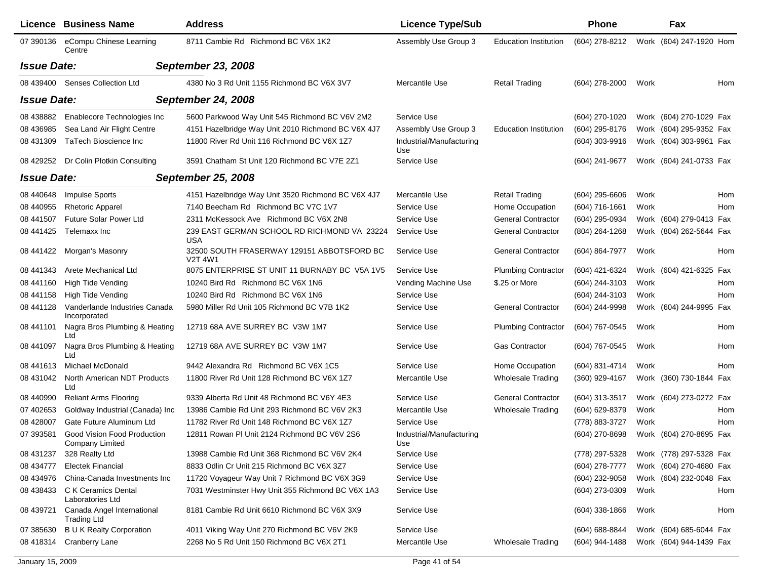|                    | <b>Licence Business Name</b>                          | <b>Address</b>                                               | <b>Licence Type/Sub</b>         |                              | <b>Phone</b>       |      | Fax                     |     |
|--------------------|-------------------------------------------------------|--------------------------------------------------------------|---------------------------------|------------------------------|--------------------|------|-------------------------|-----|
| 07 390136          | eCompu Chinese Learning<br>Centre                     | 8711 Cambie Rd Richmond BC V6X 1K2                           | Assembly Use Group 3            | <b>Education Institution</b> | (604) 278-8212     |      | Work (604) 247-1920 Hom |     |
| <b>Issue Date:</b> |                                                       | <b>September 23, 2008</b>                                    |                                 |                              |                    |      |                         |     |
|                    | 08 439400 Senses Collection Ltd                       | 4380 No 3 Rd Unit 1155 Richmond BC V6X 3V7                   | Mercantile Use                  | <b>Retail Trading</b>        | (604) 278-2000     | Work |                         | Hom |
| <b>Issue Date:</b> |                                                       | <b>September 24, 2008</b>                                    |                                 |                              |                    |      |                         |     |
| 08 438882          | Enablecore Technologies Inc                           | 5600 Parkwood Way Unit 545 Richmond BC V6V 2M2               | Service Use                     |                              | (604) 270-1020     |      | Work (604) 270-1029 Fax |     |
| 08 43 6985         | Sea Land Air Flight Centre                            | 4151 Hazelbridge Way Unit 2010 Richmond BC V6X 4J7           | Assembly Use Group 3            | <b>Education Institution</b> | (604) 295-8176     |      | Work (604) 295-9352 Fax |     |
| 08 431309          | TaTech Bioscience Inc                                 | 11800 River Rd Unit 116 Richmond BC V6X 1Z7                  | Industrial/Manufacturing<br>Use |                              | $(604)$ 303-9916   |      | Work (604) 303-9961 Fax |     |
| 08 429252          | Dr Colin Plotkin Consulting                           | 3591 Chatham St Unit 120 Richmond BC V7E 2Z1                 | Service Use                     |                              | (604) 241-9677     |      | Work (604) 241-0733 Fax |     |
| <b>Issue Date:</b> |                                                       | <b>September 25, 2008</b>                                    |                                 |                              |                    |      |                         |     |
| 08 440 648         | Impulse Sports                                        | 4151 Hazelbridge Way Unit 3520 Richmond BC V6X 4J7           | Mercantile Use                  | <b>Retail Trading</b>        | $(604)$ 295-6606   | Work |                         | Hom |
| 08 440955          | <b>Rhetoric Apparel</b>                               | 7140 Beecham Rd Richmond BC V7C 1V7                          | Service Use                     | Home Occupation              | (604) 716-1661     | Work |                         | Hom |
| 08 441507          | <b>Future Solar Power Ltd</b>                         | 2311 McKessock Ave Richmond BC V6X 2N8                       | Service Use                     | <b>General Contractor</b>    | (604) 295-0934     |      | Work (604) 279-0413 Fax |     |
| 08 441425          | Telemaxx Inc                                          | 239 EAST GERMAN SCHOOL RD RICHMOND VA 23224<br><b>USA</b>    | Service Use                     | <b>General Contractor</b>    | (804) 264-1268     |      | Work (804) 262-5644 Fax |     |
| 08 441422          | Morgan's Masonry                                      | 32500 SOUTH FRASERWAY 129151 ABBOTSFORD BC<br><b>V2T 4W1</b> | Service Use                     | <b>General Contractor</b>    | (604) 864-7977     | Work |                         | Hom |
| 08 441343          | Arete Mechanical Ltd                                  | 8075 ENTERPRISE ST UNIT 11 BURNABY BC V5A 1V5                | Service Use                     | <b>Plumbing Contractor</b>   | (604) 421-6324     |      | Work (604) 421-6325 Fax |     |
| 08 441160          | High Tide Vending                                     | 10240 Bird Rd Richmond BC V6X 1N6                            | Vending Machine Use             | \$.25 or More                | (604) 244-3103     | Work |                         | Hom |
| 08 441158          | <b>High Tide Vending</b>                              | 10240 Bird Rd Richmond BC V6X 1N6                            | Service Use                     |                              | (604) 244-3103     | Work |                         | Hom |
| 08 441128          | Vanderlande Industries Canada<br>Incorporated         | 5980 Miller Rd Unit 105 Richmond BC V7B 1K2                  | Service Use                     | <b>General Contractor</b>    | (604) 244-9998     |      | Work (604) 244-9995 Fax |     |
| 08 441101          | Nagra Bros Plumbing & Heating<br>Ltd                  | 12719 68A AVE SURREY BC V3W 1M7                              | Service Use                     | <b>Plumbing Contractor</b>   | (604) 767-0545     | Work |                         | Hom |
| 08 441097          | Nagra Bros Plumbing & Heating<br>Ltd                  | 12719 68A AVE SURREY BC V3W 1M7                              | Service Use                     | <b>Gas Contractor</b>        | (604) 767-0545     | Work |                         | Hom |
| 08 441613          | Michael McDonald                                      | 9442 Alexandra Rd Richmond BC V6X 1C5                        | Service Use                     | Home Occupation              | (604) 831-4714     | Work |                         | Hom |
| 08 431042          | North American NDT Products<br>Ltd                    | 11800 River Rd Unit 128 Richmond BC V6X 1Z7                  | Mercantile Use                  | <b>Wholesale Trading</b>     | (360) 929-4167     |      | Work (360) 730-1844 Fax |     |
| 08 440990          | <b>Reliant Arms Flooring</b>                          | 9339 Alberta Rd Unit 48 Richmond BC V6Y 4E3                  | Service Use                     | <b>General Contractor</b>    | $(604)$ 313-3517   |      | Work (604) 273-0272 Fax |     |
| 07 402653          | Goldway Industrial (Canada) Inc                       | 13986 Cambie Rd Unit 293 Richmond BC V6V 2K3                 | Mercantile Use                  | <b>Wholesale Trading</b>     | (604) 629-8379     | Work |                         | Hom |
| 08 428007          | Gate Future Aluminum Ltd                              | 11782 River Rd Unit 148 Richmond BC V6X 127                  | Service Use                     |                              | (778) 883-3727     | Work |                         | Hom |
| 07 393581          | Good Vision Food Production<br><b>Company Limited</b> | 12811 Rowan PI Unit 2124 Richmond BC V6V 2S6                 | Industrial/Manufacturing<br>Use |                              | (604) 270-8698     |      | Work (604) 270-8695 Fax |     |
| 08 431237          | 328 Realty Ltd                                        | 13988 Cambie Rd Unit 368 Richmond BC V6V 2K4                 | Service Use                     |                              | (778) 297-5328     |      | Work (778) 297-5328 Fax |     |
| 08 434777          | <b>Electek Financial</b>                              | 8833 Odlin Cr Unit 215 Richmond BC V6X 3Z7                   | Service Use                     |                              | $(604)$ 278-7777   |      | Work (604) 270-4680 Fax |     |
| 08 434976          | China-Canada Investments Inc                          | 11720 Voyageur Way Unit 7 Richmond BC V6X 3G9                | Service Use                     |                              | (604) 232-9058     |      | Work (604) 232-0048 Fax |     |
| 08 438433          | C K Ceramics Dental<br>Laboratories Ltd               | 7031 Westminster Hwy Unit 355 Richmond BC V6X 1A3            | Service Use                     |                              | (604) 273-0309     | Work |                         | Hom |
| 08 439721          | Canada Angel International<br><b>Trading Ltd</b>      | 8181 Cambie Rd Unit 6610 Richmond BC V6X 3X9                 | Service Use                     |                              | $(604)$ 338-1866   | Work |                         | Hom |
| 07 385630          | <b>B U K Realty Corporation</b>                       | 4011 Viking Way Unit 270 Richmond BC V6V 2K9                 | Service Use                     |                              | $(604) 688 - 8844$ |      | Work (604) 685-6044 Fax |     |
| 08 418314          | <b>Cranberry Lane</b>                                 | 2268 No 5 Rd Unit 150 Richmond BC V6X 2T1                    | Mercantile Use                  | <b>Wholesale Trading</b>     | (604) 944-1488     |      | Work (604) 944-1439 Fax |     |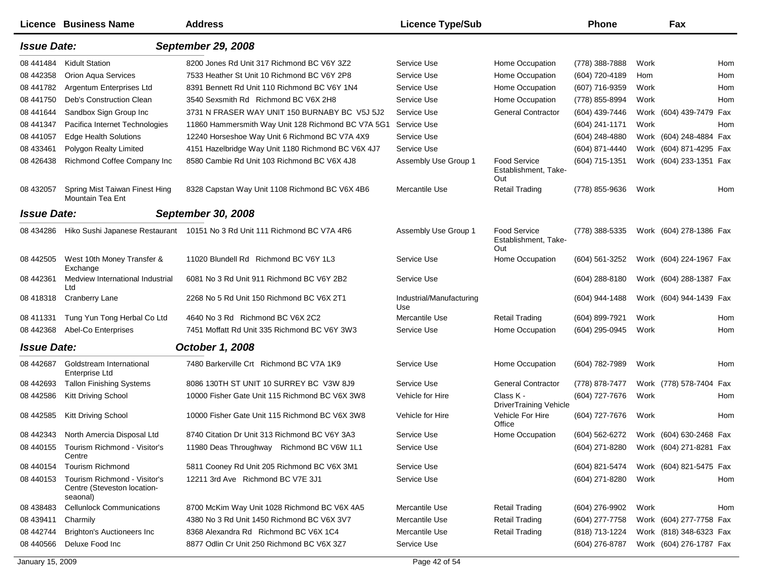|                    | <b>Licence Business Name</b>                                            | <b>Address</b>                                                            | <b>Licence Type/Sub</b>         |                                                    | <b>Phone</b>     |      | Fax                     |     |
|--------------------|-------------------------------------------------------------------------|---------------------------------------------------------------------------|---------------------------------|----------------------------------------------------|------------------|------|-------------------------|-----|
| <b>Issue Date:</b> |                                                                         | <b>September 29, 2008</b>                                                 |                                 |                                                    |                  |      |                         |     |
| 08 441484          | <b>Kidult Station</b>                                                   | 8200 Jones Rd Unit 317 Richmond BC V6Y 3Z2                                | Service Use                     | Home Occupation                                    | (778) 388-7888   | Work |                         | Hom |
| 08 442358          | <b>Orion Aqua Services</b>                                              | 7533 Heather St Unit 10 Richmond BC V6Y 2P8                               | Service Use                     | Home Occupation                                    | (604) 720-4189   | Hom  |                         | Hom |
| 08 441782          | Argentum Enterprises Ltd                                                | 8391 Bennett Rd Unit 110 Richmond BC V6Y 1N4                              | Service Use                     | Home Occupation                                    | (607) 716-9359   | Work |                         | Hom |
| 08 441750          | Deb's Construction Clean                                                | 3540 Sexsmith Rd Richmond BC V6X 2H8                                      | Service Use                     | Home Occupation                                    | (778) 855-8994   | Work |                         | Hom |
| 08 441 644         | Sandbox Sign Group Inc                                                  | 3731 N FRASER WAY UNIT 150 BURNABY BC V5J 5J2                             | Service Use                     | <b>General Contractor</b>                          | (604) 439-7446   |      | Work (604) 439-7479 Fax |     |
| 08 441347          | Pacifica Internet Technologies                                          | 11860 Hammersmith Way Unit 128 Richmond BC V7A 5G1                        | Service Use                     |                                                    | (604) 241-1171   | Work |                         | Hom |
| 08 441057          | <b>Edge Health Solutions</b>                                            | 12240 Horseshoe Way Unit 6 Richmond BC V7A 4X9                            | Service Use                     |                                                    | (604) 248-4880   |      | Work (604) 248-4884 Fax |     |
| 08 433461          | Polygon Realty Limited                                                  | 4151 Hazelbridge Way Unit 1180 Richmond BC V6X 4J7                        | Service Use                     |                                                    | (604) 871-4440   |      | Work (604) 871-4295 Fax |     |
| 08 42 6438         | Richmond Coffee Company Inc                                             | 8580 Cambie Rd Unit 103 Richmond BC V6X 4J8                               | Assembly Use Group 1            | <b>Food Service</b><br>Establishment, Take-<br>Out | (604) 715-1351   |      | Work (604) 233-1351 Fax |     |
| 08 432057          | Spring Mist Taiwan Finest Hing<br>Mountain Tea Ent                      | 8328 Capstan Way Unit 1108 Richmond BC V6X 4B6                            | Mercantile Use                  | <b>Retail Trading</b>                              | (778) 855-9636   | Work |                         | Hom |
| <b>Issue Date:</b> |                                                                         | September 30, 2008                                                        |                                 |                                                    |                  |      |                         |     |
| 08 434286          |                                                                         | Hiko Sushi Japanese Restaurant 10151 No 3 Rd Unit 111 Richmond BC V7A 4R6 | Assembly Use Group 1            | <b>Food Service</b><br>Establishment, Take-<br>Out | (778) 388-5335   |      | Work (604) 278-1386 Fax |     |
| 08 442505          | West 10th Money Transfer &<br>Exchange                                  | 11020 Blundell Rd Richmond BC V6Y 1L3                                     | Service Use                     | Home Occupation                                    | $(604)$ 561-3252 |      | Work (604) 224-1967 Fax |     |
| 08 442361          | Medview International Industrial<br>Ltd                                 | 6081 No 3 Rd Unit 911 Richmond BC V6Y 2B2                                 | Service Use                     |                                                    | $(604)$ 288-8180 |      | Work (604) 288-1387 Fax |     |
| 08 418318          | <b>Cranberry Lane</b>                                                   | 2268 No 5 Rd Unit 150 Richmond BC V6X 2T1                                 | Industrial/Manufacturing<br>Use |                                                    | (604) 944-1488   |      | Work (604) 944-1439 Fax |     |
| 08 411331          | Tung Yun Tong Herbal Co Ltd                                             | 4640 No 3 Rd Richmond BC V6X 2C2                                          | Mercantile Use                  | <b>Retail Trading</b>                              | (604) 899-7921   | Work |                         | Hom |
| 08 442368          | Abel-Co Enterprises                                                     | 7451 Moffatt Rd Unit 335 Richmond BC V6Y 3W3                              | Service Use                     | Home Occupation                                    | (604) 295-0945   | Work |                         | Hom |
| <b>Issue Date:</b> |                                                                         | <b>October 1, 2008</b>                                                    |                                 |                                                    |                  |      |                         |     |
| 08 44 268 7        | Goldstream International<br>Enterprise Ltd                              | 7480 Barkerville Crt Richmond BC V7A 1K9                                  | Service Use                     | Home Occupation                                    | (604) 782-7989   | Work |                         | Hom |
| 08 44 269 3        | <b>Tallon Finishing Systems</b>                                         | 8086 130TH ST UNIT 10 SURREY BC V3W 8J9                                   | Service Use                     | <b>General Contractor</b>                          | (778) 878-7477   |      | Work (778) 578-7404 Fax |     |
| 08 442586          | Kitt Driving School                                                     | 10000 Fisher Gate Unit 115 Richmond BC V6X 3W8                            | Vehicle for Hire                | Class K -<br><b>DriverTraining Vehicle</b>         | (604) 727-7676   | Work |                         | Hom |
| 08 442585          | Kitt Driving School                                                     | 10000 Fisher Gate Unit 115 Richmond BC V6X 3W8                            | Vehicle for Hire                | Vehicle For Hire<br>Office                         | (604) 727-7676   | Work |                         | Hom |
| 08 442343          | North Amercia Disposal Ltd                                              | 8740 Citation Dr Unit 313 Richmond BC V6Y 3A3                             | Service Use                     | Home Occupation                                    | (604) 562-6272   |      | Work (604) 630-2468 Fax |     |
| 08 440155          | Tourism Richmond - Visitor's<br>Centre                                  | 11980 Deas Throughway Richmond BC V6W 1L1                                 | Service Use                     |                                                    | (604) 271-8280   |      | Work (604) 271-8281 Fax |     |
| 08 440154          | Tourism Richmond                                                        | 5811 Cooney Rd Unit 205 Richmond BC V6X 3M1                               | Service Use                     |                                                    | (604) 821-5474   |      | Work (604) 821-5475 Fax |     |
| 08 440153          | Tourism Richmond - Visitor's<br>Centre (Steveston location-<br>seaonal) | 12211 3rd Ave Richmond BC V7E 3J1                                         | Service Use                     |                                                    | (604) 271-8280   | Work |                         | Hom |
| 08 438483          | <b>Cellunlock Communications</b>                                        | 8700 McKim Way Unit 1028 Richmond BC V6X 4A5                              | Mercantile Use                  | <b>Retail Trading</b>                              | (604) 276-9902   | Work |                         | Hom |
| 08 439411          | Charmily                                                                | 4380 No 3 Rd Unit 1450 Richmond BC V6X 3V7                                | Mercantile Use                  | <b>Retail Trading</b>                              | (604) 277-7758   |      | Work (604) 277-7758 Fax |     |
| 08 442744          | <b>Brighton's Auctioneers Inc</b>                                       | 8368 Alexandra Rd Richmond BC V6X 1C4                                     | Mercantile Use                  | <b>Retail Trading</b>                              | (818) 713-1224   |      | Work (818) 348-6323 Fax |     |
| 08 440566          | Deluxe Food Inc                                                         | 8877 Odlin Cr Unit 250 Richmond BC V6X 3Z7                                | Service Use                     |                                                    | (604) 276-8787   |      | Work (604) 276-1787 Fax |     |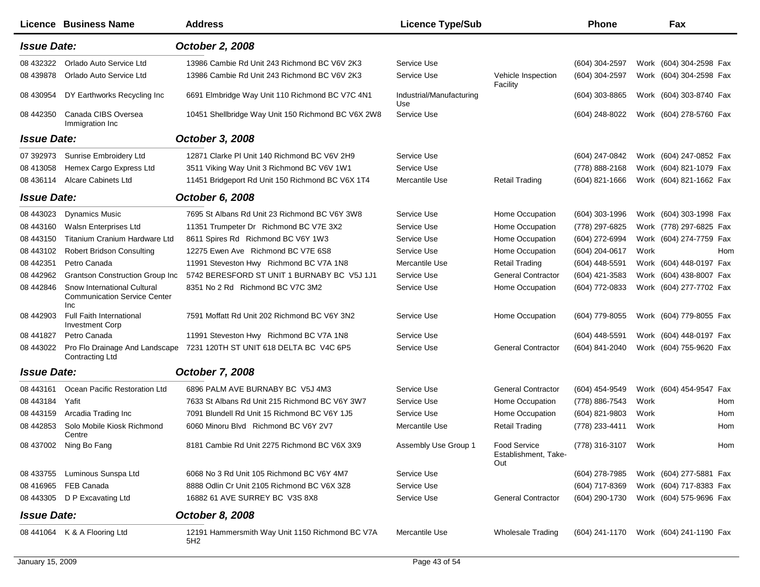|                    | Licence Business Name                                                            | <b>Address</b>                                         | <b>Licence Type/Sub</b>         |                                             | <b>Phone</b>        |      | Fax                                    |     |
|--------------------|----------------------------------------------------------------------------------|--------------------------------------------------------|---------------------------------|---------------------------------------------|---------------------|------|----------------------------------------|-----|
| <b>Issue Date:</b> |                                                                                  | October 2, 2008                                        |                                 |                                             |                     |      |                                        |     |
| 08 432322          | Orlado Auto Service Ltd                                                          | 13986 Cambie Rd Unit 243 Richmond BC V6V 2K3           | Service Use                     |                                             | (604) 304-2597      |      | Work (604) 304-2598 Fax                |     |
| 08 439878          | Orlado Auto Service Ltd                                                          | 13986 Cambie Rd Unit 243 Richmond BC V6V 2K3           | Service Use                     | Vehicle Inspection<br>Facility              | (604) 304-2597      |      | Work (604) 304-2598 Fax                |     |
| 08 430954          | DY Earthworks Recycling Inc                                                      | 6691 Elmbridge Way Unit 110 Richmond BC V7C 4N1        | Industrial/Manufacturing<br>Use |                                             | $(604)$ 303-8865    |      | Work (604) 303-8740 Fax                |     |
| 08 442350          | Canada CIBS Oversea<br>Immigration Inc                                           | 10451 Shellbridge Way Unit 150 Richmond BC V6X 2W8     | Service Use                     |                                             | (604) 248-8022      |      | Work (604) 278-5760 Fax                |     |
| <b>Issue Date:</b> |                                                                                  | October 3, 2008                                        |                                 |                                             |                     |      |                                        |     |
| 07 392973          | <b>Sunrise Embroidery Ltd</b>                                                    | 12871 Clarke PI Unit 140 Richmond BC V6V 2H9           | Service Use                     |                                             | (604) 247-0842      |      | Work (604) 247-0852 Fax                |     |
| 08 413058          | Hemex Cargo Express Ltd                                                          | 3511 Viking Way Unit 3 Richmond BC V6V 1W1             | Service Use                     |                                             | (778) 888-2168      |      | Work (604) 821-1079 Fax                |     |
| 08 436114          | <b>Alcare Cabinets Ltd</b>                                                       | 11451 Bridgeport Rd Unit 150 Richmond BC V6X 1T4       | Mercantile Use                  | <b>Retail Trading</b>                       | $(604)$ 821-1666    |      | Work (604) 821-1662 Fax                |     |
| <b>Issue Date:</b> |                                                                                  | October 6, 2008                                        |                                 |                                             |                     |      |                                        |     |
| 08 443023          | <b>Dynamics Music</b>                                                            | 7695 St Albans Rd Unit 23 Richmond BC V6Y 3W8          | Service Use                     | Home Occupation                             | $(604)$ 303-1996    |      | Work (604) 303-1998 Fax                |     |
| 08 443160          | Walsn Enterprises Ltd                                                            | 11351 Trumpeter Dr Richmond BC V7E 3X2                 | Service Use                     | Home Occupation                             | (778) 297-6825      |      | Work (778) 297-6825 Fax                |     |
| 08 443150          | <b>Titanium Cranium Hardware Ltd</b>                                             | 8611 Spires Rd Richmond BC V6Y 1W3                     | Service Use                     | Home Occupation                             | (604) 272-6994      |      | Work (604) 274-7759 Fax                |     |
| 08 443102          | <b>Robert Bridson Consulting</b>                                                 | 12275 Ewen Ave Richmond BC V7E 6S8                     | Service Use                     | Home Occupation                             | (604) 204-0617      | Work |                                        | Hom |
| 08 442351          | Petro Canada                                                                     | 11991 Steveston Hwy Richmond BC V7A 1N8                | Mercantile Use                  | <b>Retail Trading</b>                       | (604) 448-5591      |      | Work (604) 448-0197 Fax                |     |
| 08 442962          | <b>Grantson Construction Group Inc</b>                                           | 5742 BERESFORD ST UNIT 1 BURNABY BC V5J 1J1            | Service Use                     | <b>General Contractor</b>                   | (604) 421-3583      |      | Work (604) 438-8007 Fax                |     |
| 08 442846          | Snow International Cultural<br><b>Communication Service Center</b><br><b>Inc</b> | 8351 No 2 Rd Richmond BC V7C 3M2                       | Service Use                     | Home Occupation                             | (604) 772-0833      |      | Work (604) 277-7702 Fax                |     |
| 08 442903          | Full Faith International<br><b>Investment Corp</b>                               | 7591 Moffatt Rd Unit 202 Richmond BC V6Y 3N2           | Service Use                     | Home Occupation                             | (604) 779-8055      |      | Work (604) 779-8055 Fax                |     |
| 08 441827          | Petro Canada                                                                     | 11991 Steveston Hwy Richmond BC V7A 1N8                | Service Use                     |                                             | (604) 448-5591      |      | Work (604) 448-0197 Fax                |     |
| 08 443022          | Pro Flo Drainage And Landscape<br><b>Contracting Ltd</b>                         | 7231 120TH ST UNIT 618 DELTA BC V4C 6P5                | Service Use                     | <b>General Contractor</b>                   | (604) 841-2040      |      | Work (604) 755-9620 Fax                |     |
| <b>Issue Date:</b> |                                                                                  | October 7, 2008                                        |                                 |                                             |                     |      |                                        |     |
| 08 443161          | Ocean Pacific Restoration Ltd                                                    | 6896 PALM AVE BURNABY BC V5J 4M3                       | Service Use                     | <b>General Contractor</b>                   | (604) 454-9549      |      | Work (604) 454-9547 Fax                |     |
| 08 443184          | Yafit                                                                            | 7633 St Albans Rd Unit 215 Richmond BC V6Y 3W7         | Service Use                     | Home Occupation                             | (778) 886-7543      | Work |                                        | Hom |
| 08 443159          | Arcadia Trading Inc                                                              | 7091 Blundell Rd Unit 15 Richmond BC V6Y 1J5           | Service Use                     | Home Occupation                             | (604) 821-9803      | Work |                                        | Hom |
| 08 442853          | Solo Mobile Kiosk Richmond<br>Centre                                             | 6060 Minoru Blvd Richmond BC V6Y 2V7                   | Mercantile Use                  | <b>Retail Trading</b>                       | (778) 233-4411      | Work |                                        | Hom |
|                    | 08 437002 Ning Bo Fang                                                           | 8181 Cambie Rd Unit 2275 Richmond BC V6X 3X9           | Assembly Use Group 1            | Food Service<br>Establishment, Take-<br>Out | (778) 316-3107 Work |      |                                        | Hom |
| 08 433755          | Luminous Sunspa Ltd                                                              | 6068 No 3 Rd Unit 105 Richmond BC V6Y 4M7              | Service Use                     |                                             | (604) 278-7985      |      | Work (604) 277-5881 Fax                |     |
| 08 416965          | FEB Canada                                                                       | 8888 Odlin Cr Unit 2105 Richmond BC V6X 3Z8            | Service Use                     |                                             | (604) 717-8369      |      | Work (604) 717-8383 Fax                |     |
|                    | 08 443305 D P Excavating Ltd                                                     | 16882 61 AVE SURREY BC V3S 8X8                         | Service Use                     | <b>General Contractor</b>                   | (604) 290-1730      |      | Work (604) 575-9696 Fax                |     |
| <b>Issue Date:</b> |                                                                                  | October 8, 2008                                        |                                 |                                             |                     |      |                                        |     |
|                    | 08 441064 K & A Flooring Ltd                                                     | 12191 Hammersmith Way Unit 1150 Richmond BC V7A<br>5H2 | Mercantile Use                  | <b>Wholesale Trading</b>                    |                     |      | (604) 241-1170 Work (604) 241-1190 Fax |     |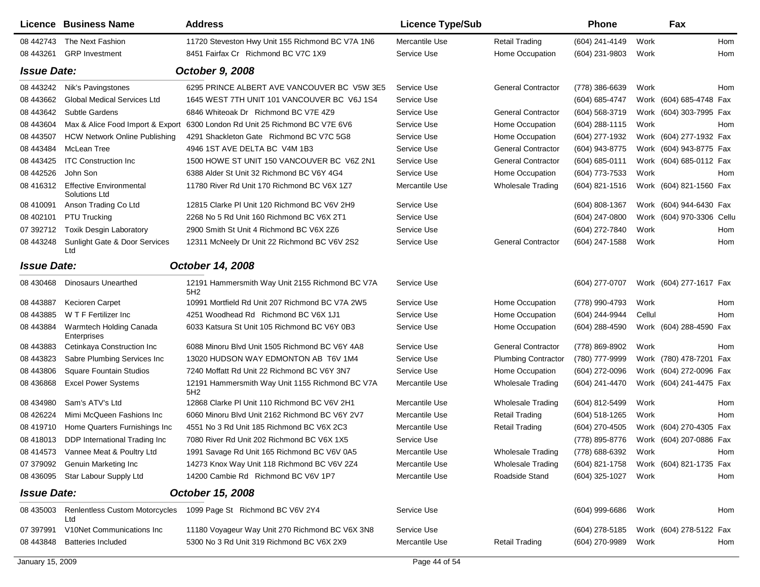|                    | Licence Business Name                                  | <b>Address</b>                                                              | <b>Licence Type/Sub</b> |                            | <b>Phone</b>     |        | Fax                       |     |
|--------------------|--------------------------------------------------------|-----------------------------------------------------------------------------|-------------------------|----------------------------|------------------|--------|---------------------------|-----|
| 08 442743          | The Next Fashion                                       | 11720 Steveston Hwy Unit 155 Richmond BC V7A 1N6                            | Mercantile Use          | <b>Retail Trading</b>      | (604) 241-4149   | Work   |                           | Hom |
| 08 443261          | <b>GRP</b> Investment                                  | 8451 Fairfax Cr Richmond BC V7C 1X9                                         | Service Use             | Home Occupation            | (604) 231-9803   | Work   |                           | Hom |
| <b>Issue Date:</b> |                                                        | October 9, 2008                                                             |                         |                            |                  |        |                           |     |
| 08 443242          | Nik's Pavingstones                                     | 6295 PRINCE ALBERT AVE VANCOUVER BC V5W 3E5                                 | Service Use             | <b>General Contractor</b>  | (778) 386-6639   | Work   |                           | Hom |
| 08 443 662         | <b>Global Medical Services Ltd</b>                     | 1645 WEST 7TH UNIT 101 VANCOUVER BC V6J 1S4                                 | Service Use             |                            | (604) 685-4747   |        | Work (604) 685-4748 Fax   |     |
| 08 443 642         | Subtle Gardens                                         | 6846 Whiteoak Dr Richmond BC V7E 4Z9                                        | Service Use             | <b>General Contractor</b>  | (604) 568-3719   |        | Work (604) 303-7995 Fax   |     |
| 08 443604          |                                                        | Max & Alice Food Import & Export 6300 London Rd Unit 25 Richmond BC V7E 6V6 | Service Use             | Home Occupation            | $(604)$ 288-1115 | Work   |                           | Hom |
| 08 443507          | <b>HCW Network Online Publishing</b>                   | 4291 Shackleton Gate Richmond BC V7C 5G8                                    | Service Use             | Home Occupation            | (604) 277-1932   |        | Work (604) 277-1932 Fax   |     |
| 08 443484          | McLean Tree                                            | 4946 1ST AVE DELTA BC V4M 1B3                                               | Service Use             | <b>General Contractor</b>  | (604) 943-8775   |        | Work (604) 943-8775 Fax   |     |
| 08 443425          | <b>ITC Construction Inc</b>                            | 1500 HOWE ST UNIT 150 VANCOUVER BC V6Z 2N1                                  | Service Use             | <b>General Contractor</b>  | (604) 685-0111   |        | Work (604) 685-0112 Fax   |     |
| 08 442526          | John Son                                               | 6388 Alder St Unit 32 Richmond BC V6Y 4G4                                   | Service Use             | Home Occupation            | (604) 773-7533   | Work   |                           | Hom |
| 08 416312          | <b>Effective Environmental</b><br><b>Solutions Ltd</b> | 11780 River Rd Unit 170 Richmond BC V6X 1Z7                                 | Mercantile Use          | <b>Wholesale Trading</b>   | $(604)$ 821-1516 |        | Work (604) 821-1560 Fax   |     |
| 08 410091          | Anson Trading Co Ltd                                   | 12815 Clarke PI Unit 120 Richmond BC V6V 2H9                                | Service Use             |                            | (604) 808-1367   |        | Work (604) 944-6430 Fax   |     |
| 08 402101          | PTU Trucking                                           | 2268 No 5 Rd Unit 160 Richmond BC V6X 2T1                                   | Service Use             |                            | (604) 247-0800   |        | Work (604) 970-3306 Cellu |     |
| 07 392712          | <b>Toxik Desgin Laboratory</b>                         | 2900 Smith St Unit 4 Richmond BC V6X 2Z6                                    | Service Use             |                            | (604) 272-7840   | Work   |                           | Hom |
| 08 443248          | Sunlight Gate & Door Services<br>Ltd                   | 12311 McNeely Dr Unit 22 Richmond BC V6V 2S2                                | Service Use             | <b>General Contractor</b>  | (604) 247-1588   | Work   |                           | Hom |
| <b>Issue Date:</b> |                                                        | October 14, 2008                                                            |                         |                            |                  |        |                           |     |
| 08 430468          | <b>Dinosaurs Unearthed</b>                             | 12191 Hammersmith Way Unit 2155 Richmond BC V7A<br>5H2                      | Service Use             |                            | (604) 277-0707   |        | Work (604) 277-1617 Fax   |     |
| 08 443887          | Kecioren Carpet                                        | 10991 Mortfield Rd Unit 207 Richmond BC V7A 2W5                             | Service Use             | Home Occupation            | (778) 990-4793   | Work   |                           | Hom |
| 08 443885          | W T F Fertilizer Inc                                   | 4251 Woodhead Rd Richmond BC V6X 1J1                                        | Service Use             | Home Occupation            | (604) 244-9944   | Cellul |                           | Hom |
| 08 443884          | Warmtech Holding Canada<br>Enterprises                 | 6033 Katsura St Unit 105 Richmond BC V6Y 0B3                                | Service Use             | Home Occupation            | (604) 288-4590   |        | Work (604) 288-4590 Fax   |     |
| 08 443883          | Cetinkaya Construction Inc                             | 6088 Minoru Blvd Unit 1505 Richmond BC V6Y 4A8                              | Service Use             | <b>General Contractor</b>  | (778) 869-8902   | Work   |                           | Hom |
| 08 443823          | Sabre Plumbing Services Inc                            | 13020 HUDSON WAY EDMONTON AB T6V 1M4                                        | Service Use             | <b>Plumbing Contractor</b> | (780) 777-9999   |        | Work (780) 478-7201 Fax   |     |
| 08 443806          | <b>Square Fountain Studios</b>                         | 7240 Moffatt Rd Unit 22 Richmond BC V6Y 3N7                                 | Service Use             | Home Occupation            | (604) 272-0096   |        | Work (604) 272-0096 Fax   |     |
| 08 43 6868         | <b>Excel Power Systems</b>                             | 12191 Hammersmith Way Unit 1155 Richmond BC V7A<br>5H2                      | Mercantile Use          | <b>Wholesale Trading</b>   | (604) 241-4470   |        | Work (604) 241-4475 Fax   |     |
| 08 434980          | Sam's ATV's Ltd                                        | 12868 Clarke PI Unit 110 Richmond BC V6V 2H1                                | Mercantile Use          | <b>Wholesale Trading</b>   | (604) 812-5499   | Work   |                           | Hom |
| 08 426224          | Mimi McQueen Fashions Inc                              | 6060 Minoru Blvd Unit 2162 Richmond BC V6Y 2V7                              | Mercantile Use          | <b>Retail Trading</b>      | (604) 518-1265   | Work   |                           | Hom |
| 08 419710          | Home Quarters Furnishings Inc                          | 4551 No 3 Rd Unit 185 Richmond BC V6X 2C3                                   | Mercantile Use          | <b>Retail Trading</b>      | (604) 270-4505   |        | Work (604) 270-4305 Fax   |     |
| 08 418013          | DDP International Trading Inc                          | 7080 River Rd Unit 202 Richmond BC V6X 1X5                                  | Service Use             |                            | (778) 895-8776   |        | Work (604) 207-0886 Fax   |     |
|                    | 08 414573 Vannee Meat & Poultry Ltd                    | 1991 Savage Rd Unit 165 Richmond BC V6V 0A5                                 | Mercantile Use          | Wholesale Trading          | (778) 688-6392   | Work   |                           | Hom |
|                    | 07 379092 Genuin Marketing Inc                         | 14273 Knox Way Unit 118 Richmond BC V6V 2Z4                                 | Mercantile Use          | <b>Wholesale Trading</b>   | (604) 821-1758   |        | Work (604) 821-1735 Fax   |     |
|                    | 08 436095 Star Labour Supply Ltd                       | 14200 Cambie Rd Richmond BC V6V 1P7                                         | Mercantile Use          | Roadside Stand             | (604) 325-1027   | Work   |                           | Hom |
| <b>Issue Date:</b> |                                                        | October 15, 2008                                                            |                         |                            |                  |        |                           |     |
|                    | 08 435003 Renlentless Custom Motorcycles<br>Ltd        | 1099 Page St Richmond BC V6V 2Y4                                            | Service Use             |                            | (604) 999-6686   | Work   |                           | Hom |
| 07 397991          | V10Net Communications Inc                              | 11180 Voyageur Way Unit 270 Richmond BC V6X 3N8                             | Service Use             |                            | (604) 278-5185   |        | Work (604) 278-5122 Fax   |     |
| 08 443848          | <b>Batteries Included</b>                              | 5300 No 3 Rd Unit 319 Richmond BC V6X 2X9                                   | Mercantile Use          | Retail Trading             | (604) 270-9989   | Work   |                           | Hom |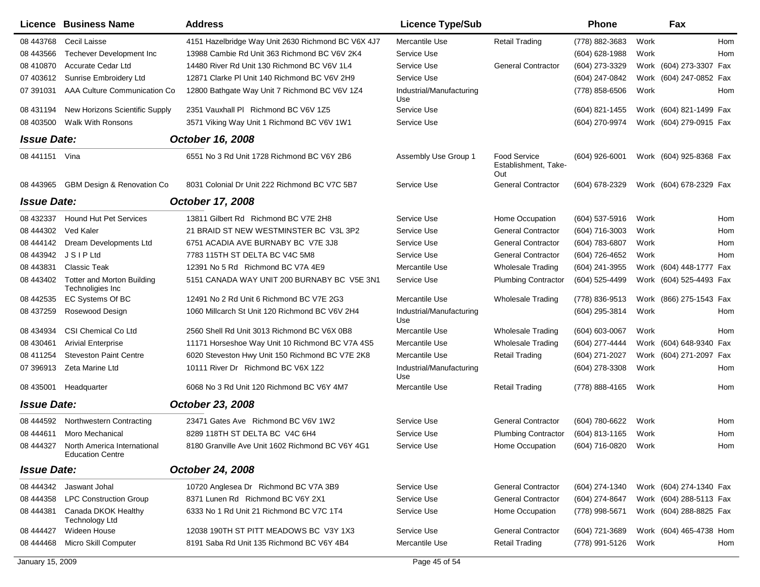|                    | Licence Business Name                                            | <b>Address</b>                                     | <b>Licence Type/Sub</b>         |                                                    | Phone               |      | Fax                     |  |
|--------------------|------------------------------------------------------------------|----------------------------------------------------|---------------------------------|----------------------------------------------------|---------------------|------|-------------------------|--|
| 08 443768          | Cecil Laisse                                                     | 4151 Hazelbridge Way Unit 2630 Richmond BC V6X 4J7 | Mercantile Use                  | Retail Trading                                     | (778) 882-3683      | Work | <b>Hom</b>              |  |
| 08 443566          | <b>Techever Development Inc</b>                                  | 13988 Cambie Rd Unit 363 Richmond BC V6V 2K4       | Service Use                     |                                                    | (604) 628-1988      | Work | Hom                     |  |
| 08 410870          | Accurate Cedar Ltd                                               | 14480 River Rd Unit 130 Richmond BC V6V 1L4        | Service Use                     | <b>General Contractor</b>                          | (604) 273-3329      |      | Work (604) 273-3307 Fax |  |
| 07 403612          | Sunrise Embroidery Ltd                                           | 12871 Clarke PI Unit 140 Richmond BC V6V 2H9       | Service Use                     |                                                    | (604) 247-0842      |      | Work (604) 247-0852 Fax |  |
| 07 391031          | AAA Culture Communication Co                                     | 12800 Bathgate Way Unit 7 Richmond BC V6V 1Z4      | Industrial/Manufacturing<br>Use |                                                    | (778) 858-6506      | Work | Hom                     |  |
| 08 431194          | New Horizons Scientific Supply                                   | 2351 Vauxhall PI Richmond BC V6V 1Z5               | Service Use                     |                                                    | (604) 821-1455      |      | Work (604) 821-1499 Fax |  |
| 08 403500          | <b>Walk With Ronsons</b>                                         | 3571 Viking Way Unit 1 Richmond BC V6V 1W1         | Service Use                     |                                                    | (604) 270-9974      |      | Work (604) 279-0915 Fax |  |
| <b>Issue Date:</b> |                                                                  | October 16, 2008                                   |                                 |                                                    |                     |      |                         |  |
| 08 441151 Vina     |                                                                  | 6551 No 3 Rd Unit 1728 Richmond BC V6Y 2B6         | Assembly Use Group 1            | <b>Food Service</b><br>Establishment, Take-<br>Out | (604) 926-6001      |      | Work (604) 925-8368 Fax |  |
| 08 443965          | <b>GBM Design &amp; Renovation Co</b>                            | 8031 Colonial Dr Unit 222 Richmond BC V7C 5B7      | Service Use                     | <b>General Contractor</b>                          | (604) 678-2329      |      | Work (604) 678-2329 Fax |  |
| <b>Issue Date:</b> |                                                                  | October 17, 2008                                   |                                 |                                                    |                     |      |                         |  |
| 08 432337          | <b>Hound Hut Pet Services</b>                                    | 13811 Gilbert Rd Richmond BC V7E 2H8               | Service Use                     | Home Occupation                                    | (604) 537-5916      | Work | Hom                     |  |
| 08 444302          | Ved Kaler                                                        | 21 BRAID ST NEW WESTMINSTER BC V3L 3P2             | Service Use                     | <b>General Contractor</b>                          | (604) 716-3003      | Work | Hom                     |  |
| 08 444142          | Dream Developments Ltd                                           | 6751 ACADIA AVE BURNABY BC V7E 3J8                 | Service Use                     | <b>General Contractor</b>                          | (604) 783-6807      | Work | Hom                     |  |
| 08 443942          | <b>JSIPLtd</b>                                                   | 7783 115TH ST DELTA BC V4C 5M8                     | Service Use                     | <b>General Contractor</b>                          | (604) 726-4652      | Work | Hom                     |  |
| 08 443831          | <b>Classic Teak</b>                                              | 12391 No 5 Rd Richmond BC V7A 4E9                  | Mercantile Use                  | <b>Wholesale Trading</b>                           | (604) 241-3955      |      | Work (604) 448-1777 Fax |  |
| 08 443402          | <b>Totter and Morton Building</b><br>Technoligies Inc            | 5151 CANADA WAY UNIT 200 BURNABY BC V5E 3N1        | Service Use                     | <b>Plumbing Contractor</b>                         | (604) 525-4499      |      | Work (604) 525-4493 Fax |  |
| 08 442535          | EC Systems Of BC                                                 | 12491 No 2 Rd Unit 6 Richmond BC V7E 2G3           | Mercantile Use                  | <b>Wholesale Trading</b>                           | (778) 836-9513      |      | Work (866) 275-1543 Fax |  |
| 08 437259          | Rosewood Design                                                  | 1060 Millcarch St Unit 120 Richmond BC V6V 2H4     | Industrial/Manufacturing<br>Use |                                                    | (604) 295-3814      | Work | Hom                     |  |
| 08 434934          | <b>CSI Chemical Co Ltd</b>                                       | 2560 Shell Rd Unit 3013 Richmond BC V6X 0B8        | Mercantile Use                  | <b>Wholesale Trading</b>                           | $(604) 603 - 0067$  | Work | Hom                     |  |
| 08 430461          | <b>Arivial Enterprise</b>                                        | 11171 Horseshoe Way Unit 10 Richmond BC V7A 4S5    | Mercantile Use                  | <b>Wholesale Trading</b>                           | (604) 277-4444      |      | Work (604) 648-9340 Fax |  |
| 08 411254          | <b>Steveston Paint Centre</b>                                    | 6020 Steveston Hwy Unit 150 Richmond BC V7E 2K8    | Mercantile Use                  | <b>Retail Trading</b>                              | (604) 271-2027      |      | Work (604) 271-2097 Fax |  |
| 07 39 6913         | Zeta Marine Ltd                                                  | 10111 River Dr Richmond BC V6X 1Z2                 | Industrial/Manufacturing<br>Use |                                                    | (604) 278-3308      | Work | Hom                     |  |
| 08 435001          | Headquarter                                                      | 6068 No 3 Rd Unit 120 Richmond BC V6Y 4M7          | Mercantile Use                  | <b>Retail Trading</b>                              | (778) 888-4165      | Work | Hom                     |  |
| <b>Issue Date:</b> |                                                                  | October 23, 2008                                   |                                 |                                                    |                     |      |                         |  |
| 08 444592          | <b>Northwestern Contracting</b>                                  | 23471 Gates Ave Richmond BC V6V 1W2                | Service Use                     | <b>General Contractor</b>                          | (604) 780-6622      | Work | Hom                     |  |
|                    | 08 444611 Moro Mechanical                                        | 8289 118TH ST DELTA BC V4C 6H4                     | Service Use                     | <b>Plumbing Contractor</b>                         | (604) 813-1165      | Work | Hom                     |  |
|                    | 08 444327 North America International<br><b>Education Centre</b> | 8180 Granville Ave Unit 1602 Richmond BC V6Y 4G1   | Service Use                     | Home Occupation                                    | (604) 716-0820 Work |      | Hom                     |  |
| <b>Issue Date:</b> |                                                                  | October 24, 2008                                   |                                 |                                                    |                     |      |                         |  |
| 08 444342          | Jaswant Johal                                                    | 10720 Anglesea Dr Richmond BC V7A 3B9              | Service Use                     | <b>General Contractor</b>                          | (604) 274-1340      |      | Work (604) 274-1340 Fax |  |
| 08 444358          | <b>LPC Construction Group</b>                                    | 8371 Lunen Rd Richmond BC V6Y 2X1                  | Service Use                     | <b>General Contractor</b>                          | (604) 274-8647      |      | Work (604) 288-5113 Fax |  |
| 08 444381          | Canada DKOK Healthy<br><b>Technology Ltd</b>                     | 6333 No 1 Rd Unit 21 Richmond BC V7C 1T4           | Service Use                     | Home Occupation                                    | (778) 998-5671      |      | Work (604) 288-8825 Fax |  |
| 08 444427          | Wideen House                                                     | 12038 190TH ST PITT MEADOWS BC V3Y 1X3             | Service Use                     | <b>General Contractor</b>                          | (604) 721-3689      |      | Work (604) 465-4738 Hom |  |
|                    | 08 444468 Micro Skill Computer                                   | 8191 Saba Rd Unit 135 Richmond BC V6Y 4B4          | Mercantile Use                  | <b>Retail Trading</b>                              | (778) 991-5126      | Work | Hom                     |  |
| January 15, 2009   |                                                                  |                                                    | Page 45 of 54                   |                                                    |                     |      |                         |  |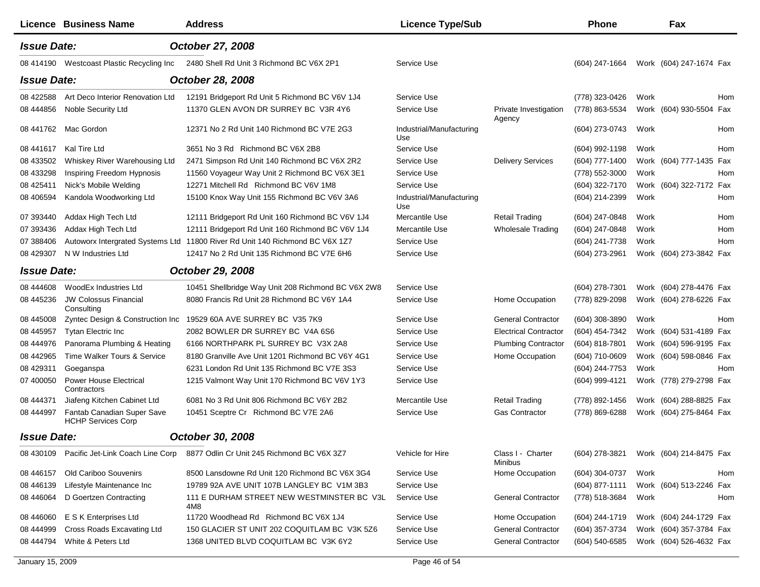|                    | <b>Licence Business Name</b>                            | <b>Address</b>                                                               | <b>Licence Type/Sub</b>         |                                 | <b>Phone</b>   |      | Fax                     |     |
|--------------------|---------------------------------------------------------|------------------------------------------------------------------------------|---------------------------------|---------------------------------|----------------|------|-------------------------|-----|
| <b>Issue Date:</b> |                                                         | October 27, 2008                                                             |                                 |                                 |                |      |                         |     |
| 08 414190          | Westcoast Plastic Recycling Inc                         | 2480 Shell Rd Unit 3 Richmond BC V6X 2P1                                     | Service Use                     |                                 | (604) 247-1664 |      | Work (604) 247-1674 Fax |     |
| <b>Issue Date:</b> |                                                         | October 28, 2008                                                             |                                 |                                 |                |      |                         |     |
| 08 422588          | Art Deco Interior Renovation Ltd                        | 12191 Bridgeport Rd Unit 5 Richmond BC V6V 1J4                               | Service Use                     |                                 | (778) 323-0426 | Work |                         | Hom |
| 08 444856          | Noble Security Ltd                                      | 11370 GLEN AVON DR SURREY BC V3R 4Y6                                         | Service Use                     | Private Investigation<br>Agency | (778) 863-5534 |      | Work (604) 930-5504 Fax |     |
| 08 441762          | Mac Gordon                                              | 12371 No 2 Rd Unit 140 Richmond BC V7E 2G3                                   | Industrial/Manufacturing<br>Use |                                 | (604) 273-0743 | Work |                         | Hom |
| 08 441617          | Kal Tire Ltd                                            | 3651 No 3 Rd Richmond BC V6X 2B8                                             | Service Use                     |                                 | (604) 992-1198 | Work |                         | Hom |
| 08 433502          | Whiskey River Warehousing Ltd                           | 2471 Simpson Rd Unit 140 Richmond BC V6X 2R2                                 | Service Use                     | <b>Delivery Services</b>        | (604) 777-1400 |      | Work (604) 777-1435 Fax |     |
| 08 433298          | Inspiring Freedom Hypnosis                              | 11560 Voyageur Way Unit 2 Richmond BC V6X 3E1                                | Service Use                     |                                 | (778) 552-3000 | Work |                         | Hom |
| 08 425411          | Nick's Mobile Welding                                   | 12271 Mitchell Rd Richmond BC V6V 1M8                                        | Service Use                     |                                 | (604) 322-7170 |      | Work (604) 322-7172 Fax |     |
| 08 40 6594         | Kandola Woodworking Ltd                                 | 15100 Knox Way Unit 155 Richmond BC V6V 3A6                                  | Industrial/Manufacturing<br>Use |                                 | (604) 214-2399 | Work |                         | Hom |
| 07 393440          | Addax High Tech Ltd                                     | 12111 Bridgeport Rd Unit 160 Richmond BC V6V 1J4                             | Mercantile Use                  | <b>Retail Trading</b>           | (604) 247-0848 | Work |                         | Hom |
| 07 393436          | Addax High Tech Ltd                                     | 12111 Bridgeport Rd Unit 160 Richmond BC V6V 1J4                             | Mercantile Use                  | <b>Wholesale Trading</b>        | (604) 247-0848 | Work |                         | Hom |
| 07 388406          |                                                         | Autoworx Intergrated Systems Ltd 11800 River Rd Unit 140 Richmond BC V6X 1Z7 | Service Use                     |                                 | (604) 241-7738 | Work |                         | Hom |
| 08 429307          | N W Industries Ltd                                      | 12417 No 2 Rd Unit 135 Richmond BC V7E 6H6                                   | Service Use                     |                                 | (604) 273-2961 |      | Work (604) 273-3842 Fax |     |
| <b>Issue Date:</b> |                                                         | October 29, 2008                                                             |                                 |                                 |                |      |                         |     |
| 08 444608          | WoodEx Industries Ltd                                   | 10451 Shellbridge Way Unit 208 Richmond BC V6X 2W8                           | Service Use                     |                                 | (604) 278-7301 |      | Work (604) 278-4476 Fax |     |
| 08 445236          | <b>JW Colossus Financial</b><br>Consulting              | 8080 Francis Rd Unit 28 Richmond BC V6Y 1A4                                  | Service Use                     | Home Occupation                 | (778) 829-2098 |      | Work (604) 278-6226 Fax |     |
| 08 445008          | Zyntec Design & Construction Inc                        | 19529 60A AVE SURREY BC V35 7K9                                              | Service Use                     | <b>General Contractor</b>       | (604) 308-3890 | Work |                         | Hom |
| 08 445957          | <b>Tytan Electric Inc.</b>                              | 2082 BOWLER DR SURREY BC V4A 6S6                                             | Service Use                     | <b>Electrical Contractor</b>    | (604) 454-7342 |      | Work (604) 531-4189 Fax |     |
| 08 444976          | Panorama Plumbing & Heating                             | 6166 NORTHPARK PL SURREY BC V3X 2A8                                          | Service Use                     | <b>Plumbing Contractor</b>      | (604) 818-7801 |      | Work (604) 596-9195 Fax |     |
| 08 442965          | Time Walker Tours & Service                             | 8180 Granville Ave Unit 1201 Richmond BC V6Y 4G1                             | Service Use                     | Home Occupation                 | (604) 710-0609 |      | Work (604) 598-0846 Fax |     |
| 08 429311          | Goeganspa                                               | 6231 London Rd Unit 135 Richmond BC V7E 3S3                                  | Service Use                     |                                 | (604) 244-7753 | Work |                         | Hom |
| 07 400050          | <b>Power House Electrical</b><br>Contractors            | 1215 Valmont Way Unit 170 Richmond BC V6V 1Y3                                | Service Use                     |                                 | (604) 999-4121 |      | Work (778) 279-2798 Fax |     |
| 08 444371          | Jiafeng Kitchen Cabinet Ltd                             | 6081 No 3 Rd Unit 806 Richmond BC V6Y 2B2                                    | Mercantile Use                  | <b>Retail Trading</b>           | (778) 892-1456 |      | Work (604) 288-8825 Fax |     |
| 08 444997          | Fantab Canadian Super Save<br><b>HCHP Services Corp</b> | 10451 Sceptre Cr Richmond BC V7E 2A6                                         | Service Use                     | <b>Gas Contractor</b>           | (778) 869-6288 |      | Work (604) 275-8464 Fax |     |
| <b>Issue Date:</b> |                                                         | October 30, 2008                                                             |                                 |                                 |                |      |                         |     |
| 08 430109          | Pacific Jet-Link Coach Line Corp                        | 8877 Odlin Cr Unit 245 Richmond BC V6X 3Z7                                   | Vehicle for Hire                | Class I - Charter<br>Minibus    | (604) 278-3821 |      | Work (604) 214-8475 Fax |     |
| 08 44 6157         | Old Cariboo Souvenirs                                   | 8500 Lansdowne Rd Unit 120 Richmond BC V6X 3G4                               | Service Use                     | Home Occupation                 | (604) 304-0737 | Work |                         | Hom |
| 08 44 6139         | Lifestyle Maintenance Inc                               | 19789 92A AVE UNIT 107B LANGLEY BC V1M 3B3                                   | Service Use                     |                                 | (604) 877-1111 |      | Work (604) 513-2246 Fax |     |
| 08 44 60 64        | D Goertzen Contracting                                  | 111 E DURHAM STREET NEW WESTMINSTER BC V3L<br>4M8                            | Service Use                     | <b>General Contractor</b>       | (778) 518-3684 | Work |                         | Hom |
| 08 446060          | E S K Enterprises Ltd                                   | 11720 Woodhead Rd Richmond BC V6X 1J4                                        | Service Use                     | Home Occupation                 | (604) 244-1719 |      | Work (604) 244-1729 Fax |     |
| 08 444999          | Cross Roads Excavating Ltd                              | 150 GLACIER ST UNIT 202 COQUITLAM BC V3K 5Z6                                 | Service Use                     | <b>General Contractor</b>       | (604) 357-3734 |      | Work (604) 357-3784 Fax |     |
| 08 444794          | White & Peters Ltd                                      | 1368 UNITED BLVD COQUITLAM BC V3K 6Y2                                        | Service Use                     | <b>General Contractor</b>       | (604) 540-6585 |      | Work (604) 526-4632 Fax |     |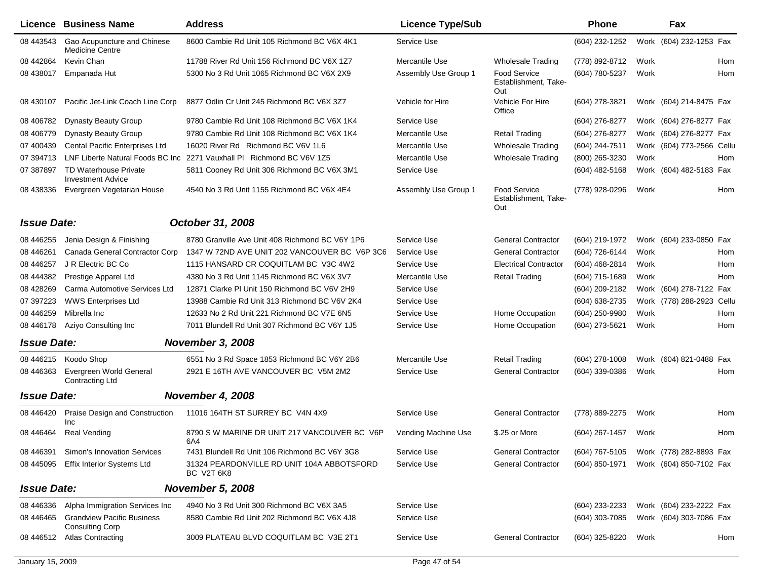|                    | Licence Business Name                                       | <b>Address</b>                                           | <b>Licence Type/Sub</b> |                                                    | Phone            |      | Fax                       |       |
|--------------------|-------------------------------------------------------------|----------------------------------------------------------|-------------------------|----------------------------------------------------|------------------|------|---------------------------|-------|
| 08 443543          | Gao Acupuncture and Chinese<br><b>Medicine Centre</b>       | 8600 Cambie Rd Unit 105 Richmond BC V6X 4K1              | Service Use             |                                                    | (604) 232-1252   |      | Work (604) 232-1253 Fax   |       |
| 08 442864          | Kevin Chan                                                  | 11788 River Rd Unit 156 Richmond BC V6X 1Z7              | Mercantile Use          | <b>Wholesale Trading</b>                           | (778) 892-8712   | Work |                           | Hom   |
| 08 438017          | Empanada Hut                                                | 5300 No 3 Rd Unit 1065 Richmond BC V6X 2X9               | Assembly Use Group 1    | Food Service<br>Establishment, Take-<br>Out        | (604) 780-5237   | Work |                           | Hom   |
| 08 430107          | Pacific Jet-Link Coach Line Corp                            | 8877 Odlin Cr Unit 245 Richmond BC V6X 3Z7               | Vehicle for Hire        | Vehicle For Hire<br>Office                         | (604) 278-3821   |      | Work (604) 214-8475 Fax   |       |
| 08 40 6782         | <b>Dynasty Beauty Group</b>                                 | 9780 Cambie Rd Unit 108 Richmond BC V6X 1K4              | Service Use             |                                                    | (604) 276-8277   |      | Work (604) 276-8277 Fax   |       |
| 08 40 6779         | <b>Dynasty Beauty Group</b>                                 | 9780 Cambie Rd Unit 108 Richmond BC V6X 1K4              | Mercantile Use          | <b>Retail Trading</b>                              | (604) 276-8277   |      | Work (604) 276-8277 Fax   |       |
| 07 400439          | Cental Pacific Enterprises Ltd                              | 16020 River Rd Richmond BC V6V 1L6                       | Mercantile Use          | <b>Wholesale Trading</b>                           | (604) 244-7511   |      | Work (604) 773-2566 Cellu |       |
| 07 394713          | LNF Liberte Natural Foods BC Inc                            | 2271 Vauxhall PI Richmond BC V6V 1Z5                     | Mercantile Use          | <b>Wholesale Trading</b>                           | (800) 265-3230   | Work |                           | Hom   |
| 07 387897          | <b>TD Waterhouse Private</b><br><b>Investment Advice</b>    | 5811 Cooney Rd Unit 306 Richmond BC V6X 3M1              | Service Use             |                                                    | $(604)$ 482-5168 |      | Work (604) 482-5183 Fax   |       |
| 08 438336          | Evergreen Vegetarian House                                  | 4540 No 3 Rd Unit 1155 Richmond BC V6X 4E4               | Assembly Use Group 1    | <b>Food Service</b><br>Establishment, Take-<br>Out | (778) 928-0296   | Work |                           | Hom   |
| <b>Issue Date:</b> |                                                             | October 31, 2008                                         |                         |                                                    |                  |      |                           |       |
| 08 44 6255         | Jenia Design & Finishing                                    | 8780 Granville Ave Unit 408 Richmond BC V6Y 1P6          | Service Use             | <b>General Contractor</b>                          | (604) 219-1972   |      | Work (604) 233-0850 Fax   |       |
| 08 44 62 61        | Canada General Contractor Corp                              | 1347 W 72ND AVE UNIT 202 VANCOUVER BC V6P 3C6            | Service Use             | <b>General Contractor</b>                          | (604) 726-6144   | Work |                           | Hom   |
| 08 44 6257         | J R Electric BC Co                                          | 1115 HANSARD CR COQUITLAM BC V3C 4W2                     | Service Use             | <b>Electrical Contractor</b>                       | (604) 468-2814   | Work |                           | Hom   |
| 08 444382          | Prestige Apparel Ltd                                        | 4380 No 3 Rd Unit 1145 Richmond BC V6X 3V7               | Mercantile Use          | <b>Retail Trading</b>                              | (604) 715-1689   | Work |                           | Hom   |
| 08 428269          | Carma Automotive Services Ltd                               | 12871 Clarke PI Unit 150 Richmond BC V6V 2H9             | Service Use             |                                                    | (604) 209-2182   |      | Work (604) 278-7122 Fax   |       |
| 07 397223          | <b>WWS Enterprises Ltd</b>                                  | 13988 Cambie Rd Unit 313 Richmond BC V6V 2K4             | Service Use             |                                                    | (604) 638-2735   |      | Work (778) 288-2923       | Cellu |
| 08 44 6259         | Mibrella Inc                                                | 12633 No 2 Rd Unit 221 Richmond BC V7E 6N5               | Service Use             | Home Occupation                                    | (604) 250-9980   | Work |                           | Hom   |
| 08 44 6178         | Aziyo Consulting Inc                                        | 7011 Blundell Rd Unit 307 Richmond BC V6Y 1J5            | Service Use             | Home Occupation                                    | (604) 273-5621   | Work |                           | Hom   |
| <b>Issue Date:</b> |                                                             | <b>November 3, 2008</b>                                  |                         |                                                    |                  |      |                           |       |
| 08 44 6215         | Koodo Shop                                                  | 6551 No 3 Rd Space 1853 Richmond BC V6Y 2B6              | Mercantile Use          | <b>Retail Trading</b>                              | (604) 278-1008   |      | Work (604) 821-0488 Fax   |       |
| 08 44 63 63        | Evergreen World General<br><b>Contracting Ltd</b>           | 2921 E 16TH AVE VANCOUVER BC V5M 2M2                     | Service Use             | <b>General Contractor</b>                          | (604) 339-0386   | Work |                           | Hom   |
| <b>Issue Date:</b> |                                                             | <b>November 4, 2008</b>                                  |                         |                                                    |                  |      |                           |       |
| 08 44 64 20        | Praise Design and Construction<br>Inc                       | 11016 164TH ST SURREY BC V4N 4X9                         | Service Use             | <b>General Contractor</b>                          | (778) 889-2275   | Work |                           | Hom   |
| 08 44 64 64        | <b>Real Vending</b>                                         | 8790 S W MARINE DR UNIT 217 VANCOUVER BC V6P<br>6A4      | Vending Machine Use     | \$.25 or More                                      | (604) 267-1457   | Work |                           | Hom   |
| 08 446391          | <b>Simon's Innovation Services</b>                          | 7431 Blundell Rd Unit 106 Richmond BC V6Y 3G8            | Service Use             | <b>General Contractor</b>                          | (604) 767-5105   |      | Work (778) 282-8893 Fax   |       |
| 08 445095          | <b>Effix Interior Systems Ltd</b>                           | 31324 PEARDONVILLE RD UNIT 104A ABBOTSFORD<br>BC V2T 6K8 | Service Use             | <b>General Contractor</b>                          | (604) 850-1971   |      | Work (604) 850-7102 Fax   |       |
| <b>Issue Date:</b> |                                                             | <b>November 5, 2008</b>                                  |                         |                                                    |                  |      |                           |       |
| 08 44 6336         | Alpha Immigration Services Inc                              | 4940 No 3 Rd Unit 300 Richmond BC V6X 3A5                | Service Use             |                                                    | (604) 233-2233   |      | Work (604) 233-2222 Fax   |       |
| 08 44 64 65        | <b>Grandview Pacific Business</b><br><b>Consulting Corp</b> | 8580 Cambie Rd Unit 202 Richmond BC V6X 4J8              | Service Use             |                                                    | (604) 303-7085   |      | Work (604) 303-7086 Fax   |       |
| 08 44 6512         | <b>Atlas Contracting</b>                                    | 3009 PLATEAU BLVD COQUITLAM BC V3E 2T1                   | Service Use             | <b>General Contractor</b>                          | (604) 325-8220   | Work |                           | Hom   |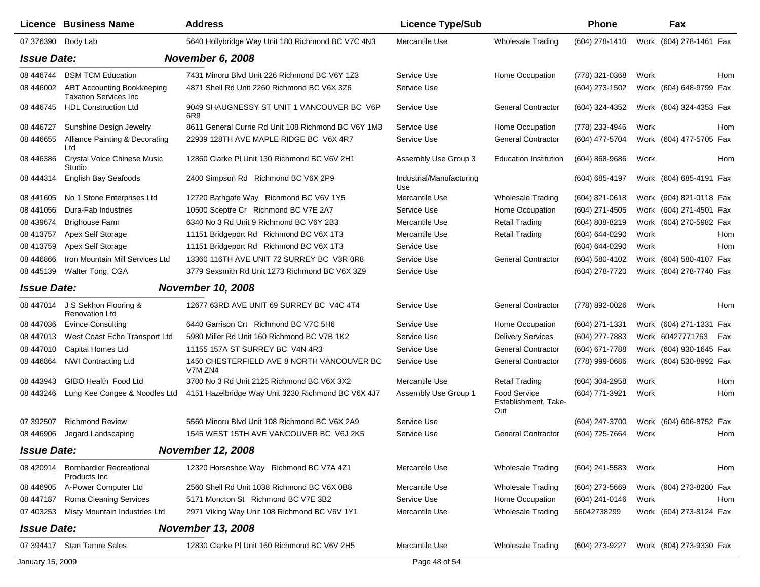|                    | <b>Licence Business Name</b>                                      | <b>Address</b>                                                | <b>Licence Type/Sub</b>         |                                                    | Phone            | Fax                     |     |
|--------------------|-------------------------------------------------------------------|---------------------------------------------------------------|---------------------------------|----------------------------------------------------|------------------|-------------------------|-----|
| 07 376390          | Body Lab                                                          | 5640 Hollybridge Way Unit 180 Richmond BC V7C 4N3             | Mercantile Use                  | <b>Wholesale Trading</b>                           | (604) 278-1410   | Work (604) 278-1461 Fax |     |
| <b>Issue Date:</b> |                                                                   | <b>November 6, 2008</b>                                       |                                 |                                                    |                  |                         |     |
| 08 44 6744         | <b>BSM TCM Education</b>                                          | 7431 Minoru Blvd Unit 226 Richmond BC V6Y 1Z3                 | Service Use                     | Home Occupation                                    | (778) 321-0368   | Work                    | Hom |
| 08 446002          | <b>ABT Accounting Bookkeeping</b><br><b>Taxation Services Inc</b> | 4871 Shell Rd Unit 2260 Richmond BC V6X 3Z6                   | Service Use                     |                                                    | (604) 273-1502   | Work (604) 648-9799 Fax |     |
| 08 446745          | <b>HDL Construction Ltd</b>                                       | 9049 SHAUGNESSY ST UNIT 1 VANCOUVER BC V6P<br>6R <sub>9</sub> | Service Use                     | <b>General Contractor</b>                          | (604) 324-4352   | Work (604) 324-4353 Fax |     |
| 08 446727          | Sunshine Design Jewelry                                           | 8611 General Currie Rd Unit 108 Richmond BC V6Y 1M3           | Service Use                     | Home Occupation                                    | (778) 233-4946   | Work                    | Hom |
| 08 44 6655         | Alliance Painting & Decorating<br>Ltd                             | 22939 128TH AVE MAPLE RIDGE BC V6X 4R7                        | Service Use                     | <b>General Contractor</b>                          | (604) 477-5704   | Work (604) 477-5705 Fax |     |
| 08 44 638 6        | <b>Crystal Voice Chinese Music</b><br>Studio                      | 12860 Clarke PI Unit 130 Richmond BC V6V 2H1                  | Assembly Use Group 3            | <b>Education Institution</b>                       | $(604)$ 868-9686 | Work                    | Hom |
| 08 444314          | English Bay Seafoods                                              | 2400 Simpson Rd Richmond BC V6X 2P9                           | Industrial/Manufacturing<br>Use |                                                    | (604) 685-4197   | Work (604) 685-4191 Fax |     |
| 08 441 605         | No 1 Stone Enterprises Ltd                                        | 12720 Bathgate Way Richmond BC V6V 1Y5                        | Mercantile Use                  | Wholesale Trading                                  | (604) 821-0618   | Work (604) 821-0118 Fax |     |
| 08 441056          | Dura-Fab Industries                                               | 10500 Sceptre Cr Richmond BC V7E 2A7                          | Service Use                     | Home Occupation                                    | (604) 271-4505   | Work (604) 271-4501 Fax |     |
| 08 439674          | <b>Brighouse Farm</b>                                             | 6340 No 3 Rd Unit 9 Richmond BC V6Y 2B3                       | Mercantile Use                  | <b>Retail Trading</b>                              | (604) 808-8219   | Work (604) 270-5982 Fax |     |
| 08 413757          | Apex Self Storage                                                 | 11151 Bridgeport Rd Richmond BC V6X 1T3                       | Mercantile Use                  | <b>Retail Trading</b>                              | (604) 644-0290   | Work                    | Hom |
| 08 413759          | Apex Self Storage                                                 | 11151 Bridgeport Rd Richmond BC V6X 1T3                       | Service Use                     |                                                    | (604) 644-0290   | Work                    | Hom |
| 08 44 68 66        | Iron Mountain Mill Services Ltd                                   | 13360 116TH AVE UNIT 72 SURREY BC V3R 0R8                     | Service Use                     | <b>General Contractor</b>                          | (604) 580-4102   | Work (604) 580-4107 Fax |     |
| 08 445139          | Walter Tong, CGA                                                  | 3779 Sexsmith Rd Unit 1273 Richmond BC V6X 3Z9                | Service Use                     |                                                    | (604) 278-7720   | Work (604) 278-7740 Fax |     |
| <b>Issue Date:</b> |                                                                   | <b>November 10, 2008</b>                                      |                                 |                                                    |                  |                         |     |
| 08 447014          | J S Sekhon Flooring &<br><b>Renovation Ltd</b>                    | 12677 63RD AVE UNIT 69 SURREY BC V4C 4T4                      | Service Use                     | <b>General Contractor</b>                          | (778) 892-0026   | Work                    | Hom |
| 08 447036          | <b>Evince Consulting</b>                                          | 6440 Garrison Crt Richmond BC V7C 5H6                         | Service Use                     | Home Occupation                                    | (604) 271-1331   | Work (604) 271-1331 Fax |     |
| 08 447013          | West Coast Echo Transport Ltd                                     | 5980 Miller Rd Unit 160 Richmond BC V7B 1K2                   | Service Use                     | <b>Delivery Services</b>                           | (604) 277-7883   | Work 60427771763        | Fax |
| 08 447010          | Capital Homes Ltd                                                 | 11155 157A ST SURREY BC V4N 4R3                               | Service Use                     | <b>General Contractor</b>                          | (604) 671-7788   | Work (604) 930-1645 Fax |     |
| 08 44 68 64        | <b>NWI Contracting Ltd</b>                                        | 1450 CHESTERFIELD AVE 8 NORTH VANCOUVER BC<br>V7M ZN4         | Service Use                     | <b>General Contractor</b>                          | (778) 999-0686   | Work (604) 530-8992 Fax |     |
| 08 443943          | GIBO Health Food Ltd                                              | 3700 No 3 Rd Unit 2125 Richmond BC V6X 3X2                    | Mercantile Use                  | <b>Retail Trading</b>                              | (604) 304-2958   | Work                    | Hom |
| 08 443246          | Lung Kee Congee & Noodles Ltd                                     | 4151 Hazelbridge Way Unit 3230 Richmond BC V6X 4J7            | Assembly Use Group 1            | <b>Food Service</b><br>Establishment, Take-<br>Out | (604) 771-3921   | Work                    | Hom |
| 07 392507          | <b>Richmond Review</b>                                            | 5560 Minoru Blvd Unit 108 Richmond BC V6X 2A9                 | Service Use                     |                                                    | (604) 247-3700   | Work (604) 606-8752 Fax |     |
| 08 44 690 6        | Jegard Landscaping                                                | 1545 WEST 15TH AVE VANCOUVER BC V6J 2K5                       | Service Use                     | <b>General Contractor</b>                          | (604) 725-7664   | Work                    | Hom |
| <b>Issue Date:</b> |                                                                   | <b>November 12, 2008</b>                                      |                                 |                                                    |                  |                         |     |
| 08 420914          | <b>Bombardier Recreational</b><br>Products Inc.                   | 12320 Horseshoe Way Richmond BC V7A 4Z1                       | Mercantile Use                  | <b>Wholesale Trading</b>                           | (604) 241-5583   | Work                    | Hom |
| 08 44 69 05        | A-Power Computer Ltd                                              | 2560 Shell Rd Unit 1038 Richmond BC V6X 0B8                   | Mercantile Use                  | <b>Wholesale Trading</b>                           | (604) 273-5669   | Work (604) 273-8280 Fax |     |
| 08 447187          | Roma Cleaning Services                                            | 5171 Moncton St Richmond BC V7E 3B2                           | Service Use                     | Home Occupation                                    | (604) 241-0146   | Work                    | Hom |
| 07 403253          | Misty Mountain Industries Ltd                                     | 2971 Viking Way Unit 108 Richmond BC V6V 1Y1                  | Mercantile Use                  | <b>Wholesale Trading</b>                           | 56042738299      | Work (604) 273-8124 Fax |     |
| <b>Issue Date:</b> |                                                                   | <b>November 13, 2008</b>                                      |                                 |                                                    |                  |                         |     |
|                    | 07 394417 Stan Tamre Sales                                        | 12830 Clarke PI Unit 160 Richmond BC V6V 2H5                  | Mercantile Use                  | <b>Wholesale Trading</b>                           | (604) 273-9227   | Work (604) 273-9330 Fax |     |
| January 15, 2009   |                                                                   |                                                               | Page 48 of 54                   |                                                    |                  |                         |     |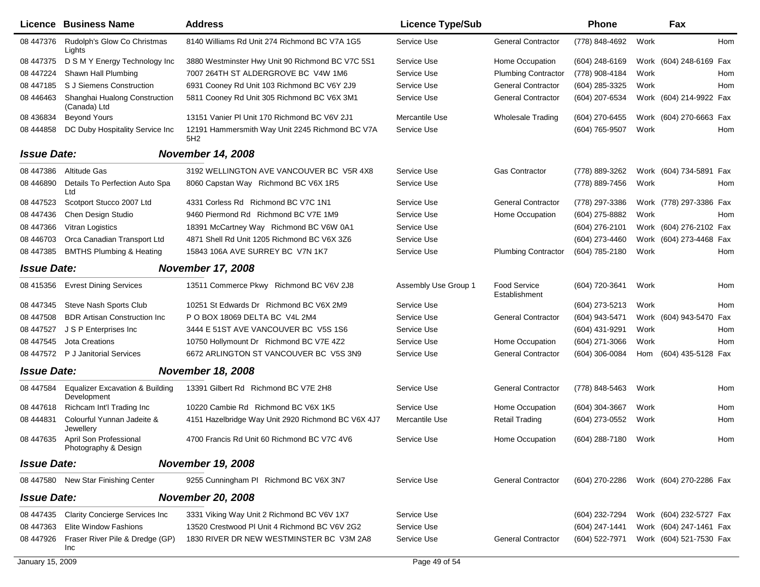|                    | Licence Business Name                                     | <b>Address</b>                                         | <b>Licence Type/Sub</b> |                               | Phone            |      | Fax                                    |            |
|--------------------|-----------------------------------------------------------|--------------------------------------------------------|-------------------------|-------------------------------|------------------|------|----------------------------------------|------------|
| 08 447376          | Rudolph's Glow Co Christmas<br>Lights                     | 8140 Williams Rd Unit 274 Richmond BC V7A 1G5          | Service Use             | <b>General Contractor</b>     | (778) 848-4692   | Work |                                        | <b>Hom</b> |
| 08 447375          | D S M Y Energy Technology Inc                             | 3880 Westminster Hwy Unit 90 Richmond BC V7C 5S1       | Service Use             | Home Occupation               | (604) 248-6169   |      | Work (604) 248-6169 Fax                |            |
| 08 447224          | Shawn Hall Plumbing                                       | 7007 264TH ST ALDERGROVE BC V4W 1M6                    | Service Use             | <b>Plumbing Contractor</b>    | (778) 908-4184   | Work |                                        | Hom        |
| 08 447185          | S J Siemens Construction                                  | 6931 Cooney Rd Unit 103 Richmond BC V6Y 2J9            | Service Use             | <b>General Contractor</b>     | (604) 285-3325   | Work |                                        | Hom        |
| 08 44 64 63        | Shanghai Hualong Construction<br>(Canada) Ltd             | 5811 Cooney Rd Unit 305 Richmond BC V6X 3M1            | Service Use             | <b>General Contractor</b>     | (604) 207-6534   |      | Work (604) 214-9922 Fax                |            |
| 08 436834          | <b>Beyond Yours</b>                                       | 13151 Vanier PI Unit 170 Richmond BC V6V 2J1           | Mercantile Use          | <b>Wholesale Trading</b>      | (604) 270-6455   |      | Work (604) 270-6663 Fax                |            |
| 08 44 48 58        | DC Duby Hospitality Service Inc                           | 12191 Hammersmith Way Unit 2245 Richmond BC V7A<br>5H2 | Service Use             |                               | (604) 765-9507   | Work |                                        | Hom        |
| <b>Issue Date:</b> |                                                           | <b>November 14, 2008</b>                               |                         |                               |                  |      |                                        |            |
| 08 447386          | Altitude Gas                                              | 3192 WELLINGTON AVE VANCOUVER BC V5R 4X8               | Service Use             | <b>Gas Contractor</b>         | (778) 889-3262   |      | Work (604) 734-5891 Fax                |            |
| 08 44 68 90        | Details To Perfection Auto Spa<br>Ltd                     | 8060 Capstan Way Richmond BC V6X 1R5                   | Service Use             |                               | (778) 889-7456   | Work |                                        | Hom        |
| 08 447523          | Scotport Stucco 2007 Ltd                                  | 4331 Corless Rd Richmond BC V7C 1N1                    | Service Use             | <b>General Contractor</b>     | (778) 297-3386   |      | Work (778) 297-3386 Fax                |            |
| 08 447436          | Chen Design Studio                                        | 9460 Piermond Rd Richmond BC V7E 1M9                   | Service Use             | Home Occupation               | (604) 275-8882   | Work |                                        | Hom        |
| 08 447366          | Vitran Logistics                                          | 18391 McCartney Way Richmond BC V6W 0A1                | Service Use             |                               | (604) 276-2101   |      | Work (604) 276-2102 Fax                |            |
| 08 446703          | Orca Canadian Transport Ltd                               | 4871 Shell Rd Unit 1205 Richmond BC V6X 3Z6            | Service Use             |                               | (604) 273-4460   |      | Work (604) 273-4468 Fax                |            |
| 08 447385          | <b>BMTHS Plumbing &amp; Heating</b>                       | 15843 106A AVE SURREY BC V7N 1K7                       | Service Use             | <b>Plumbing Contractor</b>    | (604) 785-2180   | Work |                                        | Hom        |
| <b>Issue Date:</b> |                                                           | <b>November 17, 2008</b>                               |                         |                               |                  |      |                                        |            |
|                    | 08 415356 Evrest Dining Services                          | 13511 Commerce Pkwy Richmond BC V6V 2J8                | Assembly Use Group 1    | Food Service<br>Establishment | (604) 720-3641   | Work |                                        | Hom        |
| 08 447345          | Steve Nash Sports Club                                    | 10251 St Edwards Dr Richmond BC V6X 2M9                | Service Use             |                               | (604) 273-5213   | Work |                                        | Hom        |
| 08 447508          | <b>BDR Artisan Construction Inc</b>                       | P O BOX 18069 DELTA BC V4L 2M4                         | Service Use             | <b>General Contractor</b>     | (604) 943-5471   |      | Work (604) 943-5470                    | Fax        |
| 08 447527          | J S P Enterprises Inc.                                    | 3444 E 51ST AVE VANCOUVER BC V5S 1S6                   | Service Use             |                               | (604) 431-9291   | Work |                                        | Hom        |
| 08 447545          | Jota Creations                                            | 10750 Hollymount Dr Richmond BC V7E 4Z2                | Service Use             | Home Occupation               | (604) 271-3066   | Work |                                        | Hom        |
| 08 447572          | P J Janitorial Services                                   | 6672 ARLINGTON ST VANCOUVER BC V5S 3N9                 | Service Use             | <b>General Contractor</b>     | $(604)$ 306-0084 |      | Hom (604) 435-5128 Fax                 |            |
| <b>Issue Date:</b> |                                                           | <b>November 18, 2008</b>                               |                         |                               |                  |      |                                        |            |
| 08 447584          | <b>Equalizer Excavation &amp; Building</b><br>Development | 13391 Gilbert Rd Richmond BC V7E 2H8                   | Service Use             | <b>General Contractor</b>     | (778) 848-5463   | Work |                                        | <b>Hom</b> |
| 08 447618          | Richcam Int'l Trading Inc                                 | 10220 Cambie Rd Richmond BC V6X 1K5                    | Service Use             | Home Occupation               | (604) 304-3667   | Work |                                        | Hom        |
| 08 44 48 31        | Colourful Yunnan Jadeite &<br>Jewellery                   | 4151 Hazelbridge Way Unit 2920 Richmond BC V6X 4J7     | Mercantile Use          | <b>Retail Trading</b>         | (604) 273-0552   | Work |                                        | Hom        |
| 08 447635          | April Son Professional<br>Photography & Design            | 4700 Francis Rd Unit 60 Richmond BC V7C 4V6            | Service Use             | Home Occupation               | (604) 288-7180   | Work |                                        | Hom        |
| <b>Issue Date:</b> |                                                           | <b>November 19, 2008</b>                               |                         |                               |                  |      |                                        |            |
|                    | 08 447580 New Star Finishing Center                       | 9255 Cunningham PI Richmond BC V6X 3N7                 | Service Use             | <b>General Contractor</b>     |                  |      | (604) 270-2286 Work (604) 270-2286 Fax |            |
| <b>Issue Date:</b> |                                                           | <b>November 20, 2008</b>                               |                         |                               |                  |      |                                        |            |
| 08 447435          | <b>Clarity Concierge Services Inc</b>                     | 3331 Viking Way Unit 2 Richmond BC V6V 1X7             | Service Use             |                               | (604) 232-7294   |      | Work (604) 232-5727 Fax                |            |
| 08 447363          | Elite Window Fashions                                     | 13520 Crestwood PI Unit 4 Richmond BC V6V 2G2          | Service Use             |                               | (604) 247-1441   |      | Work (604) 247-1461 Fax                |            |
| 08 447926          | Fraser River Pile & Dredge (GP)<br>Inc                    | 1830 RIVER DR NEW WESTMINSTER BC V3M 2A8               | Service Use             | <b>General Contractor</b>     | (604) 522-7971   |      | Work (604) 521-7530 Fax                |            |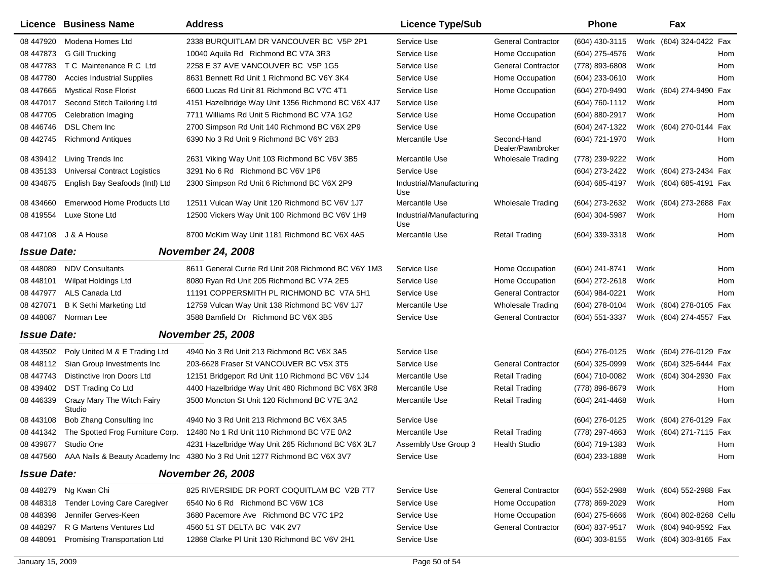|                    | Licence Business Name                | <b>Address</b>                                                                      | <b>Licence Type/Sub</b>         |                                  | <b>Phone</b>        |      | Fax                        |
|--------------------|--------------------------------------|-------------------------------------------------------------------------------------|---------------------------------|----------------------------------|---------------------|------|----------------------------|
| 08 447920          | Modena Homes Ltd                     | 2338 BURQUITLAM DR VANCOUVER BC V5P 2P1                                             | Service Use                     | <b>General Contractor</b>        | (604) 430-3115      |      | Work (604) 324-0422 Fax    |
| 08 447873          | G Gill Trucking                      | 10040 Aquila Rd Richmond BC V7A 3R3                                                 | Service Use                     | Home Occupation                  | (604) 275-4576      | Work | Hom                        |
| 08 447783          | T C Maintenance R C Ltd              | 2258 E 37 AVE VANCOUVER BC V5P 1G5                                                  | Service Use                     | <b>General Contractor</b>        | (778) 893-6808      | Work | Hom                        |
| 08 447780          | <b>Accies Industrial Supplies</b>    | 8631 Bennett Rd Unit 1 Richmond BC V6Y 3K4                                          | Service Use                     | Home Occupation                  | (604) 233-0610      | Work | Hom                        |
| 08 447665          | <b>Mystical Rose Florist</b>         | 6600 Lucas Rd Unit 81 Richmond BC V7C 4T1                                           | Service Use                     | Home Occupation                  | (604) 270-9490      |      | Work (604) 274-9490<br>Fax |
| 08 447017          | Second Stitch Tailoring Ltd          | 4151 Hazelbridge Way Unit 1356 Richmond BC V6X 4J7                                  | Service Use                     |                                  | (604) 760-1112      | Work | Hom                        |
| 08 447705          | Celebration Imaging                  | 7711 Williams Rd Unit 5 Richmond BC V7A 1G2                                         | Service Use                     | Home Occupation                  | (604) 880-2917      | Work | Hom                        |
| 08 446746          | DSL Chem Inc                         | 2700 Simpson Rd Unit 140 Richmond BC V6X 2P9                                        | Service Use                     |                                  | (604) 247-1322      |      | Work (604) 270-0144<br>Fax |
| 08 442745          | <b>Richmond Antiques</b>             | 6390 No 3 Rd Unit 9 Richmond BC V6Y 2B3                                             | Mercantile Use                  | Second-Hand<br>Dealer/Pawnbroker | (604) 721-1970      | Work | Hom                        |
| 08 439412          | Living Trends Inc                    | 2631 Viking Way Unit 103 Richmond BC V6V 3B5                                        | Mercantile Use                  | Wholesale Trading                | (778) 239-9222      | Work | Hom                        |
| 08 435133          | <b>Universal Contract Logistics</b>  | 3291 No 6 Rd Richmond BC V6V 1P6                                                    | Service Use                     |                                  | (604) 273-2422      |      | Work (604) 273-2434 Fax    |
| 08 434875          | English Bay Seafoods (Intl) Ltd      | 2300 Simpson Rd Unit 6 Richmond BC V6X 2P9                                          | Industrial/Manufacturing<br>Use |                                  | (604) 685-4197      |      | Work (604) 685-4191 Fax    |
| 08 434660          | <b>Emerwood Home Products Ltd</b>    | 12511 Vulcan Way Unit 120 Richmond BC V6V 1J7                                       | Mercantile Use                  | Wholesale Trading                | (604) 273-2632      |      | Work (604) 273-2688 Fax    |
| 08 419554          | Luxe Stone Ltd                       | 12500 Vickers Way Unit 100 Richmond BC V6V 1H9                                      | Industrial/Manufacturing<br>Use |                                  | (604) 304-5987      | Work | Hom                        |
|                    | 08 447108 J & A House                | 8700 McKim Way Unit 1181 Richmond BC V6X 4A5                                        | Mercantile Use                  | <b>Retail Trading</b>            | (604) 339-3318      | Work | Hom                        |
| <b>Issue Date:</b> |                                      | <b>November 24, 2008</b>                                                            |                                 |                                  |                     |      |                            |
| 08 448089          | <b>NDV Consultants</b>               | 8611 General Currie Rd Unit 208 Richmond BC V6Y 1M3                                 | Service Use                     | Home Occupation                  | (604) 241-8741      | Work | Hom                        |
| 08 448101          | <b>Wilpat Holdings Ltd</b>           | 8080 Ryan Rd Unit 205 Richmond BC V7A 2E5                                           | Service Use                     | Home Occupation                  | (604) 272-2618      | Work | Hom                        |
| 08 447977          | ALS Canada Ltd                       | 11191 COPPERSMITH PL RICHMOND BC V7A 5H1                                            | Service Use                     | <b>General Contractor</b>        | (604) 984-0221      | Work | Hom                        |
| 08 427071          | <b>B K Sethi Marketing Ltd</b>       | 12759 Vulcan Way Unit 138 Richmond BC V6V 1J7                                       | Mercantile Use                  | <b>Wholesale Trading</b>         | (604) 278-0104      |      | Work (604) 278-0105 Fax    |
| 08 448087          | Norman Lee                           | 3588 Bamfield Dr Richmond BC V6X 3B5                                                | Service Use                     | <b>General Contractor</b>        | (604) 551-3337      |      | Work (604) 274-4557 Fax    |
| <b>Issue Date:</b> |                                      | <b>November 25, 2008</b>                                                            |                                 |                                  |                     |      |                            |
| 08 443502          | Poly United M & E Trading Ltd        | 4940 No 3 Rd Unit 213 Richmond BC V6X 3A5                                           | Service Use                     |                                  | (604) 276-0125      |      | Work (604) 276-0129 Fax    |
| 08 448112          | Sian Group Investments Inc.          | 203-6628 Fraser St VANCOUVER BC V5X 3T5                                             | Service Use                     | <b>General Contractor</b>        | (604) 325-0999      |      | Work (604) 325-6444 Fax    |
| 08 447743          | Distinctive Iron Doors Ltd           | 12151 Bridgeport Rd Unit 110 Richmond BC V6V 1J4                                    | Mercantile Use                  | <b>Retail Trading</b>            | (604) 710-0082      |      | Work (604) 304-2930 Fax    |
| 08 439402          | <b>DST Trading Co Ltd</b>            | 4400 Hazelbridge Way Unit 480 Richmond BC V6X 3R8                                   | Mercantile Use                  | <b>Retail Trading</b>            | (778) 896-8679      | Work | Hom                        |
| 08 44 6339         | Crazy Mary The Witch Fairy<br>Studio | 3500 Moncton St Unit 120 Richmond BC V7E 3A2                                        | Mercantile Use                  | <b>Retail Trading</b>            | (604) 241-4468      | Work | Hom                        |
| 08 443108          | Bob Zhang Consulting Inc             | 4940 No 3 Rd Unit 213 Richmond BC V6X 3A5                                           | Service Use                     |                                  | (604) 276-0125      |      | Work (604) 276-0129 Fax    |
| 08 441342          | The Spotted Frog Furniture Corp.     | 12480 No 1 Rd Unit 110 Richmond BC V7E 0A2                                          | Mercantile Use                  | Retail Trading                   | (778) 297-4663      |      | Work (604) 271-7115 Fax    |
|                    | 08 439877 Studio One                 | 4231 Hazelbridge Way Unit 265 Richmond BC V6X 3L7                                   | Assembly Use Group 3            | Health Studio                    | (604) 719-1383      | Work | Hom                        |
|                    |                                      | 08 447560 AAA Nails & Beauty Academy Inc 4380 No 3 Rd Unit 1277 Richmond BC V6X 3V7 | Service Use                     |                                  | (604) 233-1888 Work |      | Hom                        |
| <b>Issue Date:</b> |                                      | <b>November 26, 2008</b>                                                            |                                 |                                  |                     |      |                            |
| 08 448279          | Ng Kwan Chi                          | 825 RIVERSIDE DR PORT COQUITLAM BC V2B 7T7                                          | Service Use                     | <b>General Contractor</b>        | (604) 552-2988      |      | Work (604) 552-2988 Fax    |
| 08 448318          | Tender Loving Care Caregiver         | 6540 No 6 Rd Richmond BC V6W 1C8                                                    | Service Use                     | Home Occupation                  | (778) 869-2029      | Work | Hom                        |
| 08 448398          | Jennifer Gerves-Keen                 | 3680 Pacemore Ave Richmond BC V7C 1P2                                               | Service Use                     | Home Occupation                  | $(604)$ 275-6666    |      | Work (604) 802-8268 Cellu  |
| 08 448297          | R G Martens Ventures Ltd             | 4560 51 ST DELTA BC V4K 2V7                                                         | Service Use                     | <b>General Contractor</b>        | (604) 837-9517      |      | Work (604) 940-9592 Fax    |
| 08 448091          | Promising Transportation Ltd         | 12868 Clarke PI Unit 130 Richmond BC V6V 2H1                                        | Service Use                     |                                  | $(604)$ 303-8155    |      | Work (604) 303-8165 Fax    |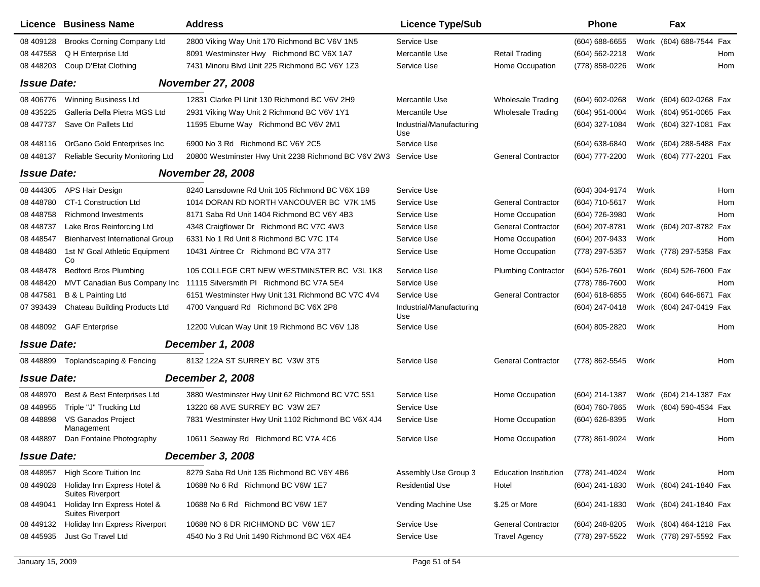|                    | Licence Business Name                                  | <b>Address</b>                                      | <b>Licence Type/Sub</b>         |                              | <b>Phone</b>       |      | Fax                     |     |
|--------------------|--------------------------------------------------------|-----------------------------------------------------|---------------------------------|------------------------------|--------------------|------|-------------------------|-----|
| 08 409128          | <b>Brooks Corning Company Ltd</b>                      | 2800 Viking Way Unit 170 Richmond BC V6V 1N5        | Service Use                     |                              | $(604) 688 - 6655$ |      | Work (604) 688-7544 Fax |     |
| 08 447558          | Q H Enterprise Ltd                                     | 8091 Westminster Hwy Richmond BC V6X 1A7            | Mercantile Use                  | <b>Retail Trading</b>        | (604) 562-2218     | Work |                         | Hom |
| 08 448203          | Coup D'Etat Clothing                                   | 7431 Minoru Blvd Unit 225 Richmond BC V6Y 1Z3       | Service Use                     | Home Occupation              | (778) 858-0226     | Work |                         | Hom |
| <b>Issue Date:</b> |                                                        | <b>November 27, 2008</b>                            |                                 |                              |                    |      |                         |     |
| 08 40 6776         | Winning Business Ltd                                   | 12831 Clarke PI Unit 130 Richmond BC V6V 2H9        | Mercantile Use                  | <b>Wholesale Trading</b>     | (604) 602-0268     |      | Work (604) 602-0268 Fax |     |
| 08 435225          | Galleria Della Pietra MGS Ltd                          | 2931 Viking Way Unit 2 Richmond BC V6V 1Y1          | Mercantile Use                  | <b>Wholesale Trading</b>     | (604) 951-0004     |      | Work (604) 951-0065 Fax |     |
| 08 447737          | Save On Pallets Ltd                                    | 11595 Eburne Way Richmond BC V6V 2M1                | Industrial/Manufacturing<br>Use |                              | (604) 327-1084     |      | Work (604) 327-1081 Fax |     |
| 08 448116          | OrGano Gold Enterprises Inc                            | 6900 No 3 Rd Richmond BC V6Y 2C5                    | Service Use                     |                              | (604) 638-6840     |      | Work (604) 288-5488 Fax |     |
| 08 448137          | Reliable Security Monitoring Ltd                       | 20800 Westminster Hwy Unit 2238 Richmond BC V6V 2W3 | Service Use                     | <b>General Contractor</b>    | (604) 777-2200     |      | Work (604) 777-2201 Fax |     |
| <b>Issue Date:</b> |                                                        | <b>November 28, 2008</b>                            |                                 |                              |                    |      |                         |     |
| 08 444305          | APS Hair Design                                        | 8240 Lansdowne Rd Unit 105 Richmond BC V6X 1B9      | Service Use                     |                              | (604) 304-9174     | Work |                         | Hom |
| 08 448780          | CT-1 Construction Ltd                                  | 1014 DORAN RD NORTH VANCOUVER BC V7K 1M5            | Service Use                     | <b>General Contractor</b>    | (604) 710-5617     | Work |                         | Hom |
| 08 448758          | <b>Richmond Investments</b>                            | 8171 Saba Rd Unit 1404 Richmond BC V6Y 4B3          | Service Use                     | Home Occupation              | (604) 726-3980     | Work |                         | Hom |
| 08 448737          | Lake Bros Reinforcing Ltd                              | 4348 Craigflower Dr Richmond BC V7C 4W3             | Service Use                     | <b>General Contractor</b>    | (604) 207-8781     |      | Work (604) 207-8782 Fax |     |
| 08 448547          | <b>Bienharvest International Group</b>                 | 6331 No 1 Rd Unit 8 Richmond BC V7C 1T4             | Service Use                     | Home Occupation              | (604) 207-9433     | Work |                         | Hom |
| 08 448480          | 1st N' Goal Athletic Equipment<br>Co                   | 10431 Aintree Cr Richmond BC V7A 3T7                | Service Use                     | Home Occupation              | (778) 297-5357     |      | Work (778) 297-5358 Fax |     |
| 08 448478          | <b>Bedford Bros Plumbing</b>                           | 105 COLLEGE CRT NEW WESTMINSTER BC V3L 1K8          | Service Use                     | <b>Plumbing Contractor</b>   | (604) 526-7601     |      | Work (604) 526-7600 Fax |     |
| 08 44 84 20        | MVT Canadian Bus Company Inc                           | 11115 Silversmith PI Richmond BC V7A 5E4            | Service Use                     |                              | (778) 786-7600     | Work |                         | Hom |
| 08 447581          | B & L Painting Ltd                                     | 6151 Westminster Hwy Unit 131 Richmond BC V7C 4V4   | Service Use                     | <b>General Contractor</b>    | (604) 618-6855     |      | Work (604) 646-6671 Fax |     |
| 07 393439          | Chateau Building Products Ltd                          | 4700 Vanguard Rd Richmond BC V6X 2P8                | Industrial/Manufacturing<br>Use |                              | (604) 247-0418     |      | Work (604) 247-0419 Fax |     |
| 08 448092          | <b>GAF Enterprise</b>                                  | 12200 Vulcan Way Unit 19 Richmond BC V6V 1J8        | Service Use                     |                              | (604) 805-2820     | Work |                         | Hom |
| <b>Issue Date:</b> |                                                        | <b>December 1, 2008</b>                             |                                 |                              |                    |      |                         |     |
| 08 448899          | Toplandscaping & Fencing                               | 8132 122A ST SURREY BC V3W 3T5                      | Service Use                     | <b>General Contractor</b>    | (778) 862-5545     | Work |                         | Hom |
| <b>Issue Date:</b> |                                                        | <b>December 2, 2008</b>                             |                                 |                              |                    |      |                         |     |
| 08 448970          | Best & Best Enterprises Ltd                            | 3880 Westminster Hwy Unit 62 Richmond BC V7C 5S1    | Service Use                     | Home Occupation              | (604) 214-1387     |      | Work (604) 214-1387 Fax |     |
| 08 448 955         | Triple "J" Trucking Ltd                                | 13220 68 AVE SURREY BC V3W 2E7                      | Service Use                     |                              | (604) 760-7865     |      | Work (604) 590-4534 Fax |     |
| 08 448898          | VS Ganados Project<br>Management                       | 7831 Westminster Hwy Unit 1102 Richmond BC V6X 4J4  | Service Use                     | Home Occupation              | (604) 626-8395     | Work |                         | Hom |
| 08 448897          | Dan Fontaine Photography                               | 10611 Seaway Rd Richmond BC V7A 4C6                 | Service Use                     | Home Occupation              | (778) 861-9024     | Work |                         | Hom |
| <b>Issue Date:</b> |                                                        | <b>December 3, 2008</b>                             |                                 |                              |                    |      |                         |     |
| 08 448957          | <b>High Score Tuition Inc</b>                          | 8279 Saba Rd Unit 135 Richmond BC V6Y 4B6           | Assembly Use Group 3            | <b>Education Institution</b> | (778) 241-4024     | Work |                         | Hom |
| 08 449028          | Holiday Inn Express Hotel &<br><b>Suites Riverport</b> | 10688 No 6 Rd Richmond BC V6W 1E7                   | <b>Residential Use</b>          | Hotel                        | (604) 241-1830     |      | Work (604) 241-1840 Fax |     |
| 08 449041          | Holiday Inn Express Hotel &<br><b>Suites Riverport</b> | 10688 No 6 Rd Richmond BC V6W 1E7                   | Vending Machine Use             | \$.25 or More                | (604) 241-1830     |      | Work (604) 241-1840 Fax |     |
| 08 449132          | Holiday Inn Express Riverport                          | 10688 NO 6 DR RICHMOND BC V6W 1E7                   | Service Use                     | <b>General Contractor</b>    | (604) 248-8205     |      | Work (604) 464-1218 Fax |     |
| 08 445935          | Just Go Travel Ltd                                     | 4540 No 3 Rd Unit 1490 Richmond BC V6X 4E4          | Service Use                     | <b>Travel Agency</b>         | (778) 297-5522     |      | Work (778) 297-5592 Fax |     |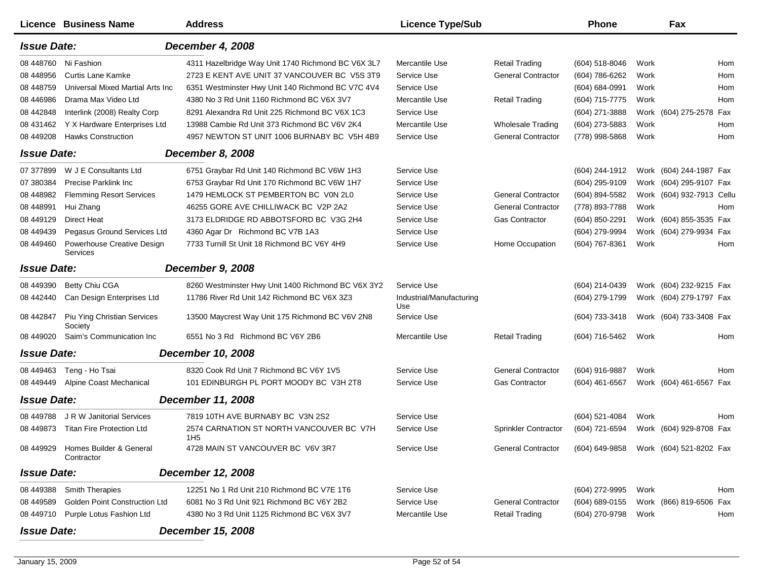|                    | <b>Licence Business Name</b>           | <b>Address</b>                                              | <b>Licence Type/Sub</b>         |                             | <b>Phone</b>                           |      | Fax                       |     |
|--------------------|----------------------------------------|-------------------------------------------------------------|---------------------------------|-----------------------------|----------------------------------------|------|---------------------------|-----|
| <b>Issue Date:</b> |                                        | December 4, 2008                                            |                                 |                             |                                        |      |                           |     |
| 08 448760          | Ni Fashion                             | 4311 Hazelbridge Way Unit 1740 Richmond BC V6X 3L7          | Mercantile Use                  | <b>Retail Trading</b>       | (604) 518-8046                         | Work |                           | Hom |
| 08 448956          | <b>Curtis Lane Kamke</b>               | 2723 E KENT AVE UNIT 37 VANCOUVER BC V5S 3T9                | Service Use                     | <b>General Contractor</b>   | (604) 786-6262                         | Work |                           | Hom |
| 08 448759          | Universal Mixed Martial Arts Inc       | 6351 Westminster Hwy Unit 140 Richmond BC V7C 4V4           | Service Use                     |                             | (604) 684-0991                         | Work |                           | Hom |
| 08 44 698 6        | Drama Max Video Ltd                    | 4380 No 3 Rd Unit 1160 Richmond BC V6X 3V7                  | Mercantile Use                  | <b>Retail Trading</b>       | (604) 715-7775                         | Work |                           | Hom |
| 08 442848          | Interlink (2008) Realty Corp           | 8291 Alexandra Rd Unit 225 Richmond BC V6X 1C3              | Service Use                     |                             | (604) 271-3888                         |      | Work (604) 275-2578 Fax   |     |
| 08 431462          | Y X Hardware Enterprises Ltd           | 13988 Cambie Rd Unit 373 Richmond BC V6V 2K4                | Mercantile Use                  | <b>Wholesale Trading</b>    | (604) 273-5883                         | Work |                           | Hom |
| 08 449 208         | <b>Hawks Construction</b>              | 4957 NEWTON ST UNIT 1006 BURNABY BC V5H 4B9                 | Service Use                     | <b>General Contractor</b>   | (778) 998-5868                         | Work |                           | Hom |
| <b>Issue Date:</b> |                                        | <b>December 8, 2008</b>                                     |                                 |                             |                                        |      |                           |     |
| 07 377899          | W J E Consultants Ltd                  | 6751 Graybar Rd Unit 140 Richmond BC V6W 1H3                | Service Use                     |                             | (604) 244-1912                         |      | Work (604) 244-1987 Fax   |     |
| 07 380384          | <b>Precise Parklink Inc.</b>           | 6753 Graybar Rd Unit 170 Richmond BC V6W 1H7                | Service Use                     |                             | (604) 295-9109                         |      | Work (604) 295-9107 Fax   |     |
| 08 448982          | <b>Flemming Resort Services</b>        | 1479 HEMLOCK ST PEMBERTON BC V0N 2L0                        | Service Use                     | <b>General Contractor</b>   | (604) 894-5582                         |      | Work (604) 932-7913 Cellu |     |
| 08 448991          | Hui Zhang                              | 46255 GORE AVE CHILLIWACK BC V2P 2A2                        | Service Use                     | <b>General Contractor</b>   | (778) 893-7788                         | Work |                           | Hom |
| 08 449129          | <b>Direct Heat</b>                     | 3173 ELDRIDGE RD ABBOTSFORD BC V3G 2H4                      | Service Use                     | Gas Contractor              | (604) 850-2291                         |      | Work (604) 855-3535 Fax   |     |
| 08 44 94 39        | Pegasus Ground Services Ltd            | 4360 Agar Dr Richmond BC V7B 1A3                            | Service Use                     |                             | (604) 279-9994                         |      | Work (604) 279-9934 Fax   |     |
| 08 449460          | Powerhouse Creative Design<br>Services | 7733 Turnill St Unit 18 Richmond BC V6Y 4H9                 | Service Use                     | Home Occupation             | (604) 767-8361                         | Work |                           | Hom |
| <b>Issue Date:</b> |                                        | December 9, 2008                                            |                                 |                             |                                        |      |                           |     |
| 08 449390          | <b>Betty Chiu CGA</b>                  | 8260 Westminster Hwy Unit 1400 Richmond BC V6X 3Y2          | Service Use                     |                             | (604) 214-0439                         |      | Work (604) 232-9215 Fax   |     |
| 08 442440          | Can Design Enterprises Ltd             | 11786 River Rd Unit 142 Richmond BC V6X 3Z3                 | Industrial/Manufacturing<br>Use |                             | (604) 279-1799                         |      | Work (604) 279-1797 Fax   |     |
| 08 442847          | Piu Ying Christian Services<br>Society | 13500 Maycrest Way Unit 175 Richmond BC V6V 2N8             | Service Use                     |                             | (604) 733-3418                         |      | Work (604) 733-3408 Fax   |     |
| 08 449020          | Saim's Communication Inc               | 6551 No 3 Rd Richmond BC V6Y 2B6                            | Mercantile Use                  | <b>Retail Trading</b>       | (604) 716-5462                         | Work |                           | Hom |
| <b>Issue Date:</b> |                                        | December 10, 2008                                           |                                 |                             |                                        |      |                           |     |
| 08 449463          | Teng - Ho Tsai                         | 8320 Cook Rd Unit 7 Richmond BC V6Y 1V5                     | Service Use                     | <b>General Contractor</b>   | (604) 916-9887                         | Work |                           | Hom |
| 08 449449          | Alpine Coast Mechanical                | 101 EDINBURGH PL PORT MOODY BC V3H 2T8                      | Service Use                     | <b>Gas Contractor</b>       | $(604)$ 461-6567                       |      | Work (604) 461-6567 Fax   |     |
| <b>Issue Date:</b> |                                        | December 11, 2008                                           |                                 |                             |                                        |      |                           |     |
| 08 449788          | J R W Janitorial Services              | 7819 10TH AVE BURNABY BC V3N 2S2                            | Service Use                     |                             | $(604)$ 521-4084                       | Work |                           | Hom |
| 08 449873          | <b>Titan Fire Protection Ltd</b>       | 2574 CARNATION ST NORTH VANCOUVER BC V7H<br>1H <sub>5</sub> | Service Use                     | <b>Sprinkler Contractor</b> | (604) 721-6594                         |      | Work (604) 929-8708 Fax   |     |
| 08 449929          | Homes Builder & General<br>Contractor  | 4728 MAIN ST VANCOUVER BC V6V 3R7                           | Service Use                     | <b>General Contractor</b>   | (604) 649-9858 Work (604) 521-8202 Fax |      |                           |     |
| <b>Issue Date:</b> |                                        | <b>December 12, 2008</b>                                    |                                 |                             |                                        |      |                           |     |
| 08 449388          | <b>Smith Therapies</b>                 | 12251 No 1 Rd Unit 210 Richmond BC V7E 1T6                  | Service Use                     |                             | (604) 272-9995                         | Work |                           | Hom |
| 08 449589          | Golden Point Construction Ltd          | 6081 No 3 Rd Unit 921 Richmond BC V6Y 2B2                   | Service Use                     | <b>General Contractor</b>   | (604) 689-0155                         |      | Work (866) 819-6506 Fax   |     |
|                    | 08 449710 Purple Lotus Fashion Ltd     | 4380 No 3 Rd Unit 1125 Richmond BC V6X 3V7                  | Mercantile Use                  | <b>Retail Trading</b>       | (604) 270-9798                         | Work |                           | Hom |
| <b>Issue Date:</b> |                                        | December 15, 2008                                           |                                 |                             |                                        |      |                           |     |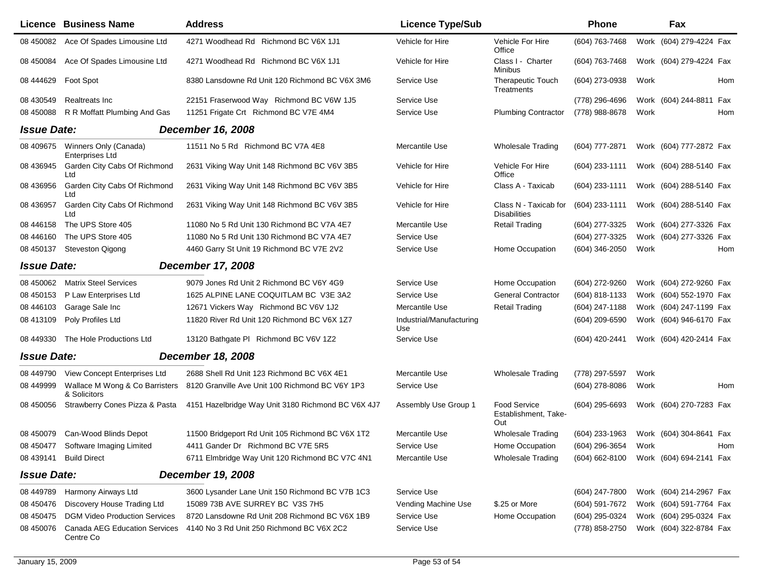|                    | <b>Licence Business Name</b>                   | <b>Address</b>                                     | <b>Licence Type/Sub</b>         |                                              | Phone                                  |      | Fax                     |     |
|--------------------|------------------------------------------------|----------------------------------------------------|---------------------------------|----------------------------------------------|----------------------------------------|------|-------------------------|-----|
| 08 450082          | Ace Of Spades Limousine Ltd                    | 4271 Woodhead Rd Richmond BC V6X 1J1               | Vehicle for Hire                | Vehicle For Hire<br>Office                   | (604) 763-7468                         |      | Work (604) 279-4224 Fax |     |
| 08 450084          | Ace Of Spades Limousine Ltd                    | 4271 Woodhead Rd Richmond BC V6X 1J1               | Vehicle for Hire                | Class I - Charter<br>Minibus                 | (604) 763-7468                         |      | Work (604) 279-4224 Fax |     |
| 08 44 46 29        | Foot Spot                                      | 8380 Lansdowne Rd Unit 120 Richmond BC V6X 3M6     | Service Use                     | <b>Therapeutic Touch</b><br>Treatments       | (604) 273-0938                         | Work |                         | Hom |
| 08 430549          | Realtreats Inc                                 | 22151 Fraserwood Way Richmond BC V6W 1J5           | Service Use                     |                                              | (778) 296-4696                         |      | Work (604) 244-8811 Fax |     |
| 08 450088          | R R Moffatt Plumbing And Gas                   | 11251 Frigate Crt Richmond BC V7E 4M4              | Service Use                     | <b>Plumbing Contractor</b>                   | (778) 988-8678                         | Work |                         | Hom |
| <b>Issue Date:</b> |                                                | December 16, 2008                                  |                                 |                                              |                                        |      |                         |     |
| 08 409 675         | Winners Only (Canada)<br>Enterprises Ltd       | 11511 No 5 Rd Richmond BC V7A 4E8                  | Mercantile Use                  | <b>Wholesale Trading</b>                     | (604) 777-2871                         |      | Work (604) 777-2872 Fax |     |
| 08 43 6945         | Garden City Cabs Of Richmond<br>Ltd            | 2631 Viking Way Unit 148 Richmond BC V6V 3B5       | Vehicle for Hire                | Vehicle For Hire<br>Office                   | $(604)$ 233-1111                       |      | Work (604) 288-5140 Fax |     |
| 08 436956          | Garden City Cabs Of Richmond<br>Ltd            | 2631 Viking Way Unit 148 Richmond BC V6V 3B5       | Vehicle for Hire                | Class A - Taxicab                            | (604) 233-1111                         |      | Work (604) 288-5140 Fax |     |
| 08 436957          | Garden City Cabs Of Richmond<br>Ltd            | 2631 Viking Way Unit 148 Richmond BC V6V 3B5       | Vehicle for Hire                | Class N - Taxicab for<br><b>Disabilities</b> | (604) 233-1111                         |      | Work (604) 288-5140 Fax |     |
| 08 44 6158         | The UPS Store 405                              | 11080 No 5 Rd Unit 130 Richmond BC V7A 4E7         | Mercantile Use                  | <b>Retail Trading</b>                        | (604) 277-3325                         |      | Work (604) 277-3326 Fax |     |
| 08 44 6160         | The UPS Store 405                              | 11080 No 5 Rd Unit 130 Richmond BC V7A 4E7         | Service Use                     |                                              | (604) 277-3325                         |      | Work (604) 277-3326 Fax |     |
| 08 450137          | <b>Steveston Qigong</b>                        | 4460 Garry St Unit 19 Richmond BC V7E 2V2          | Service Use                     | Home Occupation                              | (604) 346-2050                         | Work |                         | Hom |
| <b>Issue Date:</b> |                                                | <b>December 17, 2008</b>                           |                                 |                                              |                                        |      |                         |     |
| 08 450062          | <b>Matrix Steel Services</b>                   | 9079 Jones Rd Unit 2 Richmond BC V6Y 4G9           | Service Use                     | Home Occupation                              | (604) 272-9260                         |      | Work (604) 272-9260 Fax |     |
| 08 450153          | P Law Enterprises Ltd                          | 1625 ALPINE LANE COQUITLAM BC V3E 3A2              | Service Use                     | <b>General Contractor</b>                    | (604) 818-1133                         |      | Work (604) 552-1970 Fax |     |
| 08 44 6103         | Garage Sale Inc                                | 12671 Vickers Way Richmond BC V6V 1J2              | Mercantile Use                  | <b>Retail Trading</b>                        | (604) 247-1188                         |      | Work (604) 247-1199 Fax |     |
| 08 413109          | Poly Profiles Ltd                              | 11820 River Rd Unit 120 Richmond BC V6X 1Z7        | Industrial/Manufacturing<br>Use |                                              | (604) 209-6590                         |      | Work (604) 946-6170 Fax |     |
| 08 449330          | The Hole Productions Ltd                       | 13120 Bathgate PI Richmond BC V6V 1Z2              | Service Use                     |                                              | (604) 420-2441                         |      | Work (604) 420-2414 Fax |     |
| <b>Issue Date:</b> |                                                | <b>December 18, 2008</b>                           |                                 |                                              |                                        |      |                         |     |
| 08 449790          | View Concept Enterprises Ltd                   | 2688 Shell Rd Unit 123 Richmond BC V6X 4E1         | Mercantile Use                  | <b>Wholesale Trading</b>                     | (778) 297-5597                         | Work |                         |     |
| 08 449999          | Wallace M Wong & Co Barristers<br>& Solicitors | 8120 Granville Ave Unit 100 Richmond BC V6Y 1P3    | Service Use                     |                                              | (604) 278-8086                         | Work |                         | Hom |
| 08 450056          | Strawberry Cones Pizza & Pasta                 | 4151 Hazelbridge Way Unit 3180 Richmond BC V6X 4J7 | Assembly Use Group 1            | Food Service<br>Establishment, Take-<br>Out  | $(604)$ 295-6693                       |      | Work (604) 270-7283 Fax |     |
| 08 450079          | Can-Wood Blinds Depot                          | 11500 Bridgeport Rd Unit 105 Richmond BC V6X 1T2   | Mercantile Use                  | <b>Wholesale Trading</b>                     | (604) 233-1963                         |      | Work (604) 304-8641 Fax |     |
|                    | 08 450477 Software Imaging Limited             | 4411 Gander Dr Richmond BC V7E 5R5                 | Service Use                     | Home Occupation                              | (604) 296-3654 Work                    |      |                         | Hom |
|                    | 08 439141 Build Direct                         | 6711 Elmbridge Way Unit 120 Richmond BC V7C 4N1    | Mercantile Use                  | <b>Wholesale Trading</b>                     | (604) 662-8100 Work (604) 694-2141 Fax |      |                         |     |
| <b>Issue Date:</b> |                                                | <b>December 19, 2008</b>                           |                                 |                                              |                                        |      |                         |     |
| 08 449789          | Harmony Airways Ltd                            | 3600 Lysander Lane Unit 150 Richmond BC V7B 1C3    | Service Use                     |                                              | (604) 247-7800                         |      | Work (604) 214-2967 Fax |     |
| 08 450476          | Discovery House Trading Ltd                    | 15089 73B AVE SURREY BC V3S 7H5                    | Vending Machine Use             | \$.25 or More                                | (604) 591-7672                         |      | Work (604) 591-7764 Fax |     |
| 08 450475          | <b>DGM Video Production Services</b>           | 8720 Lansdowne Rd Unit 208 Richmond BC V6X 1B9     | Service Use                     | Home Occupation                              | (604) 295-0324                         |      | Work (604) 295-0324 Fax |     |
| 08 450076          | Canada AEG Education Services<br>Centre Co     | 4140 No 3 Rd Unit 250 Richmond BC V6X 2C2          | Service Use                     |                                              | (778) 858-2750                         |      | Work (604) 322-8784 Fax |     |